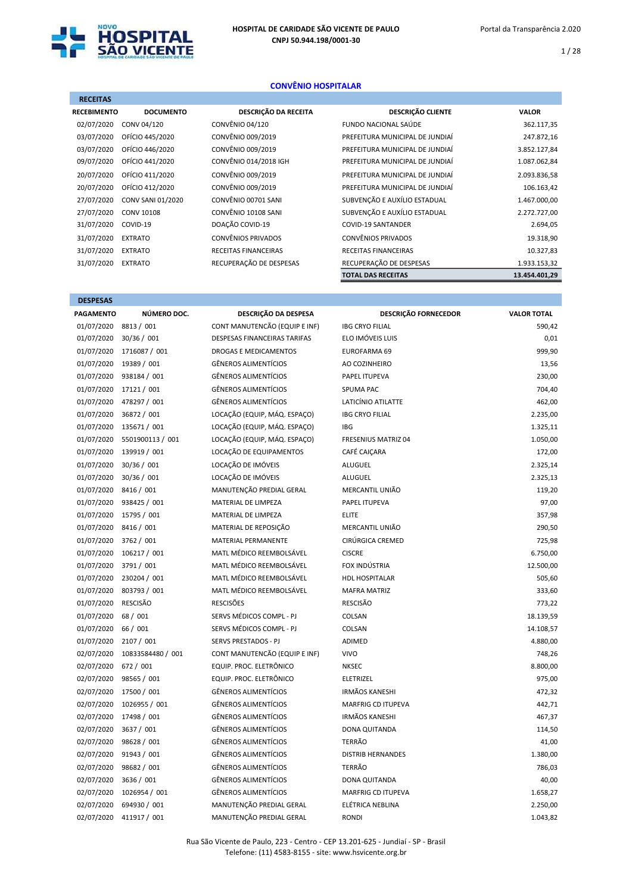

DESPESAS

1 / 28

## CONVÊNIO HOSPITALAR

| <b>RECEITAS</b>    |                   |                           |                                 |               |
|--------------------|-------------------|---------------------------|---------------------------------|---------------|
| <b>RECEBIMENTO</b> | <b>DOCUMENTO</b>  | DESCRIÇÃO DA RECEITA      | <b>DESCRIÇÃO CLIENTE</b>        | <b>VALOR</b>  |
| 02/07/2020         | CONV 04/120       | CONVÊNIO 04/120           | FUNDO NACIONAL SAÚDE            | 362.117,35    |
| 03/07/2020         | OFÍCIO 445/2020   | CONVÊNIO 009/2019         | PREFEITURA MUNICIPAL DE JUNDIAÍ | 247.872,16    |
| 03/07/2020         | OFÍCIO 446/2020   | CONVÊNIO 009/2019         | PREFEITURA MUNICIPAL DE JUNDIAÍ | 3.852.127,84  |
| 09/07/2020         | OFÍCIO 441/2020   | CONVÊNIO 014/2018 IGH     | PREFEITURA MUNICIPAL DE JUNDIAÍ | 1.087.062,84  |
| 20/07/2020         | OFÍCIO 411/2020   | CONVÊNIO 009/2019         | PREFEITURA MUNICIPAL DE JUNDIAÍ | 2.093.836,58  |
| 20/07/2020         | OFÍCIO 412/2020   | CONVÊNIO 009/2019         | PREFEITURA MUNICIPAL DE JUNDIAÍ | 106.163,42    |
| 27/07/2020         | CONV SANI 01/2020 | CONVÊNIO 00701 SANI       | SUBVENÇÃO E AUXÍLIO ESTADUAL    | 1.467.000,00  |
| 27/07/2020         | <b>CONV 10108</b> | CONVÊNIO 10108 SANI       | SUBVENÇÃO E AUXÍLIO ESTADUAL    | 2.272.727,00  |
| 31/07/2020         | COVID-19          | DOAÇÃO COVID-19           | <b>COVID-19 SANTANDER</b>       | 2.694,05      |
| 31/07/2020         | <b>EXTRATO</b>    | <b>CONVÊNIOS PRIVADOS</b> | <b>CONVÊNIOS PRIVADOS</b>       | 19.318,90     |
| 31/07/2020         | <b>EXTRATO</b>    | RECEITAS FINANCEIRAS      | <b>RECEITAS FINANCEIRAS</b>     | 10.327,83     |
| 31/07/2020         | <b>EXTRATO</b>    | RECUPERAÇÃO DE DESPESAS   | RECUPERAÇÃO DE DESPESAS         | 1.933.153,32  |
|                    |                   |                           | <b>TOTAL DAS RECEITAS</b>       | 13.454.401,29 |

| <b>PAGAMENTO</b> | NÚMERO DOC.       | DESCRIÇÃO DA DESPESA          | <b>DESCRIÇÃO FORNECEDOR</b> | <b>VALOR TOTAL</b> |
|------------------|-------------------|-------------------------------|-----------------------------|--------------------|
| 01/07/2020       | 8813 / 001        | CONT MANUTENCÃO (EQUIP E INF) | <b>IBG CRYO FILIAL</b>      | 590.42             |
| 01/07/2020       | 30/36 / 001       | DESPESAS FINANCEIRAS TARIFAS  | ELO IMÓVEIS LUIS            | 0,01               |
| 01/07/2020       | 1716087 / 001     | <b>DROGAS E MEDICAMENTOS</b>  | EUROFARMA 69                | 999,90             |
| 01/07/2020       | 19389 / 001       | <b>GÊNEROS ALIMENTÍCIOS</b>   | AO COZINHEIRO               | 13,56              |
| 01/07/2020       | 938184 / 001      | <b>GÊNEROS ALIMENTÍCIOS</b>   | <b>PAPEL ITUPEVA</b>        | 230,00             |
| 01/07/2020       | 17121 / 001       | <b>GÊNEROS ALIMENTÍCIOS</b>   | <b>SPUMA PAC</b>            | 704,40             |
| 01/07/2020       | 478297 / 001      | <b>GÊNEROS ALIMENTÍCIOS</b>   | LATICÍNIO ATILATTE          | 462,00             |
| 01/07/2020       | 36872 / 001       | LOCAÇÃO (EQUIP, MÁQ. ESPAÇO)  | <b>IBG CRYO FILIAL</b>      | 2.235,00           |
| 01/07/2020       | 135671 / 001      | LOCAÇÃO (EQUIP, MÁQ. ESPAÇO)  | <b>IBG</b>                  | 1.325,11           |
| 01/07/2020       | 5501900113 / 001  | LOCAÇÃO (EQUIP, MÁQ. ESPAÇO)  | FRESENIUS MATRIZ 04         | 1.050,00           |
| 01/07/2020       | 139919 / 001      | LOCAÇÃO DE EQUIPAMENTOS       | CAFÉ CAICARA                | 172,00             |
| 01/07/2020       | 30/36 / 001       | LOCAÇÃO DE IMÓVEIS            | <b>ALUGUEL</b>              | 2.325,14           |
| 01/07/2020       | 30/36 / 001       | LOCAÇÃO DE IMÓVEIS            | ALUGUEL                     | 2.325,13           |
| 01/07/2020       | 8416 / 001        | MANUTENÇÃO PREDIAL GERAL      | MERCANTIL UNIÃO             | 119,20             |
| 01/07/2020       | 938425 / 001      | MATERIAL DE LIMPEZA           | PAPEL ITUPEVA               | 97,00              |
| 01/07/2020       | 15795 / 001       | MATERIAL DE LIMPEZA           | <b>ELITE</b>                | 357,98             |
| 01/07/2020       | 8416 / 001        | MATERIAL DE REPOSIÇÃO         | MERCANTIL UNIÃO             | 290,50             |
| 01/07/2020       | 3762 / 001        | MATERIAL PERMANENTE           | CIRÚRGICA CREMED            | 725,98             |
| 01/07/2020       | 106217 / 001      | MATL MÉDICO REEMBOLSÁVEL      | <b>CISCRE</b>               | 6.750,00           |
| 01/07/2020       | 3791 / 001        | MATL MÉDICO REEMBOLSÁVEL      | FOX INDÚSTRIA               | 12.500,00          |
| 01/07/2020       | 230204 / 001      | MATL MÉDICO REEMBOLSÁVEL      | <b>HDL HOSPITALAR</b>       | 505,60             |
| 01/07/2020       | 803793 / 001      | MATL MÉDICO REEMBOLSÁVEL      | <b>MAFRA MATRIZ</b>         | 333,60             |
| 01/07/2020       | <b>RESCISÃO</b>   | <b>RESCISÕES</b>              | <b>RESCISÃO</b>             | 773,22             |
| 01/07/2020       | 68 / 001          | SERVS MÉDICOS COMPL - PJ      | COLSAN                      | 18.139,59          |
| 01/07/2020       | 66 / 001          | SERVS MÉDICOS COMPL - PJ      | COLSAN                      | 14.108,57          |
| 01/07/2020       | 2107 / 001        | <b>SERVS PRESTADOS - PJ</b>   | ADIMED                      | 4.880,00           |
| 02/07/2020       | 10833584480 / 001 | CONT MANUTENCÃO (EQUIP E INF) | <b>VIVO</b>                 | 748,26             |
| 02/07/2020       | 672 / 001         | EQUIP. PROC. ELETRÔNICO       | <b>NKSEC</b>                | 8.800,00           |
| 02/07/2020       | 98565 / 001       | EQUIP. PROC. ELETRÔNICO       | ELETRIZEL                   | 975,00             |
| 02/07/2020       | 17500 / 001       | <b>GÊNEROS ALIMENTÍCIOS</b>   | <b>IRMÃOS KANESHI</b>       | 472,32             |
| 02/07/2020       | 1026955 / 001     | <b>GÊNEROS ALIMENTÍCIOS</b>   | <b>MARFRIG CD ITUPEVA</b>   | 442,71             |
| 02/07/2020       | 17498 / 001       | <b>GÊNEROS ALIMENTÍCIOS</b>   | <b>IRMÃOS KANESHI</b>       | 467,37             |
| 02/07/2020       | 3637 / 001        | <b>GÊNEROS ALIMENTÍCIOS</b>   | <b>DONA QUITANDA</b>        | 114,50             |
| 02/07/2020       | 98628 / 001       | <b>GÊNEROS ALIMENTÍCIOS</b>   | <b>TERRÃO</b>               | 41,00              |
| 02/07/2020       | 91943 / 001       | <b>GÊNEROS ALIMENTÍCIOS</b>   | <b>DISTRIB HERNANDES</b>    | 1.380,00           |
| 02/07/2020       | 98682 / 001       | <b>GÊNEROS ALIMENTÍCIOS</b>   | <b>TERRÃO</b>               | 786,03             |
| 02/07/2020       | 3636 / 001        | <b>GÊNEROS ALIMENTÍCIOS</b>   | <b>DONA QUITANDA</b>        | 40,00              |
| 02/07/2020       | 1026954 / 001     | <b>GÊNEROS ALIMENTÍCIOS</b>   | <b>MARFRIG CD ITUPEVA</b>   | 1.658,27           |
| 02/07/2020       | 694930 / 001      | MANUTENÇÃO PREDIAL GERAL      | ELÉTRICA NEBLINA            | 2.250,00           |
| 02/07/2020       | 411917 / 001      | MANUTENÇÃO PREDIAL GERAL      | <b>RONDI</b>                | 1.043,82           |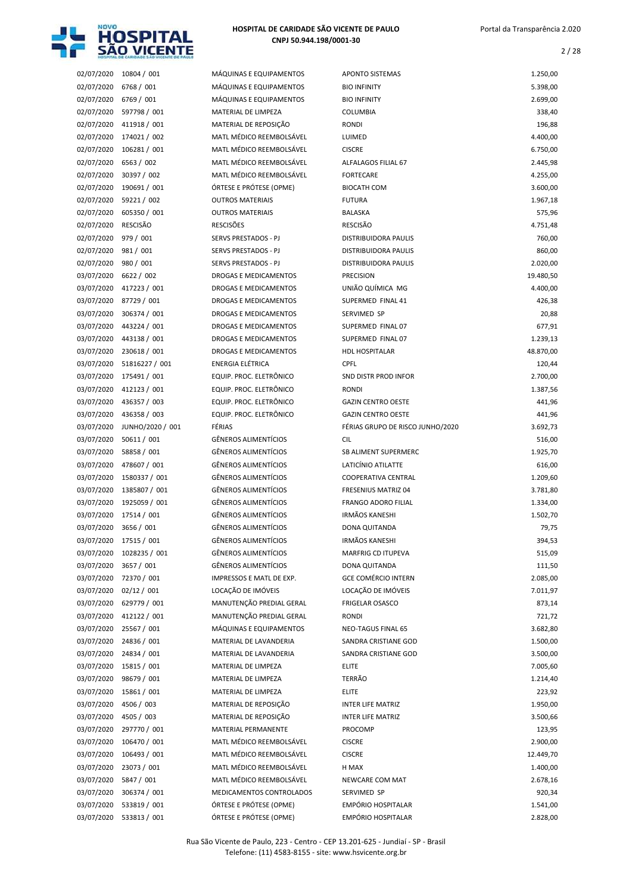

2 / 28

| 02/07/2020               | 10804 / 001                  |
|--------------------------|------------------------------|
| 02/07/2020               | 6768 / 001                   |
| 02/07/2020               | 6769 / 001                   |
| 02/07/2020               | 597798 / 001                 |
| 02/07/2020               | 411918 / 001                 |
| 02/07/2020               | 174021 / 002                 |
| 02/07/2020               | 106281 / 001                 |
| 02/07/2020               | 6563 / 002                   |
| 02/07/2020               | 30397 / 002                  |
| 02/07/2020               | 190691 / 001                 |
| 02/07/2020               | 59221 / 002                  |
| 02/07/2020               | 605350 / 001                 |
| 02/07/2020               | <b>RESCISÃO</b>              |
| 02/07/2020               | 979 / 001                    |
| 02/07/2020               | 981 / 001                    |
| 02/07/2020               | 980 / 001                    |
| 03/07/2020               | 6622 / 002                   |
| 03/07/2020               | 417223 / 001                 |
| 03/07/2020               | 87729 / 001                  |
| 03/07/2020               | 306374 / 001                 |
| 03/07/2020               | 443224 / 001                 |
| 03/07/2020               | 443138 / 001                 |
| 03/07/2020               | 230618 / 001                 |
| 03/07/2020               | 51816227 / 001               |
| 03/07/2020               | 175491 / 001                 |
| 03/07/2020               | 412123 / 001                 |
| 03/07/2020               | 436357 / 003                 |
| 03/07/2020               | 436358 / 003                 |
| 03/07/2020               | JUNHO/2020 / 001             |
| 03/07/2020               | 50611 / 001                  |
| 03/07/2020               | 58858 / 001                  |
|                          |                              |
|                          |                              |
| 03/07/2020               | 478607 / 001                 |
| 03/07/2020               | 1580337 / 001                |
| 03/07/2020               | 1385807 / 001                |
| 03/07/2020               | 1925059 / 001                |
| 03/07/2020               | 17514 / 001                  |
| 03/07/2020               | 3656 / 001                   |
| 03/07/2020               | 17515 / 001                  |
| 03/07/2020               | 1028235 / 001                |
| 03/07/2020               | 3657 / 001                   |
| 03/07/2020               | 72370 / 001                  |
| 03/07/2020               | 02/12 / 001                  |
| 03/07/2020               | 629779 / 001                 |
| 03/07/2020               | 412122 / 001                 |
| 03/07/2020               | 25567 / 001                  |
| 03/07/2020               | 24836 / 001                  |
| 03/07/2020               | 24834 / 001                  |
| 03/07/2020               | 15815 / 001                  |
| 03/07/2020               | 98679 / 001                  |
| 03/07/2020               | 15861 / 001                  |
| 03/07/2020               | 4506 / 003                   |
| 03/07/2020               | 4505 / 003                   |
| 03/07/2020               | 297770 / 001                 |
| 03/07/2020               | 106470 / 001                 |
| 03/07/2020               | 106493 / 001                 |
| 03/07/2020               | 23073 / 001                  |
| 03/07/2020               | 5847 / 001                   |
| 03/07/2020<br>03/07/2020 | 306374 / 001<br>533819 / 001 |

| 02/07/2020 | 10804 / 001      | MÁQUINAS E EQUIPAMENTOS      | <b>APONTO SISTEMAS</b>                            | 1.250,00  |
|------------|------------------|------------------------------|---------------------------------------------------|-----------|
| 02/07/2020 | 6768 / 001       | MÁQUINAS E EQUIPAMENTOS      | <b>BIO INFINITY</b>                               | 5.398,00  |
| 02/07/2020 | 6769 / 001       | MÁQUINAS E EQUIPAMENTOS      | <b>BIO INFINITY</b>                               | 2.699,00  |
| 02/07/2020 | 597798 / 001     | MATERIAL DE LIMPEZA          | COLUMBIA                                          | 338,40    |
| 02/07/2020 | 411918 / 001     | MATERIAL DE REPOSIÇÃO        | <b>RONDI</b>                                      | 196,88    |
| 02/07/2020 | 174021 / 002     | MATL MÉDICO REEMBOLSÁVEL     | LUIMED                                            | 4.400,00  |
| 02/07/2020 | 106281 / 001     | MATL MÉDICO REEMBOLSÁVEL     | <b>CISCRE</b>                                     | 6.750,00  |
| 02/07/2020 | 6563 / 002       | MATL MÉDICO REEMBOLSÁVEL     | ALFALAGOS FILIAL 67                               | 2.445,98  |
| 02/07/2020 | 30397 / 002      | MATL MÉDICO REEMBOLSÁVEL     | <b>FORTECARE</b>                                  | 4.255,00  |
| 02/07/2020 | 190691 / 001     | ÓRTESE E PRÓTESE (OPME)      | <b>BIOCATH COM</b>                                | 3.600,00  |
| 02/07/2020 | 59221 / 002      | <b>OUTROS MATERIAIS</b>      | <b>FUTURA</b>                                     | 1.967,18  |
| 02/07/2020 | 605350 / 001     | <b>OUTROS MATERIAIS</b>      | <b>BALASKA</b>                                    | 575,96    |
| 02/07/2020 | <b>RESCISÃO</b>  | <b>RESCISÕES</b>             | <b>RESCISÃO</b>                                   | 4.751,48  |
| 02/07/2020 | 979 / 001        | SERVS PRESTADOS - PJ         | <b>DISTRIBUIDORA PAULIS</b>                       | 760,00    |
| 02/07/2020 | 981 / 001        | SERVS PRESTADOS - PJ         | <b>DISTRIBUIDORA PAULIS</b>                       | 860,00    |
| 02/07/2020 | 980 / 001        | SERVS PRESTADOS - PJ         | <b>DISTRIBUIDORA PAULIS</b>                       | 2.020,00  |
| 03/07/2020 | 6622 / 002       | <b>DROGAS E MEDICAMENTOS</b> | <b>PRECISION</b>                                  | 19.480,50 |
| 03/07/2020 | 417223 / 001     | DROGAS E MEDICAMENTOS        | UNIÃO QUÍMICA MG                                  | 4.400,00  |
| 03/07/2020 | 87729 / 001      | DROGAS E MEDICAMENTOS        | SUPERMED FINAL 41                                 | 426,38    |
| 03/07/2020 | 306374 / 001     | DROGAS E MEDICAMENTOS        | SERVIMED SP                                       | 20,88     |
| 03/07/2020 | 443224 / 001     | DROGAS E MEDICAMENTOS        | SUPERMED FINAL 07                                 | 677,91    |
| 03/07/2020 | 443138 / 001     | <b>DROGAS E MEDICAMENTOS</b> | SUPERMED FINAL 07                                 | 1.239,13  |
| 03/07/2020 | 230618 / 001     | <b>DROGAS E MEDICAMENTOS</b> | <b>HDL HOSPITALAR</b>                             | 48.870,00 |
| 03/07/2020 | 51816227 / 001   | <b>ENERGIA ELÉTRICA</b>      | <b>CPFL</b>                                       | 120,44    |
| 03/07/2020 | 175491 / 001     | EQUIP. PROC. ELETRÔNICO      | SND DISTR PROD INFOR                              | 2.700,00  |
| 03/07/2020 | 412123 / 001     | EQUIP. PROC. ELETRÔNICO      | <b>RONDI</b>                                      | 1.387,56  |
| 03/07/2020 | 436357 / 003     | EQUIP. PROC. ELETRÔNICO      | <b>GAZIN CENTRO OESTE</b>                         | 441,96    |
| 03/07/2020 | 436358 / 003     | EQUIP. PROC. ELETRÔNICO      | <b>GAZIN CENTRO OESTE</b>                         | 441,96    |
| 03/07/2020 | JUNHO/2020 / 001 | FÉRIAS                       | FÉRIAS GRUPO DE RISCO JUNHO/2020                  | 3.692,73  |
| 03/07/2020 | 50611 / 001      | <b>GÊNEROS ALIMENTÍCIOS</b>  | <b>CIL</b>                                        | 516,00    |
| 03/07/2020 | 58858 / 001      | <b>GÊNEROS ALIMENTÍCIOS</b>  | SB ALIMENT SUPERMERC                              | 1.925,70  |
|            |                  | <b>GÊNEROS ALIMENTÍCIOS</b>  | LATICÍNIO ATILATTE                                |           |
| 03/07/2020 | 478607 / 001     | <b>GÊNEROS ALIMENTÍCIOS</b>  |                                                   | 616,00    |
| 03/07/2020 | 1580337 / 001    |                              | COOPERATIVA CENTRAL                               | 1.209,60  |
| 03/07/2020 | 1385807 / 001    | <b>GÊNEROS ALIMENTÍCIOS</b>  | FRESENIUS MATRIZ 04<br><b>FRANGO ADORO FILIAL</b> | 3.781,80  |
| 03/07/2020 | 1925059 / 001    | <b>GÊNEROS ALIMENTÍCIOS</b>  |                                                   | 1.334,00  |
| 03/07/2020 | 17514 / 001      | <b>GÊNEROS ALIMENTÍCIOS</b>  | <b>IRMÃOS KANESHI</b>                             | 1.502,70  |
| 03/07/2020 | 3656 / 001       | <b>GÊNEROS ALIMENTÍCIOS</b>  | DONA QUITANDA                                     | 79,75     |
| 03/07/2020 | 17515 / 001      | <b>GÊNEROS ALIMENTÍCIOS</b>  | IRMÃOS KANESHI                                    | 394,53    |
| 03/07/2020 | 1028235 / 001    | <b>GËNEROS ALIMENTÍCIOS</b>  | MARFRIG CD ITUPEVA                                | 515,09    |
| 03/07/2020 | 3657 / 001       | GÊNEROS ALIMENTÍCIOS         | DONA QUITANDA                                     | 111,50    |
| 03/07/2020 | 72370 / 001      | IMPRESSOS E MATL DE EXP.     | <b>GCE COMÉRCIO INTERN</b>                        | 2.085,00  |
| 03/07/2020 | 02/12 / 001      | LOCAÇÃO DE IMÓVEIS           | LOCAÇÃO DE IMÓVEIS                                | 7.011,97  |
| 03/07/2020 | 629779 / 001     | MANUTENÇÃO PREDIAL GERAL     | FRIGELAR OSASCO                                   | 873,14    |
| 03/07/2020 | 412122 / 001     | MANUTENÇÃO PREDIAL GERAL     | RONDI                                             | 721,72    |
| 03/07/2020 | 25567 / 001      | MÁQUINAS E EQUIPAMENTOS      | NEO-TAGUS FINAL 65                                | 3.682,80  |
| 03/07/2020 | 24836 / 001      | MATERIAL DE LAVANDERIA       | SANDRA CRISTIANE GOD                              | 1.500,00  |
| 03/07/2020 | 24834 / 001      | MATERIAL DE LAVANDERIA       | SANDRA CRISTIANE GOD                              | 3.500,00  |
| 03/07/2020 | 15815 / 001      | MATERIAL DE LIMPEZA          | <b>ELITE</b>                                      | 7.005,60  |
| 03/07/2020 | 98679 / 001      | MATERIAL DE LIMPEZA          | <b>TERRÃO</b>                                     | 1.214,40  |
| 03/07/2020 | 15861 / 001      | MATERIAL DE LIMPEZA          | <b>ELITE</b>                                      | 223,92    |
| 03/07/2020 | 4506 / 003       | MATERIAL DE REPOSIÇÃO        | <b>INTER LIFE MATRIZ</b>                          | 1.950,00  |
| 03/07/2020 | 4505 / 003       | MATERIAL DE REPOSIÇÃO        | <b>INTER LIFE MATRIZ</b>                          | 3.500,66  |
| 03/07/2020 | 297770 / 001     | MATERIAL PERMANENTE          | PROCOMP                                           | 123,95    |
| 03/07/2020 | 106470 / 001     | MATL MÉDICO REEMBOLSÁVEL     | <b>CISCRE</b>                                     | 2.900,00  |
| 03/07/2020 | 106493 / 001     | MATL MÉDICO REEMBOLSÁVEL     | <b>CISCRE</b>                                     | 12.449,70 |
| 03/07/2020 | 23073 / 001      | MATL MÉDICO REEMBOLSÁVEL     | H MAX                                             | 1.400,00  |
| 03/07/2020 | 5847 / 001       | MATL MÉDICO REEMBOLSÁVEL     | NEWCARE COM MAT                                   | 2.678,16  |
| 03/07/2020 | 306374 / 001     | MEDICAMENTOS CONTROLADOS     | SERVIMED SP                                       | 920,34    |
| 03/07/2020 | 533819 / 001     | ÓRTESE E PRÓTESE (OPME)      | EMPÓRIO HOSPITALAR                                | 1.541,00  |
| 03/07/2020 | 533813 / 001     | ÓRTESE E PRÓTESE (OPME)      | EMPÓRIO HOSPITALAR                                | 2.828,00  |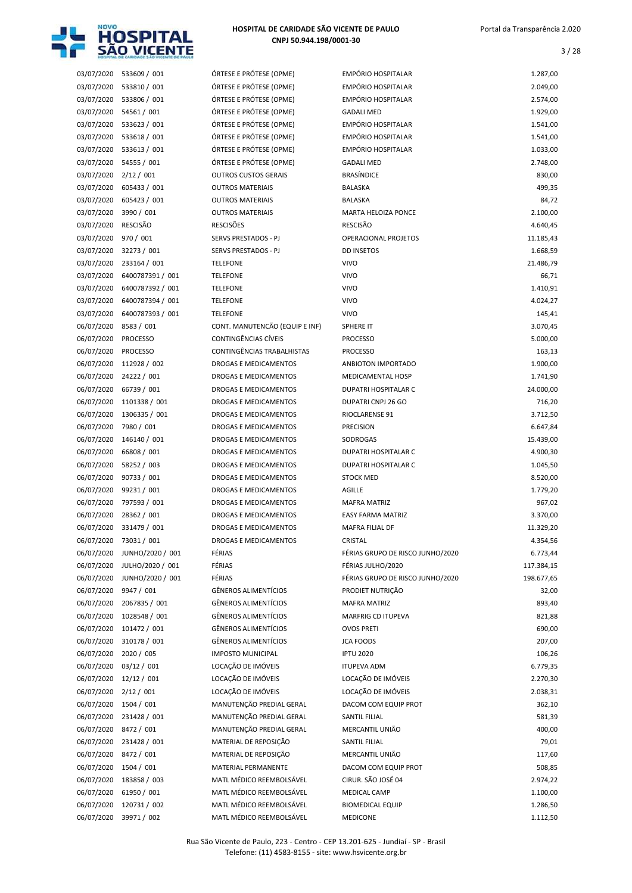

| 03/07/2020               | 533609 / 001                |
|--------------------------|-----------------------------|
| 03/07/2020               | 533810 / 001                |
| 03/07/2020               | 533806 / 001                |
| 03/07/2020               | 54561 / 001                 |
| 03/07/2020               | 533623 / 001                |
| 03/07/2020               | 533618 / 001                |
| 03/07/2020               | 533613 / 001                |
| 03/07/2020               | 54555 / 001                 |
| 03/07/2020               | 2/12 / 001                  |
| 03/07/2020               | 605433 / 001                |
| 03/07/2020               | 605423 / 001                |
| 03/07/2020               | 3990 / 001                  |
| 03/07/2020               | <b>RESCISÃO</b>             |
| 03/07/2020               | 970 / 001                   |
| 03/07/2020               | 32273 / 001                 |
| 03/07/2020               | 233164 / 001                |
| 03/07/2020               | 6400787391 / 001            |
| 03/07/2020               | 6400787392 / 001            |
| 03/07/2020               | 6400787394 / 001            |
| 03/07/2020               | 6400787393 / 001            |
| 06/07/2020               | 8583 / 001                  |
| 06/07/2020               | <b>PROCESSO</b>             |
| 06/07/2020               | <b>PROCESSO</b>             |
| 06/07/2020               | 112928 / 002                |
| 06/07/2020               | 24222 / 001                 |
| 06/07/2020               | 66739 / 001                 |
| 06/07/2020               | 1101338 / 001               |
| 06/07/2020               | 1306335 / 001               |
| 06/07/2020               | 7980 / 001                  |
| 06/07/2020               | 146140 / 001                |
| 06/07/2020               | 66808 / 001                 |
| 06/07/2020               | 58252 / 003                 |
| 06/07/2020               | 90733 / 001                 |
| 06/07/2020               | 99231 / 001                 |
| 06/07/2020<br>06/07/2020 | 797593 / 001                |
| 06/07/2020               | 28362 / 001<br>331479 / 001 |
|                          | 73031/001                   |
| 06/07/2020               | JUNHO/2020 / 001            |
| 06/07/2020<br>06/07/2020 | JULHO/2020 / 001            |
| 06/07/2020               | JUNHO/2020 / 001            |
| 06/07/2020               | 9947 / 001                  |
| 06/07/2020               | 2067835 / 001               |
| 06/07/2020               | 1028548 / 001               |
| 06/07/2020               | 101472 / 001                |
| 06/07/2020               | 310178 / 001                |
| 06/07/2020               | 2020 / 005                  |
| 06/07/2020               | 03/12 / 001                 |
| 06/07/2020               | 12/12 / 001                 |
| 06/07/2020               | 2/12 / 001                  |
| 06/07/2020               | 1504 / 001                  |
| 06/07/2020               | 231428 / 001                |
| 06/07/2020               | 8472 / 001                  |
| 06/07/2020               | 231428 / 001                |
| 06/07/2020               | 8472/001                    |
| 06/07/2020               | 1504 / 001                  |
| 06/07/2020               | 183858 / 003                |
| 06/07/2020               | 61950 / 001                 |
| 06/07/2020               | 120731 / 002                |
| 05/07/2020               | 20071 / 002                 |

| ÓRTESE E PRÓTESE (OPME)        |
|--------------------------------|
| ÓRTESE E PRÓTESE (OPME)        |
| ÓRTESE E PRÓTESE (OPME)        |
| ÓRTESE E PRÓTESE (OPME)        |
| ÓRTESE E PRÓTESE (OPME)        |
| ÓRTESE E PRÓTESE (OPME)        |
| ÓRTESE E PRÓTESE (OPME)        |
|                                |
| ÓRTESE E PRÓTESE (OPME)        |
| <b>OUTROS CUSTOS GERAIS</b>    |
| <b>OUTROS MATERIAIS</b>        |
| <b>OUTROS MATERIAIS</b>        |
| <b>OUTROS MATERIAIS</b>        |
| <b>RESCISÕES</b>               |
| <b>SERVS PRESTADOS - PJ</b>    |
| <b>SERVS PRESTADOS - PJ</b>    |
| <b>TELEFONE</b>                |
| <b>TELEFONE</b>                |
| <b>TELEFONE</b>                |
| <b>TELEFONE</b>                |
| <b>TELEFONE</b>                |
| CONT. MANUTENCÃO (EQUIP E INF) |
| CONTINGÊNCIAS CÍVEIS           |
| CONTINGÊNCIAS TRABALHISTAS     |
| <b>DROGAS E MEDICAMENTOS</b>   |
|                                |
| <b>DROGAS E MEDICAMENTOS</b>   |
| <b>DROGAS E MEDICAMENTOS</b>   |
| <b>DROGAS E MEDICAMENTOS</b>   |
| <b>DROGAS E MEDICAMENTOS</b>   |
| DROGAS E MEDICAMENTOS          |
| <b>DROGAS E MEDICAMENTOS</b>   |
| <b>DROGAS E MEDICAMENTOS</b>   |
| <b>DROGAS E MEDICAMENTOS</b>   |
| DROGAS E MEDICAMENTOS          |
| DROGAS E MEDICAMENTOS          |
| <b>DROGAS E MEDICAMENTOS</b>   |
| DROGAS E MEDICAMENTOS          |
| DROGAS E MEDICAMENTOS          |
| DROGAS E MEDICAMENTOS          |
| FÉRIAS                         |
| FÉRIAS                         |
| FÉRIAS                         |
| <b>GÊNEROS ALIMENTÍCIOS</b>    |
|                                |
| <b>GÊNEROS ALIMENTÍCIOS</b>    |
| <b>GÊNEROS ALIMENTÍCIOS</b>    |
| <b>GÊNEROS ALIMENTÍCIOS</b>    |
| <b>GÊNEROS ALIMENTÍCIOS</b>    |
| <b>IMPOSTO MUNICIPAL</b>       |
| LOCAÇÃO DE IMÓVEIS             |
| LOCAÇÃO DE IMÓVEIS             |
| LOCAÇÃO DE IMÓVEIS             |
| MANUTENÇÃO PREDIAL GERAL       |
| MANUTENÇÃO PREDIAL GERAL       |
| MANUTENÇÃO PREDIAL GERAL       |
| MATERIAL DE REPOSIÇÃO          |
| MATERIAL DE REPOSIÇÃO          |
| <b>MATERIAL PERMANENTE</b>     |
| MATL MÉDICO REEMBOLSÁVEL       |
| MATL MÉDICO REEMBOLSÁVEL       |
| MATL MÉDICO REEMBOLSÁVEL       |
|                                |

| 03/07/2020               | 533609 / 001                  | ÓRTESE E PRÓTESE (OPME)                                 | <b>EMPÓRIO HOSPITALAR</b>                    | 1.287,00             |
|--------------------------|-------------------------------|---------------------------------------------------------|----------------------------------------------|----------------------|
| 03/07/2020               | 533810 / 001                  | ÓRTESE E PRÓTESE (OPME)                                 | <b>EMPÓRIO HOSPITALAR</b>                    | 2.049,00             |
| 03/07/2020               | 533806 / 001                  | ÓRTESE E PRÓTESE (OPME)                                 | <b>EMPÓRIO HOSPITALAR</b>                    | 2.574,00             |
| 03/07/2020               | 54561 / 001                   | ÓRTESE E PRÓTESE (OPME)                                 | <b>GADALI MED</b>                            | 1.929,00             |
| 03/07/2020               | 533623 / 001                  | ÓRTESE E PRÓTESE (OPME)                                 | <b>EMPÓRIO HOSPITALAR</b>                    | 1.541,00             |
| 03/07/2020               | 533618 / 001                  | ÓRTESE E PRÓTESE (OPME)                                 | <b>EMPÓRIO HOSPITALAR</b>                    | 1.541,00             |
| 03/07/2020               | 533613 / 001                  | ÓRTESE E PRÓTESE (OPME)                                 | <b>EMPÓRIO HOSPITALAR</b>                    | 1.033,00             |
| 03/07/2020               | 54555 / 001                   | ÓRTESE E PRÓTESE (OPME)                                 | <b>GADALI MED</b>                            | 2.748,00             |
| 03/07/2020               | 2/12 / 001                    | <b>OUTROS CUSTOS GERAIS</b>                             | <b>BRASÍNDICE</b>                            | 830,00               |
| 03/07/2020<br>03/07/2020 | 605433 / 001                  | <b>OUTROS MATERIAIS</b>                                 | <b>BALASKA</b>                               | 499,35               |
| 03/07/2020               | 605423 / 001                  | <b>OUTROS MATERIAIS</b><br><b>OUTROS MATERIAIS</b>      | <b>BALASKA</b><br><b>MARTA HELOIZA PONCE</b> | 84,72                |
| 03/07/2020               | 3990 / 001<br><b>RESCISÃO</b> | <b>RESCISÕES</b>                                        | <b>RESCISÃO</b>                              | 2.100,00<br>4.640,45 |
| 03/07/2020               | 970 / 001                     | SERVS PRESTADOS - PJ                                    | OPERACIONAL PROJETOS                         | 11.185,43            |
| 03/07/2020               | 32273 / 001                   | SERVS PRESTADOS - PJ                                    | <b>DD INSETOS</b>                            | 1.668,59             |
| 03/07/2020               | 233164 / 001                  | <b>TELEFONE</b>                                         | <b>VIVO</b>                                  | 21.486,79            |
| 03/07/2020               | 6400787391 / 001              | <b>TELEFONE</b>                                         | <b>VIVO</b>                                  | 66,71                |
| 03/07/2020               | 6400787392 / 001              | <b>TELEFONE</b>                                         | <b>VIVO</b>                                  | 1.410,91             |
| 03/07/2020               | 6400787394 / 001              | <b>TELEFONE</b>                                         | <b>VIVO</b>                                  | 4.024,27             |
| 03/07/2020               | 6400787393 / 001              | <b>TELEFONE</b>                                         | <b>VIVO</b>                                  | 145,41               |
| 06/07/2020               | 8583 / 001                    | CONT. MANUTENCÃO (EQUIP E INF)                          | SPHERE IT                                    | 3.070,45             |
| 06/07/2020               | <b>PROCESSO</b>               | CONTINGÊNCIAS CÍVEIS                                    | <b>PROCESSO</b>                              | 5.000,00             |
| 06/07/2020               | <b>PROCESSO</b>               | CONTINGÊNCIAS TRABALHISTAS                              | <b>PROCESSO</b>                              | 163,13               |
| 06/07/2020               | 112928 / 002                  | DROGAS E MEDICAMENTOS                                   | ANBIOTON IMPORTADO                           | 1.900,00             |
| 06/07/2020               | 24222 / 001                   | DROGAS E MEDICAMENTOS                                   | MEDICAMENTAL HOSP                            | 1.741,90             |
| 06/07/2020               | 66739 / 001                   | DROGAS E MEDICAMENTOS                                   | <b>DUPATRI HOSPITALAR C</b>                  | 24.000,00            |
| 06/07/2020               | 1101338 / 001                 | DROGAS E MEDICAMENTOS                                   | DUPATRI CNPJ 26 GO                           | 716,20               |
| 06/07/2020               | 1306335 / 001                 | DROGAS E MEDICAMENTOS                                   | RIOCLARENSE 91                               | 3.712,50             |
| 06/07/2020               | 7980 / 001                    | DROGAS E MEDICAMENTOS                                   | <b>PRECISION</b>                             | 6.647,84             |
| 06/07/2020               | 146140 / 001                  | DROGAS E MEDICAMENTOS                                   | SODROGAS                                     | 15.439,00            |
| 06/07/2020               | 66808 / 001                   | DROGAS E MEDICAMENTOS                                   | DUPATRI HOSPITALAR C                         | 4.900,30             |
| 06/07/2020               | 58252 / 003                   | DROGAS E MEDICAMENTOS                                   | <b>DUPATRI HOSPITALAR C</b>                  | 1.045,50             |
| 06/07/2020               | 90733 / 001                   | DROGAS E MEDICAMENTOS                                   | <b>STOCK MED</b>                             | 8.520,00             |
| 06/07/2020               | 99231 / 001                   | DROGAS E MEDICAMENTOS                                   | <b>AGILLE</b>                                | 1.779,20             |
| 06/07/2020               | 797593 / 001                  | <b>DROGAS E MEDICAMENTOS</b>                            | <b>MAFRA MATRIZ</b>                          | 967,02               |
| 06/07/2020               | 28362 / 001                   | DROGAS E MEDICAMENTOS                                   | <b>EASY FARMA MATRIZ</b>                     | 3.370,00             |
| 06/07/2020               | 331479 / 001                  | <b>DROGAS E MEDICAMENTOS</b>                            | <b>MAFRA FILIAL DF</b>                       | 11.329,20            |
| 06/07/2020               | 73031 / 001                   | <b>DROGAS E MEDICAMENTOS</b>                            | CRISTAL                                      | 4.354,56             |
| 06/07/2020               | JUNHO/2020 / 001              | FÉRIAS                                                  | FÉRIAS GRUPO DE RISCO JUNHO/2020             | 6.773,44             |
| 06/07/2020               | JULHO/2020 / 001              | FÉRIAS                                                  | FÉRIAS JULHO/2020                            | 117.384,15           |
| 06/07/2020               | JUNHO/2020 / 001              | FÉRIAS                                                  | FÉRIAS GRUPO DE RISCO JUNHO/2020             | 198.677,65           |
| 06/07/2020               | 9947 / 001                    | <b>GÊNEROS ALIMENTÍCIOS</b>                             | PRODIET NUTRIÇÃO                             | 32,00                |
| 06/07/2020               | 2067835 / 001                 | <b>GÊNEROS ALIMENTÍCIOS</b>                             | <b>MAFRA MATRIZ</b>                          | 893,40               |
| 06/07/2020               | 1028548 / 001                 | <b>GÊNEROS ALIMENTÍCIOS</b>                             | MARFRIG CD ITUPEVA                           | 821,88               |
| 06/07/2020               | 101472 / 001                  | <b>GÊNEROS ALIMENTÍCIOS</b>                             | <b>OVOS PRETI</b>                            | 690,00               |
| 06/07/2020               | 310178 / 001                  | <b>GÊNEROS ALIMENTÍCIOS</b><br><b>IMPOSTO MUNICIPAL</b> | <b>JCA FOODS</b>                             | 207,00               |
| 06/07/2020<br>06/07/2020 | 2020 / 005<br>03/12 / 001     | LOCAÇÃO DE IMÓVEIS                                      | <b>IPTU 2020</b>                             | 106,26               |
| 06/07/2020               | 12/12 / 001                   | LOCAÇÃO DE IMÓVEIS                                      | <b>ITUPEVA ADM</b><br>LOCAÇÃO DE IMÓVEIS     | 6.779,35<br>2.270,30 |
| 06/07/2020               | 2/12 / 001                    | LOCAÇÃO DE IMÓVEIS                                      | LOCAÇÃO DE IMÓVEIS                           | 2.038,31             |
| 06/07/2020               | 1504 / 001                    | MANUTENÇÃO PREDIAL GERAL                                | DACOM COM EQUIP PROT                         | 362,10               |
| 06/07/2020               | 231428 / 001                  | MANUTENÇÃO PREDIAL GERAL                                | SANTIL FILIAL                                | 581,39               |
| 06/07/2020               | 8472 / 001                    | MANUTENÇÃO PREDIAL GERAL                                | MERCANTIL UNIÃO                              | 400,00               |
| 06/07/2020               | 231428 / 001                  | MATERIAL DE REPOSIÇÃO                                   | SANTIL FILIAL                                | 79,01                |
| 06/07/2020               | 8472 / 001                    | MATERIAL DE REPOSIÇÃO                                   | MERCANTIL UNIÃO                              | 117,60               |
| 06/07/2020               | 1504 / 001                    | MATERIAL PERMANENTE                                     | DACOM COM EQUIP PROT                         | 508,85               |
| 06/07/2020               | 183858 / 003                  | MATL MÉDICO REEMBOLSÁVEL                                | CIRUR. SÃO JOSÉ 04                           | 2.974,22             |
| 06/07/2020               | 61950 / 001                   | MATL MÉDICO REEMBOLSÁVEL                                | MEDICAL CAMP                                 | 1.100,00             |
| 06/07/2020               | 120731 / 002                  | MATL MÉDICO REEMBOLSÁVEL                                | <b>BIOMEDICAL EQUIP</b>                      | 1.286,50             |
| 06/07/2020               | 39971 / 002                   | MATL MÉDICO REEMBOLSÁVEL                                | MEDICONE                                     | 1.112,50             |
|                          |                               |                                                         |                                              |                      |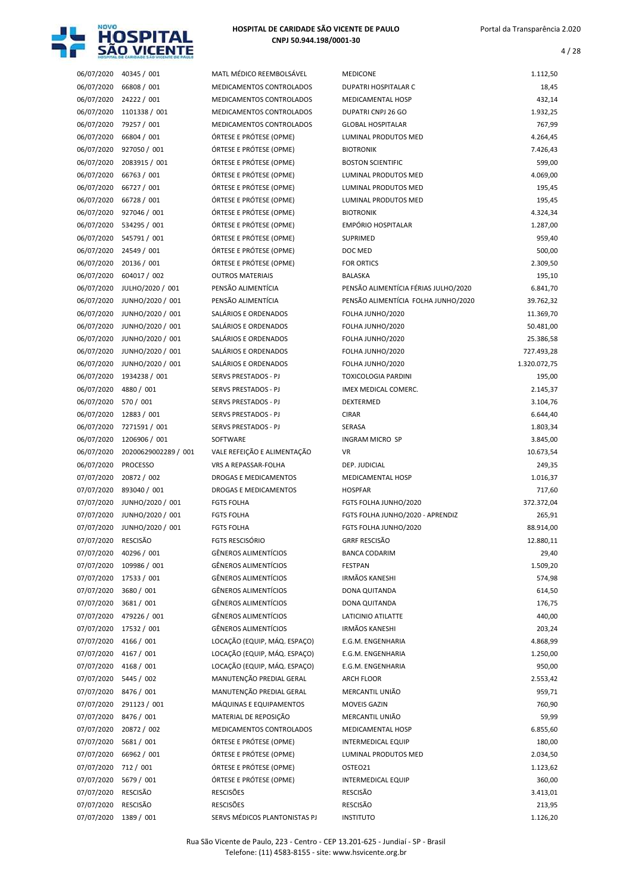

4 / 28

| 06/07/2020               | 40345 / 001                 |
|--------------------------|-----------------------------|
| 06/07/2020               | 66808 / 001                 |
| 06/07/2020               | 24222 / 001                 |
| 06/07/2020               | 1101338 / 001               |
| 06/07/2020               | 79257 / 001                 |
| 06/07/2020               | 66804 / 001                 |
| 06/07/2020               | 927050 / 001                |
| 06/07/2020               | 2083915 / 001               |
| 06/07/2020               | 66763 / 001                 |
| 06/07/2020               | 66727 / 001                 |
| 06/07/2020               | 66728 / 001                 |
| 06/07/2020               | 927046 / 001                |
| 06/07/2020               | 534295 / 001                |
| 06/07/2020               | 545791 / 001                |
| 06/07/2020               | 24549 / 001                 |
| 06/07/2020               | 20136 / 001                 |
| 06/07/2020               | 604017 / 002                |
| 06/07/2020               | JULHO/2020 / 001            |
| 06/07/2020               | JUNHO/2020 / 001            |
| 06/07/2020               | JUNHO/2020 / 001            |
| 06/07/2020               | JUNHO/2020 / 001            |
| 06/07/2020               | JUNHO/2020 / 001            |
| 06/07/2020               | JUNHO/2020 / 001            |
| 06/07/2020               | JUNHO/2020 / 001            |
| 06/07/2020               | 1934238 / 001               |
| 06/07/2020               | 4880 / 001                  |
| 06/07/2020               | 570 / 001                   |
| 06/07/2020               | 12883 / 001                 |
| 06/07/2020               | 7271591 / 001               |
| 06/07/2020               | 1206906 / 001               |
|                          |                             |
|                          |                             |
| 06/07/2020               | 20200629002289 / 001        |
| 06/07/2020               | <b>PROCESSO</b>             |
| 07/07/2020<br>07/07/2020 | 20872 / 002<br>893040 / 001 |
| 07/07/2020               | JUNHO/2020 / 001            |
| 07/07/2020               | JUNHO/2020 / 001            |
| 07/07/2020               | JUNHO/2020 / 001            |
| 07/07/2020               | RESCISÃO                    |
| 07/07/2020               | 40296 / 001                 |
| 07/07/2020               | 109986 / 001                |
| 07/07/2020               | 17533 / 001                 |
| 07/07/2020               | 3680 / 001                  |
| 07/07/2020               | 3681 / 001                  |
| 07/07/2020               | 479226 / 001                |
| 07/07/2020               | 17532 / 001                 |
| 07/07/2020               | 4166 / 001                  |
| 07/07/2020               | 4167 / 001                  |
| 07/07/2020               | 4168 / 001                  |
| 07/07/2020               | 5445 / 002                  |
| 07/07/2020               | 8476 / 001                  |
| 07/07/2020               | 291123 / 001                |
| 07/07/2020               | 8476 / 001                  |
| 07/07/2020               | 20872 / 002                 |
| 07/07/2020               | 5681 / 001                  |
| 07/07/2020               | 66962 / 001                 |
| 07/07/2020               | 712 / 001                   |
| 07/07/2020               | 5679 / 001                  |
| 07/07/2020               | <b>RESCISÃO</b>             |

|            | HOTHLINE BE CURRINGE 240 AMERIC DE LAMPI |                               |                                      |              |
|------------|------------------------------------------|-------------------------------|--------------------------------------|--------------|
| 06/07/2020 | 40345 / 001                              | MATL MÉDICO REEMBOLSÁVEL      | <b>MEDICONE</b>                      | 1.112,50     |
| 06/07/2020 | 66808 / 001                              | MEDICAMENTOS CONTROLADOS      | DUPATRI HOSPITALAR C                 | 18,45        |
| 06/07/2020 | 24222 / 001                              | MEDICAMENTOS CONTROLADOS      | <b>MEDICAMENTAL HOSP</b>             | 432,14       |
| 06/07/2020 | 1101338 / 001                            | MEDICAMENTOS CONTROLADOS      | DUPATRI CNPJ 26 GO                   | 1.932,25     |
| 06/07/2020 | 79257 / 001                              | MEDICAMENTOS CONTROLADOS      | <b>GLOBAL HOSPITALAR</b>             | 767,99       |
| 06/07/2020 | 66804 / 001                              | ÓRTESE E PRÓTESE (OPME)       | LUMINAL PRODUTOS MED                 | 4.264,45     |
| 06/07/2020 | 927050 / 001                             | ÓRTESE E PRÓTESE (OPME)       | <b>BIOTRONIK</b>                     | 7.426,43     |
| 06/07/2020 | 2083915 / 001                            | ÓRTESE E PRÓTESE (OPME)       | <b>BOSTON SCIENTIFIC</b>             | 599,00       |
| 06/07/2020 | 66763 / 001                              | ÓRTESE E PRÓTESE (OPME)       | LUMINAL PRODUTOS MED                 | 4.069,00     |
| 06/07/2020 | 66727 / 001                              | ÓRTESE E PRÓTESE (OPME)       | LUMINAL PRODUTOS MED                 | 195,45       |
| 06/07/2020 | 66728 / 001                              | ÓRTESE E PRÓTESE (OPME)       | LUMINAL PRODUTOS MED                 | 195,45       |
| 06/07/2020 | 927046 / 001                             | ÓRTESE E PRÓTESE (OPME)       | <b>BIOTRONIK</b>                     | 4.324,34     |
| 06/07/2020 | 534295 / 001                             | ÓRTESE E PRÓTESE (OPME)       | <b>EMPÓRIO HOSPITALAR</b>            | 1.287,00     |
| 06/07/2020 | 545791 / 001                             | ÓRTESE E PRÓTESE (OPME)       | <b>SUPRIMED</b>                      | 959,40       |
| 06/07/2020 | 24549 / 001                              | ÓRTESE E PRÓTESE (OPME)       | DOC MED                              | 500,00       |
| 06/07/2020 | 20136 / 001                              | ÓRTESE E PRÓTESE (OPME)       | <b>FOR ORTICS</b>                    | 2.309,50     |
| 06/07/2020 | 604017 / 002                             | <b>OUTROS MATERIAIS</b>       | <b>BALASKA</b>                       | 195,10       |
| 06/07/2020 | JULHO/2020 / 001                         | PENSÃO ALIMENTÍCIA            | PENSÃO ALIMENTÍCIA FÉRIAS JULHO/2020 | 6.841,70     |
| 06/07/2020 | JUNHO/2020 / 001                         | PENSÃO ALIMENTÍCIA            | PENSÃO ALIMENTÍCIA FOLHA JUNHO/2020  | 39.762,32    |
| 06/07/2020 | JUNHO/2020 / 001                         | SALÁRIOS E ORDENADOS          | FOLHA JUNHO/2020                     | 11.369,70    |
| 06/07/2020 | JUNHO/2020 / 001                         | SALÁRIOS E ORDENADOS          | FOLHA JUNHO/2020                     | 50.481,00    |
| 06/07/2020 | JUNHO/2020 / 001                         | SALÁRIOS E ORDENADOS          | FOLHA JUNHO/2020                     | 25.386,58    |
| 06/07/2020 | JUNHO/2020 / 001                         | SALÁRIOS E ORDENADOS          | FOLHA JUNHO/2020                     | 727.493,28   |
| 06/07/2020 | JUNHO/2020 / 001                         | SALÁRIOS E ORDENADOS          | FOLHA JUNHO/2020                     | 1.320.072,75 |
| 06/07/2020 | 1934238 / 001                            | SERVS PRESTADOS - PJ          | <b>TOXICOLOGIA PARDINI</b>           | 195,00       |
| 06/07/2020 | 4880 / 001                               | SERVS PRESTADOS - PJ          | IMEX MEDICAL COMERC.                 | 2.145,37     |
| 06/07/2020 | 570 / 001                                | SERVS PRESTADOS - PJ          | DEXTERMED                            | 3.104,76     |
| 06/07/2020 | 12883 / 001                              | SERVS PRESTADOS - PJ          | <b>CIRAR</b>                         | 6.644,40     |
| 06/07/2020 | 7271591 / 001                            | SERVS PRESTADOS - PJ          | SERASA                               | 1.803,34     |
| 06/07/2020 | 1206906 / 001                            | SOFTWARE                      | <b>INGRAM MICRO SP</b>               | 3.845,00     |
| 06/07/2020 | 20200629002289 / 001                     | VALE REFEIÇÃO E ALIMENTAÇÃO   | <b>VR</b>                            | 10.673,54    |
| 06/07/2020 | <b>PROCESSO</b>                          | VRS A REPASSAR-FOLHA          | DEP. JUDICIAL                        | 249,35       |
| 07/07/2020 | 20872 / 002                              | <b>DROGAS E MEDICAMENTOS</b>  | <b>MEDICAMENTAL HOSP</b>             | 1.016,37     |
| 07/07/2020 | 893040 / 001                             | DROGAS E MEDICAMENTOS         | <b>HOSPFAR</b>                       | 717,60       |
| 07/07/2020 | JUNHO/2020 / 001                         | <b>FGTS FOLHA</b>             | FGTS FOLHA JUNHO/2020                | 372.372,04   |
| 07/07/2020 | JUNHO/2020 / 001                         | <b>FGTS FOLHA</b>             | FGTS FOLHA JUNHO/2020 - APRENDIZ     | 265,91       |
| 07/07/2020 | JUNHO/2020 / 001                         | <b>FGTS FOLHA</b>             | FGTS FOLHA JUNHO/2020                | 88.914,00    |
| 07/07/2020 | <b>RESCISÃO</b>                          | <b>FGTS RESCISÓRIO</b>        | <b>GRRF RESCISÃO</b>                 | 12.880,11    |
| 07/07/2020 | 40296 / 001                              | <b>GÊNEROS ALIMENTÍCIOS</b>   | <b>BANCA CODARIM</b>                 | 29,40        |
| 07/07/2020 | 109986 / 001                             | <b>GÊNEROS ALIMENTÍCIOS</b>   | FESTPAN                              | 1.509,20     |
| 07/07/2020 | 17533 / 001                              | <b>GÊNEROS ALIMENTÍCIOS</b>   | <b>IRMÃOS KANESHI</b>                | 574,98       |
| 07/07/2020 | 3680 / 001                               | <b>GÊNEROS ALIMENTÍCIOS</b>   | DONA QUITANDA                        | 614,50       |
| 07/07/2020 | 3681 / 001                               | <b>GÊNEROS ALIMENTÍCIOS</b>   | DONA QUITANDA                        | 176,75       |
| 07/07/2020 | 479226 / 001                             | <b>GÊNEROS ALIMENTÍCIOS</b>   | LATICINIO ATILATTE                   | 440,00       |
| 07/07/2020 | 17532 / 001                              | <b>GÊNEROS ALIMENTÍCIOS</b>   | <b>IRMÃOS KANESHI</b>                | 203,24       |
| 07/07/2020 | 4166 / 001                               | LOCAÇÃO (EQUIP, MÁQ. ESPAÇO)  | E.G.M. ENGENHARIA                    | 4.868,99     |
| 07/07/2020 | 4167 / 001                               | LOCAÇÃO (EQUIP, MÁQ. ESPAÇO)  | E.G.M. ENGENHARIA                    | 1.250,00     |
| 07/07/2020 | 4168 / 001                               | LOCAÇÃO (EQUIP, MÁQ. ESPAÇO)  | E.G.M. ENGENHARIA                    | 950,00       |
| 07/07/2020 | 5445 / 002                               | MANUTENÇÃO PREDIAL GERAL      | ARCH FLOOR                           | 2.553,42     |
| 07/07/2020 | 8476 / 001                               | MANUTENÇÃO PREDIAL GERAL      | MERCANTIL UNIÃO                      | 959,71       |
| 07/07/2020 | 291123 / 001                             | MÁQUINAS E EQUIPAMENTOS       | <b>MOVEIS GAZIN</b>                  | 760,90       |
| 07/07/2020 | 8476 / 001                               | MATERIAL DE REPOSIÇÃO         | MERCANTIL UNIÃO                      | 59,99        |
| 07/07/2020 | 20872 / 002                              | MEDICAMENTOS CONTROLADOS      | MEDICAMENTAL HOSP                    | 6.855,60     |
| 07/07/2020 | 5681 / 001                               | ÓRTESE E PRÓTESE (OPME)       | <b>INTERMEDICAL EQUIP</b>            | 180,00       |
| 07/07/2020 | 66962 / 001                              | ÓRTESE E PRÓTESE (OPME)       | LUMINAL PRODUTOS MED                 | 2.034,50     |
| 07/07/2020 | 712 / 001                                | ÓRTESE E PRÓTESE (OPME)       | OSTEO21                              | 1.123,62     |
| 07/07/2020 | 5679 / 001                               | ÓRTESE E PRÓTESE (OPME)       | <b>INTERMEDICAL EQUIP</b>            | 360,00       |
| 07/07/2020 | RESCISÃO                                 | <b>RESCISÕES</b>              | RESCISÃO                             | 3.413,01     |
| 07/07/2020 | RESCISÃO                                 | <b>RESCISÕES</b>              | RESCISÃO                             | 213,95       |
| 07/07/2020 | 1389 / 001                               | SERVS MÉDICOS PLANTONISTAS PJ | <b>INSTITUTO</b>                     | 1.126,20     |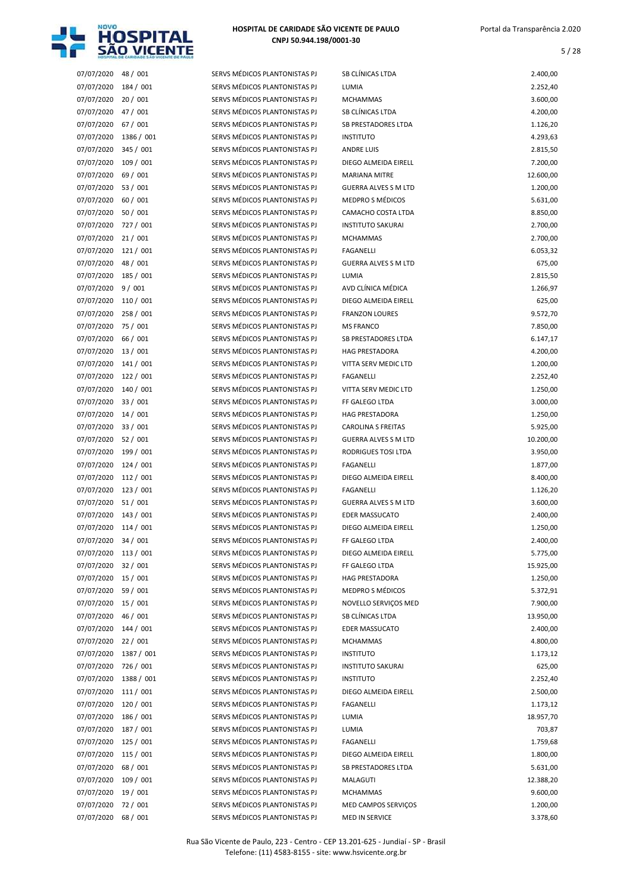

| 07/07/2020           | 48 / 001   | SERVS MÉDICOS PLANTONISTAS PJ | SB CLÍNICAS LTDA            | 2.400,00  |
|----------------------|------------|-------------------------------|-----------------------------|-----------|
| 07/07/2020           | 184 / 001  | SERVS MÉDICOS PLANTONISTAS PJ | LUMIA                       | 2.252,40  |
| 07/07/2020           | 20 / 001   | SERVS MÉDICOS PLANTONISTAS PJ | <b>MCHAMMAS</b>             | 3.600,00  |
| 07/07/2020           | 47 / 001   | SERVS MÉDICOS PLANTONISTAS PJ | SB CLÍNICAS LTDA            | 4.200,00  |
| 07/07/2020           | 67 / 001   | SERVS MÉDICOS PLANTONISTAS PJ | <b>SB PRESTADORES LTDA</b>  | 1.126,20  |
| 07/07/2020           | 1386 / 001 | SERVS MÉDICOS PLANTONISTAS PJ | <b>INSTITUTO</b>            | 4.293,63  |
| 07/07/2020           | 345 / 001  | SERVS MÉDICOS PLANTONISTAS PJ | <b>ANDRE LUIS</b>           | 2.815,50  |
| 07/07/2020           | 109/001    | SERVS MÉDICOS PLANTONISTAS PJ | DIEGO ALMEIDA EIRELL        | 7.200,00  |
| 07/07/2020           | 69 / 001   | SERVS MÉDICOS PLANTONISTAS PJ | <b>MARIANA MITRE</b>        | 12.600,00 |
| 07/07/2020           | 53 / 001   | SERVS MÉDICOS PLANTONISTAS PJ | <b>GUERRA ALVES S M LTD</b> | 1.200,00  |
| 07/07/2020           | 60 / 001   | SERVS MÉDICOS PLANTONISTAS PJ | <b>MEDPRO S MÉDICOS</b>     | 5.631,00  |
| 07/07/2020           | 50 / 001   | SERVS MÉDICOS PLANTONISTAS PJ | CAMACHO COSTA LTDA          | 8.850,00  |
| 07/07/2020           | 727/001    | SERVS MÉDICOS PLANTONISTAS PJ | <b>INSTITUTO SAKURAI</b>    | 2.700,00  |
| 07/07/2020 21 / 001  |            | SERVS MÉDICOS PLANTONISTAS PJ | <b>MCHAMMAS</b>             | 2.700,00  |
| 07/07/2020           | 121 / 001  | SERVS MÉDICOS PLANTONISTAS PJ | FAGANELLI                   | 6.053,32  |
| 07/07/2020           | 48 / 001   | SERVS MÉDICOS PLANTONISTAS PJ | <b>GUERRA ALVES S M LTD</b> | 675,00    |
| 07/07/2020           | 185 / 001  | SERVS MÉDICOS PLANTONISTAS PJ | LUMIA                       | 2.815,50  |
| 07/07/2020 9/001     |            | SERVS MÉDICOS PLANTONISTAS PJ | AVD CLÍNICA MÉDICA          | 1.266,97  |
| 07/07/2020           | 110 / 001  | SERVS MÉDICOS PLANTONISTAS PJ | DIEGO ALMEIDA EIRELL        | 625,00    |
| 07/07/2020           | 258/001    | SERVS MÉDICOS PLANTONISTAS PJ | <b>FRANZON LOURES</b>       | 9.572,70  |
| 07/07/2020           | 75 / 001   | SERVS MÉDICOS PLANTONISTAS PJ | <b>MS FRANCO</b>            | 7.850,00  |
| 07/07/2020           | 66 / 001   | SERVS MÉDICOS PLANTONISTAS PJ | <b>SB PRESTADORES LTDA</b>  | 6.147,17  |
| 07/07/2020 13 / 001  |            | SERVS MÉDICOS PLANTONISTAS PJ | <b>HAG PRESTADORA</b>       | 4.200,00  |
| 07/07/2020           | 141 / 001  | SERVS MÉDICOS PLANTONISTAS PJ | VITTA SERV MEDIC LTD        | 1.200,00  |
| 07/07/2020           | 122/001    | SERVS MÉDICOS PLANTONISTAS PJ | FAGANELLI                   | 2.252,40  |
| 07/07/2020 140 / 001 |            | SERVS MÉDICOS PLANTONISTAS PJ | VITTA SERV MEDIC LTD        | 1.250,00  |
| 07/07/2020 33 / 001  |            | SERVS MÉDICOS PLANTONISTAS PJ | FF GALEGO LTDA              | 3.000,00  |
| 07/07/2020           | 14 / 001   | SERVS MÉDICOS PLANTONISTAS PJ | <b>HAG PRESTADORA</b>       | 1.250,00  |
| 07/07/2020 33 / 001  |            | SERVS MÉDICOS PLANTONISTAS PJ | <b>CAROLINA S FREITAS</b>   | 5.925,00  |
| 07/07/2020 52 / 001  |            | SERVS MÉDICOS PLANTONISTAS PJ | <b>GUERRA ALVES S M LTD</b> | 10.200,00 |
| 07/07/2020           | 199 / 001  | SERVS MÉDICOS PLANTONISTAS PJ | RODRIGUES TOSI LTDA         | 3.950,00  |
| 07/07/2020 124 / 001 |            | SERVS MÉDICOS PLANTONISTAS PJ | <b>FAGANELLI</b>            | 1.877,00  |
| 07/07/2020 112 / 001 |            | SERVS MÉDICOS PLANTONISTAS PJ | DIEGO ALMEIDA EIRELL        | 8.400,00  |
| 07/07/2020 123 / 001 |            | SERVS MÉDICOS PLANTONISTAS PJ | <b>FAGANELLI</b>            | 1.126,20  |
| 07/07/2020 51/001    |            | SERVS MÉDICOS PLANTONISTAS PJ | <b>GUERRA ALVES S M LTD</b> | 3.600,00  |
| 07/07/2020 143 / 001 |            | SERVS MÉDICOS PLANTONISTAS PJ | <b>EDER MASSUCATO</b>       | 2.400,00  |
| 07/07/2020 114 / 001 |            | SERVS MÉDICOS PLANTONISTAS PJ | DIEGO ALMEIDA EIRELL        | 1.250,00  |
| 07/07/2020 34 / 001  |            | SERVS MÉDICOS PLANTONISTAS PJ | FF GALEGO LTDA              | 2.400,00  |
| 07/07/2020 113 / 001 |            | SERVS MÉDICOS PLANTONISTAS PJ | DIEGO ALMEIDA EIRELL        | 5.775,00  |
| 07/07/2020 32 / 001  |            | SERVS MÉDICOS PLANTONISTAS PJ | FF GALEGO LTDA              | 15.925,00 |
| 07/07/2020 15 / 001  |            | SERVS MÉDICOS PLANTONISTAS PJ | <b>HAG PRESTADORA</b>       | 1.250,00  |
| 07/07/2020 59 / 001  |            | SERVS MÉDICOS PLANTONISTAS PJ | MEDPRO S MÉDICOS            | 5.372,91  |
| 07/07/2020 15 / 001  |            | SERVS MÉDICOS PLANTONISTAS PJ | NOVELLO SERVIÇOS MED        | 7.900,00  |
| 07/07/2020 46 / 001  |            | SERVS MÉDICOS PLANTONISTAS PJ | SB CLÍNICAS LTDA            | 13.950,00 |
| 07/07/2020           | 144 / 001  | SERVS MÉDICOS PLANTONISTAS PJ | <b>EDER MASSUCATO</b>       | 2.400,00  |
| 07/07/2020           | 22/001     | SERVS MÉDICOS PLANTONISTAS PJ | <b>MCHAMMAS</b>             | 4.800,00  |
| 07/07/2020           | 1387 / 001 | SERVS MÉDICOS PLANTONISTAS PJ | <b>INSTITUTO</b>            | 1.173,12  |
| 07/07/2020           | 726 / 001  | SERVS MÉDICOS PLANTONISTAS PJ | <b>INSTITUTO SAKURAI</b>    | 625,00    |
| 07/07/2020           | 1388 / 001 | SERVS MÉDICOS PLANTONISTAS PJ | <b>INSTITUTO</b>            | 2.252,40  |
| 07/07/2020           | 111 / 001  | SERVS MÉDICOS PLANTONISTAS PJ | DIEGO ALMEIDA EIRELL        | 2.500,00  |
| 07/07/2020           | 120 / 001  | SERVS MÉDICOS PLANTONISTAS PJ | FAGANELLI                   | 1.173,12  |
| 07/07/2020           | 186 / 001  | SERVS MÉDICOS PLANTONISTAS PJ | LUMIA                       | 18.957,70 |
| 07/07/2020           | 187 / 001  | SERVS MÉDICOS PLANTONISTAS PJ | LUMIA                       | 703,87    |
| 07/07/2020           | 125 / 001  | SERVS MÉDICOS PLANTONISTAS PJ | FAGANELLI                   | 1.759,68  |
| 07/07/2020           | 115 / 001  | SERVS MÉDICOS PLANTONISTAS PJ | DIEGO ALMEIDA EIRELL        | 1.800,00  |
| 07/07/2020           | 68/001     | SERVS MÉDICOS PLANTONISTAS PJ | SB PRESTADORES LTDA         | 5.631,00  |
| 07/07/2020           | 109 / 001  | SERVS MÉDICOS PLANTONISTAS PJ | MALAGUTI                    | 12.388,20 |
| 07/07/2020           | 19 / 001   | SERVS MÉDICOS PLANTONISTAS PJ | <b>MCHAMMAS</b>             | 9.600,00  |
| 07/07/2020           | 72 / 001   | SERVS MÉDICOS PLANTONISTAS PJ | MED CAMPOS SERVIÇOS         | 1.200,00  |
| 07/07/2020           | 68 / 001   | SERVS MÉDICOS PLANTONISTAS PJ | MED IN SERVICE              | 3.378,60  |
|                      |            |                               |                             |           |

| SB CLÍNICAS LTDA            | 2.400,00  |
|-----------------------------|-----------|
| LUMIA                       | 2.252,40  |
| <b>MCHAMMAS</b>             | 3.600,00  |
| SB CLÍNICAS LTDA            | 4.200,00  |
| <b>SB PRESTADORES LTDA</b>  | 1.126,20  |
| <b>INSTITUTO</b>            | 4.293,63  |
| <b>ANDRE LUIS</b>           | 2.815,50  |
| DIEGO ALMEIDA EIRELL        | 7.200,00  |
| <b>MARIANA MITRE</b>        | 12.600,00 |
| <b>GUERRA ALVES S M LTD</b> | 1.200,00  |
| <b>MEDPRO S MÉDICOS</b>     | 5.631,00  |
| CAMACHO COSTA LTDA          | 8.850,00  |
| <b>INSTITUTO SAKURAI</b>    | 2.700,00  |
| <b>MCHAMMAS</b>             | 2.700,00  |
| <b>FAGANELLI</b>            | 6.053,32  |
| <b>GUERRA ALVES S M LTD</b> | 675,00    |
| LUMIA                       | 2.815,50  |
| AVD CLÍNICA MÉDICA          | 1.266,97  |
| DIEGO ALMEIDA EIRELL        | 625,00    |
| <b>FRANZON LOURES</b>       | 9.572,70  |
| <b>MS FRANCO</b>            | 7.850,00  |
| <b>SB PRESTADORES LTDA</b>  | 6.147,17  |
| <b>HAG PRESTADORA</b>       | 4.200,00  |
| VITTA SERV MEDIC LTD        | 1.200,00  |
| <b>FAGANELLI</b>            | 2.252,40  |
| VITTA SERV MEDIC LTD        | 1.250,00  |
| FF GALEGO LTDA              | 3.000,00  |
| <b>HAG PRESTADORA</b>       | 1.250,00  |
| <b>CAROLINA S FREITAS</b>   | 5.925,00  |
| <b>GUERRA ALVES S M LTD</b> | 10.200,00 |
| RODRIGUES TOSI LTDA         | 3.950,00  |
| <b>FAGANELLI</b>            | 1.877,00  |
| DIEGO ALMEIDA EIRELL        | 8.400,00  |
| <b>FAGANELLI</b>            | 1.126,20  |
| <b>GUERRA ALVES S M LTD</b> | 3.600,00  |
| <b>EDER MASSUCATO</b>       | 2.400,00  |
| DIEGO ALMEIDA EIRELL        | 1.250,00  |
| FF GALEGO LTDA              | 2.400,00  |
| DIEGO ALMEIDA EIRELL        | 5.775,00  |
| FF GALEGO LTDA              | 15.925,00 |
| <b>HAG PRESTADORA</b>       | 1.250,00  |
| <b>MEDPRO S MÉDICOS</b>     | 5.372,91  |
| NOVELLO SERVIÇOS MED        | 7.900,00  |
| SB CLÍNICAS LTDA            | 13.950,00 |
| <b>EDER MASSUCATO</b>       | 2.400,00  |
| <b>MCHAMMAS</b>             | 4.800,00  |
| <b>INSTITUTO</b>            | 1.173,12  |
| <b>INSTITUTO SAKURAI</b>    | 625,00    |
| <b>INSTITUTO</b>            | 2.252,40  |
| DIEGO ALMEIDA EIRELL        | 2.500,00  |
| <b>FAGANELLI</b>            | 1.173,12  |
| LUMIA                       | 18.957,70 |
| LUMIA                       | 703,87    |
| FAGANELLI                   | 1.759,68  |
| DIEGO ALMEIDA EIRELL        | 1.800,00  |
| <b>SB PRESTADORES LTDA</b>  | 5.631,00  |
| <b>MALAGUTI</b>             | 12.388,20 |
| <b>MCHAMMAS</b>             | 9.600,00  |
| MED CAMPOS SERVIÇOS         | 1.200,00  |
| MED IN SERVICE              | 3.378,60  |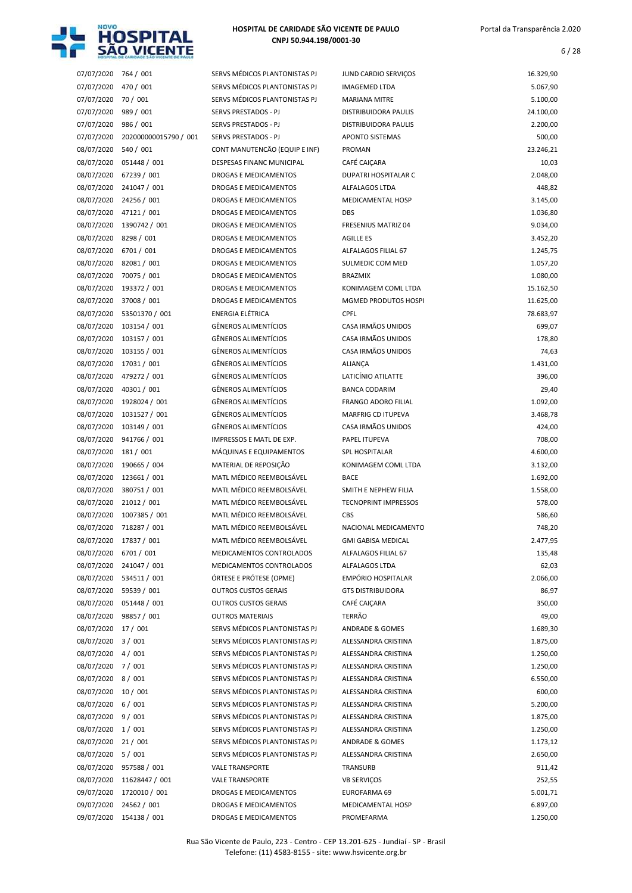

| 07/07/2020               | 764 / 001                     | SERVS MÉDICOS PLANTONISTAS PJ                              | JUND CARDIO SERVIÇOS                               | 16.329,90          |
|--------------------------|-------------------------------|------------------------------------------------------------|----------------------------------------------------|--------------------|
| 07/07/2020               | 470 / 001                     | SERVS MÉDICOS PLANTONISTAS PJ                              | <b>IMAGEMED LTDA</b>                               | 5.067,90           |
| 07/07/2020               | 70 / 001                      | SERVS MÉDICOS PLANTONISTAS PJ                              | <b>MARIANA MITRE</b>                               | 5.100,00           |
| 07/07/2020               | 989 / 001                     | SERVS PRESTADOS - PJ                                       | DISTRIBUIDORA PAULIS                               | 24.100,00          |
| 07/07/2020               | 986 / 001                     | SERVS PRESTADOS - PJ                                       | DISTRIBUIDORA PAULIS                               | 2.200,00           |
| 07/07/2020               | 202000000015790 / 001         | SERVS PRESTADOS - PJ                                       | <b>APONTO SISTEMAS</b>                             | 500,00             |
| 08/07/2020               | 540 / 001                     | CONT MANUTENCÃO (EQUIP E INF)                              | <b>PROMAN</b>                                      | 23.246,21          |
| 08/07/2020               | 051448 / 001                  | DESPESAS FINANC MUNICIPAL                                  | CAFÉ CAIÇARA                                       | 10,03              |
| 08/07/2020               | 67239 / 001                   | DROGAS E MEDICAMENTOS                                      | DUPATRI HOSPITALAR C                               | 2.048,00           |
| 08/07/2020               | 241047 / 001                  | DROGAS E MEDICAMENTOS                                      | ALFALAGOS LTDA                                     | 448,82             |
| 08/07/2020               | 24256 / 001                   | DROGAS E MEDICAMENTOS                                      | MEDICAMENTAL HOSP                                  | 3.145,00           |
| 08/07/2020               | 47121/001                     | DROGAS E MEDICAMENTOS                                      | <b>DBS</b>                                         | 1.036,80           |
| 08/07/2020               | 1390742 / 001                 | DROGAS E MEDICAMENTOS                                      | <b>FRESENIUS MATRIZ 04</b>                         | 9.034,00           |
| 08/07/2020               | 8298 / 001                    | DROGAS E MEDICAMENTOS                                      | AGILLE ES                                          | 3.452,20           |
| 08/07/2020               | 6701 / 001                    | DROGAS E MEDICAMENTOS                                      | ALFALAGOS FILIAL 67                                | 1.245,75           |
| 08/07/2020<br>08/07/2020 | 82081 / 001                   | DROGAS E MEDICAMENTOS                                      | SULMEDIC COM MED<br><b>BRAZMIX</b>                 | 1.057,20           |
|                          | 70075 / 001<br>193372 / 001   | DROGAS E MEDICAMENTOS                                      |                                                    | 1.080,00           |
| 08/07/2020               |                               | DROGAS E MEDICAMENTOS                                      | KONIMAGEM COML LTDA<br><b>MGMED PRODUTOS HOSPI</b> | 15.162,50          |
| 08/07/2020               | 37008 / 001<br>53501370 / 001 | DROGAS E MEDICAMENTOS<br><b>ENERGIA ELÉTRICA</b>           | <b>CPFL</b>                                        | 11.625,00          |
| 08/07/2020<br>08/07/2020 | 103154 / 001                  | <b>GÊNEROS ALIMENTÍCIOS</b>                                | CASA IRMÃOS UNIDOS                                 | 78.683,97          |
|                          |                               |                                                            |                                                    | 699,07             |
| 08/07/2020               | 103157 / 001                  | <b>GÊNEROS ALIMENTÍCIOS</b><br><b>GÊNEROS ALIMENTÍCIOS</b> | CASA IRMÃOS UNIDOS<br>CASA IRMÃOS UNIDOS           | 178,80             |
| 08/07/2020               | 103155 / 001                  |                                                            |                                                    | 74,63              |
| 08/07/2020               | 17031 / 001                   | <b>GÊNEROS ALIMENTÍCIOS</b>                                | <b>ALIANÇA</b>                                     | 1.431,00           |
| 08/07/2020               | 479272 / 001                  | <b>GÊNEROS ALIMENTÍCIOS</b><br><b>GÊNEROS ALIMENTÍCIOS</b> | LATICÍNIO ATILATTE                                 | 396,00             |
| 08/07/2020               | 40301 / 001                   | <b>GÊNEROS ALIMENTÍCIOS</b>                                | <b>BANCA CODARIM</b>                               | 29,40              |
| 08/07/2020               | 1928024 / 001                 | <b>GÊNEROS ALIMENTÍCIOS</b>                                | <b>FRANGO ADORO FILIAL</b>                         | 1.092,00           |
| 08/07/2020<br>08/07/2020 | 1031527 / 001<br>103149 / 001 | <b>GÊNEROS ALIMENTÍCIOS</b>                                | <b>MARFRIG CD ITUPEVA</b><br>CASA IRMÃOS UNIDOS    | 3.468,78<br>424,00 |
| 08/07/2020               | 941766 / 001                  |                                                            |                                                    |                    |
| 08/07/2020               | 181 / 001                     | IMPRESSOS E MATL DE EXP.<br>MÁQUINAS E EQUIPAMENTOS        | PAPEL ITUPEVA<br>SPL HOSPITALAR                    | 708,00<br>4.600,00 |
| 08/07/2020               | 190665 / 004                  | MATERIAL DE REPOSIÇÃO                                      | KONIMAGEM COML LTDA                                | 3.132,00           |
| 08/07/2020               | 123661 / 001                  | MATL MÉDICO REEMBOLSÁVEL                                   | <b>BACE</b>                                        | 1.692,00           |
| 08/07/2020               | 380751 / 001                  | MATL MÉDICO REEMBOLSÁVEL                                   | SMITH E NEPHEW FILIA                               | 1.558,00           |
| 08/07/2020               | 21012 / 001                   | MATL MÉDICO REEMBOLSÁVEL                                   | <b>TECNOPRINT IMPRESSOS</b>                        | 578,00             |
| 08/07/2020               | 1007385 / 001                 | MATL MÉDICO REEMBOLSÁVEL                                   | CBS                                                | 586,60             |
| 08/07/2020               | 718287 / 001                  | MATL MÉDICO REEMBOLSÁVEL                                   | NACIONAL MEDICAMENTO                               | 748,20             |
| 08/07/2020               | 17837 / 001                   | MATL MEDICO REEMBOLSAVEL                                   | <b>GMI GABISA MEDICAL</b>                          | 2.477,95           |
| 08/07/2020               | 6701 / 001                    | MEDICAMENTOS CONTROLADOS                                   | ALFALAGOS FILIAL 67                                | 135,48             |
| 08/07/2020               | 241047 / 001                  | MEDICAMENTOS CONTROLADOS                                   | ALFALAGOS LTDA                                     | 62,03              |
| 08/07/2020               | 534511 / 001                  | ÓRTESE E PRÓTESE (OPME)                                    | <b>EMPÓRIO HOSPITALAR</b>                          | 2.066,00           |
| 08/07/2020               | 59539 / 001                   | <b>OUTROS CUSTOS GERAIS</b>                                | <b>GTS DISTRIBUIDORA</b>                           | 86,97              |
| 08/07/2020               | 051448 / 001                  | <b>OUTROS CUSTOS GERAIS</b>                                | CAFÉ CAIÇARA                                       | 350,00             |
| 08/07/2020               | 98857 / 001                   | <b>OUTROS MATERIAIS</b>                                    | TERRÃO                                             | 49,00              |
| 08/07/2020               | 17 / 001                      | SERVS MÉDICOS PLANTONISTAS PJ                              | <b>ANDRADE &amp; GOMES</b>                         | 1.689,30           |
| 08/07/2020               | 3/001                         | SERVS MÉDICOS PLANTONISTAS PJ                              | ALESSANDRA CRISTINA                                | 1.875,00           |
| 08/07/2020 4/001         |                               | SERVS MÉDICOS PLANTONISTAS PJ                              | ALESSANDRA CRISTINA                                | 1.250,00           |
| 08/07/2020               | 7/001                         | SERVS MÉDICOS PLANTONISTAS PJ                              | ALESSANDRA CRISTINA                                | 1.250,00           |
| 08/07/2020               | 8/001                         | SERVS MÉDICOS PLANTONISTAS PJ                              | ALESSANDRA CRISTINA                                | 6.550,00           |
| 08/07/2020               | 10/001                        | SERVS MÉDICOS PLANTONISTAS PJ                              | ALESSANDRA CRISTINA                                | 600,00             |
| 08/07/2020               | 6/001                         | SERVS MÉDICOS PLANTONISTAS PJ                              | ALESSANDRA CRISTINA                                | 5.200,00           |
| 08/07/2020 9/001         |                               | SERVS MÉDICOS PLANTONISTAS PJ                              | ALESSANDRA CRISTINA                                | 1.875,00           |
| 08/07/2020 1/001         |                               | SERVS MÉDICOS PLANTONISTAS PJ                              | ALESSANDRA CRISTINA                                | 1.250,00           |
| 08/07/2020               | 21/001                        | SERVS MÉDICOS PLANTONISTAS PJ                              | <b>ANDRADE &amp; GOMES</b>                         | 1.173,12           |
| 08/07/2020 5/001         |                               | SERVS MÉDICOS PLANTONISTAS PJ                              | ALESSANDRA CRISTINA                                | 2.650,00           |
|                          | 08/07/2020 957588 / 001       | <b>VALE TRANSPORTE</b>                                     | TRANSURB                                           | 911,42             |
|                          | 08/07/2020 11628447 / 001     | <b>VALE TRANSPORTE</b>                                     | <b>VB SERVIÇOS</b>                                 | 252,55             |
| 09/07/2020               | 1720010 / 001                 | DROGAS E MEDICAMENTOS                                      | EUROFARMA 69                                       | 5.001,71           |
| 09/07/2020               | 24562 / 001                   | DROGAS E MEDICAMENTOS                                      | MEDICAMENTAL HOSP                                  | 6.897,00           |
|                          |                               |                                                            |                                                    |                    |

| 07/07/2020 | 764 / 001             | SERVS MÉDICOS PLANTONISTAS PJ | JUND CARDIO SERVIÇOS        | 16.329,90 |
|------------|-----------------------|-------------------------------|-----------------------------|-----------|
| 07/07/2020 | 470 / 001             | SERVS MÉDICOS PLANTONISTAS PJ | <b>IMAGEMED LTDA</b>        | 5.067,90  |
| 07/07/2020 | 70 / 001              | SERVS MÉDICOS PLANTONISTAS PJ | <b>MARIANA MITRE</b>        | 5.100,00  |
| 07/07/2020 | 989 / 001             | SERVS PRESTADOS - PJ          | DISTRIBUIDORA PAULIS        | 24.100,00 |
| 07/07/2020 | 986 / 001             | <b>SERVS PRESTADOS - PJ</b>   | <b>DISTRIBUIDORA PAULIS</b> | 2.200,00  |
| 07/07/2020 | 202000000015790 / 001 | SERVS PRESTADOS - PJ          | APONTO SISTEMAS             | 500,00    |
| 08/07/2020 | 540 / 001             | CONT MANUTENCÃO (EQUIP E INF) | PROMAN                      | 23.246,21 |
| 08/07/2020 | 051448 / 001          | DESPESAS FINANC MUNICIPAL     | CAFÉ CAIÇARA                | 10,03     |
| 08/07/2020 | 67239 / 001           | DROGAS E MEDICAMENTOS         | DUPATRI HOSPITALAR C        | 2.048,00  |
| 08/07/2020 | 241047 / 001          | DROGAS E MEDICAMENTOS         | ALFALAGOS LTDA              | 448,82    |
| 08/07/2020 | 24256 / 001           | <b>DROGAS E MEDICAMENTOS</b>  | MEDICAMENTAL HOSP           | 3.145,00  |
| 08/07/2020 | 47121 / 001           | <b>DROGAS E MEDICAMENTOS</b>  | <b>DBS</b>                  | 1.036,80  |
| 08/07/2020 | 1390742 / 001         | DROGAS E MEDICAMENTOS         | <b>FRESENIUS MATRIZ 04</b>  | 9.034,00  |
| 08/07/2020 | 8298 / 001            | DROGAS E MEDICAMENTOS         | <b>AGILLE ES</b>            | 3.452,20  |
| 08/07/2020 | 6701 / 001            | DROGAS E MEDICAMENTOS         | ALFALAGOS FILIAL 67         | 1.245,75  |
| 08/07/2020 | 82081 / 001           | DROGAS E MEDICAMENTOS         | SULMEDIC COM MED            | 1.057,20  |
| 08/07/2020 | 70075 / 001           | DROGAS E MEDICAMENTOS         | <b>BRAZMIX</b>              | 1.080,00  |
| 08/07/2020 | 193372 / 001          | <b>DROGAS E MEDICAMENTOS</b>  | KONIMAGEM COML LTDA         | 15.162,50 |
| 08/07/2020 | 37008 / 001           | DROGAS E MEDICAMENTOS         | MGMED PRODUTOS HOSPI        | 11.625,00 |
| 08/07/2020 | 53501370 / 001        | ENERGIA ELÉTRICA              | CPFL                        | 78.683,97 |
| 08/07/2020 | 103154 / 001          | <b>GÊNEROS ALIMENTÍCIOS</b>   | CASA IRMÃOS UNIDOS          | 699,07    |
| 08/07/2020 | 103157 / 001          | GÊNEROS ALIMENTÍCIOS          | CASA IRMÃOS UNIDOS          | 178,80    |
| 08/07/2020 | 103155 / 001          | <b>GÊNEROS ALIMENTÍCIOS</b>   | CASA IRMÃOS UNIDOS          | 74,63     |
| 08/07/2020 | 17031 / 001           | <b>GÊNEROS ALIMENTÍCIOS</b>   | <b>ALIANÇA</b>              | 1.431,00  |
| 08/07/2020 | 479272 / 001          | <b>GÊNEROS ALIMENTÍCIOS</b>   | LATICÍNIO ATILATTE          | 396,00    |
| 08/07/2020 | 40301 / 001           | <b>GÊNEROS ALIMENTÍCIOS</b>   | <b>BANCA CODARIM</b>        | 29,40     |
| 08/07/2020 | 1928024 / 001         | <b>GÊNEROS ALIMENTÍCIOS</b>   | <b>FRANGO ADORO FILIAL</b>  | 1.092,00  |
| 08/07/2020 | 1031527 / 001         | <b>GÊNEROS ALIMENTÍCIOS</b>   | MARFRIG CD ITUPEVA          | 3.468,78  |
| 08/07/2020 | 103149 / 001          | <b>GÊNEROS ALIMENTÍCIOS</b>   | CASA IRMÃOS UNIDOS          | 424,00    |
| 08/07/2020 | 941766 / 001          | IMPRESSOS E MATL DE EXP.      | PAPEL ITUPEVA               | 708,00    |
| 08/07/2020 | 181 / 001             | MÁQUINAS E EQUIPAMENTOS       | <b>SPL HOSPITALAR</b>       | 4.600,00  |
| 08/07/2020 | 190665 / 004          | MATERIAL DE REPOSIÇÃO         | KONIMAGEM COML LTDA         | 3.132,00  |
| 08/07/2020 | 123661 / 001          | MATL MÉDICO REEMBOLSÁVEL      | <b>BACE</b>                 | 1.692,00  |
| 08/07/2020 | 380751 / 001          | MATL MÉDICO REEMBOLSÁVEL      | SMITH E NEPHEW FILIA        | 1.558,00  |
| 08/07/2020 | 21012 / 001           | MATL MÉDICO REEMBOLSÁVEL      | <b>TECNOPRINT IMPRESSOS</b> | 578,00    |
| 08/07/2020 | 1007385 / 001         | MATL MÉDICO REEMBOLSÁVEL      | CBS                         | 586,60    |
| 08/07/2020 | 718287 / 001          | MATL MÉDICO REEMBOLSÁVEL      | NACIONAL MEDICAMENTO        | 748,20    |
| 08/07/2020 | 17837 / 001           | MATL MÉDICO REEMBOLSÁVEL      | <b>GMI GABISA MEDICAL</b>   | 2.477,95  |
| 08/07/2020 | 6701 / 001            | MEDICAMENTOS CONTROLADOS      | ALFALAGOS FILIAL 67         | 135,48    |
| 08/07/2020 | 241047 / 001          | MEDICAMENTOS CONTROLADOS      | ALFALAGOS LTDA              | 62,03     |
| 08/07/2020 | 534511 / 001          | ÓRTESE E PRÓTESE (OPME)       | EMPÓRIO HOSPITALAR          | 2.066,00  |
| 08/07/2020 | 59539 / 001           | <b>OUTROS CUSTOS GERAIS</b>   | <b>GTS DISTRIBUIDORA</b>    | 86,97     |
| 08/07/2020 | 051448 / 001          | <b>OUTROS CUSTOS GERAIS</b>   | CAFÉ CAIÇARA                | 350,00    |
| 08/07/2020 | 98857 / 001           | <b>OUTROS MATERIAIS</b>       | <b>TERRÃO</b>               | 49,00     |
| 08/07/2020 | 17/001                | SERVS MÉDICOS PLANTONISTAS PJ | <b>ANDRADE &amp; GOMES</b>  | 1.689,30  |
| 08/07/2020 | 3/001                 | SERVS MÉDICOS PLANTONISTAS PJ | ALESSANDRA CRISTINA         | 1.875,00  |
| 08/07/2020 | 4/001                 | SERVS MÉDICOS PLANTONISTAS PJ | ALESSANDRA CRISTINA         | 1.250,00  |
| 08/07/2020 | 7/001                 | SERVS MÉDICOS PLANTONISTAS PJ | ALESSANDRA CRISTINA         | 1.250,00  |
| 08/07/2020 | 8/001                 | SERVS MÉDICOS PLANTONISTAS PJ | ALESSANDRA CRISTINA         | 6.550,00  |
| 08/07/2020 | 10/001                | SERVS MÉDICOS PLANTONISTAS PJ | ALESSANDRA CRISTINA         | 600,00    |
| 08/07/2020 | 6/001                 | SERVS MÉDICOS PLANTONISTAS PJ | ALESSANDRA CRISTINA         | 5.200,00  |
| 08/07/2020 | 9/001                 | SERVS MÉDICOS PLANTONISTAS PJ | ALESSANDRA CRISTINA         | 1.875,00  |
| 08/07/2020 | 1/001                 | SERVS MÉDICOS PLANTONISTAS PJ | ALESSANDRA CRISTINA         | 1.250,00  |
| 08/07/2020 | 21/001                | SERVS MÉDICOS PLANTONISTAS PJ | <b>ANDRADE &amp; GOMES</b>  | 1.173,12  |
| 08/07/2020 | 5/001                 | SERVS MÉDICOS PLANTONISTAS PJ | ALESSANDRA CRISTINA         | 2.650,00  |
| 08/07/2020 | 957588 / 001          | <b>VALE TRANSPORTE</b>        | TRANSURB                    | 911,42    |
| 08/07/2020 | 11628447 / 001        | <b>VALE TRANSPORTE</b>        | <b>VB SERVIÇOS</b>          | 252,55    |
| 09/07/2020 | 1720010 / 001         | DROGAS E MEDICAMENTOS         | EUROFARMA 69                | 5.001,71  |
| 09/07/2020 | 24562 / 001           | DROGAS E MEDICAMENTOS         | MEDICAMENTAL HOSP           | 6.897,00  |
| 09/07/2020 | 154138 / 001          | DROGAS E MEDICAMENTOS         | PROMEFARMA                  | 1.250,00  |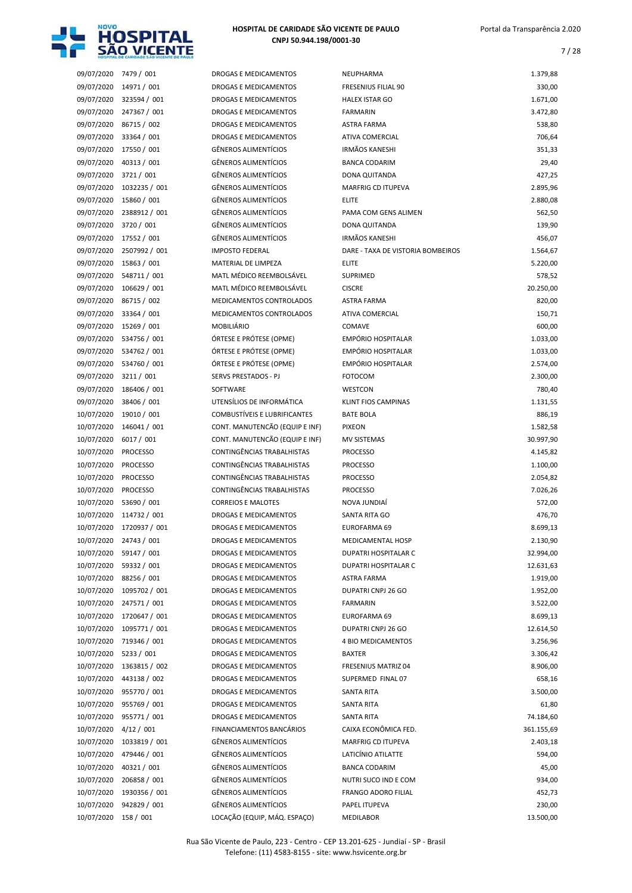

7 / 28

| 09/07/2020               | 7479 / 001                    |
|--------------------------|-------------------------------|
| 09/07/2020               | 14971 / 001                   |
| 09/07/2020               | 323594 / 001                  |
| 09/07/2020               | 247367 / 001                  |
| 09/07/2020               | 86715 / 002                   |
| 09/07/2020               | 33364 / 001                   |
| 09/07/2020               | 17550 / 001                   |
| 09/07/2020               | 40313 / 001                   |
| 09/07/2020               | 3721 / 001                    |
| 09/07/2020               | 1032235 / 001                 |
| 09/07/2020               | 15860 / 001                   |
| 09/07/2020               | 2388912 / 001                 |
|                          |                               |
| 09/07/2020               | 3720 / 001                    |
| 09/07/2020               | 17552 / 001                   |
| 09/07/2020               | 2507992 / 001                 |
| 09/07/2020               | 15863 / 001                   |
| 09/07/2020               | 548711 / 001                  |
| 09/07/2020               | 106629 / 001                  |
| 09/07/2020               | 86715 / 002                   |
| 09/07/2020               | 33364 / 001                   |
| 09/07/2020               | 15269 / 001                   |
| 09/07/2020               | 534756 / 001                  |
| 09/07/2020               | 534762 / 001                  |
| 09/07/2020               | 534760 / 001                  |
| 09/07/2020               | 3211 / 001                    |
| 09/07/2020               | 186406 / 001                  |
| 09/07/2020               | 38406 / 001                   |
|                          |                               |
| 10/07/2020               | 19010 / 001                   |
| 10/07/2020               | 146041 / 001                  |
| 10/07/2020               | 6017 / 001                    |
|                          |                               |
| 10/07/2020               | <b>PROCESSO</b>               |
| 10/07/2020               | <b>PROCESSO</b>               |
| 10/07/2020               | <b>PROCESSO</b>               |
| 10/07/2020               | <b>PROCESSO</b>               |
| 10/07/2020               | 53690 / 001                   |
| 10/07/2020               | 114732 / 001                  |
| 10/07/2020               | 1720937 / 001                 |
| 10/07/2020               | 24743 / 001                   |
| 10/07/2020               | 59147 / 001                   |
| 10/07/2020               | 59332 / 001                   |
|                          |                               |
| 10/07/2020               | 88256 / 001                   |
| 10/07/2020               | 1095702 / 001                 |
| 10/07/2020               | 247571 / 001                  |
|                          | 10/07/2020 1720647 / 001      |
| 10/07/2020               | 1095771 / 001                 |
| 10/07/2020               | 719346 / 001                  |
| 10/07/2020               | 5233 / 001                    |
| 10/07/2020               | 1363815 / 002                 |
| 10/07/2020               | 443138 / 002                  |
|                          | 10/07/2020 955770 / 001       |
|                          | 10/07/2020 955769 / 001       |
|                          | 10/07/2020 955771 / 001       |
| 10/07/2020 4/12 / 001    |                               |
| 10/07/2020               | 1033819 / 001                 |
| 10/07/2020               | 479446 / 001                  |
| 10/07/2020               | 40321 / 001                   |
|                          |                               |
| 10/07/2020               | 206858 / 001                  |
| 10/07/2020<br>10/07/2020 | 1930356 / 001<br>942829 / 001 |

| 09/07/2020 | 7479 / 001      | DROGAS E MEDICAMENTOS               | NEUPHARMA                         | 1.379,88   |
|------------|-----------------|-------------------------------------|-----------------------------------|------------|
| 09/07/2020 | 14971 / 001     | DROGAS E MEDICAMENTOS               | FRESENIUS FILIAL 90               | 330,00     |
| 09/07/2020 | 323594 / 001    | DROGAS E MEDICAMENTOS               | <b>HALEX ISTAR GO</b>             | 1.671,00   |
| 09/07/2020 | 247367 / 001    | DROGAS E MEDICAMENTOS               | <b>FARMARIN</b>                   | 3.472,80   |
| 09/07/2020 | 86715 / 002     | <b>DROGAS E MEDICAMENTOS</b>        | <b>ASTRA FARMA</b>                | 538,80     |
| 09/07/2020 | 33364 / 001     | DROGAS E MEDICAMENTOS               | <b>ATIVA COMERCIAL</b>            | 706,64     |
| 09/07/2020 | 17550 / 001     | <b>GÊNEROS ALIMENTÍCIOS</b>         | <b>IRMÃOS KANESHI</b>             | 351,33     |
| 09/07/2020 | 40313 / 001     | <b>GÊNEROS ALIMENTÍCIOS</b>         | <b>BANCA CODARIM</b>              | 29,40      |
| 09/07/2020 | 3721/001        | <b>GÊNEROS ALIMENTÍCIOS</b>         | DONA QUITANDA                     | 427,25     |
| 09/07/2020 | 1032235 / 001   | <b>GÊNEROS ALIMENTÍCIOS</b>         | <b>MARFRIG CD ITUPEVA</b>         | 2.895,96   |
| 09/07/2020 | 15860 / 001     | <b>GÊNEROS ALIMENTÍCIOS</b>         | <b>ELITE</b>                      | 2.880,08   |
| 09/07/2020 | 2388912 / 001   | <b>GÊNEROS ALIMENTÍCIOS</b>         | PAMA COM GENS ALIMEN              | 562,50     |
| 09/07/2020 | 3720 / 001      | <b>GÊNEROS ALIMENTÍCIOS</b>         | DONA QUITANDA                     | 139,90     |
| 09/07/2020 | 17552 / 001     | <b>GÊNEROS ALIMENTÍCIOS</b>         | <b>IRMÃOS KANESHI</b>             | 456,07     |
| 09/07/2020 | 2507992 / 001   | <b>IMPOSTO FEDERAL</b>              | DARE - TAXA DE VISTORIA BOMBEIROS | 1.564,67   |
| 09/07/2020 | 15863 / 001     | MATERIAL DE LIMPEZA                 | ELITE                             | 5.220,00   |
| 09/07/2020 | 548711 / 001    | MATL MÉDICO REEMBOLSÁVEL            | <b>SUPRIMED</b>                   | 578,52     |
| 09/07/2020 | 106629 / 001    | MATL MÉDICO REEMBOLSÁVEL            | <b>CISCRE</b>                     | 20.250,00  |
| 09/07/2020 | 86715 / 002     | MEDICAMENTOS CONTROLADOS            | ASTRA FARMA                       | 820,00     |
| 09/07/2020 | 33364 / 001     | MEDICAMENTOS CONTROLADOS            | <b>ATIVA COMERCIAL</b>            | 150,71     |
| 09/07/2020 | 15269 / 001     | <b>MOBILIÁRIO</b>                   | <b>COMAVE</b>                     | 600,00     |
| 09/07/2020 | 534756 / 001    | ÓRTESE E PRÓTESE (OPME)             | <b>EMPÓRIO HOSPITALAR</b>         | 1.033,00   |
| 09/07/2020 | 534762 / 001    | ÓRTESE E PRÓTESE (OPME)             | EMPÓRIO HOSPITALAR                | 1.033,00   |
| 09/07/2020 | 534760 / 001    | ÓRTESE E PRÓTESE (OPME)             | <b>EMPÓRIO HOSPITALAR</b>         | 2.574,00   |
| 09/07/2020 | 3211/001        | SERVS PRESTADOS - PJ                | <b>FOTOCOM</b>                    | 2.300,00   |
| 09/07/2020 | 186406 / 001    | SOFTWARE                            | WESTCON                           | 780,40     |
| 09/07/2020 | 38406 / 001     | UTENSÍLIOS DE INFORMÁTICA           | <b>KLINT FIOS CAMPINAS</b>        | 1.131,55   |
| 10/07/2020 | 19010 / 001     | <b>COMBUSTIVEIS E LUBRIFICANTES</b> | <b>BATE BOLA</b>                  | 886,19     |
| 10/07/2020 | 146041 / 001    | CONT. MANUTENCÃO (EQUIP E INF)      | <b>PIXEON</b>                     | 1.582,58   |
| 10/07/2020 | 6017/001        | CONT. MANUTENCÃO (EQUIP E INF)      | <b>MV SISTEMAS</b>                | 30.997,90  |
| 10/07/2020 | <b>PROCESSO</b> | CONTINGÊNCIAS TRABALHISTAS          | <b>PROCESSO</b>                   | 4.145,82   |
|            |                 |                                     |                                   |            |
| 10/07/2020 | <b>PROCESSO</b> | CONTINGÊNCIAS TRABALHISTAS          | <b>PROCESSO</b>                   | 1.100,00   |
| 10/07/2020 | <b>PROCESSO</b> | CONTINGÊNCIAS TRABALHISTAS          | <b>PROCESSO</b>                   | 2.054,82   |
| 10/07/2020 | <b>PROCESSO</b> | CONTINGÊNCIAS TRABALHISTAS          | <b>PROCESSO</b>                   | 7.026,26   |
| 10/07/2020 | 53690 / 001     | <b>CORREIOS E MALOTES</b>           | NOVA JUNDIAÍ                      | 572,00     |
| 10/07/2020 | 114732 / 001    | DROGAS E MEDICAMENTOS               | SANTA RITA GO                     | 476,70     |
| 10/07/2020 | 1720937 / 001   | <b>DROGAS E MEDICAMENTOS</b>        | <b>EUROFARMA 69</b>               | 8.699,13   |
| 10/07/2020 | 24743 / 001     | DROGAS E MEDICAMENTOS               | MEDICAMENTAL HOSP                 | 2.130,90   |
| 10/07/2020 | 59147 / 001     | DROGAS E MEDICAMENTOS               | DUPATRI HOSPITALAR C              | 32.994,00  |
| 10/07/2020 | 59332 / 001     | DROGAS E MEDICAMENTOS               | <b>DUPATRI HOSPITALAR C</b>       | 12.631,63  |
| 10/07/2020 | 88256 / 001     | DROGAS E MEDICAMENTOS               | <b>ASTRA FARMA</b>                | 1.919,00   |
| 10/07/2020 | 1095702 / 001   | DROGAS E MEDICAMENTOS               | DUPATRI CNPJ 26 GO                | 1.952,00   |
| 10/07/2020 | 247571 / 001    | <b>DROGAS E MEDICAMENTOS</b>        | <b>FARMARIN</b>                   | 3.522,00   |
| 10/07/2020 | 1720647 / 001   | DROGAS E MEDICAMENTOS               | EUROFARMA 69                      | 8.699,13   |
| 10/07/2020 | 1095771 / 001   | DROGAS E MEDICAMENTOS               | DUPATRI CNPJ 26 GO                | 12.614,50  |
| 10/07/2020 | 719346 / 001    | <b>DROGAS E MEDICAMENTOS</b>        | 4 BIO MEDICAMENTOS                | 3.256,96   |
| 10/07/2020 | 5233 / 001      | DROGAS E MEDICAMENTOS               | <b>BAXTER</b>                     | 3.306,42   |
| 10/07/2020 | 1363815 / 002   | DROGAS E MEDICAMENTOS               | FRESENIUS MATRIZ 04               | 8.906,00   |
| 10/07/2020 | 443138 / 002    | DROGAS E MEDICAMENTOS               | SUPERMED FINAL 07                 | 658,16     |
| 10/07/2020 | 955770 / 001    | DROGAS E MEDICAMENTOS               | SANTA RITA                        | 3.500,00   |
| 10/07/2020 | 955769 / 001    | DROGAS E MEDICAMENTOS               | SANTA RITA                        | 61,80      |
| 10/07/2020 | 955771 / 001    | DROGAS E MEDICAMENTOS               | SANTA RITA                        | 74.184,60  |
| 10/07/2020 | 4/12/001        | FINANCIAMENTOS BANCÁRIOS            | CAIXA ECONÔMICA FED.              | 361.155,69 |
| 10/07/2020 | 1033819 / 001   | GÊNEROS ALIMENTÍCIOS                | MARFRIG CD ITUPEVA                | 2.403,18   |
| 10/07/2020 | 479446 / 001    | <b>GËNEROS ALIMENTÍCIOS</b>         | LATICÍNIO ATILATTE                | 594,00     |
| 10/07/2020 | 40321 / 001     | GÊNEROS ALIMENTÍCIOS                | <b>BANCA CODARIM</b>              | 45,00      |
| 10/07/2020 | 206858 / 001    | <b>GÊNEROS ALIMENTÍCIOS</b>         | NUTRI SUCO IND E COM              | 934,00     |
| 10/07/2020 | 1930356 / 001   | GÊNEROS ALIMENTÍCIOS                | FRANGO ADORO FILIAL               | 452,73     |
| 10/07/2020 | 942829 / 001    | <b>GÊNEROS ALIMENTÍCIOS</b>         | PAPEL ITUPEVA                     | 230,00     |
| 10/07/2020 | 158 / 001       | LOCAÇÃO (EQUIP, MÁQ. ESPAÇO)        | MEDILABOR                         | 13.500,00  |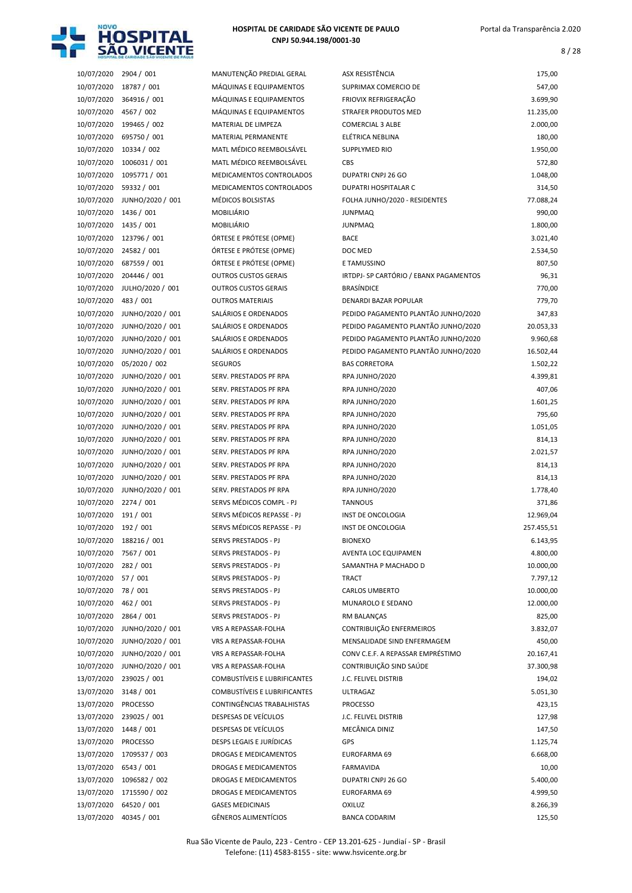

8 / 28

| 10/07/2020               | 2904 / 001                           | MANUTENÇÃO PREDIAL GERAL                     | ASX RESISTÊNCIA                                                            | 175,00     |
|--------------------------|--------------------------------------|----------------------------------------------|----------------------------------------------------------------------------|------------|
| 10/07/2020               | 18787 / 001                          | MÁQUINAS E EQUIPAMENTOS                      | SUPRIMAX COMERCIO DE                                                       | 547,00     |
| 10/07/2020               | 364916 / 001                         | MÁQUINAS E EQUIPAMENTOS                      | FRIOVIX REFRIGERAÇÃO                                                       | 3.699,90   |
| 10/07/2020               | 4567 / 002                           | MÁQUINAS E EQUIPAMENTOS                      | STRAFER PRODUTOS MED                                                       | 11.235,00  |
| 10/07/2020               | 199465 / 002                         | MATERIAL DE LIMPEZA                          | <b>COMERCIAL 3 ALBE</b>                                                    | 2.000,00   |
| 10/07/2020               | 695750 / 001                         | MATERIAL PERMANENTE                          | ELÉTRICA NEBLINA                                                           | 180,00     |
| 10/07/2020               | 10334 / 002                          | MATL MÉDICO REEMBOLSÁVEL                     | SUPPLYMED RIO                                                              | 1.950,00   |
| 10/07/2020               | 1006031 / 001                        | MATL MÉDICO REEMBOLSÁVEL                     | CBS                                                                        | 572,80     |
| 10/07/2020               | 1095771 / 001                        | MEDICAMENTOS CONTROLADOS                     | DUPATRI CNPJ 26 GO                                                         | 1.048,00   |
| 10/07/2020               | 59332 / 001                          | MEDICAMENTOS CONTROLADOS                     | DUPATRI HOSPITALAR C                                                       | 314,50     |
| 10/07/2020               | JUNHO/2020 / 001                     | MÉDICOS BOLSISTAS                            | FOLHA JUNHO/2020 - RESIDENTES                                              | 77.088,24  |
| 10/07/2020               | 1436 / 001                           | MOBILIÁRIO                                   | <b>JUNPMAQ</b>                                                             | 990,00     |
| 10/07/2020               | 1435 / 001                           | MOBILIÁRIO                                   | <b>JUNPMAQ</b>                                                             | 1.800,00   |
| 10/07/2020               | 123796 / 001                         | ÓRTESE E PRÓTESE (OPME)                      | <b>BACE</b>                                                                | 3.021,40   |
| 10/07/2020               | 24582 / 001                          | ÓRTESE E PRÓTESE (OPME)                      | DOC MED                                                                    | 2.534,50   |
| 10/07/2020               | 687559 / 001                         | ÓRTESE E PRÓTESE (OPME)                      | E TAMUSSINO                                                                | 807,50     |
| 10/07/2020               | 204446 / 001                         | <b>OUTROS CUSTOS GERAIS</b>                  | IRTDPJ- SP CARTÓRIO / EBANX PAGAMENTOS                                     | 96,31      |
| 10/07/2020               | JULHO/2020 / 001                     | <b>OUTROS CUSTOS GERAIS</b>                  | <b>BRASÍNDICE</b>                                                          | 770,00     |
| 10/07/2020               | 483 / 001                            | <b>OUTROS MATERIAIS</b>                      | <b>DENARDI BAZAR POPULAR</b>                                               | 779,70     |
| 10/07/2020               | JUNHO/2020 / 001                     | SALÁRIOS E ORDENADOS                         | PEDIDO PAGAMENTO PLANTÃO JUNHO/2020                                        | 347,83     |
|                          |                                      | SALÁRIOS E ORDENADOS                         | PEDIDO PAGAMENTO PLANTÃO JUNHO/2020                                        |            |
| 10/07/2020               | JUNHO/2020 / 001<br>JUNHO/2020 / 001 |                                              |                                                                            | 20.053,33  |
| 10/07/2020<br>10/07/2020 |                                      | SALÁRIOS E ORDENADOS<br>SALÁRIOS E ORDENADOS | PEDIDO PAGAMENTO PLANTÃO JUNHO/2020<br>PEDIDO PAGAMENTO PLANTÃO JUNHO/2020 | 9.960,68   |
|                          | JUNHO/2020 / 001                     |                                              |                                                                            | 16.502,44  |
| 10/07/2020               | 05/2020 / 002                        | <b>SEGUROS</b>                               | <b>BAS CORRETORA</b>                                                       | 1.502,22   |
| 10/07/2020               | JUNHO/2020 / 001                     | SERV. PRESTADOS PF RPA                       | RPA JUNHO/2020                                                             | 4.399,81   |
| 10/07/2020               | JUNHO/2020 / 001                     | SERV. PRESTADOS PF RPA                       | RPA JUNHO/2020                                                             | 407,06     |
| 10/07/2020               | JUNHO/2020 / 001                     | SERV. PRESTADOS PF RPA                       | RPA JUNHO/2020                                                             | 1.601,25   |
| 10/07/2020               | JUNHO/2020 / 001                     | SERV. PRESTADOS PF RPA                       | RPA JUNHO/2020                                                             | 795,60     |
| 10/07/2020               | JUNHO/2020 / 001                     | SERV. PRESTADOS PF RPA                       | RPA JUNHO/2020                                                             | 1.051,05   |
| 10/07/2020               | JUNHO/2020 / 001                     | SERV. PRESTADOS PF RPA                       | RPA JUNHO/2020                                                             | 814,13     |
| 10/07/2020               | JUNHO/2020 / 001                     | SERV. PRESTADOS PF RPA                       | RPA JUNHO/2020                                                             | 2.021,57   |
| 10/07/2020               | JUNHO/2020 / 001                     | SERV. PRESTADOS PF RPA                       | RPA JUNHO/2020                                                             | 814,13     |
| 10/07/2020               | JUNHO/2020 / 001                     | SERV. PRESTADOS PF RPA                       | RPA JUNHO/2020                                                             | 814,13     |
| 10/07/2020               | JUNHO/2020 / 001                     | SERV. PRESTADOS PF RPA                       | RPA JUNHO/2020                                                             | 1.778,40   |
| 10/07/2020               | 2274 / 001                           | SERVS MÉDICOS COMPL - PJ                     | <b>TANNOUS</b>                                                             | 371,86     |
| 10/07/2020               | 191 / 001                            | SERVS MÉDICOS REPASSE - PJ                   | <b>INST DE ONCOLOGIA</b>                                                   | 12.969,04  |
| 10/07/2020               | 192 / 001                            | SERVS MÉDICOS REPASSE - PJ                   | INST DE ONCOLOGIA                                                          | 257.455,51 |
| 10/07/2020               | 188216 / 001                         | SERVS PRESTADOS - PJ                         | <b>BIONEXO</b>                                                             | 6.143,95   |
| 10/07/2020               | 7567 / 001                           | SERVS PRESTADOS - PJ                         | AVENTA LOC EQUIPAMEN                                                       | 4.800,00   |
| 10/07/2020               | 282 / 001                            | SERVS PRESTADOS - PJ                         | SAMANTHA P MACHADO D                                                       | 10.000,00  |
| 10/07/2020               | 57 / 001                             | SERVS PRESTADOS - PJ                         | <b>TRACT</b>                                                               | 7.797,12   |
| 10/07/2020               | 78 / 001                             | SERVS PRESTADOS - PJ                         | CARLOS UMBERTO                                                             | 10.000,00  |
| 10/07/2020               | 462 / 001                            | SERVS PRESTADOS - PJ                         | MUNAROLO E SEDANO                                                          | 12.000,00  |
| 10/07/2020               | 2864 / 001                           | SERVS PRESTADOS - PJ                         | RM BALANÇAS                                                                | 825,00     |
| 10/07/2020               | JUNHO/2020 / 001                     | VRS A REPASSAR-FOLHA                         | CONTRIBUIÇÃO ENFERMEIROS                                                   | 3.832,07   |
| 10/07/2020               | JUNHO/2020 / 001                     | VRS A REPASSAR-FOLHA                         | MENSALIDADE SIND ENFERMAGEM                                                | 450,00     |
| 10/07/2020               | JUNHO/2020 / 001                     | VRS A REPASSAR-FOLHA                         | CONV C.E.F. A REPASSAR EMPRÉSTIMO                                          | 20.167,41  |
| 10/07/2020               | JUNHO/2020 / 001                     | <b>VRS A REPASSAR-FOLHA</b>                  | CONTRIBUIÇÃO SIND SAÚDE                                                    | 37.300,98  |
| 13/07/2020               | 239025 / 001                         | <b>COMBUSTIVEIS E LUBRIFICANTES</b>          | J.C. FELIVEL DISTRIB                                                       | 194,02     |
| 13/07/2020               | 3148 / 001                           | <b>COMBUSTÍVEIS E LUBRIFICANTES</b>          | <b>ULTRAGAZ</b>                                                            | 5.051,30   |
| 13/07/2020               | <b>PROCESSO</b>                      | CONTINGÊNCIAS TRABALHISTAS                   | <b>PROCESSO</b>                                                            | 423,15     |
| 13/07/2020               | 239025 / 001                         | DESPESAS DE VEÍCULOS                         | J.C. FELIVEL DISTRIB                                                       | 127,98     |
| 13/07/2020               | 1448 / 001                           | DESPESAS DE VEÍCULOS                         | MECÂNICA DINIZ                                                             | 147,50     |
| 13/07/2020               | <b>PROCESSO</b>                      | DESPS LEGAIS E JURÍDICAS                     | <b>GPS</b>                                                                 | 1.125,74   |
| 13/07/2020               | 1709537 / 003                        | DROGAS E MEDICAMENTOS                        | EUROFARMA 69                                                               | 6.668,00   |
| 13/07/2020               | 6543 / 001                           | DROGAS E MEDICAMENTOS                        | FARMAVIDA                                                                  | 10,00      |
| 13/07/2020               | 1096582 / 002                        | DROGAS E MEDICAMENTOS                        | DUPATRI CNPJ 26 GO                                                         | 5.400,00   |
| 13/07/2020               | 1715590 / 002                        | DROGAS E MEDICAMENTOS                        | EUROFARMA 69                                                               | 4.999,50   |
| 13/07/2020               | 64520 / 001                          | <b>GASES MEDICINAIS</b>                      | <b>OXILUZ</b>                                                              | 8.266,39   |
| 13/07/2020               | 40345 / 001                          | GÊNEROS ALIMENTÍCIOS                         | <b>BANCA CODARIM</b>                                                       | 125,50     |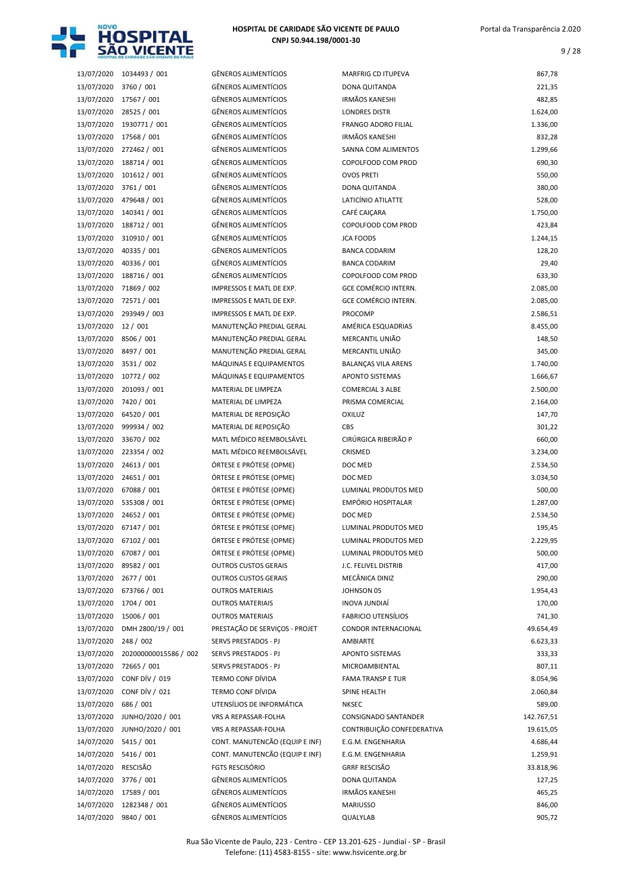

| 13/07/2020               | 1034493 / 001               | <b>GÊNEROS ALIMENTÍCIOS</b>                    |
|--------------------------|-----------------------------|------------------------------------------------|
| 13/07/2020               | 3760 / 001                  | <b>GÊNEROS ALIMENTÍCIOS</b>                    |
| 13/07/2020               | 17567 / 001                 | <b>GÊNEROS ALIMENTÍCIOS</b>                    |
| 13/07/2020               | 28525 / 001                 | <b>GÊNEROS ALIMENTÍCIOS</b>                    |
| 13/07/2020               | 1930771 / 001               | <b>GÊNEROS ALIMENTÍCIOS</b>                    |
| 13/07/2020               | 17568 / 001                 | <b>GÊNEROS ALIMENTÍCIOS</b>                    |
| 13/07/2020               | 272462 / 001                | <b>GÊNEROS ALIMENTÍCIOS</b>                    |
| 13/07/2020               | 188714 / 001                | <b>GÊNEROS ALIMENTÍCIOS</b>                    |
| 13/07/2020               | 101612 / 001                | <b>GÊNEROS ALIMENTÍCIOS</b>                    |
| 13/07/2020               | 3761 / 001                  | <b>GÊNEROS ALIMENTÍCIOS</b>                    |
| 13/07/2020               | 479648 / 001                | <b>GÊNEROS ALIMENTÍCIOS</b>                    |
| 13/07/2020               | 140341 / 001                | <b>GÊNEROS ALIMENTÍCIOS</b>                    |
| 13/07/2020               | 188712 / 001                | <b>GÊNEROS ALIMENTÍCIOS</b>                    |
| 13/07/2020               | 310910 / 001                | <b>GÊNEROS ALIMENTÍCIOS</b>                    |
| 13/07/2020               | 40335 / 001                 | <b>GÊNEROS ALIMENTÍCIOS</b>                    |
| 13/07/2020               | 40336 / 001                 | <b>GÊNEROS ALIMENTÍCIOS</b>                    |
| 13/07/2020               | 188716 / 001                | <b>GÊNEROS ALIMENTÍCIOS</b>                    |
| 13/07/2020               | 71869 / 002                 | IMPRESSOS E MATL DE EXP.                       |
| 13/07/2020               | 72571 / 001                 | IMPRESSOS E MATL DE EXP.                       |
| 13/07/2020               | 293949 / 003                | IMPRESSOS E MATL DE EXP.                       |
| 13/07/2020               | 12 / 001                    | MANUTENÇÃO PREDIAL GERAL                       |
| 13/07/2020               | 8506 / 001                  | MANUTENÇÃO PREDIAL GERAL                       |
| 13/07/2020               | 8497 / 001                  | MANUTENÇÃO PREDIAL GERAL                       |
| 13/07/2020               | 3531 / 002                  | MÁQUINAS E EQUIPAMENTOS                        |
| 13/07/2020               | 10772 / 002                 | MÁQUINAS E EQUIPAMENTOS                        |
| 13/07/2020               | 201093 / 001                | MATERIAL DE LIMPEZA                            |
| 13/07/2020               | 7420 / 001                  | MATERIAL DE LIMPEZA                            |
| 13/07/2020<br>13/07/2020 | 64520 / 001<br>999934 / 002 | MATERIAL DE REPOSIÇÃO<br>MATERIAL DE REPOSIÇÃO |
| 13/07/2020               | 33670 / 002                 | MATL MÉDICO REEMBOLSÁVEL                       |
| 13/07/2020               | 223354 / 002                | MATL MÉDICO REEMBOLSÁVEL                       |
| 13/07/2020               | 24613 / 001                 | ÓRTESE E PRÓTESE (OPME)                        |
| 13/07/2020               | 24651 / 001                 | ÓRTESE E PRÓTESE (OPME)                        |
| 13/07/2020               | 67088 / 001                 | ÓRTESE E PRÓTESE (OPME)                        |
| 13/07/2020               | 535308 / 001                | ÓRTESE E PRÓTESE (OPME)                        |
| 13/07/2020               | 24652 / 001                 | ÓRTESE E PRÓTESE (OPME)                        |
| 13/07/2020               | 67147 / 001                 | ÓRTESE E PRÓTESE (OPME)                        |
| 13/07/2020               | 67102 / 001                 | ÓRTESE E PRÓTESE (OPME)                        |
| 13/07/2020               | 67087 / 001                 | ÓRTESE E PRÓTESE (OPME)                        |
| 13/07/2020               | 89582 / 001                 | <b>OUTROS CUSTOS GERAIS</b>                    |
| 13/07/2020               | 2677 / 001                  | <b>OUTROS CUSTOS GERAIS</b>                    |
| 13/07/2020               | 673766 / 001                | <b>OUTROS MATERIAIS</b>                        |
| 13/07/2020               | 1704 / 001                  | <b>OUTROS MATERIAIS</b>                        |
| 13/07/2020               | 15006 / 001                 | <b>OUTROS MATERIAIS</b>                        |
| 13/07/2020               | DMH 2800/19 / 001           | PRESTAÇÃO DE SERVIÇOS - PROJET                 |
| 13/07/2020               | 248 / 002                   | SERVS PRESTADOS - PJ                           |
| 13/07/2020               | 202000000015586 / 002       | <b>SERVS PRESTADOS - PJ</b>                    |
| 13/07/2020               | 72665 / 001                 | SERVS PRESTADOS - PJ                           |
| 13/07/2020               | CONF DÍV / 019              | <b>TERMO CONF DÍVIDA</b>                       |
| 13/07/2020               | CONF DÍV / 021              | TERMO CONF DÍVIDA                              |
| 13/07/2020               | 686 / 001                   | UTENSÍLIOS DE INFORMÁTICA                      |
| 13/07/2020               | JUNHO/2020 / 001            | VRS A REPASSAR-FOLHA                           |
| 13/07/2020               | JUNHO/2020 / 001            | VRS A REPASSAR-FOLHA                           |
| 14/07/2020               | 5415 / 001                  | CONT. MANUTENCÃO (EQUIP E INF)                 |
| 14/07/2020               | 5416 / 001                  | CONT. MANUTENCÃO (EQUIP E INF)                 |
| 14/07/2020               | <b>RESCISÃO</b>             | <b>FGTS RESCISÓRIO</b>                         |
| 14/07/2020               | 3776 / 001                  | <b>GÊNEROS ALIMENTÍCIOS</b>                    |
| 14/07/2020               | 17589 / 001                 | <b>GÊNEROS ALIMENTÍCIOS</b>                    |
| 14/07/2020               | 1282348 / 001               | <b>GÊNEROS ALIMENTÍCIOS</b>                    |
| 14/07/2020               | 9840 / 001                  | <b>GÊNEROS ALIMENTÍCIOS</b>                    |

| 13/07/2020 | 1034493 / 001         | <b>GÊNEROS ALIMENTÍCIOS</b>    | <b>MARFRIG CD ITUPEVA</b>  | 867,78     |
|------------|-----------------------|--------------------------------|----------------------------|------------|
| 13/07/2020 | 3760 / 001            | <b>GÊNEROS ALIMENTÍCIOS</b>    | DONA QUITANDA              | 221,35     |
| 13/07/2020 | 17567 / 001           | <b>GÊNEROS ALIMENTÍCIOS</b>    | <b>IRMÃOS KANESHI</b>      | 482,85     |
| 13/07/2020 | 28525 / 001           | <b>GÊNEROS ALIMENTÍCIOS</b>    | <b>LONDRES DISTR</b>       | 1.624,00   |
| 13/07/2020 | 1930771 / 001         | <b>GÊNEROS ALIMENTÍCIOS</b>    | <b>FRANGO ADORO FILIAL</b> | 1.336,00   |
| 13/07/2020 | 17568 / 001           | GÊNEROS ALIMENTÍCIOS           | <b>IRMÃOS KANESHI</b>      | 832,28     |
| 13/07/2020 | 272462 / 001          | GÊNEROS ALIMENTÍCIOS           | SANNA COM ALIMENTOS        | 1.299,66   |
| 13/07/2020 | 188714 / 001          | GÊNEROS ALIMENTÍCIOS           | COPOLFOOD COM PROD         | 690,30     |
| 13/07/2020 | 101612 / 001          | GÊNEROS ALIMENTÍCIOS           | <b>OVOS PRETI</b>          | 550,00     |
| 13/07/2020 | 3761 / 001            | GÊNEROS ALIMENTÍCIOS           | DONA QUITANDA              | 380,00     |
| 13/07/2020 |                       | <b>GÊNEROS ALIMENTÍCIOS</b>    | LATICÍNIO ATILATTE         |            |
|            | 479648 / 001          |                                |                            | 528,00     |
| 13/07/2020 | 140341 / 001          | <b>GÊNEROS ALIMENTÍCIOS</b>    | CAFÉ CAIÇARA               | 1.750,00   |
| 13/07/2020 | 188712 / 001          | GÊNEROS ALIMENTÍCIOS           | COPOLFOOD COM PROD         | 423,84     |
| 13/07/2020 | 310910 / 001          | <b>GÊNEROS ALIMENTÍCIOS</b>    | <b>JCA FOODS</b>           | 1.244,15   |
| 13/07/2020 | 40335 / 001           | <b>GÊNEROS ALIMENTÍCIOS</b>    | <b>BANCA CODARIM</b>       | 128,20     |
| 13/07/2020 | 40336 / 001           | <b>GÊNEROS ALIMENTÍCIOS</b>    | <b>BANCA CODARIM</b>       | 29,40      |
| 13/07/2020 | 188716 / 001          | GÊNEROS ALIMENTÍCIOS           | COPOLFOOD COM PROD         | 633,30     |
| 13/07/2020 | 71869 / 002           | IMPRESSOS E MATL DE EXP.       | GCE COMÉRCIO INTERN.       | 2.085,00   |
| 13/07/2020 | 72571/001             | IMPRESSOS E MATL DE EXP.       | GCE COMÉRCIO INTERN.       | 2.085,00   |
| 13/07/2020 | 293949 / 003          | IMPRESSOS E MATL DE EXP.       | PROCOMP                    | 2.586,51   |
| 13/07/2020 | 12/001                | MANUTENÇÃO PREDIAL GERAL       | AMÉRICA ESQUADRIAS         | 8.455,00   |
| 13/07/2020 | 8506 / 001            | MANUTENÇÃO PREDIAL GERAL       | MERCANTIL UNIÃO            | 148,50     |
| 13/07/2020 | 8497 / 001            | MANUTENÇÃO PREDIAL GERAL       | MERCANTIL UNIÃO            | 345,00     |
| 13/07/2020 | 3531 / 002            | MÁQUINAS E EQUIPAMENTOS        | <b>BALANCAS VILA ARENS</b> | 1.740,00   |
| 13/07/2020 | 10772 / 002           | MÁQUINAS E EQUIPAMENTOS        | <b>APONTO SISTEMAS</b>     | 1.666,67   |
| 13/07/2020 | 201093 / 001          | MATERIAL DE LIMPEZA            | <b>COMERCIAL 3 ALBE</b>    | 2.500,00   |
|            |                       |                                |                            | 2.164,00   |
| 13/07/2020 | 7420 / 001            | MATERIAL DE LIMPEZA            | PRISMA COMERCIAL           |            |
| 13/07/2020 | 64520 / 001           | MATERIAL DE REPOSIÇÃO          | <b>OXILUZ</b>              | 147,70     |
| 13/07/2020 | 999934 / 002          | MATERIAL DE REPOSIÇÃO          | CBS                        | 301,22     |
| 13/07/2020 | 33670 / 002           | MATL MÉDICO REEMBOLSÁVEL       | CIRÚRGICA RIBEIRÃO P       | 660,00     |
| 13/07/2020 | 223354 / 002          | MATL MÉDICO REEMBOLSÁVEL       | CRISMED                    | 3.234,00   |
| 13/07/2020 | 24613 / 001           | ÓRTESE E PRÓTESE (OPME)        | DOC MED                    | 2.534,50   |
| 13/07/2020 | 24651 / 001           | ÓRTESE E PRÓTESE (OPME)        | DOC MED                    | 3.034,50   |
| 13/07/2020 | 67088 / 001           | ÓRTESE E PRÓTESE (OPME)        | LUMINAL PRODUTOS MED       | 500,00     |
| 13/07/2020 | 535308 / 001          | ÓRTESE E PRÓTESE (OPME)        | EMPÓRIO HOSPITALAR         | 1.287,00   |
| 13/07/2020 | 24652 / 001           | ÓRTESE E PRÓTESE (OPME)        | DOC MED                    | 2.534,50   |
| 13/07/2020 | 67147 / 001           | ÓRTESE E PRÓTESE (OPME)        | LUMINAL PRODUTOS MED       | 195,45     |
| 13/07/2020 | 67102 / 001           | ÓRTESE E PRÓTESE (OPME)        | LUMINAL PRODUTOS MED       | 2.229,95   |
| 13/07/2020 | 67087 / 001           | ÓRTESE E PRÓTESE (OPME)        | LUMINAL PRODUTOS MED       | 500,00     |
| 13/07/2020 | 89582 / 001           | <b>OUTROS CUSTOS GERAIS</b>    | J.C. FELIVEL DISTRIB       | 417,00     |
| 13/07/2020 | 2677 / 001            | <b>OUTROS CUSTOS GERAIS</b>    | MECÂNICA DINIZ             | 290,00     |
| 13/07/2020 |                       |                                |                            |            |
|            | 673766 / 001          | <b>OUTROS MATERIAIS</b>        | JOHNSON 05                 | 1.954,43   |
| 13/07/2020 | 1704 / 001            | <b>OUTROS MATERIAIS</b>        | INOVA JUNDIAÍ              | 170,00     |
| 13/07/2020 | 15006 / 001           | <b>OUTROS MATERIAIS</b>        | <b>FABRICIO UTENSÍLIOS</b> | 741,30     |
| 13/07/2020 | DMH 2800/19 / 001     | PRESTAÇÃO DE SERVIÇOS - PROJET | CONDOR INTERNACIONAL       | 49.654,49  |
| 13/07/2020 | 248 / 002             | SERVS PRESTADOS - PJ           | AMBIARTE                   | 6.623,33   |
| 13/07/2020 | 202000000015586 / 002 | SERVS PRESTADOS - PJ           | APONTO SISTEMAS            | 333,33     |
| 13/07/2020 | 72665 / 001           | SERVS PRESTADOS - PJ           | MICROAMBIENTAL             | 807,11     |
| 13/07/2020 | <b>CONF DÍV / 019</b> | TERMO CONF DÍVIDA              | <b>FAMA TRANSP E TUR</b>   | 8.054,96   |
| 13/07/2020 | CONF DÍV / 021        | TERMO CONF DÍVIDA              | SPINE HEALTH               | 2.060,84   |
| 13/07/2020 | 686 / 001             | UTENSÍLIOS DE INFORMÁTICA      | <b>NKSEC</b>               | 589,00     |
| 13/07/2020 | JUNHO/2020 / 001      | VRS A REPASSAR-FOLHA           | CONSIGNADO SANTANDER       | 142.767,51 |
| 13/07/2020 | JUNHO/2020 / 001      | VRS A REPASSAR-FOLHA           | CONTRIBUIÇÃO CONFEDERATIVA | 19.615,05  |
| 14/07/2020 | 5415 / 001            | CONT. MANUTENCÃO (EQUIP E INF) | E.G.M. ENGENHARIA          | 4.686,44   |
| 14/07/2020 | 5416 / 001            | CONT. MANUTENCÃO (EQUIP E INF) | E.G.M. ENGENHARIA          | 1.259,91   |
| 14/07/2020 | RESCISÃO              | <b>FGTS RESCISÓRIO</b>         | <b>GRRF RESCISÃO</b>       | 33.818,96  |
|            |                       |                                |                            |            |
| 14/07/2020 | 3776 / 001            | GÊNEROS ALIMENTÍCIOS           | DONA QUITANDA              | 127,25     |
| 14/07/2020 | 17589 / 001           | GÊNEROS ALIMENTÍCIOS           | <b>IRMÃOS KANESHI</b>      | 465,25     |
| 14/07/2020 | 1282348 / 001         | GÊNEROS ALIMENTÍCIOS           | <b>MARIUSSO</b>            | 846,00     |
| 14/07/2020 | 9840 / 001            | GÊNEROS ALIMENTÍCIOS           | QUALYLAB                   | 905,72     |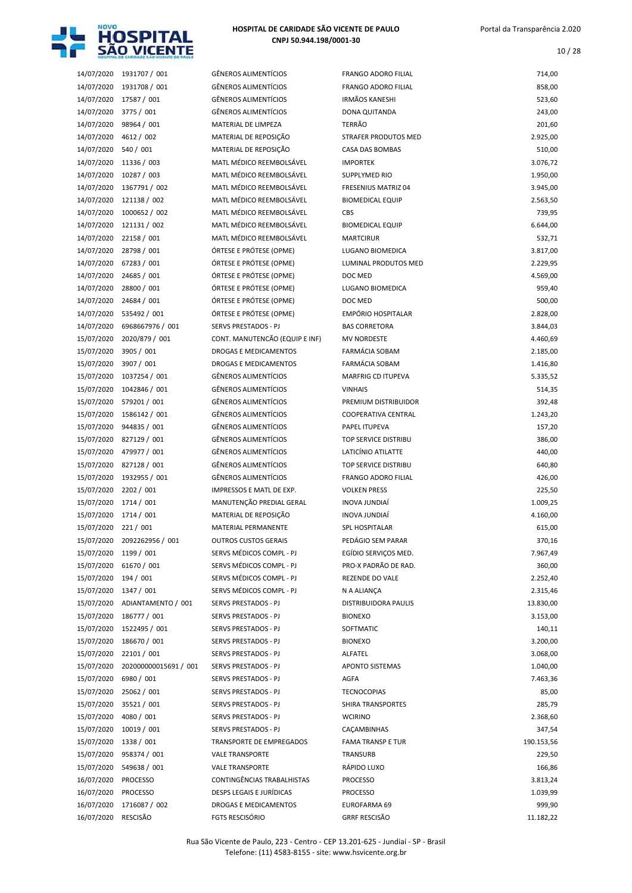

| 14/07/2020 | 1931707 / 001         | <b>GÊNEROS ALIMENTÍCIOS</b>    | <b>FRANGO ADORO FILIAL</b> | 714,00     |
|------------|-----------------------|--------------------------------|----------------------------|------------|
| 14/07/2020 | 1931708 / 001         | GÊNEROS ALIMENTÍCIOS           | <b>FRANGO ADORO FILIAL</b> | 858,00     |
| 14/07/2020 | 17587 / 001           | GÊNEROS ALIMENTÍCIOS           | <b>IRMÃOS KANESHI</b>      | 523,60     |
| 14/07/2020 | 3775/001              | <b>GÊNEROS ALIMENTÍCIOS</b>    | DONA QUITANDA              | 243,00     |
| 14/07/2020 | 98964 / 001           | MATERIAL DE LIMPEZA            | TERRÃO                     | 201,60     |
| 14/07/2020 | 4612 / 002            | MATERIAL DE REPOSIÇÃO          | STRAFER PRODUTOS MED       | 2.925,00   |
| 14/07/2020 | 540 / 001             | MATERIAL DE REPOSIÇÃO          | CASA DAS BOMBAS            | 510,00     |
| 14/07/2020 | 11336 / 003           | MATL MÉDICO REEMBOLSÁVEL       | <b>IMPORTEK</b>            | 3.076,72   |
| 14/07/2020 | 10287 / 003           | MATL MÉDICO REEMBOLSÁVEL       | <b>SUPPLYMED RIO</b>       | 1.950,00   |
| 14/07/2020 |                       | MATL MÉDICO REEMBOLSÁVEL       | <b>FRESENIUS MATRIZ 04</b> | 3.945,00   |
|            | 1367791 / 002         |                                |                            |            |
| 14/07/2020 | 121138 / 002          | MATL MÉDICO REEMBOLSÁVEL       | <b>BIOMEDICAL EQUIP</b>    | 2.563,50   |
| 14/07/2020 | 1000652 / 002         | MATL MÉDICO REEMBOLSÁVEL       | CBS                        | 739,95     |
| 14/07/2020 | 121131 / 002          | MATL MÉDICO REEMBOLSÁVEL       | <b>BIOMEDICAL EQUIP</b>    | 6.644,00   |
| 14/07/2020 | 22158 / 001           | MATL MÉDICO REEMBOLSÁVEL       | <b>MARTCIRUR</b>           | 532,71     |
| 14/07/2020 | 28798 / 001           | ÓRTESE E PRÓTESE (OPME)        | LUGANO BIOMEDICA           | 3.817,00   |
| 14/07/2020 | 67283 / 001           | ÓRTESE E PRÓTESE (OPME)        | LUMINAL PRODUTOS MED       | 2.229,95   |
| 14/07/2020 | 24685 / 001           | ÓRTESE E PRÓTESE (OPME)        | DOC MED                    | 4.569,00   |
| 14/07/2020 | 28800 / 001           | ÓRTESE E PRÓTESE (OPME)        | LUGANO BIOMEDICA           | 959,40     |
| 14/07/2020 | 24684 / 001           | ÓRTESE E PRÓTESE (OPME)        | DOC MED                    | 500,00     |
| 14/07/2020 | 535492 / 001          | ÓRTESE E PRÓTESE (OPME)        | EMPÓRIO HOSPITALAR         | 2.828,00   |
| 14/07/2020 | 6968667976 / 001      | SERVS PRESTADOS - PJ           | <b>BAS CORRETORA</b>       | 3.844,03   |
| 15/07/2020 | 2020/879 / 001        | CONT. MANUTENCÃO (EQUIP E INF) | <b>MV NORDESTE</b>         | 4.460,69   |
| 15/07/2020 | 3905 / 001            | DROGAS E MEDICAMENTOS          | <b>FARMÁCIA SOBAM</b>      | 2.185,00   |
| 15/07/2020 | 3907 / 001            | DROGAS E MEDICAMENTOS          | FARMÁCIA SOBAM             | 1.416,80   |
| 15/07/2020 | 1037254 / 001         | <b>GÊNEROS ALIMENTÍCIOS</b>    | <b>MARFRIG CD ITUPEVA</b>  | 5.335,52   |
| 15/07/2020 | 1042846 / 001         | GÊNEROS ALIMENTÍCIOS           | <b>VINHAIS</b>             | 514,35     |
| 15/07/2020 | 579201 / 001          | GÊNEROS ALIMENTÍCIOS           |                            | 392,48     |
|            |                       |                                | PREMIUM DISTRIBUIDOR       |            |
| 15/07/2020 | 1586142 / 001         | GÊNEROS ALIMENTÍCIOS           | COOPERATIVA CENTRAL        | 1.243,20   |
| 15/07/2020 | 944835 / 001          | GÊNEROS ALIMENTÍCIOS           | PAPEL ITUPEVA              | 157,20     |
| 15/07/2020 | 827129 / 001          | GÊNEROS ALIMENTÍCIOS           | TOP SERVICE DISTRIBU       | 386,00     |
| 15/07/2020 | 479977 / 001          | GÊNEROS ALIMENTÍCIOS           | LATICÍNIO ATILATTE         | 440,00     |
| 15/07/2020 | 827128 / 001          | GÊNEROS ALIMENTÍCIOS           | TOP SERVICE DISTRIBU       | 640,80     |
| 15/07/2020 | 1932955 / 001         | <b>GÊNEROS ALIMENTÍCIOS</b>    | FRANGO ADORO FILIAL        | 426,00     |
| 15/07/2020 | 2202 / 001            | IMPRESSOS E MATL DE EXP.       | <b>VOLKEN PRESS</b>        | 225,50     |
| 15/07/2020 | 1714 / 001            | MANUTENÇÃO PREDIAL GERAL       | <b>INOVA JUNDIAÍ</b>       | 1.009,25   |
| 15/07/2020 | 1714 / 001            | MATERIAL DE REPOSIÇÃO          | <b>INOVA JUNDIAÍ</b>       | 4.160,00   |
| 15/07/2020 | 221/001               | MATERIAL PERMANENTE            | SPL HOSPITALAR             | 615,00     |
| 15/07/2020 | 2092262956 / 001      | <b>OUTROS CUSTOS GERAIS</b>    | PEDÁGIO SEM PARAR          | 370,16     |
| 15/07/2020 | 1199 / 001            | SERVS MÉDICOS COMPL - PJ       | EGÍDIO SERVIÇOS MED.       | 7.967,49   |
| 15/07/2020 | 61670 / 001           | SERVS MÉDICOS COMPL - PJ       | PRO-X PADRÃO DE RAD.       | 360,00     |
| 15/07/2020 | 194 / 001             | SERVS MÉDICOS COMPL - PJ       | <b>REZENDE DO VALE</b>     | 2.252,40   |
| 15/07/2020 | 1347 / 001            | SERVS MÉDICOS COMPL - PJ       | N A ALIANÇA                | 2.315,46   |
| 15/07/2020 | ADIANTAMENTO / 001    | <b>SERVS PRESTADOS - PJ</b>    | DISTRIBUIDORA PAULIS       | 13.830,00  |
| 15/07/2020 | 186777 / 001          | SERVS PRESTADOS - PJ           | <b>BIONEXO</b>             | 3.153,00   |
|            |                       |                                |                            |            |
| 15/07/2020 | 1522495 / 001         | SERVS PRESTADOS - PJ           | SOFTMATIC                  | 140,11     |
| 15/07/2020 | 186670 / 001          | SERVS PRESTADOS - PJ           | <b>BIONEXO</b>             | 3.200,00   |
| 15/07/2020 | 22101 / 001           | SERVS PRESTADOS - PJ           | ALFATEL                    | 3.068,00   |
| 15/07/2020 | 202000000015691 / 001 | SERVS PRESTADOS - PJ           | <b>APONTO SISTEMAS</b>     | 1.040,00   |
| 15/07/2020 | 6980 / 001            | SERVS PRESTADOS - PJ           | AGFA                       | 7.463,36   |
| 15/07/2020 | 25062 / 001           | SERVS PRESTADOS - PJ           | <b>TECNOCOPIAS</b>         | 85,00      |
| 15/07/2020 | 35521/001             | SERVS PRESTADOS - PJ           | SHIRA TRANSPORTES          | 285,79     |
| 15/07/2020 | 4080 / 001            | SERVS PRESTADOS - PJ           | <b>WCIRINO</b>             | 2.368,60   |
| 15/07/2020 | 10019 / 001           | SERVS PRESTADOS - PJ           | CAÇAMBINHAS                | 347,54     |
| 15/07/2020 | 1338 / 001            | TRANSPORTE DE EMPREGADOS       | <b>FAMA TRANSP E TUR</b>   | 190.153,56 |
| 15/07/2020 | 958374 / 001          | <b>VALE TRANSPORTE</b>         | TRANSURB                   | 229,50     |
| 15/07/2020 | 549638 / 001          | <b>VALE TRANSPORTE</b>         | RÁPIDO LUXO                | 166,86     |
| 16/07/2020 | <b>PROCESSO</b>       | CONTINGÊNCIAS TRABALHISTAS     | <b>PROCESSO</b>            | 3.813,24   |
| 16/07/2020 | <b>PROCESSO</b>       | DESPS LEGAIS E JURÍDICAS       | <b>PROCESSO</b>            | 1.039,99   |
| 16/07/2020 | 1716087 / 002         | DROGAS E MEDICAMENTOS          | EUROFARMA 69               | 999,90     |
|            |                       |                                |                            |            |
| 16/07/2020 | RESCISÃO              | <b>FGTS RESCISÓRIO</b>         | <b>GRRF RESCISÃO</b>       | 11.182,22  |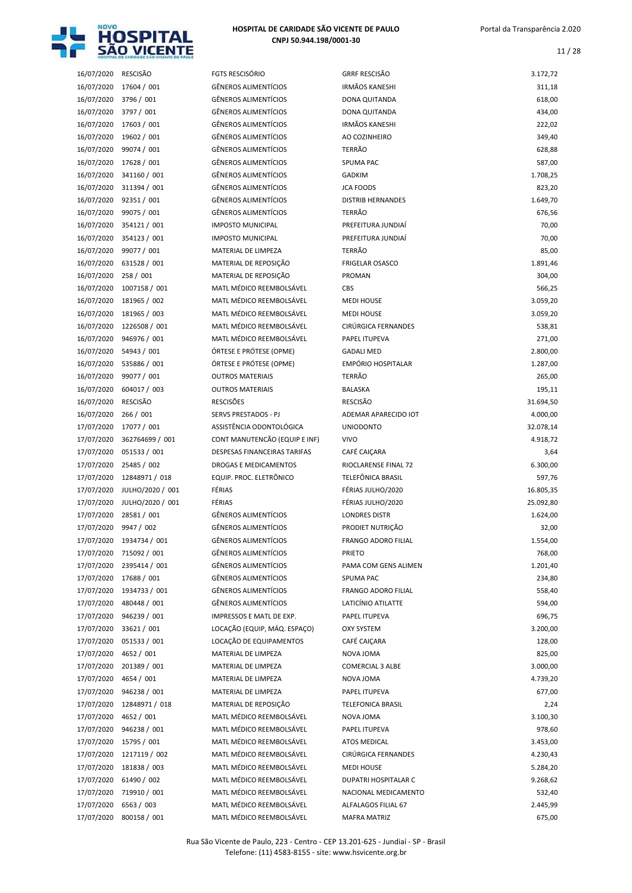

11 / 28

| 16/07/2020               | RESCISÃO                  |
|--------------------------|---------------------------|
| 16/07/2020               | 17604 / 001               |
| 16/07/2020               | 3796 / 001                |
| 16/07/2020               | 3797 / 001                |
| 16/07/2020               | 17603 / 001               |
| 16/07/2020               | 19602 / 001               |
| 16/07/2020               | 99074 / 001               |
| 16/07/2020               | 17628 / 001               |
|                          |                           |
| 16/07/2020<br>16/07/2020 | 341160 / 001              |
|                          | 311394 / 001              |
| 16/07/2020               | 92351 / 001               |
| 16/07/2020               | 99075 / 001               |
| 16/07/2020               | 354121 / 001              |
| 16/07/2020               | 354123 / 001              |
| 16/07/2020               | 99077 / 001               |
| 16/07/2020               | 631528 / 001              |
| 16/07/2020               | 258 / 001                 |
| 16/07/2020               | 1007158 / 001             |
| 16/07/2020               | 181965 / 002              |
| 16/07/2020               | 181965 / 003              |
| 16/07/2020               | 1226508 / 001             |
| 16/07/2020               | 946976 / 001              |
| 16/07/2020               | 54943 / 001               |
| 16/07/2020               | 535886 / 001              |
| 16/07/2020               | 99077 / 001               |
| 16/07/2020               | 604017 / 003              |
| 16/07/2020               | RESCISÃO                  |
| 16/07/2020               | 266 / 001                 |
| 17/07/2020               | 17077 / 001               |
| 17/07/2020               | 362764699 / 001           |
| 17/07/2020               | 051533 / 001              |
| 17/07/2020               | 25485 / 002               |
| 17/07/2020               | 12848971 / 018            |
| 17/07/2020               | JULHO/2020 / 001          |
| 17/07/2020               | JULHO/2020 / 001          |
| 17/07/2020               | 28581 / 001               |
| 17/07/2020               | 9947 / 002                |
| 17/07/2020               | 1934734 / 001             |
| 17/07/2020               | 715092 / 001              |
| 17/07/2020               | 2395414 / 001             |
| 17/07/2020               | 17688 / 001               |
|                          |                           |
|                          |                           |
| 17/07/2020               | 1934733 / 001             |
| 17/07/2020               | 480448 / 001              |
| 17/07/2020               | 946239 / 001              |
| 17/07/2020               | 33621 / 001               |
| 17/07/2020               | 051533 / 001              |
| 17/07/2020               | 4652 / 001                |
| 17/07/2020               | 201389 / 001              |
| 17/07/2020               | 4654 / 001                |
| 17/07/2020               | 946238 / 001              |
| 17/07/2020               | 12848971 / 018            |
| 17/07/2020               | 4652 / 001                |
| 17/07/2020               | 946238 / 001              |
| 17/07/2020               | 15795 / 001               |
| 17/07/2020               | 1217119 / 002             |
| 17/07/2020               | 181838 / 003              |
| 17/07/2020               | 61490 / 002               |
| 17/07/2020               | 719910 / 001              |
| 17/07/2020<br>17/07/2020 | 6563 / 003<br>OMAEO / MOA |

| 16/07/2020 | RESCISÃO         | <b>FGTS RESCISÓRIO</b>        | <b>GRRF RESCISÃO</b>       | 3.172,72  |
|------------|------------------|-------------------------------|----------------------------|-----------|
| 16/07/2020 | 17604 / 001      | <b>GÊNEROS ALIMENTÍCIOS</b>   | <b>IRMÃOS KANESHI</b>      | 311,18    |
| 16/07/2020 | 3796 / 001       | <b>GÊNEROS ALIMENTÍCIOS</b>   | DONA QUITANDA              | 618,00    |
| 16/07/2020 | 3797 / 001       | <b>GÊNEROS ALIMENTÍCIOS</b>   | DONA QUITANDA              | 434,00    |
| 16/07/2020 | 17603 / 001      | <b>GÊNEROS ALIMENTÍCIOS</b>   | <b>IRMÃOS KANESHI</b>      | 222,02    |
| 16/07/2020 | 19602 / 001      | <b>GÊNEROS ALIMENTÍCIOS</b>   | AO COZINHEIRO              | 349,40    |
| 16/07/2020 | 99074 / 001      | <b>GÊNEROS ALIMENTÍCIOS</b>   | <b>TERRÃO</b>              | 628,88    |
| 16/07/2020 | 17628 / 001      | <b>GÊNEROS ALIMENTÍCIOS</b>   | <b>SPUMA PAC</b>           | 587,00    |
| 16/07/2020 | 341160 / 001     | <b>GÊNEROS ALIMENTÍCIOS</b>   | <b>GADKIM</b>              | 1.708,25  |
| 16/07/2020 | 311394 / 001     | <b>GÊNEROS ALIMENTÍCIOS</b>   | <b>JCA FOODS</b>           | 823,20    |
| 16/07/2020 | 92351 / 001      | <b>GÊNEROS ALIMENTÍCIOS</b>   | <b>DISTRIB HERNANDES</b>   | 1.649,70  |
| 16/07/2020 | 99075 / 001      | <b>GÊNEROS ALIMENTÍCIOS</b>   | TERRÃO                     | 676,56    |
| 16/07/2020 | 354121 / 001     | <b>IMPOSTO MUNICIPAL</b>      | PREFEITURA JUNDIAÍ         | 70,00     |
| 16/07/2020 | 354123 / 001     | <b>IMPOSTO MUNICIPAL</b>      | PREFEITURA JUNDIAÍ         | 70,00     |
| 16/07/2020 | 99077 / 001      | MATERIAL DE LIMPEZA           | <b>TERRÃO</b>              | 85,00     |
| 16/07/2020 | 631528 / 001     | MATERIAL DE REPOSIÇÃO         | <b>FRIGELAR OSASCO</b>     | 1.891,46  |
| 16/07/2020 | 258 / 001        | MATERIAL DE REPOSIÇÃO         | <b>PROMAN</b>              | 304,00    |
| 16/07/2020 | 1007158 / 001    | MATL MÉDICO REEMBOLSÁVEL      | <b>CBS</b>                 | 566,25    |
| 16/07/2020 | 181965 / 002     | MATL MÉDICO REEMBOLSÁVEL      | <b>MEDI HOUSE</b>          | 3.059,20  |
| 16/07/2020 | 181965 / 003     | MATL MÉDICO REEMBOLSÁVEL      | <b>MEDI HOUSE</b>          | 3.059,20  |
| 16/07/2020 | 1226508 / 001    | MATL MÉDICO REEMBOLSÁVEL      | <b>CIRÚRGICA FERNANDES</b> | 538,81    |
| 16/07/2020 | 946976 / 001     | MATL MÉDICO REEMBOLSÁVEL      | PAPEL ITUPEVA              | 271,00    |
| 16/07/2020 | 54943 / 001      | ÓRTESE E PRÓTESE (OPME)       | <b>GADALI MED</b>          | 2.800,00  |
| 16/07/2020 | 535886 / 001     | ÓRTESE E PRÓTESE (OPME)       | <b>EMPÓRIO HOSPITALAR</b>  | 1.287,00  |
| 16/07/2020 | 99077 / 001      | <b>OUTROS MATERIAIS</b>       | TERRÃO                     | 265,00    |
| 16/07/2020 | 604017 / 003     | <b>OUTROS MATERIAIS</b>       | <b>BALASKA</b>             | 195,11    |
| 16/07/2020 | <b>RESCISÃO</b>  | <b>RESCISÕES</b>              | <b>RESCISÃO</b>            | 31.694,50 |
| 16/07/2020 | 266 / 001        | SERVS PRESTADOS - PJ          | ADEMAR APARECIDO IOT       | 4.000,00  |
| 17/07/2020 | 17077 / 001      | ASSISTÊNCIA ODONTOLÓGICA      | <b>UNIODONTO</b>           | 32.078,14 |
| 17/07/2020 | 362764699 / 001  | CONT MANUTENCÃO (EQUIP E INF) | <b>VIVO</b>                | 4.918,72  |
| 17/07/2020 | 051533 / 001     | DESPESAS FINANCEIRAS TARIFAS  | CAFÉ CAIÇARA               | 3,64      |
| 17/07/2020 | 25485 / 002      | <b>DROGAS E MEDICAMENTOS</b>  | RIOCLARENSE FINAL 72       | 6.300,00  |
| 17/07/2020 | 12848971 / 018   | EQUIP. PROC. ELETRÔNICO       | TELEFÖNICA BRASIL          | 597,76    |
| 17/07/2020 | JULHO/2020 / 001 | FÉRIAS                        | FÉRIAS JULHO/2020          | 16.805,35 |
| 17/07/2020 | JULHO/2020 / 001 | FÉRIAS                        | FÉRIAS JULHO/2020          | 25.092,80 |
| 17/07/2020 | 28581 / 001      | <b>GÊNEROS ALIMENTÍCIOS</b>   | <b>LONDRES DISTR</b>       | 1.624,00  |
| 17/07/2020 | 9947 / 002       | <b>GÊNEROS ALIMENTÍCIOS</b>   | PRODIET NUTRIÇÃO           | 32,00     |
| 17/07/2020 | 1934734 / 001    | <b>GÊNEROS ALIMENTÍCIOS</b>   | FRANGO ADORO FILIAL        | 1.554,00  |
| 17/07/2020 | 715092 / 001     | <b>GÊNEROS ALIMENTÍCIOS</b>   | <b>PRIETO</b>              | 768,00    |
| 17/07/2020 | 2395414 / 001    | <b>GÊNEROS ALIMENTÍCIOS</b>   | PAMA COM GENS ALIMEN       | 1.201,40  |
| 17/07/2020 | 17688 / 001      | GÊNEROS ALIMENTÍCIOS          | SPUMA PAC                  | 234,80    |
| 17/07/2020 | 1934733 / 001    | <b>GÊNEROS ALIMENTÍCIOS</b>   | FRANGO ADORO FILIAL        | 558,40    |
| 17/07/2020 | 480448 / 001     | GÊNEROS ALIMENTÍCIOS          | LATICÍNIO ATILATTE         | 594,00    |
| 17/07/2020 | 946239 / 001     | IMPRESSOS E MATL DE EXP.      | PAPEL ITUPEVA              | 696,75    |
| 17/07/2020 | 33621 / 001      | LOCAÇÃO (EQUIP, MÁQ. ESPAÇO)  | <b>OXY SYSTEM</b>          | 3.200,00  |
| 17/07/2020 | 051533 / 001     | LOCAÇÃO DE EQUIPAMENTOS       | CAFÉ CAIÇARA               | 128,00    |
| 17/07/2020 | 4652 / 001       | MATERIAL DE LIMPEZA           | NOVA JOMA                  | 825,00    |
| 17/07/2020 | 201389 / 001     | MATERIAL DE LIMPEZA           | <b>COMERCIAL 3 ALBE</b>    | 3.000,00  |
| 17/07/2020 | 4654 / 001       | MATERIAL DE LIMPEZA           | NOVA JOMA                  | 4.739,20  |
| 17/07/2020 | 946238 / 001     | MATERIAL DE LIMPEZA           | PAPEL ITUPEVA              | 677,00    |
| 17/07/2020 | 12848971 / 018   | MATERIAL DE REPOSIÇÃO         | <b>TELEFONICA BRASIL</b>   | 2,24      |
| 17/07/2020 | 4652 / 001       | MATL MÉDICO REEMBOLSÁVEL      | NOVA JOMA                  | 3.100,30  |
| 17/07/2020 | 946238 / 001     | MATL MÉDICO REEMBOLSÁVEL      | PAPEL ITUPEVA              | 978,60    |
| 17/07/2020 | 15795 / 001      | MATL MÉDICO REEMBOLSÁVEL      | ATOS MEDICAL               | 3.453,00  |
| 17/07/2020 | 1217119 / 002    | MATL MÉDICO REEMBOLSÁVEL      | CIRÚRGICA FERNANDES        | 4.230,43  |
| 17/07/2020 | 181838 / 003     | MATL MÉDICO REEMBOLSÁVEL      | <b>MEDI HOUSE</b>          | 5.284,20  |
| 17/07/2020 | 61490 / 002      | MATL MÉDICO REEMBOLSÁVEL      | DUPATRI HOSPITALAR C       | 9.268,62  |
| 17/07/2020 | 719910 / 001     | MATL MÉDICO REEMBOLSÁVEL      | NACIONAL MEDICAMENTO       | 532,40    |
| 17/07/2020 | 6563 / 003       | MATL MÉDICO REEMBOLSÁVEL      | ALFALAGOS FILIAL 67        | 2.445,99  |
| 17/07/2020 | 800158 / 001     | MATL MÉDICO REEMBOLSÁVEL      | <b>MAFRA MATRIZ</b>        | 675,00    |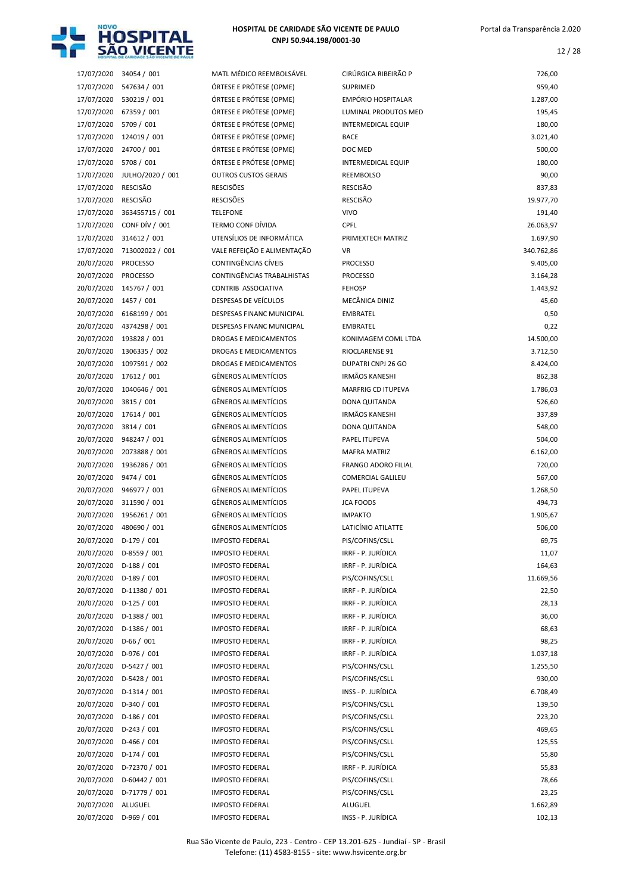

12 / 28

| 17/07/2020 | 34054 / 001      |
|------------|------------------|
| 17/07/2020 | 547634 / 001     |
| 17/07/2020 | 530219 / 001     |
| 17/07/2020 | 67359 / 001      |
| 17/07/2020 | 5709 / 001       |
| 17/07/2020 | 124019 / 001     |
| 17/07/2020 | 24700 / 001      |
| 17/07/2020 | 5708 / 001       |
| 17/07/2020 | JULHO/2020 / 001 |
| 17/07/2020 | RESCISÃO         |
| 17/07/2020 | <b>RESCISÃO</b>  |
| 17/07/2020 | 363455715 / 001  |
| 17/07/2020 | CONF DÍV / 001   |
| 17/07/2020 | 314612 / 001     |
| 17/07/2020 | 713002022 / 001  |
| 20/07/2020 | <b>PROCESSO</b>  |
| 20/07/2020 | <b>PROCESSO</b>  |
| 20/07/2020 | 145767 / 001     |
| 20/07/2020 | 1457 / 001       |
| 20/07/2020 | 6168199 / 001    |
| 20/07/2020 | 4374298 / 001    |
| 20/07/2020 | 193828 / 001     |
| 20/07/2020 | 1306335 / 002    |
| 20/07/2020 | 1097591 / 002    |
| 20/07/2020 | 17612 / 001      |
| 20/07/2020 | 1040646 / 001    |
| 20/07/2020 | 3815 / 001       |
| 20/07/2020 | 17614 / 001      |
| 20/07/2020 | 3814 / 001       |
| 20/07/2020 | 948247 / 001     |
| 20/07/2020 | 2073888 / 001    |
| 20/07/2020 | 1936286 / 001    |
| 20/07/2020 | 9474 / 001       |
| 20/07/2020 | 946977 / 001     |
| 20/07/2020 | 311590 / 001     |
| 20/07/2020 | 1956261 / 001    |
| 20/07/2020 | 480690 / 001     |
| 20/07/2020 | D-179 / 001      |
| 20/07/2020 | D-8559 / 001     |
| 20/07/2020 | D-188 / 001      |
| 20/07/2020 | D-189 / 001      |
| 20/07/2020 | D-11380 / 001    |
| 20/07/2020 | D-125 / 001      |
| 20/07/2020 | D-1388 / 001     |
| 20/07/2020 | D-1386 / 001     |
| 20/07/2020 | D-66 / 001       |
| 20/07/2020 | D-976 / 001      |
| 20/07/2020 | D-5427 / 001     |
| 20/07/2020 | D-5428 / 001     |
| 20/07/2020 | D-1314 / 001     |
| 20/07/2020 | D-340 / 001      |
| 20/07/2020 | D-186 / 001      |
| 20/07/2020 | D-243 / 001      |
| 20/07/2020 | D-466 / 001      |
| 20/07/2020 | D-174 / 001      |
| 20/07/2020 | D-72370 / 001    |
| 20/07/2020 | D-60442 / 001    |
| 20/07/2020 | D-71779 / 001    |
| 20/07/2020 | ALUGUEL          |
|            |                  |

|            | HOSPITAL DE CARIDADE SAO VICENTE DE PAULI |                                  |                            |            |
|------------|-------------------------------------------|----------------------------------|----------------------------|------------|
| 17/07/2020 | 34054 / 001                               | MATL MÉDICO REEMBOLSÁVEL         | CIRÚRGICA RIBEIRÃO P       | 726,00     |
| 17/07/2020 | 547634 / 001                              | ÓRTESE E PRÓTESE (OPME)          | <b>SUPRIMED</b>            | 959,40     |
| 17/07/2020 | 530219 / 001                              | ÓRTESE E PRÓTESE (OPME)          | <b>EMPÓRIO HOSPITALAR</b>  | 1.287,00   |
| 17/07/2020 | 67359 / 001                               | ÓRTESE E PRÓTESE (OPME)          | LUMINAL PRODUTOS MED       | 195,45     |
| 17/07/2020 | 5709 / 001                                | ÓRTESE E PRÓTESE (OPME)          | <b>INTERMEDICAL EQUIP</b>  | 180,00     |
| 17/07/2020 | 124019 / 001                              | ÓRTESE E PRÓTESE (OPME)          | <b>BACE</b>                | 3.021,40   |
| 17/07/2020 | 24700 / 001                               | ÓRTESE E PRÓTESE (OPME)          | DOC MED                    | 500,00     |
| 17/07/2020 | 5708 / 001                                | ÓRTESE E PRÓTESE (OPME)          | <b>INTERMEDICAL EQUIP</b>  | 180,00     |
| 17/07/2020 | JULHO/2020 / 001                          | <b>OUTROS CUSTOS GERAIS</b>      | <b>REEMBOLSO</b>           | 90,00      |
| 17/07/2020 | <b>RESCISÃO</b>                           | <b>RESCISÕES</b>                 | <b>RESCISÃO</b>            | 837,83     |
| 17/07/2020 | <b>RESCISÃO</b>                           | <b>RESCISÕES</b>                 | <b>RESCISÃO</b>            | 19.977,70  |
| 17/07/2020 | 363455715 / 001                           | <b>TELEFONE</b>                  | <b>VIVO</b>                | 191,40     |
| 17/07/2020 | CONF DÍV / 001                            | <b>TERMO CONF DÍVIDA</b>         | CPFL                       | 26.063,97  |
| 17/07/2020 | 314612 / 001                              | UTENSÍLIOS DE INFORMÁTICA        | PRIMEXTECH MATRIZ          | 1.697,90   |
| 17/07/2020 | 713002022 / 001                           | VALE REFEIÇÃO E ALIMENTAÇÃO      | <b>VR</b>                  | 340.762,86 |
| 20/07/2020 | <b>PROCESSO</b>                           | CONTINGÊNCIAS CÍVEIS             | <b>PROCESSO</b>            | 9.405,00   |
| 20/07/2020 | <b>PROCESSO</b>                           | CONTINGÊNCIAS TRABALHISTAS       | <b>PROCESSO</b>            | 3.164,28   |
| 20/07/2020 | 145767 / 001                              | CONTRIB ASSOCIATIVA              | <b>FEHOSP</b>              | 1.443,92   |
| 20/07/2020 | 1457 / 001                                | DESPESAS DE VEÍCULOS             | MECÂNICA DINIZ             | 45,60      |
| 20/07/2020 | 6168199 / 001                             | <b>DESPESAS FINANC MUNICIPAL</b> | <b>EMBRATEL</b>            | 0,50       |
| 20/07/2020 | 4374298 / 001                             | DESPESAS FINANC MUNICIPAL        | <b>EMBRATEL</b>            | 0,22       |
| 20/07/2020 | 193828 / 001                              | DROGAS E MEDICAMENTOS            | KONIMAGEM COML LTDA        | 14.500,00  |
| 20/07/2020 | 1306335 / 002                             | <b>DROGAS E MEDICAMENTOS</b>     | RIOCLARENSE 91             | 3.712,50   |
| 20/07/2020 | 1097591 / 002                             | <b>DROGAS E MEDICAMENTOS</b>     | DUPATRI CNPJ 26 GO         | 8.424,00   |
| 20/07/2020 | 17612 / 001                               | <b>GÊNEROS ALIMENTÍCIOS</b>      | <b>IRMÃOS KANESHI</b>      | 862,38     |
| 20/07/2020 | 1040646 / 001                             | GÊNEROS ALIMENTÍCIOS             | MARFRIG CD ITUPEVA         | 1.786,03   |
| 20/07/2020 | 3815 / 001                                | GÊNEROS ALIMENTÍCIOS             | DONA QUITANDA              | 526,60     |
| 20/07/2020 | 17614 / 001                               | GÊNEROS ALIMENTÍCIOS             | <b>IRMÃOS KANESHI</b>      | 337,89     |
| 20/07/2020 | 3814 / 001                                | GÊNEROS ALIMENTÍCIOS             | DONA QUITANDA              | 548,00     |
| 20/07/2020 | 948247 / 001                              | GÊNEROS ALIMENTÍCIOS             | PAPEL ITUPEVA              | 504,00     |
| 20/07/2020 | 2073888 / 001                             | <b>GÊNEROS ALIMENTÍCIOS</b>      | <b>MAFRA MATRIZ</b>        | 6.162,00   |
| 20/07/2020 | 1936286 / 001                             | <b>GÊNEROS ALIMENTÍCIOS</b>      | <b>FRANGO ADORO FILIAL</b> | 720,00     |
| 20/07/2020 | 9474 / 001                                | GÊNEROS ALIMENTÍCIOS             | <b>COMERCIAL GALILEU</b>   | 567,00     |
| 20/07/2020 | 946977 / 001                              | GÊNEROS ALIMENTÍCIOS             | PAPEL ITUPEVA              | 1.268,50   |
| 20/07/2020 | 311590 / 001                              | <b>GÊNEROS ALIMENTÍCIOS</b>      | <b>JCA FOODS</b>           | 494,73     |
| 20/07/2020 | 1956261 / 001                             | <b>GÊNEROS ALIMENTÍCIOS</b>      | <b>IMPAKTO</b>             | 1.905,67   |
| 20/07/2020 | 480690 / 001                              | GÊNEROS ALIMENTÍCIOS             | LATICÍNIO ATILATTE         | 506,00     |
| 20/07/2020 | $D-179/001$                               | <b>IMPOSTO FEDERAL</b>           | PIS/COFINS/CSLL            | 69,75      |
| 20/07/2020 | D-8559 / 001                              | <b>IMPOSTO FEDERAL</b>           | IRRF - P. JURÍDICA         | 11,07      |
| 20/07/2020 | $D-188/001$                               | <b>IMPOSTO FEDERAL</b>           | IRRF - P. JURÍDICA         | 164,63     |
| 20/07/2020 | $D-189/001$                               | <b>IMPOSTO FEDERAL</b>           | PIS/COFINS/CSLL            | 11.669,56  |
| 20/07/2020 | D-11380 / 001                             | <b>IMPOSTO FEDERAL</b>           | IRRF - P. JURÍDICA         | 22,50      |
| 20/07/2020 | $D-125/001$                               | <b>IMPOSTO FEDERAL</b>           | IRRF - P. JURÍDICA         | 28,13      |
| 20/07/2020 | $D-1388 / 001$                            | <b>IMPOSTO FEDERAL</b>           | IRRF - P. JURÍDICA         | 36,00      |
| 20/07/2020 | D-1386 / 001                              | <b>IMPOSTO FEDERAL</b>           | IRRF - P. JURÍDICA         | 68,63      |
| 20/07/2020 | $D-66/001$                                | <b>IMPOSTO FEDERAL</b>           | IRRF - P. JURÍDICA         | 98,25      |
| 20/07/2020 | D-976 / 001                               | <b>IMPOSTO FEDERAL</b>           | IRRF - P. JURÍDICA         | 1.037,18   |
| 20/07/2020 | D-5427 / 001                              | <b>IMPOSTO FEDERAL</b>           | PIS/COFINS/CSLL            | 1.255,50   |
| 20/07/2020 | D-5428 / 001                              | <b>IMPOSTO FEDERAL</b>           | PIS/COFINS/CSLL            | 930,00     |
| 20/07/2020 | $D-1314/001$                              | <b>IMPOSTO FEDERAL</b>           | INSS - P. JURÍDICA         | 6.708,49   |
| 20/07/2020 | $D-340/001$                               | <b>IMPOSTO FEDERAL</b>           | PIS/COFINS/CSLL            | 139,50     |
| 20/07/2020 | $D-186/001$                               | <b>IMPOSTO FEDERAL</b>           | PIS/COFINS/CSLL            | 223,20     |
| 20/07/2020 | $D-243/001$                               | <b>IMPOSTO FEDERAL</b>           | PIS/COFINS/CSLL            | 469,65     |
| 20/07/2020 | $D-466/001$                               | <b>IMPOSTO FEDERAL</b>           | PIS/COFINS/CSLL            | 125,55     |
| 20/07/2020 | $D-174/001$                               | <b>IMPOSTO FEDERAL</b>           | PIS/COFINS/CSLL            | 55,80      |
| 20/07/2020 | D-72370 / 001                             | <b>IMPOSTO FEDERAL</b>           | IRRF - P. JURÍDICA         | 55,83      |
| 20/07/2020 | $D-60442 / 001$                           | <b>IMPOSTO FEDERAL</b>           | PIS/COFINS/CSLL            | 78,66      |
| 20/07/2020 | D-71779 / 001                             | <b>IMPOSTO FEDERAL</b>           | PIS/COFINS/CSLL            | 23,25      |
| 20/07/2020 | ALUGUEL                                   | <b>IMPOSTO FEDERAL</b>           | ALUGUEL                    | 1.662,89   |
| 20/07/2020 | D-969 / 001                               | <b>IMPOSTO FEDERAL</b>           | INSS - P. JURÍDICA         | 102,13     |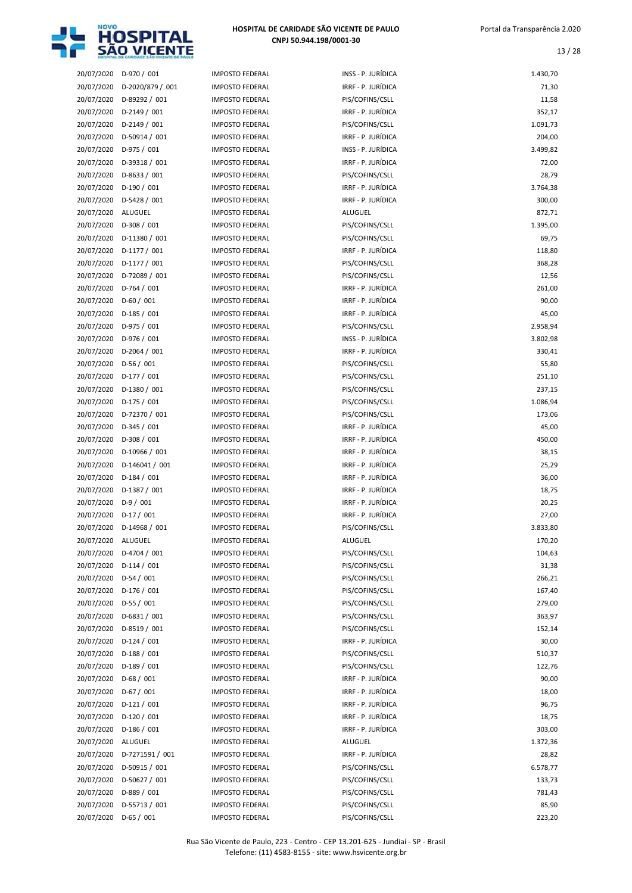

| 20/07/2020               | D-970 / 001                 |
|--------------------------|-----------------------------|
| 20/07/2020               | D-2020/879 / 001            |
| 20/07/2020               | D-89292 / 001               |
| 20/07/2020               | D-2149 / 001                |
| 20/07/2020               | D-2149 / 001                |
| 20/07/2020               | D-50914 / 001               |
| 20/07/2020               | D-975 / 001                 |
| 20/07/2020               | D-39318 / 001               |
| 20/07/2020               | D-8633 / 001                |
| 20/07/2020<br>20/07/2020 | D-190 / 001<br>D-5428 / 001 |
| 20/07/2020               | <b>ALUGUEL</b>              |
| 20/07/2020               | D-308 / 001                 |
| 20/07/2020               | D-11380 / 001               |
| 20/07/2020               | D-1177 / 001                |
| 20/07/2020               | D-1177 / 001                |
| 20/07/2020               | D-72089 / 001               |
| 20/07/2020               | $D-764/001$                 |
| 20/07/2020               | D-60 / 001                  |
| 20/07/2020               | $D-185/001$                 |
| 20/07/2020               | D-975 / 001                 |
| 20/07/2020               | D-976 / 001                 |
| 20/07/2020               | D-2064 / 001                |
| 20/07/2020               | D-56 / 001                  |
| 20/07/2020               | D-177 / 001                 |
| 20/07/2020               | D-1380 / 001                |
| 20/07/2020               | $D-175/001$                 |
| 20/07/2020               | D-72370 / 001               |
| 20/07/2020<br>20/07/2020 | D-345 / 001<br>D-308 / 001  |
| 20/07/2020               | D-10966 / 001               |
| 20/07/2020               | D-146041 / 001              |
| 20/07/2020               | $D-184/001$                 |
| 20/07/2020               | D-1387 / 001                |
| 20/07/2020               | $D-9/001$                   |
| 20/07/2020               | $D-17/001$                  |
| 20/07/2020               | D-14968 / 001               |
| 20/07/2020               | ALUGUEL                     |
| 20/07/2020               | D-4704 / 001                |
| 20/07/2020               | $D-114/001$                 |
| 20/07/2020               | $D-54/001$                  |
| 20/07/2020               | $D-176/001$                 |
| 20/07/2020               | $D-55/001$                  |
| 20/07/2020               | D-6831 / 001                |
| 20/07/2020               | D-8519 / 001                |
| 20/07/2020               | $D-124/001$<br>$D-188/001$  |
| 20/07/2020<br>20/07/2020 | D-189 / 001                 |
| 20/07/2020               | $D-68/001$                  |
| 20/07/2020               | $D-67/001$                  |
| 20/07/2020               | $D-121/001$                 |
| 20/07/2020               | $D-120/001$                 |
| 20/07/2020               | $D-186/001$                 |
| 20/07/2020               | ALUGUEL                     |
| 20/07/2020               | D-7271591 / 001             |
| 20/07/2020               | D-50915 / 001               |
| 20/07/2020               | D-50627 / 001               |
| 20/07/2020               | D-889 / 001                 |
| 20/07/2020               | D-55713 / 001               |
| 20/07/2020               | $D-65/001$                  |

|            | SAU VILENTE      |                        |                    |          |
|------------|------------------|------------------------|--------------------|----------|
| 20/07/2020 | D-970 / 001      | <b>IMPOSTO FEDERAL</b> | INSS - P. JURÍDICA | 1.430,70 |
| 20/07/2020 | D-2020/879 / 001 | <b>IMPOSTO FEDERAL</b> | IRRF - P. JURÍDICA | 71,30    |
| 20/07/2020 | D-89292 / 001    | <b>IMPOSTO FEDERAL</b> | PIS/COFINS/CSLL    | 11,58    |
| 20/07/2020 | $D-2149/001$     | <b>IMPOSTO FEDERAL</b> | IRRF - P. JURÍDICA | 352,17   |
| 20/07/2020 | $D-2149/001$     | <b>IMPOSTO FEDERAL</b> | PIS/COFINS/CSLL    | 1.091,73 |
| 20/07/2020 | $D-50914 / 001$  | <b>IMPOSTO FEDERAL</b> | IRRF - P. JURÍDICA | 204,00   |
| 20/07/2020 | $D-975/001$      | <b>IMPOSTO FEDERAL</b> | INSS - P. JURÍDICA | 3.499,82 |
| 20/07/2020 | D-39318 / 001    | <b>IMPOSTO FEDERAL</b> | IRRF - P. JURÍDICA | 72,00    |
| 20/07/2020 | $D-8633 / 001$   | <b>IMPOSTO FEDERAL</b> | PIS/COFINS/CSLL    | 28,79    |
| 20/07/2020 | $D-190/001$      | <b>IMPOSTO FEDERAL</b> | IRRF - P. JURÍDICA | 3.764,38 |
| 20/07/2020 | D-5428 / 001     | <b>IMPOSTO FEDERAL</b> | IRRF - P. JURÍDICA | 300,00   |
| 20/07/2020 | ALUGUEL          | <b>IMPOSTO FEDERAL</b> | <b>ALUGUEL</b>     | 872,71   |
| 20/07/2020 | $D-308/001$      | <b>IMPOSTO FEDERAL</b> | PIS/COFINS/CSLL    | 1.395,00 |
| 20/07/2020 | $D-11380 / 001$  | <b>IMPOSTO FEDERAL</b> | PIS/COFINS/CSLL    | 69,75    |
| 20/07/2020 | $D-1177/001$     | <b>IMPOSTO FEDERAL</b> | IRRF - P. JURÍDICA | 118,80   |
| 20/07/2020 | $D-1177/001$     | <b>IMPOSTO FEDERAL</b> | PIS/COFINS/CSLL    | 368,28   |
| 20/07/2020 | D-72089 / 001    | <b>IMPOSTO FEDERAL</b> | PIS/COFINS/CSLL    | 12,56    |
| 20/07/2020 | $D-764/001$      | <b>IMPOSTO FEDERAL</b> | IRRF - P. JURÍDICA | 261,00   |
| 20/07/2020 | $D-60/001$       | <b>IMPOSTO FEDERAL</b> | IRRF - P. JURÍDICA | 90,00    |
| 20/07/2020 | $D-185/001$      | <b>IMPOSTO FEDERAL</b> | IRRF - P. JURÍDICA | 45,00    |
| 20/07/2020 | $D-975/001$      | <b>IMPOSTO FEDERAL</b> | PIS/COFINS/CSLL    | 2.958,94 |
| 20/07/2020 | $D-976/001$      | <b>IMPOSTO FEDERAL</b> | INSS - P. JURÍDICA | 3.802,98 |
| 20/07/2020 | $D-2064 / 001$   | <b>IMPOSTO FEDERAL</b> | IRRF - P. JURÍDICA | 330,41   |
| 20/07/2020 | $D-56/001$       | <b>IMPOSTO FEDERAL</b> | PIS/COFINS/CSLL    | 55,80    |
| 20/07/2020 | $D-177/001$      | <b>IMPOSTO FEDERAL</b> | PIS/COFINS/CSLL    | 251,10   |
| 20/07/2020 | $D-1380 / 001$   | <b>IMPOSTO FEDERAL</b> | PIS/COFINS/CSLL    | 237,15   |
| 20/07/2020 | $D-175/001$      | <b>IMPOSTO FEDERAL</b> | PIS/COFINS/CSLL    | 1.086,94 |
| 20/07/2020 | D-72370 / 001    | <b>IMPOSTO FEDERAL</b> | PIS/COFINS/CSLL    | 173,06   |
| 20/07/2020 | $D-345/001$      | <b>IMPOSTO FEDERAL</b> | IRRF - P. JURÍDICA | 45,00    |
| 20/07/2020 | $D-308/001$      | <b>IMPOSTO FEDERAL</b> | IRRF - P. JURÍDICA | 450,00   |
| 20/07/2020 | D-10966 / 001    | <b>IMPOSTO FEDERAL</b> | IRRF - P. JURÍDICA | 38,15    |
| 20/07/2020 | D-146041 / 001   | <b>IMPOSTO FEDERAL</b> | IRRF - P. JURÍDICA | 25,29    |
| 20/07/2020 | $D-184/001$      | <b>IMPOSTO FEDERAL</b> | IRRF - P. JURÍDICA | 36,00    |
| 20/07/2020 | D-1387 / 001     | <b>IMPOSTO FEDERAL</b> | IRRF - P. JURÍDICA | 18,75    |
| 20/07/2020 | $D-9/001$        | <b>IMPOSTO FEDERAL</b> | IRRF - P. JURÍDICA | 20,25    |
| 20/07/2020 | $D-17/001$       | <b>IMPOSTO FEDERAL</b> | IRRF - P. JURÍDICA | 27,00    |
| 20/07/2020 | D-14968 / 001    | IMPOSTO FEDERAL        | PIS/COFINS/CSLL    | 3.833,80 |
| 20/07/2020 | ALUGUEL          | <b>IMPOSTO FEDERAL</b> | ALUGUEL            | 170,20   |
| 20/07/2020 | D-4704 / 001     | <b>IMPOSTO FEDERAL</b> | PIS/COFINS/CSLL    | 104,63   |
| 20/07/2020 | $D-114/001$      | <b>IMPOSTO FEDERAL</b> | PIS/COFINS/CSLL    | 31,38    |
| 20/07/2020 | $D-54/001$       | <b>IMPOSTO FEDERAL</b> | PIS/COFINS/CSLL    | 266,21   |
| 20/07/2020 | $D-176/001$      | <b>IMPOSTO FEDERAL</b> | PIS/COFINS/CSLL    | 167,40   |
| 20/07/2020 | $D-55/001$       | <b>IMPOSTO FEDERAL</b> | PIS/COFINS/CSLL    | 279,00   |
| 20/07/2020 | $D-6831 / 001$   | <b>IMPOSTO FEDERAL</b> | PIS/COFINS/CSLL    | 363,97   |
| 20/07/2020 | $D-8519/001$     | <b>IMPOSTO FEDERAL</b> | PIS/COFINS/CSLL    | 152,14   |
| 20/07/2020 | $D-124/001$      | <b>IMPOSTO FEDERAL</b> | IRRF - P. JURÍDICA | 30,00    |
| 20/07/2020 | $D-188/001$      | <b>IMPOSTO FEDERAL</b> | PIS/COFINS/CSLL    | 510,37   |
| 20/07/2020 | $D-189/001$      | <b>IMPOSTO FEDERAL</b> | PIS/COFINS/CSLL    | 122,76   |
| 20/07/2020 | $D-68/001$       | IMPOSTO FEDERAL        | IRRF - P. JURÍDICA | 90,00    |
| 20/07/2020 | $D-67/001$       | IMPOSTO FEDERAL        | IRRF - P. JURÍDICA | 18,00    |
| 20/07/2020 | $D-121/001$      | <b>IMPOSTO FEDERAL</b> | IRRF - P. JURÍDICA | 96,75    |
| 20/07/2020 | $D-120/001$      | <b>IMPOSTO FEDERAL</b> | IRRF - P. JURÍDICA | 18,75    |
| 20/07/2020 | $D-186/001$      | <b>IMPOSTO FEDERAL</b> | IRRF - P. JURÍDICA | 303,00   |
| 20/07/2020 | ALUGUEL          | <b>IMPOSTO FEDERAL</b> | ALUGUEL            | 1.372,36 |
| 20/07/2020 | D-7271591 / 001  | IMPOSTO FEDERAL        | IRRF - P. JURÍDICA | 28,82    |
| 20/07/2020 | D-50915 / 001    | IMPOSTO FEDERAL        | PIS/COFINS/CSLL    | 6.578,77 |
| 20/07/2020 | $D-50627 / 001$  | <b>IMPOSTO FEDERAL</b> | PIS/COFINS/CSLL    | 133,73   |
| 20/07/2020 | $D-889/001$      | <b>IMPOSTO FEDERAL</b> | PIS/COFINS/CSLL    | 781,43   |
| 20/07/2020 | D-55713 / 001    | IMPOSTO FEDERAL        | PIS/COFINS/CSLL    | 85,90    |
| 20/07/2020 | $D-65/001$       | <b>IMPOSTO FEDERAL</b> | PIS/COFINS/CSLL    | 223,20   |
|            |                  |                        |                    |          |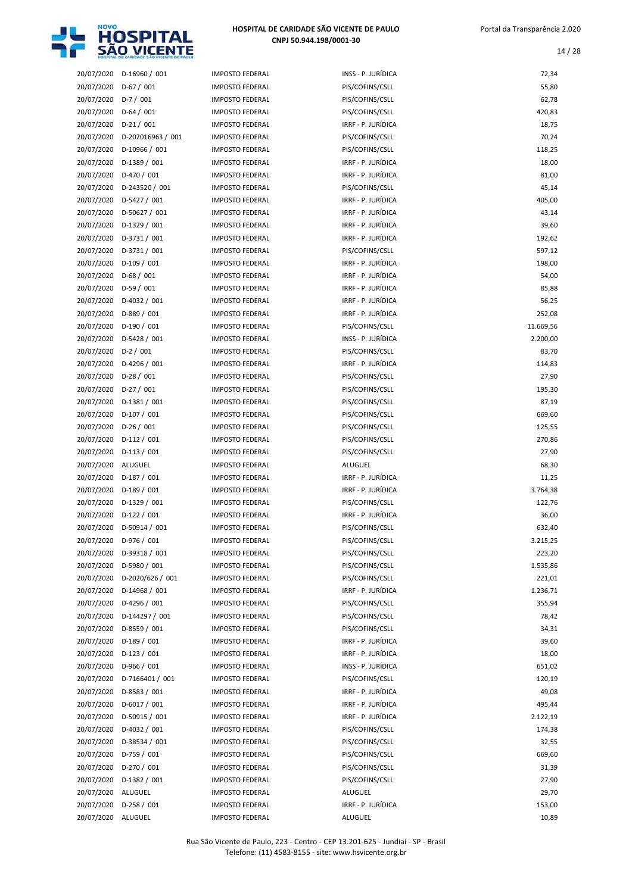

| 20/07/2020 | D-16960 / 001     |
|------------|-------------------|
| 20/07/2020 | $D-67/001$        |
| 20/07/2020 | $D-7/001$         |
| 20/07/2020 | $D-64/001$        |
| 20/07/2020 | $D-21/001$        |
|            |                   |
| 20/07/2020 | D-202016963 / 001 |
| 20/07/2020 | D-10966 / 001     |
| 20/07/2020 | D-1389 / 001      |
| 20/07/2020 | D-470 / 001       |
| 20/07/2020 | D-243520 / 001    |
| 20/07/2020 | D-5427 / 001      |
| 20/07/2020 | D-50627 / 001     |
| 20/07/2020 | D-1329 / 001      |
| 20/07/2020 | D-3731 / 001      |
| 20/07/2020 | D-3731 / 001      |
| 20/07/2020 | $D-109/001$       |
| 20/07/2020 | $D-68/001$        |
| 20/07/2020 | D-59 / 001        |
| 20/07/2020 | D-4032 / 001      |
| 20/07/2020 | D-889 / 001       |
| 20/07/2020 | D-190 / 001       |
| 20/07/2020 | D-5428 / 001      |
| 20/07/2020 | $D-2 / 001$       |
| 20/07/2020 | D-4296 / 001      |
| 20/07/2020 | D-28 / 001        |
| 20/07/2020 | D-27 / 001        |
| 20/07/2020 | $D-1381/001$      |
| 20/07/2020 | D-107 / 001       |
| 20/07/2020 | $D-26/001$        |
| 20/07/2020 | $D-112/001$       |
| 20/07/2020 | $D-113/001$       |
| 20/07/2020 | ALUGUEL           |
| 20/07/2020 | $D-187/001$       |
|            |                   |
|            |                   |
| 20/07/2020 | D-189 / 001       |
| 20/07/2020 | D-1329 / 001      |
| 20/07/2020 | $D-122 / 001$     |
| 20/07/2020 | D-50914 / 001     |
| 20/07/2020 | D-976 / 001       |
| 20/07/2020 | D-39318 / 001     |
| 20/07/2020 | D-5980 / 001      |
| 20/07/2020 | D-2020/626 / 001  |
| 20/07/2020 | D-14968 / 001     |
| 20/07/2020 | D-4296 / 001      |
| 20/07/2020 | D-144297 / 001    |
| 20/07/2020 | D-8559 / 001      |
| 20/07/2020 | $D-189/001$       |
| 20/07/2020 | $D-123/001$       |
| 20/07/2020 | D-966 / 001       |
| 20/07/2020 | D-7166401 / 001   |
| 20/07/2020 | D-8583 / 001      |
| 20/07/2020 | D-6017 / 001      |
| 20/07/2020 | D-50915 / 001     |
| 20/07/2020 | D-4032 / 001      |
| 20/07/2020 | D-38534 / 001     |
| 20/07/2020 | D-759 / 001       |
| 20/07/2020 | D-270 / 001       |
| 20/07/2020 | D-1382 / 001      |
| 20/07/2020 | <b>ALUGUEL</b>    |
| 20/07/2020 | $D-258/001$       |

| <b>IPOSTO FEDERAL</b> |
|-----------------------|
| <b>IPOSTO FEDERAL</b> |
| <b>IPOSTO FEDERAL</b> |
| <b>IPOSTO FEDERAL</b> |
| <b>IPOSTO FEDERAL</b> |
| <b>IPOSTO FEDERAL</b> |
| <b>IPOSTO FEDERAL</b> |
| <b>IPOSTO FEDERAL</b> |
| <b>IPOSTO FEDERAL</b> |
| 1POSTO FEDERAL        |
| <b>IPOSTO FEDERAL</b> |
| <b>IPOSTO FEDERAL</b> |
| 1POSTO FEDERAL        |
| <b>IPOSTO FEDERAL</b> |
| <b>IPOSTO FEDERAL</b> |
| <b>IPOSTO FEDERAL</b> |
| <b>IPOSTO FEDERAL</b> |
| <b>IPOSTO FEDERAL</b> |
| <b>IPOSTO FEDERAL</b> |
| <b>IPOSTO FEDERAL</b> |
| <b>IPOSTO FEDERAL</b> |
| <b>IPOSTO FEDERAL</b> |
| <b>IPOSTO FEDERAL</b> |
| <b>IPOSTO FEDERAL</b> |
| <b>IPOSTO FEDERAL</b> |
| <b>IPOSTO FEDERAL</b> |
| <b>IPOSTO FEDERAL</b> |
| <b>IPOSTO FEDERAL</b> |
|                       |
|                       |
| <b>IPOSTO FEDERAL</b> |
| <b>IPOSTO FEDERAL</b> |
| <b>IPOSTO FEDERAL</b> |
| <b>IPOSTO FEDERAL</b> |
| <b>IPOSTO FEDERAL</b> |
| <b>IPOSTO FEDERAL</b> |
| <b>IPOSTO FEDERAL</b> |
| <b>IPOSTO FEDERAL</b> |
| <b>IPOSTO FEDERAL</b> |
| <b>IPOSTO FEDERAL</b> |
| 1POSTO FEDERAL        |
| <b>IPOSTO FEDERAL</b> |
| <b>IPOSTO FEDERAL</b> |
| <b>IPOSTO FEDERAL</b> |
| <b>IPOSTO FEDERAL</b> |
| <b>IPOSTO FEDERAL</b> |
| <b>IPOSTO FEDERAL</b> |
| <b>IPOSTO FEDERAL</b> |
| <b>IPOSTO FEDERAL</b> |
| <b>IPOSTO FEDERAL</b> |
| 1POSTO FEDERAL        |
| <b>IPOSTO FEDERAL</b> |
| <b>IPOSTO FEDERAL</b> |
| 1POSTO FEDERAL        |
| 1POSTO FEDERAL        |
| <b>IPOSTO FEDERAL</b> |
| 1POSTO FEDERAL        |
| <b>IPOSTO FEDERAL</b> |
| <b>IPOSTO FEDERAL</b> |

|            | HOZPITAL DE CARIDADE SÃO VICENTE DE PAULI |                        |                    |           |
|------------|-------------------------------------------|------------------------|--------------------|-----------|
| 20/07/2020 | $D-16960 / 001$                           | <b>IMPOSTO FEDERAL</b> | INSS - P. JURÍDICA | 72,34     |
| 20/07/2020 | $D-67/001$                                | <b>IMPOSTO FEDERAL</b> | PIS/COFINS/CSLL    | 55,80     |
| 20/07/2020 | $D-7/001$                                 | <b>IMPOSTO FEDERAL</b> | PIS/COFINS/CSLL    | 62,78     |
| 20/07/2020 | $D-64/001$                                | <b>IMPOSTO FEDERAL</b> | PIS/COFINS/CSLL    | 420,83    |
| 20/07/2020 | $D-21/001$                                | <b>IMPOSTO FEDERAL</b> | IRRF - P. JURÍDICA | 18,75     |
| 20/07/2020 | D-202016963 / 001                         | <b>IMPOSTO FEDERAL</b> | PIS/COFINS/CSLL    | 70,24     |
| 20/07/2020 | D-10966 / 001                             | <b>IMPOSTO FEDERAL</b> | PIS/COFINS/CSLL    | 118,25    |
| 20/07/2020 | $D-1389/001$                              | <b>IMPOSTO FEDERAL</b> | IRRF - P. JURÍDICA | 18,00     |
| 20/07/2020 | $D-470/001$                               | <b>IMPOSTO FEDERAL</b> | IRRF - P. JURÍDICA | 81,00     |
| 20/07/2020 | D-243520 / 001                            | <b>IMPOSTO FEDERAL</b> | PIS/COFINS/CSLL    | 45,14     |
| 20/07/2020 | D-5427 / 001                              | <b>IMPOSTO FEDERAL</b> | IRRF - P. JURÍDICA | 405,00    |
| 20/07/2020 | D-50627 / 001                             | <b>IMPOSTO FEDERAL</b> | IRRF - P. JURÍDICA | 43,14     |
| 20/07/2020 | $D-1329/001$                              | <b>IMPOSTO FEDERAL</b> | IRRF - P. JURÍDICA | 39,60     |
| 20/07/2020 | $D-3731/001$                              | <b>IMPOSTO FEDERAL</b> | IRRF - P. JURÍDICA | 192,62    |
| 20/07/2020 | $D-3731/001$                              | <b>IMPOSTO FEDERAL</b> | PIS/COFINS/CSLL    | 597,12    |
| 20/07/2020 | $D-109/001$                               | <b>IMPOSTO FEDERAL</b> | IRRF - P. JURÍDICA | 198,00    |
| 20/07/2020 | $D-68/001$                                | <b>IMPOSTO FEDERAL</b> | IRRF - P. JURÍDICA | 54,00     |
| 20/07/2020 | $D-59/001$                                | <b>IMPOSTO FEDERAL</b> | IRRF - P. JURÍDICA | 85,88     |
| 20/07/2020 | D-4032 / 001                              | <b>IMPOSTO FEDERAL</b> | IRRF - P. JURÍDICA | 56,25     |
| 20/07/2020 | $D-889/001$                               | <b>IMPOSTO FEDERAL</b> | IRRF - P. JURÍDICA | 252,08    |
| 20/07/2020 | $D-190/001$                               | <b>IMPOSTO FEDERAL</b> | PIS/COFINS/CSLL    | 11.669,56 |
| 20/07/2020 | D-5428 / 001                              | <b>IMPOSTO FEDERAL</b> | INSS - P. JURÍDICA | 2.200,00  |
| 20/07/2020 | $D-2/001$                                 | <b>IMPOSTO FEDERAL</b> | PIS/COFINS/CSLL    | 83,70     |
| 20/07/2020 | D-4296 / 001                              | <b>IMPOSTO FEDERAL</b> | IRRF - P. JURÍDICA | 114,83    |
| 20/07/2020 | $D-28/001$                                | <b>IMPOSTO FEDERAL</b> | PIS/COFINS/CSLL    | 27,90     |
| 20/07/2020 | $D-27/001$                                | <b>IMPOSTO FEDERAL</b> | PIS/COFINS/CSLL    | 195,30    |
| 20/07/2020 | $D-1381/001$                              | <b>IMPOSTO FEDERAL</b> | PIS/COFINS/CSLL    | 87,19     |
| 20/07/2020 | $D-107/001$                               | <b>IMPOSTO FEDERAL</b> | PIS/COFINS/CSLL    | 669,60    |
| 20/07/2020 | $D-26/001$                                | <b>IMPOSTO FEDERAL</b> | PIS/COFINS/CSLL    | 125,55    |
| 20/07/2020 | $D-112/001$                               | <b>IMPOSTO FEDERAL</b> | PIS/COFINS/CSLL    | 270,86    |
| 20/07/2020 | $D-113/001$                               | <b>IMPOSTO FEDERAL</b> | PIS/COFINS/CSLL    | 27,90     |
| 20/07/2020 | ALUGUEL                                   | <b>IMPOSTO FEDERAL</b> | <b>ALUGUEL</b>     | 68,30     |
| 20/07/2020 | $D-187/001$                               | <b>IMPOSTO FEDERAL</b> | IRRF - P. JURÍDICA | 11,25     |
| 20/07/2020 | $D-189/001$                               | <b>IMPOSTO FEDERAL</b> | IRRF - P. JURÍDICA | 3.764,38  |
| 20/07/2020 | $D-1329/001$                              | <b>IMPOSTO FEDERAL</b> | PIS/COFINS/CSLL    | 122,76    |
| 20/07/2020 | $D-122/001$                               | <b>IMPOSTO FEDERAL</b> | IRRF - P. JURÍDICA | 36,00     |
| 20/07/2020 | $D-50914 / 001$                           | <b>IMPOSTO FEDERAL</b> | PIS/COFINS/CSLL    | 632,40    |
| 20/07/2020 | $D-976 / 001$                             | <b>IMPOSTO FEDERAL</b> | PIS/COFINS/CSLL    | 3.215,25  |
| 20/07/2020 | D-39318 / 001                             | <b>IMPOSTO FEDERAL</b> | PIS/COFINS/CSLL    | 223,20    |
| 20/07/2020 | D-5980 / 001                              | <b>IMPOSTO FEDERAL</b> | PIS/COFINS/CSLL    | 1.535,86  |
| 20/07/2020 | D-2020/626 / 001                          | <b>IMPOSTO FEDERAL</b> | PIS/COFINS/CSLL    | 221,01    |
| 20/07/2020 | D-14968 / 001                             | <b>IMPOSTO FEDERAL</b> | IRRF - P. JURÍDICA | 1.236,71  |
| 20/07/2020 | D-4296 / 001                              | <b>IMPOSTO FEDERAL</b> | PIS/COFINS/CSLL    | 355,94    |
| 20/07/2020 | D-144297 / 001                            | <b>IMPOSTO FEDERAL</b> | PIS/COFINS/CSLL    | 78,42     |
| 20/07/2020 | D-8559 / 001                              | <b>IMPOSTO FEDERAL</b> | PIS/COFINS/CSLL    | 34,31     |
| 20/07/2020 | $D-189/001$                               | <b>IMPOSTO FEDERAL</b> | IRRF - P. JURÍDICA | 39,60     |
| 20/07/2020 | $D-123/001$                               | <b>IMPOSTO FEDERAL</b> | IRRF - P. JURÍDICA | 18,00     |
| 20/07/2020 | $D-966 / 001$                             | <b>IMPOSTO FEDERAL</b> | INSS - P. JURÍDICA | 651,02    |
| 20/07/2020 | D-7166401 / 001                           | <b>IMPOSTO FEDERAL</b> | PIS/COFINS/CSLL    | 120,19    |
| 20/07/2020 | $D-8583 / 001$                            | <b>IMPOSTO FEDERAL</b> | IRRF - P. JURÍDICA | 49,08     |
| 20/07/2020 | D-6017 / 001                              | <b>IMPOSTO FEDERAL</b> | IRRF - P. JURÍDICA | 495,44    |
| 20/07/2020 | D-50915 / 001                             | <b>IMPOSTO FEDERAL</b> | IRRF - P. JURÍDICA | 2.122,19  |
| 20/07/2020 | $D-4032 / 001$                            | <b>IMPOSTO FEDERAL</b> | PIS/COFINS/CSLL    | 174,38    |
| 20/07/2020 | D-38534 / 001                             | <b>IMPOSTO FEDERAL</b> | PIS/COFINS/CSLL    | 32,55     |
| 20/07/2020 | $D-759/001$                               | <b>IMPOSTO FEDERAL</b> | PIS/COFINS/CSLL    | 669,60    |
| 20/07/2020 | $D-270/001$                               | <b>IMPOSTO FEDERAL</b> | PIS/COFINS/CSLL    | 31,39     |
| 20/07/2020 | $D-1382 / 001$                            | <b>IMPOSTO FEDERAL</b> | PIS/COFINS/CSLL    | 27,90     |
| 20/07/2020 | ALUGUEL                                   | <b>IMPOSTO FEDERAL</b> | <b>ALUGUEL</b>     | 29,70     |
| 20/07/2020 | $D-258/001$                               | <b>IMPOSTO FEDERAL</b> | IRRF - P. JURÍDICA | 153,00    |
| 20/07/2020 | ALUGUEL                                   | <b>IMPOSTO FEDERAL</b> | ALUGUEL            | 10,89     |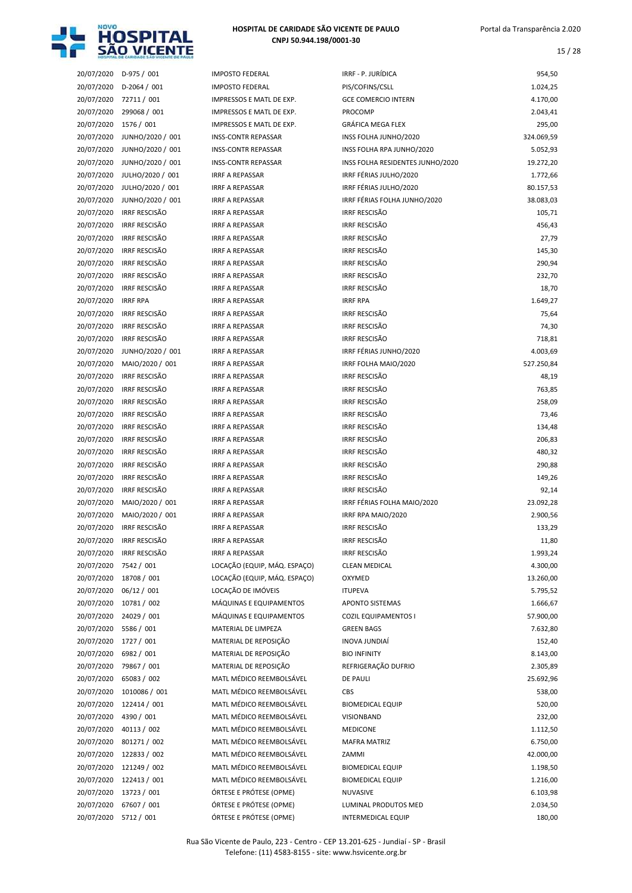

| 20/07/2020               | D-975 / 001                                  | IMF                      |
|--------------------------|----------------------------------------------|--------------------------|
| 20/07/2020               | D-2064 / 001                                 | IMF                      |
| 20/07/2020               | 72711 / 001                                  | IMF                      |
| 20/07/2020               | 299068 / 001                                 | IMF                      |
| 20/07/2020               | 1576 / 001                                   | IMF                      |
| 20/07/2020               | JUNHO/2020 / 001                             | INS:                     |
| 20/07/2020               | JUNHO/2020 / 001                             | INS:                     |
| 20/07/2020               | JUNHO/2020 / 001                             | INS:                     |
| 20/07/2020               | JULHO/2020 / 001                             | <b>IRR</b>               |
| 20/07/2020               | JULHO/2020 / 001                             | <b>IRR</b>               |
| 20/07/2020               | JUNHO/2020 / 001                             | <b>IRR</b>               |
| 20/07/2020               | <b>IRRF RESCISÃO</b><br><b>IRRF RESCISÃO</b> | <b>IRR</b>               |
| 20/07/2020<br>20/07/2020 | <b>IRRF RESCISÃO</b>                         | <b>IRR</b><br><b>IRR</b> |
| 20/07/2020               | <b>IRRF RESCISÃO</b>                         | <b>IRR</b>               |
| 20/07/2020               | <b>IRRF RESCISÃO</b>                         | <b>IRR</b>               |
| 20/07/2020               | <b>IRRF RESCISÃO</b>                         | <b>IRR</b>               |
| 20/07/2020               | <b>IRRF RESCISÃO</b>                         | <b>IRR</b>               |
| 20/07/2020               | <b>IRRF RPA</b>                              | <b>IRR</b>               |
| 20/07/2020               | <b>IRRF RESCISÃO</b>                         | <b>IRR</b>               |
| 20/07/2020               | <b>IRRF RESCISÃO</b>                         | <b>IRR</b>               |
| 20/07/2020               | <b>IRRF RESCISÃO</b>                         | <b>IRR</b>               |
| 20/07/2020               | JUNHO/2020 / 001                             | <b>IRR</b>               |
| 20/07/2020               | MAIO/2020 / 001                              | <b>IRR</b>               |
| 20/07/2020               | <b>IRRF RESCISÃO</b>                         | <b>IRR</b>               |
| 20/07/2020               | <b>IRRF RESCISÃO</b>                         | <b>IRR</b>               |
| 20/07/2020               | <b>IRRF RESCISÃO</b>                         | <b>IRR</b>               |
| 20/07/2020               | <b>IRRF RESCISÃO</b>                         | <b>IRR</b>               |
| 20/07/2020               | <b>IRRF RESCISÃO</b>                         | <b>IRR</b>               |
| 20/07/2020               | <b>IRRF RESCISÃO</b>                         | <b>IRR</b>               |
| 20/07/2020               | <b>IRRF RESCISÃO</b>                         | <b>IRR</b>               |
| 20/07/2020               | <b>IRRF RESCISÃO</b>                         | <b>IRR</b>               |
| 20/07/2020               | <b>IRRF RESCISÃO</b>                         | <b>IRR</b>               |
| 20/07/2020               | <b>IRRF RESCISÃO</b>                         | <b>IRR</b>               |
| 20/07/2020               | MAIO/2020 / 001                              | <b>IRR</b>               |
| 20/07/2020               | MAIO/2020 / 001                              | <b>IRR</b>               |
| 20/07/2020               | <b>IRRF RESCISÃO</b>                         | <b>IRR</b>               |
| 20/07/2020               | <b>IRRF RESCISÃO</b>                         | IRR                      |
| 20/07/2020               | <b>IRRF RESCISÃO</b>                         | <b>IRR</b>               |
| 20/07/2020               | 7542 / 001                                   | LOC                      |
| 20/07/2020               | 18708 / 001                                  | LOC                      |
| 20/07/2020               | 06/12 / 001                                  | LOC                      |
| 20/07/2020               | 10781 / 002                                  | MÁ                       |
| 20/07/2020               | 24029 / 001                                  | MÁ                       |
| 20/07/2020               | 5586 / 001                                   | МA                       |
| 20/07/2020               | 1727 / 001                                   | MA                       |
| 20/07/2020               | 6982 / 001                                   | МA                       |
| 20/07/2020               | 79867 / 001                                  | MA                       |
| 20/07/2020               | 65083 / 002                                  | MA                       |
| 20/07/2020               | 1010086 / 001                                | MA                       |
| 20/07/2020               | 122414 / 001                                 | МA<br>МA                 |
| 20/07/2020               | 4390 / 001                                   | MA                       |
| 20/07/2020<br>20/07/2020 | 40113 / 002<br>801271 / 002                  | МA                       |
| 20/07/2020               | 122833 / 002                                 | МA                       |
| 20/07/2020               | 121249 / 002                                 | МA                       |
| 20/07/2020               | 122413 / 001                                 | МA                       |
| 20/07/2020               | 13723 / 001                                  | ÓR1                      |
| 20/07/2020               | 67607 / 001                                  | ÓR1                      |
|                          |                                              |                          |

| POSTO FEDERAL                 |
|-------------------------------|
| POSTO FEDERAL                 |
| PRESSOS E MATL DE EXP.        |
| PRESSOS E MATL DE EXP.        |
| PRESSOS E MATL DE EXP.        |
| SS-CONTR REPASSAR             |
| SS-CONTR REPASSAR             |
| SS-CONTR REPASSAR             |
| RF A REPASSAR                 |
|                               |
| RF A REPASSAR                 |
| RF A REPASSAR                 |
| RF A REPASSAR                 |
| RF A REPASSAR                 |
| RF A REPASSAR                 |
| <b>RF A REPASSAR</b>          |
| RF A REPASSAR                 |
| RF A REPASSAR                 |
| RF A REPASSAR                 |
| RF A REPASSAR                 |
| RF A REPASSAR                 |
| RF A REPASSAR                 |
|                               |
| RF A REPASSAR                 |
| RF A REPASSAR                 |
| RF A REPASSAR                 |
| RF A REPASSAR                 |
| RF A REPASSAR                 |
| RF A REPASSAR                 |
| RF A REPASSAR                 |
| RF A REPASSAR                 |
| RF A REPASSAR                 |
| RF A REPASSAR                 |
| RF A REPASSAR                 |
| RF A REPASSAR                 |
| RF A REPASSAR                 |
|                               |
| RF A REPASSAR                 |
| RF A REPASSAR                 |
| RF A REPASSAR                 |
| RF A REPASSAR                 |
| RF A REPASSAR                 |
| CAÇÃO (EQUIP, MÁQ. ESPACC     |
| CAÇÃO (EQUIP, MÁQ. ESPAÇO     |
| CAÇÃO DE IMÓVEIS              |
| ÁQUINAS E EQUIPAMENTOS        |
| ÁQUINAS E EQUIPAMENTOS        |
| ATERIAL DE LIMPEZA            |
| ATERIAL DE REPOSIÇÃO          |
| ATERIAL DE REPOSIÇÃO          |
|                               |
| ATERIAL DE REPOSIÇÃO          |
| ATL MÉDICO REEMBOLSÁVEL       |
| ATL MÉDICO REEMBOLSÁVEL       |
| ATL MÉDICO REEMBOLSÁVEL       |
| ATL MÉDICO REEMBOLSÁVEL       |
| ATL MÉDICO REEMBOLSÁVEL       |
| ATL MÉDICO REEMBOLSÁVEL       |
| ATL MÉDICO REEMBOLSÁVEL       |
| ATL MÉDICO REEMBOLSÁVEL       |
| ATL MÉDICO REEMBOLSÁVEL       |
| <b>ITESE E PRÓTESE (OPME)</b> |
| RTESE E PRÓTESE (OPME)        |
|                               |

|            | 20/07/2020 D-975 / 001   | <b>IMPOSTO FEDERAL</b>       | IRRF - P. JURÍDICA                             | 954,50     |
|------------|--------------------------|------------------------------|------------------------------------------------|------------|
| 20/07/2020 | D-2064 / 001             | <b>IMPOSTO FEDERAL</b>       | PIS/COFINS/CSLL                                | 1.024,25   |
| 20/07/2020 | 72711 / 001              | IMPRESSOS E MATL DE EXP.     | <b>GCE COMERCIO INTERN</b>                     | 4.170,00   |
| 20/07/2020 | 299068 / 001             | IMPRESSOS E MATL DE EXP.     | <b>PROCOMP</b>                                 | 2.043,41   |
| 20/07/2020 | 1576 / 001               | IMPRESSOS E MATL DE EXP.     | GRÁFICA MEGA FLEX                              | 295,00     |
| 20/07/2020 | JUNHO/2020 / 001         | <b>INSS-CONTR REPASSAR</b>   | INSS FOLHA JUNHO/2020                          | 324.069,59 |
| 20/07/2020 | JUNHO/2020 / 001         | <b>INSS-CONTR REPASSAR</b>   | INSS FOLHA RPA JUNHO/2020                      | 5.052,93   |
| 20/07/2020 | JUNHO/2020 / 001         | <b>INSS-CONTR REPASSAR</b>   | INSS FOLHA RESIDENTES JUNHO/2020               | 19.272,20  |
| 20/07/2020 | JULHO/2020 / 001         | <b>IRRF A REPASSAR</b>       | IRRF FÉRIAS JULHO/2020                         | 1.772,66   |
| 20/07/2020 | JULHO/2020 / 001         | <b>IRRF A REPASSAR</b>       | IRRF FÉRIAS JULHO/2020                         | 80.157,53  |
| 20/07/2020 | JUNHO/2020 / 001         | <b>IRRF A REPASSAR</b>       | IRRF FÉRIAS FOLHA JUNHO/2020                   | 38.083,03  |
| 20/07/2020 | <b>IRRF RESCISÃO</b>     | <b>IRRF A REPASSAR</b>       | <b>IRRF RESCISÃO</b>                           | 105,71     |
| 20/07/2020 | <b>IRRF RESCISÃO</b>     | <b>IRRF A REPASSAR</b>       | <b>IRRF RESCISÃO</b>                           | 456,43     |
| 20/07/2020 | <b>IRRF RESCISÃO</b>     | <b>IRRF A REPASSAR</b>       | <b>IRRF RESCISÃO</b>                           | 27,79      |
| 20/07/2020 | <b>IRRF RESCISÃO</b>     | <b>IRRF A REPASSAR</b>       | <b>IRRF RESCISÃO</b>                           | 145,30     |
| 20/07/2020 | <b>IRRF RESCISÃO</b>     | <b>IRRF A REPASSAR</b>       | <b>IRRF RESCISÃO</b>                           | 290,94     |
| 20/07/2020 | <b>IRRF RESCISÃO</b>     | <b>IRRF A REPASSAR</b>       | <b>IRRF RESCISÃO</b>                           | 232,70     |
| 20/07/2020 | <b>IRRF RESCISÃO</b>     | <b>IRRF A REPASSAR</b>       | <b>IRRF RESCISÃO</b>                           | 18,70      |
| 20/07/2020 | <b>IRRF RPA</b>          | <b>IRRF A REPASSAR</b>       | <b>IRRF RPA</b>                                | 1.649,27   |
| 20/07/2020 | <b>IRRF RESCISÃO</b>     | <b>IRRF A REPASSAR</b>       | <b>IRRF RESCISÃO</b>                           | 75,64      |
|            | <b>IRRF RESCISÃO</b>     | <b>IRRF A REPASSAR</b>       | <b>IRRF RESCISÃO</b>                           |            |
| 20/07/2020 |                          |                              |                                                | 74,30      |
| 20/07/2020 | <b>IRRF RESCISÃO</b>     | <b>IRRF A REPASSAR</b>       | <b>IRRF RESCISÃO</b><br>IRRF FÉRIAS JUNHO/2020 | 718,81     |
| 20/07/2020 | JUNHO/2020 / 001         | <b>IRRF A REPASSAR</b>       |                                                | 4.003,69   |
| 20/07/2020 | MAIO/2020 / 001          | <b>IRRF A REPASSAR</b>       | IRRF FOLHA MAIO/2020                           | 527.250,84 |
| 20/07/2020 | <b>IRRF RESCISÃO</b>     | <b>IRRF A REPASSAR</b>       | <b>IRRF RESCISÃO</b>                           | 48,19      |
| 20/07/2020 | <b>IRRF RESCISÃO</b>     | <b>IRRF A REPASSAR</b>       | <b>IRRF RESCISÃO</b>                           | 763,85     |
| 20/07/2020 | <b>IRRF RESCISÃO</b>     | <b>IRRF A REPASSAR</b>       | <b>IRRF RESCISÃO</b>                           | 258,09     |
| 20/07/2020 | <b>IRRF RESCISÃO</b>     | <b>IRRF A REPASSAR</b>       | <b>IRRF RESCISÃO</b>                           | 73,46      |
| 20/07/2020 | <b>IRRF RESCISÃO</b>     | <b>IRRF A REPASSAR</b>       | <b>IRRF RESCISÃO</b>                           | 134,48     |
| 20/07/2020 | <b>IRRF RESCISÃO</b>     | <b>IRRF A REPASSAR</b>       | <b>IRRF RESCISÃO</b>                           | 206,83     |
| 20/07/2020 | <b>IRRF RESCISÃO</b>     | <b>IRRF A REPASSAR</b>       | <b>IRRF RESCISÃO</b>                           | 480,32     |
| 20/07/2020 | <b>IRRF RESCISÃO</b>     | <b>IRRF A REPASSAR</b>       | <b>IRRF RESCISÃO</b>                           | 290,88     |
| 20/07/2020 | <b>IRRF RESCISÃO</b>     | <b>IRRF A REPASSAR</b>       | <b>IRRF RESCISÃO</b>                           | 149,26     |
| 20/07/2020 | <b>IRRF RESCISÃO</b>     | <b>IRRF A REPASSAR</b>       | <b>IRRF RESCISÃO</b>                           | 92,14      |
| 20/07/2020 | MAIO/2020 / 001          | <b>IRRF A REPASSAR</b>       | IRRF FÉRIAS FOLHA MAIO/2020                    | 23.092,28  |
| 20/07/2020 | MAIO/2020 / 001          | <b>IRRF A REPASSAR</b>       | IRRF RPA MAIO/2020                             | 2.900,56   |
| 20/07/2020 | <b>IRRF RESCISÃO</b>     | <b>IRRF A REPASSAR</b>       | <b>IRRF RESCISÃO</b>                           | 133,29     |
|            | 20/07/2020 IRRF RESCISÃO | <b>IRRF A REPASSAR</b>       | <b>IRRF RESCISÃO</b>                           | 11,80      |
| 20/07/2020 | IRRF RESCISÃO            | <b>IRRF A REPASSAR</b>       | <b>IRRF RESCISÃO</b>                           | 1.993,24   |
| 20/07/2020 | 7542 / 001               | LOCAÇÃO (EQUIP, MÁQ. ESPAÇO) | <b>CLEAN MEDICAL</b>                           | 4.300,00   |
| 20/07/2020 | 18708 / 001              | LOCAÇÃO (EQUIP, MÁQ. ESPAÇO) | OXYMED                                         | 13.260,00  |
|            | 20/07/2020 06/12 / 001   | LOCAÇÃO DE IMÓVEIS           | <b>ITUPEVA</b>                                 | 5.795,52   |
| 20/07/2020 | 10781/002                | MÁQUINAS E EQUIPAMENTOS      | <b>APONTO SISTEMAS</b>                         | 1.666,67   |
| 20/07/2020 | 24029 / 001              | MÁQUINAS E EQUIPAMENTOS      | <b>COZIL EQUIPAMENTOS I</b>                    | 57.900,00  |
| 20/07/2020 | 5586 / 001               | MATERIAL DE LIMPEZA          | <b>GREEN BAGS</b>                              | 7.632,80   |
| 20/07/2020 | 1727 / 001               | MATERIAL DE REPOSIÇÃO        | INOVA JUNDIAÍ                                  | 152,40     |
| 20/07/2020 | 6982 / 001               | MATERIAL DE REPOSIÇÃO        | <b>BIO INFINITY</b>                            | 8.143,00   |
| 20/07/2020 | 79867 / 001              | MATERIAL DE REPOSIÇÃO        | REFRIGERAÇÃO DUFRIO                            | 2.305,89   |
| 20/07/2020 | 65083 / 002              | MATL MÉDICO REEMBOLSÁVEL     | <b>DE PAULI</b>                                | 25.692,96  |
| 20/07/2020 | 1010086 / 001            | MATL MÉDICO REEMBOLSÁVEL     | CBS                                            | 538,00     |
| 20/07/2020 | 122414 / 001             | MATL MÉDICO REEMBOLSÁVEL     | <b>BIOMEDICAL EQUIP</b>                        | 520,00     |
| 20/07/2020 | 4390 / 001               | MATL MÉDICO REEMBOLSÁVEL     | VISIONBAND                                     | 232,00     |
| 20/07/2020 | 40113 / 002              | MATL MÉDICO REEMBOLSÁVEL     | <b>MEDICONE</b>                                | 1.112,50   |
| 20/07/2020 | 801271 / 002             | MATL MÉDICO REEMBOLSÁVEL     | <b>MAFRA MATRIZ</b>                            | 6.750,00   |
| 20/07/2020 | 122833 / 002             | MATL MÉDICO REEMBOLSÁVEL     | ZAMMI                                          | 42.000,00  |
| 20/07/2020 | 121249 / 002             | MATL MÉDICO REEMBOLSÁVEL     | <b>BIOMEDICAL EQUIP</b>                        | 1.198,50   |
| 20/07/2020 | 122413 / 001             | MATL MÉDICO REEMBOLSÁVEL     | <b>BIOMEDICAL EQUIP</b>                        | 1.216,00   |
| 20/07/2020 | 13723 / 001              | ÓRTESE E PRÓTESE (OPME)      | NUVASIVE                                       | 6.103,98   |
| 20/07/2020 | 67607 / 001              | ÓRTESE E PRÓTESE (OPME)      | LUMINAL PRODUTOS MED                           | 2.034,50   |
| 20/07/2020 | 5712 / 001               | ÓRTESE E PRÓTESE (OPME)      | INTERMEDICAL EQUIP                             | 180,00     |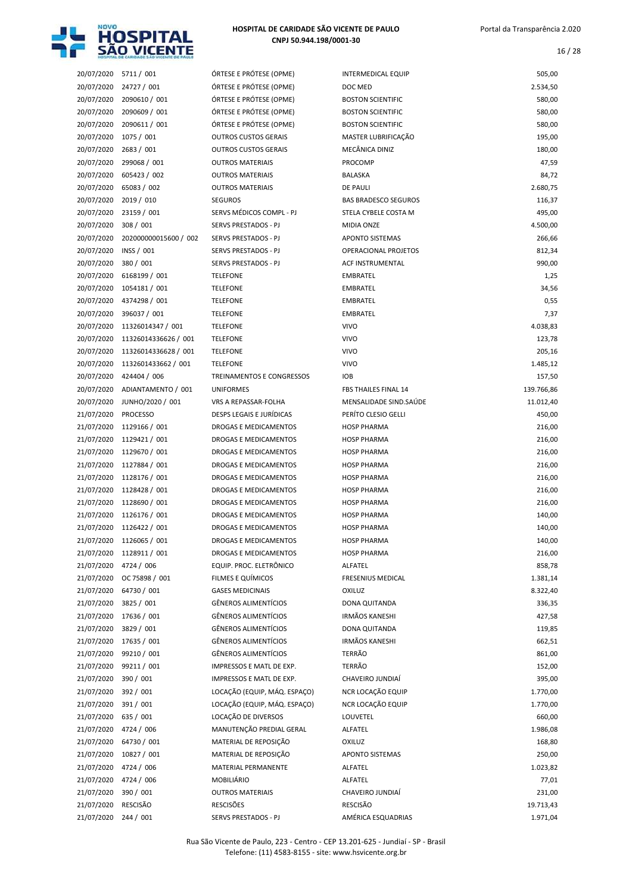

16 / 28

| 20/07/2020 | 5711/001              | ÓRTESE             |
|------------|-----------------------|--------------------|
| 20/07/2020 | 24727 / 001           | ÓRTESE             |
| 20/07/2020 | 2090610 / 001         | ÓRTESE             |
| 20/07/2020 | 2090609 / 001         | ÓRTESE             |
| 20/07/2020 | 2090611 / 001         | ÓRTESE             |
| 20/07/2020 | 1075 / 001            | <b>OUTROS</b>      |
| 20/07/2020 | 2683 / 001            | <b>OUTROS</b>      |
| 20/07/2020 | 299068 / 001          | <b>OUTROS</b>      |
| 20/07/2020 | 605423 / 002          | <b>OUTROS</b>      |
| 20/07/2020 | 65083 / 002           | <b>OUTROS</b>      |
| 20/07/2020 | 2019 / 010            | <b>SEGURO</b>      |
| 20/07/2020 | 23159 / 001           | SERVS <sub>N</sub> |
| 20/07/2020 | 308 / 001             | <b>SERVS P</b>     |
| 20/07/2020 | 202000000015600 / 002 | <b>SERVS P</b>     |
| 20/07/2020 | INSS / 001            | <b>SERVS P</b>     |
| 20/07/2020 | 380 / 001             | <b>SERVS P</b>     |
|            | 6168199 / 001         | <b>TELEFON</b>     |
| 20/07/2020 |                       |                    |
| 20/07/2020 | 1054181 / 001         | <b>TELEFON</b>     |
| 20/07/2020 | 4374298 / 001         | <b>TELEFON</b>     |
| 20/07/2020 | 396037 / 001          | <b>TELEFON</b>     |
| 20/07/2020 | 11326014347 / 001     | <b>TELEFON</b>     |
| 20/07/2020 | 11326014336626 / 001  | <b>TELEFON</b>     |
| 20/07/2020 | 11326014336628 / 001  | <b>TELEFON</b>     |
| 20/07/2020 | 1132601433662 / 001   | <b>TELEFON</b>     |
| 20/07/2020 | 424404 / 006          | <b>TREINAN</b>     |
| 20/07/2020 | ADIANTAMENTO / 001    | <b>UNIFOR</b>      |
| 20/07/2020 | JUNHO/2020 / 001      | <b>VRS A RI</b>    |
| 21/07/2020 | <b>PROCESSO</b>       | <b>DESPS LI</b>    |
| 21/07/2020 | 1129166 / 001         | <b>DROGAS</b>      |
| 21/07/2020 | 1129421 / 001         | <b>DROGAS</b>      |
| 21/07/2020 | 1129670 / 001         | <b>DROGAS</b>      |
| 21/07/2020 | 1127884 / 001         | <b>DROGAS</b>      |
| 21/07/2020 | 1128176 / 001         | <b>DROGAS</b>      |
| 21/07/2020 | 1128428 / 001         | <b>DROGAS</b>      |
| 21/07/2020 | 1128690 / 001         | <b>DROGAS</b>      |
| 21/07/2020 | 1126176 / 001         | <b>DROGAS</b>      |
| 21/07/2020 | 1126422 / 001         | <b>DROGAS</b>      |
| 21/07/2020 | 1126065 / 001         | <b>DROGAS</b>      |
| 21/07/2020 | 1128911 / 001         | <b>DROGAS</b>      |
| 21/07/2020 | 4724 / 006            | EQUIP. F           |
| 21/07/2020 | OC 75898 / 001        | <b>FILMES</b>      |
| 21/07/2020 | 64730 / 001           | <b>GASES N</b>     |
| 21/07/2020 | 3825 / 001            | GÊNERC             |
| 21/07/2020 | 17636 / 001           | GÊNERC             |
| 21/07/2020 | 3829 / 001            | GÊNERC             |
| 21/07/2020 | 17635 / 001           | GÊNERC             |
| 21/07/2020 | 99210 / 001           | GÊNERC             |
| 21/07/2020 | 99211 / 001           | <b>IMPRESS</b>     |
| 21/07/2020 | 390 / 001             | <b>IMPRESS</b>     |
| 21/07/2020 | 392 / 001             | LOCAÇÃ             |
| 21/07/2020 | 391 / 001             | LOCAÇÃ             |
| 21/07/2020 | 635 / 001             | LOCAÇÃ             |
| 21/07/2020 | 4724 / 006            | <b>MANUT</b>       |
| 21/07/2020 | 64730 / 001           | <b>MATERI</b>      |
| 21/07/2020 | 10827 / 001           | <b>MATERI</b>      |
| 21/07/2020 | 4724 / 006            | <b>MATERI</b>      |
| 21/07/2020 | 4724 / 006            | <b>MOBILIA</b>     |
| 21/07/2020 | 390 / 001             | <b>OUTROS</b>      |
| 21/07/2020 | RESCISÃO              | RESCISÕ            |
|            |                       |                    |

| 20/07/2020 | 5711 / 001            | ÓRTESE E PRÓTESE (OPME)         | INTERMEDICAL EQUIP          | 505,00     |
|------------|-----------------------|---------------------------------|-----------------------------|------------|
| 20/07/2020 | 24727 / 001           | ÓRTESE E PRÓTESE (OPME)         | DOC MED                     | 2.534,50   |
| 20/07/2020 | 2090610 / 001         | ÓRTESE E PRÓTESE (OPME)         | <b>BOSTON SCIENTIFIC</b>    | 580,00     |
| 20/07/2020 | 2090609 / 001         | ÓRTESE E PRÓTESE (OPME)         | <b>BOSTON SCIENTIFIC</b>    | 580,00     |
| 20/07/2020 | 2090611 / 001         | ÓRTESE E PRÓTESE (OPME)         | <b>BOSTON SCIENTIFIC</b>    | 580,00     |
| 20/07/2020 | 1075 / 001            | <b>OUTROS CUSTOS GERAIS</b>     | MASTER LUBRIFICAÇÃO         | 195,00     |
| 20/07/2020 | 2683 / 001            | <b>OUTROS CUSTOS GERAIS</b>     | MECÂNICA DINIZ              | 180,00     |
| 20/07/2020 | 299068 / 001          | <b>OUTROS MATERIAIS</b>         | PROCOMP                     | 47,59      |
| 20/07/2020 | 605423 / 002          | <b>OUTROS MATERIAIS</b>         | <b>BALASKA</b>              | 84,72      |
| 20/07/2020 | 65083 / 002           | <b>OUTROS MATERIAIS</b>         | DE PAULI                    | 2.680,75   |
| 20/07/2020 | 2019 / 010            | <b>SEGUROS</b>                  | <b>BAS BRADESCO SEGUROS</b> | 116,37     |
| 20/07/2020 | 23159 / 001           | SERVS MÉDICOS COMPL - PJ        | STELA CYBELE COSTA M        | 495,00     |
| 20/07/2020 | 308 / 001             | SERVS PRESTADOS - PJ            | MIDIA ONZE                  | 4.500,00   |
| 20/07/2020 | 202000000015600 / 002 | SERVS PRESTADOS - PJ            | <b>APONTO SISTEMAS</b>      | 266,66     |
| 20/07/2020 | INSS / 001            | SERVS PRESTADOS - PJ            | OPERACIONAL PROJETOS        | 812,34     |
| 20/07/2020 | 380 / 001             | SERVS PRESTADOS - PJ            | <b>ACF INSTRUMENTAL</b>     | 990,00     |
| 20/07/2020 | 6168199 / 001         | <b>TELEFONE</b>                 | <b>EMBRATEL</b>             | 1,25       |
| 20/07/2020 | 1054181 / 001         | <b>TELEFONE</b>                 | <b>EMBRATEL</b>             | 34,56      |
| 20/07/2020 | 4374298 / 001         | <b>TELEFONE</b>                 | <b>EMBRATEL</b>             | 0,55       |
| 20/07/2020 | 396037 / 001          | <b>TELEFONE</b>                 | <b>EMBRATEL</b>             | 7,37       |
| 20/07/2020 | 11326014347 / 001     | <b>TELEFONE</b>                 | <b>VIVO</b>                 | 4.038,83   |
| 20/07/2020 | 11326014336626 / 001  | <b>TELEFONE</b>                 | <b>VIVO</b>                 | 123,78     |
| 20/07/2020 | 11326014336628 / 001  | <b>TELEFONE</b>                 | <b>VIVO</b>                 | 205,16     |
| 20/07/2020 | 1132601433662 / 001   | <b>TELEFONE</b>                 | <b>VIVO</b>                 | 1.485,12   |
| 20/07/2020 | 424404 / 006          | TREINAMENTOS E CONGRESSOS       | <b>IOB</b>                  | 157,50     |
| 20/07/2020 | ADIANTAMENTO / 001    | <b>UNIFORMES</b>                | FBS THAILES FINAL 14        | 139.766,86 |
| 20/07/2020 | JUNHO/2020 / 001      | VRS A REPASSAR-FOLHA            | MENSALIDADE SIND.SAÚDE      | 11.012,40  |
| 21/07/2020 | <b>PROCESSO</b>       | <b>DESPS LEGAIS E JURÍDICAS</b> | PERÍTO CLESIO GELLI         | 450,00     |
| 21/07/2020 | 1129166 / 001         | DROGAS E MEDICAMENTOS           | <b>HOSP PHARMA</b>          | 216,00     |
| 21/07/2020 | 1129421 / 001         | DROGAS E MEDICAMENTOS           | <b>HOSP PHARMA</b>          | 216,00     |
| 21/07/2020 | 1129670 / 001         | DROGAS E MEDICAMENTOS           | <b>HOSP PHARMA</b>          | 216,00     |
| 21/07/2020 | 1127884 / 001         | DROGAS E MEDICAMENTOS           | <b>HOSP PHARMA</b>          | 216,00     |
| 21/07/2020 | 1128176 / 001         | DROGAS E MEDICAMENTOS           | <b>HOSP PHARMA</b>          | 216,00     |
| 21/07/2020 | 1128428 / 001         | DROGAS E MEDICAMENTOS           | <b>HOSP PHARMA</b>          | 216,00     |
| 21/07/2020 | 1128690 / 001         | DROGAS E MEDICAMENTOS           | <b>HOSP PHARMA</b>          | 216,00     |
| 21/07/2020 | 1126176 / 001         | DROGAS E MEDICAMENTOS           | <b>HOSP PHARMA</b>          | 140,00     |
| 21/07/2020 | 1126422 / 001         | DROGAS E MEDICAMENTOS           | <b>HOSP PHARMA</b>          | 140,00     |
| 21/07/2020 | 1126065 / 001         | DROGAS E MEDICAMENTOS           | <b>HOSP PHARMA</b>          | 140,00     |
| 21/07/2020 | 1128911 / 001         | DROGAS E MEDICAMENTOS           | <b>HOSP PHARMA</b>          | 216,00     |
| 21/07/2020 | 4724 / 006            | EQUIP. PROC. ELETRÔNICO         | ALFATEL                     | 858,78     |
| 21/07/2020 | OC 75898 / 001        | FILMES E QUÍMICOS               | <b>FRESENIUS MEDICAL</b>    | 1.381,14   |
| 21/07/2020 | 64730 / 001           | <b>GASES MEDICINAIS</b>         | OXILUZ                      | 8.322,40   |
| 21/07/2020 | 3825 / 001            | <b>GÊNEROS ALIMENTÍCIOS</b>     | DONA QUITANDA               | 336,35     |
| 21/07/2020 | 17636 / 001           | GÊNEROS ALIMENTÍCIOS            | IRMÃOS KANESHI              | 427,58     |
| 21/07/2020 | 3829 / 001            | <b>GÊNEROS ALIMENTÍCIOS</b>     | DONA QUITANDA               | 119,85     |
| 21/07/2020 | 17635 / 001           | GÊNEROS ALIMENTÍCIOS            | IRMÃOS KANESHI              | 662,51     |
| 21/07/2020 | 99210 / 001           | GÊNEROS ALIMENTÍCIOS            | TERRÃO                      | 861,00     |
| 21/07/2020 | 99211 / 001           | IMPRESSOS E MATL DE EXP.        | TERRÃO                      | 152,00     |
| 21/07/2020 | 390 / 001             | IMPRESSOS E MATL DE EXP.        | CHAVEIRO JUNDIAÍ            | 395,00     |
| 21/07/2020 | 392 / 001             | LOCAÇÃO (EQUIP, MÁQ. ESPAÇO)    | NCR LOCAÇÃO EQUIP           | 1.770,00   |
| 21/07/2020 | 391 / 001             | LOCAÇÃO (EQUIP, MÁQ. ESPAÇO)    | NCR LOCAÇÃO EQUIP           | 1.770,00   |
| 21/07/2020 | 635 / 001             | LOCAÇÃO DE DIVERSOS             | LOUVETEL                    | 660,00     |
| 21/07/2020 | 4724 / 006            | MANUTENÇÃO PREDIAL GERAL        | ALFATEL                     | 1.986,08   |
| 21/07/2020 | 64730 / 001           | MATERIAL DE REPOSIÇÃO           | <b>OXILUZ</b>               | 168,80     |
| 21/07/2020 | 10827 / 001           | MATERIAL DE REPOSIÇÃO           | <b>APONTO SISTEMAS</b>      | 250,00     |
| 21/07/2020 | 4724 / 006            | MATERIAL PERMANENTE             | ALFATEL                     | 1.023,82   |
| 21/07/2020 | 4724 / 006            | MOBILIÁRIO                      | ALFATEL                     | 77,01      |
| 21/07/2020 | 390 / 001             | <b>OUTROS MATERIAIS</b>         | CHAVEIRO JUNDIAÍ            | 231,00     |
| 21/07/2020 | RESCISÃO              | <b>RESCISÕES</b>                | RESCISÃO                    | 19.713,43  |
| 21/07/2020 | 244 / 001             | SERVS PRESTADOS - PJ            | AMÉRICA ESQUADRIAS          | 1.971,04   |
|            |                       |                                 |                             |            |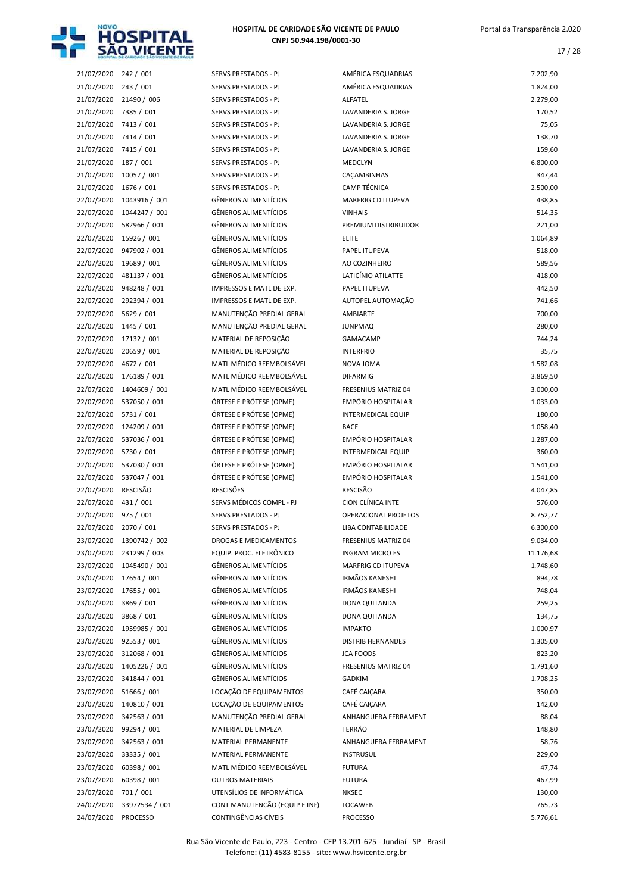

| 21/07/2020 242 / 001  |                          | SERVS PRESTADOS - PJ          | AMÉRICA ESQUADRIAS          | 7.202,90  |
|-----------------------|--------------------------|-------------------------------|-----------------------------|-----------|
| 21/07/2020 243 / 001  |                          | SERVS PRESTADOS - PJ          | AMÉRICA ESQUADRIAS          | 1.824,00  |
| 21/07/2020            | 21490 / 006              | SERVS PRESTADOS - PJ          | ALFATEL                     | 2.279,00  |
| 21/07/2020 7385 / 001 |                          | SERVS PRESTADOS - PJ          | LAVANDERIA S. JORGE         | 170,52    |
| 21/07/2020            | 7413 / 001               | SERVS PRESTADOS - PJ          | LAVANDERIA S. JORGE         | 75,05     |
| 21/07/2020 7414 / 001 |                          | SERVS PRESTADOS - PJ          | LAVANDERIA S. JORGE         | 138,70    |
| 21/07/2020 7415 / 001 |                          | SERVS PRESTADOS - PJ          | LAVANDERIA S. JORGE         | 159,60    |
| 21/07/2020 187 / 001  |                          | SERVS PRESTADOS - PJ          | MEDCLYN                     | 6.800,00  |
| 21/07/2020            | 10057 / 001              | SERVS PRESTADOS - PJ          | CAÇAMBINHAS                 | 347,44    |
| 21/07/2020            | 1676 / 001               | SERVS PRESTADOS - PJ          | CAMP TÉCNICA                | 2.500,00  |
| 22/07/2020            | 1043916 / 001            | <b>GÊNEROS ALIMENTÍCIOS</b>   | <b>MARFRIG CD ITUPEVA</b>   | 438,85    |
| 22/07/2020            | 1044247 / 001            | <b>GÊNEROS ALIMENTÍCIOS</b>   | <b>VINHAIS</b>              | 514,35    |
| 22/07/2020            | 582966 / 001             | <b>GÊNEROS ALIMENTÍCIOS</b>   | PREMIUM DISTRIBUIDOR        | 221,00    |
|                       | 22/07/2020 15926 / 001   | <b>GÊNEROS ALIMENTÍCIOS</b>   | <b>ELITE</b>                | 1.064,89  |
|                       |                          |                               |                             |           |
| 22/07/2020            | 947902 / 001             | <b>GÊNEROS ALIMENTÍCIOS</b>   | PAPEL ITUPEVA               | 518,00    |
| 22/07/2020            | 19689 / 001              | <b>GÊNEROS ALIMENTÍCIOS</b>   | AO COZINHEIRO               | 589,56    |
| 22/07/2020            | 481137 / 001             | <b>GÊNEROS ALIMENTÍCIOS</b>   | LATICÍNIO ATILATTE          | 418,00    |
| 22/07/2020            | 948248 / 001             | IMPRESSOS E MATL DE EXP.      | PAPEL ITUPEVA               | 442,50    |
| 22/07/2020            | 292394 / 001             | IMPRESSOS E MATL DE EXP.      | AUTOPEL AUTOMAÇÃO           | 741,66    |
| 22/07/2020            | 5629 / 001               | MANUTENÇÃO PREDIAL GERAL      | AMBIARTE                    | 700,00    |
| 22/07/2020            | 1445 / 001               | MANUTENÇÃO PREDIAL GERAL      | <b>JUNPMAQ</b>              | 280,00    |
| 22/07/2020            | 17132 / 001              | MATERIAL DE REPOSIÇÃO         | <b>GAMACAMP</b>             | 744,24    |
| 22/07/2020            | 20659 / 001              | MATERIAL DE REPOSIÇÃO         | <b>INTERFRIO</b>            | 35,75     |
| 22/07/2020            | 4672 / 001               | MATL MÉDICO REEMBOLSÁVEL      | NOVA JOMA                   | 1.582,08  |
| 22/07/2020            | 176189 / 001             | MATL MÉDICO REEMBOLSÁVEL      | <b>DIFARMIG</b>             | 3.869,50  |
| 22/07/2020            | 1404609 / 001            | MATL MÉDICO REEMBOLSÁVEL      | FRESENIUS MATRIZ 04         | 3.000,00  |
| 22/07/2020            | 537050 / 001             | ÓRTESE E PRÓTESE (OPME)       | EMPÓRIO HOSPITALAR          | 1.033,00  |
| 22/07/2020            | 5731 / 001               | ÓRTESE E PRÓTESE (OPME)       | INTERMEDICAL EQUIP          | 180,00    |
| 22/07/2020            | 124209 / 001             | ÓRTESE E PRÓTESE (OPME)       | <b>BACE</b>                 | 1.058,40  |
| 22/07/2020            | 537036 / 001             | ÓRTESE E PRÓTESE (OPME)       | EMPÓRIO HOSPITALAR          | 1.287,00  |
|                       |                          |                               |                             |           |
| 22/07/2020            | 5730 / 001               | ÓRTESE E PRÓTESE (OPME)       | INTERMEDICAL EQUIP          | 360,00    |
| 22/07/2020            | 537030 / 001             | ÓRTESE E PRÓTESE (OPME)       | EMPÓRIO HOSPITALAR          | 1.541,00  |
| 22/07/2020            | 537047 / 001             | ÓRTESE E PRÓTESE (OPME)       | EMPÓRIO HOSPITALAR          | 1.541,00  |
| 22/07/2020            | <b>RESCISÃO</b>          | <b>RESCISÕES</b>              | <b>RESCISÃO</b>             | 4.047,85  |
| 22/07/2020            | 431 / 001                | SERVS MÉDICOS COMPL - PJ      | CION CLÍNICA INTE           | 576,00    |
| 22/07/2020            | 975 / 001                | SERVS PRESTADOS - PJ          | <b>OPERACIONAL PROJETOS</b> | 8.752,77  |
| 22/07/2020            | 2070 / 001               | SERVS PRESTADOS - PJ          | LIBA CONTABILIDADE          | 6.300,00  |
|                       | 23/07/2020 1390742 / 002 | DROGAS E MEDICAMENTOS         | FRESENIUS MATRIZ 04         | 9.034,00  |
| 23/07/2020            | 231299 / 003             | EQUIP. PROC. ELETRÔNICO       | <b>INGRAM MICRO ES</b>      | 11.176,68 |
| 23/07/2020            | 1045490 / 001            | <b>GÊNEROS ALIMENTÍCIOS</b>   | MARFRIG CD ITUPEVA          | 1.748,60  |
| 23/07/2020            | 17654 / 001              | <b>GÊNEROS ALIMENTÍCIOS</b>   | <b>IRMÃOS KANESHI</b>       | 894,78    |
| 23/07/2020            | 17655 / 001              | <b>GÊNEROS ALIMENTÍCIOS</b>   | <b>IRMÃOS KANESHI</b>       | 748,04    |
| 23/07/2020            | 3869 / 001               | <b>GÊNEROS ALIMENTÍCIOS</b>   | DONA QUITANDA               | 259,25    |
| 23/07/2020            | 3868 / 001               | <b>GÊNEROS ALIMENTÍCIOS</b>   | DONA QUITANDA               | 134,75    |
| 23/07/2020            | 1959985 / 001            | <b>GÊNEROS ALIMENTÍCIOS</b>   | <b>IMPAKTO</b>              | 1.000,97  |
|                       |                          |                               |                             | 1.305,00  |
| 23/07/2020            | 92553 / 001              | <b>GÊNEROS ALIMENTÍCIOS</b>   | <b>DISTRIB HERNANDES</b>    |           |
| 23/07/2020            | 312068 / 001             | <b>GÊNEROS ALIMENTÍCIOS</b>   | <b>JCA FOODS</b>            | 823,20    |
| 23/07/2020            | 1405226 / 001            | <b>GÊNEROS ALIMENTÍCIOS</b>   | FRESENIUS MATRIZ 04         | 1.791,60  |
| 23/07/2020            | 341844 / 001             | <b>GÊNEROS ALIMENTÍCIOS</b>   | <b>GADKIM</b>               | 1.708,25  |
| 23/07/2020            | 51666 / 001              | LOCAÇÃO DE EQUIPAMENTOS       | CAFÉ CAIÇARA                | 350,00    |
| 23/07/2020            | 140810 / 001             | LOCAÇÃO DE EQUIPAMENTOS       | CAFÉ CAIÇARA                | 142,00    |
| 23/07/2020            | 342563 / 001             | MANUTENÇÃO PREDIAL GERAL      | ANHANGUERA FERRAMENT        | 88,04     |
| 23/07/2020            | 99294 / 001              | MATERIAL DE LIMPEZA           | <b>TERRÃO</b>               | 148,80    |
| 23/07/2020            | 342563 / 001             | MATERIAL PERMANENTE           | ANHANGUERA FERRAMENT        | 58,76     |
| 23/07/2020            | 33335 / 001              | MATERIAL PERMANENTE           | <b>INSTRUSUL</b>            | 229,00    |
| 23/07/2020            | 60398 / 001              | MATL MÉDICO REEMBOLSÁVEL      | <b>FUTURA</b>               | 47,74     |
| 23/07/2020            | 60398 / 001              | <b>OUTROS MATERIAIS</b>       | <b>FUTURA</b>               | 467,99    |
| 23/07/2020            | 701 / 001                | UTENSÍLIOS DE INFORMÁTICA     | <b>NKSEC</b>                | 130,00    |
|                       |                          |                               |                             | 765,73    |
| 24/07/2020            | 33972534 / 001           | CONT MANUTENCÃO (EQUIP E INF) | LOCAWEB                     |           |
| 24/07/2020 PROCESSO   |                          | CONTINGÊNCIAS CÍVEIS          | <b>PROCESSO</b>             | 5.776,61  |

| 21/07/2020 | 242 / 001                 | SERVS PRESTADOS - PJ          | AMÉRICA ESQUADRIAS         | 7.202,90  |
|------------|---------------------------|-------------------------------|----------------------------|-----------|
| 21/07/2020 | 243/001                   | SERVS PRESTADOS - PJ          | AMÉRICA ESQUADRIAS         | 1.824,00  |
| 21/07/2020 | 21490 / 006               | SERVS PRESTADOS - PJ          | ALFATEL                    | 2.279,00  |
| 21/07/2020 | 7385 / 001                | SERVS PRESTADOS - PJ          | LAVANDERIA S. JORGE        | 170,52    |
| 21/07/2020 | 7413 / 001                | <b>SERVS PRESTADOS - PJ</b>   | LAVANDERIA S. JORGE        | 75,05     |
| 21/07/2020 | 7414 / 001                | <b>SERVS PRESTADOS - PJ</b>   | <b>LAVANDERIA S. JORGE</b> | 138,70    |
| 21/07/2020 | 7415 / 001                | SERVS PRESTADOS - PJ          | LAVANDERIA S. JORGE        | 159,60    |
| 21/07/2020 | 187 / 001                 | SERVS PRESTADOS - PJ          | MEDCLYN                    | 6.800,00  |
| 21/07/2020 | 10057 / 001               | SERVS PRESTADOS - PJ          | CACAMBINHAS                | 347,44    |
| 21/07/2020 | 1676 / 001                | SERVS PRESTADOS - PJ          | <b>CAMP TÉCNICA</b>        | 2.500,00  |
| 22/07/2020 | 1043916 / 001             | <b>GÊNEROS ALIMENTÍCIOS</b>   | <b>MARFRIG CD ITUPEVA</b>  | 438,85    |
| 22/07/2020 | 1044247 / 001             | <b>GÊNEROS ALIMENTÍCIOS</b>   | <b>VINHAIS</b>             | 514,35    |
| 22/07/2020 | 582966 / 001              | <b>GÊNEROS ALIMENTÍCIOS</b>   | PREMIUM DISTRIBUIDOR       | 221,00    |
| 22/07/2020 | 15926 / 001               | <b>GÊNEROS ALIMENTÍCIOS</b>   | <b>ELITE</b>               | 1.064,89  |
| 22/07/2020 | 947902 / 001              | <b>GÊNEROS ALIMENTÍCIOS</b>   | PAPEL ITUPEVA              | 518,00    |
| 22/07/2020 | 19689 / 001               | GÊNEROS ALIMENTÍCIOS          | AO COZINHEIRO              | 589,56    |
| 22/07/2020 | 481137 / 001              | <b>GÊNEROS ALIMENTÍCIOS</b>   | LATICÍNIO ATILATTE         | 418,00    |
| 22/07/2020 | 948248 / 001              | IMPRESSOS E MATL DE EXP.      | PAPEL ITUPEVA              | 442,50    |
| 22/07/2020 | 292394 / 001              | IMPRESSOS E MATL DE EXP.      | AUTOPEL AUTOMAÇÃO          | 741,66    |
| 22/07/2020 | 5629 / 001                | MANUTENÇÃO PREDIAL GERAL      | <b>AMBIARTE</b>            | 700,00    |
| 22/07/2020 | 1445 / 001                | MANUTENÇÃO PREDIAL GERAL      | <b>JUNPMAQ</b>             | 280,00    |
| 22/07/2020 | 17132 / 001               | MATERIAL DE REPOSIÇÃO         | <b>GAMACAMP</b>            | 744,24    |
| 22/07/2020 | 20659 / 001               | MATERIAL DE REPOSIÇÃO         | <b>INTERFRIO</b>           | 35,75     |
| 22/07/2020 | 4672 / 001                | MATL MÉDICO REEMBOLSÁVEL      | NOVA JOMA                  | 1.582,08  |
| 22/07/2020 | 176189 / 001              | MATL MÉDICO REEMBOLSÁVEL      | <b>DIFARMIG</b>            | 3.869,50  |
| 22/07/2020 | 1404609 / 001             | MATL MÉDICO REEMBOLSÁVEL      | FRESENIUS MATRIZ 04        | 3.000,00  |
| 22/07/2020 | 537050 / 001              | ÓRTESE E PRÓTESE (OPME)       | EMPÓRIO HOSPITALAR         | 1.033,00  |
| 22/07/2020 | 5731 / 001                | ÓRTESE E PRÓTESE (OPME)       | <b>INTERMEDICAL EQUIP</b>  | 180,00    |
| 22/07/2020 | 124209 / 001              | ÓRTESE E PRÓTESE (OPME)       | <b>BACE</b>                | 1.058,40  |
| 22/07/2020 | 537036 / 001              | ÓRTESE E PRÓTESE (OPME)       | <b>EMPÓRIO HOSPITALAR</b>  | 1.287,00  |
|            |                           |                               |                            |           |
| 22/07/2020 | 5730 / 001                | ÓRTESE E PRÓTESE (OPME)       | <b>INTERMEDICAL EQUIP</b>  | 360,00    |
| 22/07/2020 | 537030 / 001              | ÓRTESE E PRÓTESE (OPME)       | <b>EMPÓRIO HOSPITALAR</b>  | 1.541,00  |
| 22/07/2020 | 537047 / 001              | ÓRTESE E PRÓTESE (OPME)       | <b>EMPÓRIO HOSPITALAR</b>  | 1.541,00  |
| 22/07/2020 | <b>RESCISÃO</b>           | <b>RESCISÕES</b>              | <b>RESCISÃO</b>            | 4.047,85  |
| 22/07/2020 | 431 / 001                 | SERVS MÉDICOS COMPL - PJ      | CION CLÍNICA INTE          | 576,00    |
| 22/07/2020 | 975 / 001                 | SERVS PRESTADOS - PJ          | OPERACIONAL PROJETOS       | 8.752,77  |
| 22/07/2020 | 2070 / 001                | SERVS PRESTADOS - PJ          | LIBA CONTABILIDADE         | 6.300,00  |
|            | 23/07/2020 1390742 / 002  | DROGAS E MEDICAMENTOS         | FRESENIUS MATRIZ 04        | 9.034,00  |
| 23/07/2020 | 231299 / 003              | EQUIP. PROC. ELETRÔNICO       | <b>INGRAM MICRO ES</b>     | 11.176,68 |
| 23/07/2020 | 1045490 / 001             | GÊNEROS ALIMENTÍCIOS          | MARFRIG CD ITUPEVA         | 1.748,60  |
| 23/07/2020 | 17654 / 001               | GÊNEROS ALIMENTÍCIOS          | <b>IRMÃOS KANESHI</b>      | 894,78    |
| 23/07/2020 | 17655 / 001               | GÊNEROS ALIMENTÍCIOS          | <b>IRMÃOS KANESHI</b>      | 748,04    |
| 23/07/2020 | 3869 / 001                | GÊNEROS ALIMENTÍCIOS          | DONA QUITANDA              | 259,25    |
| 23/07/2020 | 3868 / 001                | GÊNEROS ALIMENTÍCIOS          | DONA QUITANDA              | 134,75    |
| 23/07/2020 | 1959985 / 001             | GÊNEROS ALIMENTÍCIOS          | <b>IMPAKTO</b>             | 1.000,97  |
| 23/07/2020 | 92553 / 001               | GÊNEROS ALIMENTÍCIOS          | <b>DISTRIB HERNANDES</b>   | 1.305,00  |
| 23/07/2020 | 312068 / 001              | GÊNEROS ALIMENTÍCIOS          | <b>JCA FOODS</b>           | 823,20    |
| 23/07/2020 | 1405226 / 001             | <b>GÊNEROS ALIMENTÍCIOS</b>   | FRESENIUS MATRIZ 04        | 1.791,60  |
| 23/07/2020 | 341844 / 001              | GÊNEROS ALIMENTÍCIOS          | GADKIM                     | 1.708,25  |
| 23/07/2020 | 51666 / 001               | LOCAÇÃO DE EQUIPAMENTOS       | CAFÉ CAIÇARA               | 350,00    |
| 23/07/2020 | 140810 / 001              | LOCAÇÃO DE EQUIPAMENTOS       | CAFÉ CAIÇARA               | 142,00    |
| 23/07/2020 | 342563 / 001              | MANUTENÇÃO PREDIAL GERAL      | ANHANGUERA FERRAMENT       | 88,04     |
| 23/07/2020 | 99294 / 001               | MATERIAL DE LIMPEZA           | TERRÃO                     | 148,80    |
| 23/07/2020 | 342563 / 001              | MATERIAL PERMANENTE           | ANHANGUERA FERRAMENT       | 58,76     |
| 23/07/2020 | 33335 / 001               | MATERIAL PERMANENTE           | <b>INSTRUSUL</b>           | 229,00    |
| 23/07/2020 | 60398 / 001               | MATL MÉDICO REEMBOLSÁVEL      | <b>FUTURA</b>              | 47,74     |
| 23/07/2020 | 60398 / 001               | <b>OUTROS MATERIAIS</b>       | <b>FUTURA</b>              | 467,99    |
| 23/07/2020 | 701 / 001                 | UTENSÍLIOS DE INFORMÁTICA     | <b>NKSEC</b>               | 130,00    |
|            | 24/07/2020 33972534 / 001 | CONT MANUTENCÃO (EQUIP E INF) | LOCAWEB                    | 765,73    |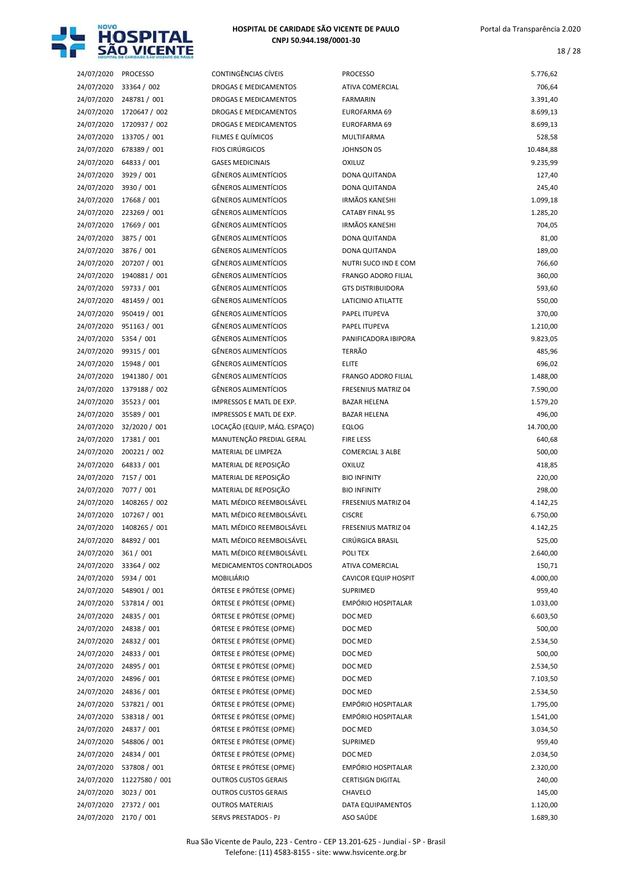

18 / 28

| 24/07/2020 | <b>PROCESSO</b> |
|------------|-----------------|
| 24/07/2020 | 33364 / 002     |
| 24/07/2020 | 248781 / 001    |
| 24/07/2020 | 1720647 / 002   |
| 24/07/2020 | 1720937 / 002   |
| 24/07/2020 | 133705 / 001    |
| 24/07/2020 | 678389 / 001    |
| 24/07/2020 | 64833 / 001     |
| 24/07/2020 | 3929 / 001      |
| 24/07/2020 | 3930 / 001      |
|            |                 |
| 24/07/2020 | 17668 / 001     |
| 24/07/2020 | 223269 / 001    |
| 24/07/2020 | 17669 / 001     |
| 24/07/2020 | 3875 / 001      |
| 24/07/2020 | 3876 / 001      |
| 24/07/2020 | 207207 / 001    |
| 24/07/2020 | 1940881 / 001   |
| 24/07/2020 | 59733 / 001     |
| 24/07/2020 | 481459 / 001    |
| 24/07/2020 | 950419 / 001    |
| 24/07/2020 | 951163 / 001    |
| 24/07/2020 | 5354 / 001      |
| 24/07/2020 | 99315 / 001     |
| 24/07/2020 | 15948 / 001     |
| 24/07/2020 | 1941380 / 001   |
| 24/07/2020 | 1379188 / 002   |
| 24/07/2020 | 35523 / 001     |
| 24/07/2020 | 35589 / 001     |
| 24/07/2020 | 32/2020 / 001   |
| 24/07/2020 | 17381 / 001     |
| 24/07/2020 | 200221 / 002    |
| 24/07/2020 | 64833 / 001     |
| 24/07/2020 | 7157 / 001      |
| 24/07/2020 | 7077 / 001      |
| 24/07/2020 | 1408265 / 002   |
| 24/07/2020 | 107267 / 001    |
| 24/07/2020 | 1408265 / 001   |
|            | 84892 / 001     |
| 24/07/2020 |                 |
| 24/07/2020 | 361 / 001       |
| 24/07/2020 | 33364 / 002     |
| 24/07/2020 | 5934 / 001      |
| 24/07/2020 | 548901 / 001    |
| 24/07/2020 | 537814 / 001    |
| 24/07/2020 | 24835 / 001     |
| 24/07/2020 | 24838 / 001     |
| 24/07/2020 | 24832 / 001     |
| 24/07/2020 | 24833 / 001     |
| 24/07/2020 | 24895 / 001     |
| 24/07/2020 | 24896 / 001     |
| 24/07/2020 | 24836 / 001     |
| 24/07/2020 | 537821 / 001    |
| 24/07/2020 | 538318 / 001    |
| 24/07/2020 | 24837 / 001     |
| 24/07/2020 | 548806 / 001    |
| 24/07/2020 | 24834 / 001     |
| 24/07/2020 | 537808 / 001    |
| 24/07/2020 | 11227580 / 001  |
| 24/07/2020 | 3023 / 001      |
| 24/07/2020 | 27372/001       |

| 24/07/2020 | <b>PROCESSO</b>            | CONTINGÊNCIAS CÍVEIS         | <b>PROCESSO</b>             | 5.776,62           |
|------------|----------------------------|------------------------------|-----------------------------|--------------------|
| 24/07/2020 | 33364 / 002                | <b>DROGAS E MEDICAMENTOS</b> | ATIVA COMERCIAL             | 706,64             |
| 24/07/2020 | 248781 / 001               | DROGAS E MEDICAMENTOS        | FARMARIN                    | 3.391,40           |
| 24/07/2020 | 1720647 / 002              | <b>DROGAS E MEDICAMENTOS</b> | EUROFARMA 69                | 8.699,13           |
| 24/07/2020 | 1720937 / 002              | DROGAS E MEDICAMENTOS        | EUROFARMA 69                | 8.699,13           |
| 24/07/2020 | 133705 / 001               | FILMES E QUÍMICOS            | MULTIFARMA                  | 528,58             |
| 24/07/2020 | 678389 / 001               | <b>FIOS CIRÚRGICOS</b>       | JOHNSON 05                  | 10.484,88          |
| 24/07/2020 | 64833 / 001                | <b>GASES MEDICINAIS</b>      | <b>OXILUZ</b>               | 9.235,99           |
| 24/07/2020 | 3929 / 001                 | <b>GÊNEROS ALIMENTÍCIOS</b>  | DONA QUITANDA               | 127,40             |
| 24/07/2020 | 3930 / 001                 | <b>GÊNEROS ALIMENTÍCIOS</b>  | DONA QUITANDA               | 245,40             |
| 24/07/2020 | 17668 / 001                | <b>GÊNEROS ALIMENTÍCIOS</b>  | <b>IRMÃOS KANESHI</b>       | 1.099,18           |
| 24/07/2020 | 223269 / 001               | <b>GÊNEROS ALIMENTÍCIOS</b>  | <b>CATABY FINAL 95</b>      | 1.285,20           |
| 24/07/2020 | 17669 / 001                | <b>GÊNEROS ALIMENTÍCIOS</b>  | <b>IRMÃOS KANESHI</b>       | 704,05             |
| 24/07/2020 | 3875 / 001                 | <b>GÊNEROS ALIMENTÍCIOS</b>  | DONA QUITANDA               | 81,00              |
| 24/07/2020 | 3876 / 001                 | <b>GÊNEROS ALIMENTÍCIOS</b>  | DONA QUITANDA               | 189,00             |
| 24/07/2020 | 207207 / 001               | <b>GÊNEROS ALIMENTÍCIOS</b>  | NUTRI SUCO IND E COM        | 766,60             |
| 24/07/2020 | 1940881 / 001              | <b>GÊNEROS ALIMENTÍCIOS</b>  | <b>FRANGO ADORO FILIAL</b>  | 360,00             |
| 24/07/2020 | 59733 / 001                | <b>GÊNEROS ALIMENTÍCIOS</b>  | <b>GTS DISTRIBUIDORA</b>    | 593,60             |
| 24/07/2020 | 481459 / 001               | <b>GÊNEROS ALIMENTÍCIOS</b>  | LATICINIO ATILATTE          | 550,00             |
| 24/07/2020 | 950419 / 001               | <b>GÊNEROS ALIMENTÍCIOS</b>  | PAPEL ITUPEVA               | 370,00             |
| 24/07/2020 | 951163 / 001               | <b>GÊNEROS ALIMENTÍCIOS</b>  | PAPEL ITUPEVA               | 1.210,00           |
| 24/07/2020 | 5354 / 001                 | <b>GÊNEROS ALIMENTÍCIOS</b>  | PANIFICADORA IBIPORA        | 9.823,05           |
| 24/07/2020 | 99315 / 001                | <b>GÊNEROS ALIMENTÍCIOS</b>  | <b>TERRÃO</b>               | 485,96             |
| 24/07/2020 | 15948 / 001                | <b>GÊNEROS ALIMENTÍCIOS</b>  | <b>ELITE</b>                | 696,02             |
| 24/07/2020 | 1941380 / 001              | <b>GÊNEROS ALIMENTÍCIOS</b>  | <b>FRANGO ADORO FILIAL</b>  | 1.488,00           |
| 24/07/2020 | 1379188 / 002              | <b>GÊNEROS ALIMENTÍCIOS</b>  | <b>FRESENIUS MATRIZ 04</b>  | 7.590,00           |
| 24/07/2020 | 35523 / 001                | IMPRESSOS E MATL DE EXP.     | <b>BAZAR HELENA</b>         | 1.579,20           |
| 24/07/2020 | 35589 / 001                | IMPRESSOS E MATL DE EXP.     | <b>BAZAR HELENA</b>         | 496,00             |
| 24/07/2020 | 32/2020 / 001              | LOCAÇÃO (EQUIP, MÁQ. ESPAÇO) | EQLOG                       | 14.700,00          |
| 24/07/2020 | 17381 / 001                | MANUTENÇÃO PREDIAL GERAL     | <b>FIRE LESS</b>            | 640,68             |
| 24/07/2020 | 200221 / 002               | <b>MATERIAL DE LIMPEZA</b>   | <b>COMERCIAL 3 ALBE</b>     | 500,00             |
| 24/07/2020 | 64833 / 001                | MATERIAL DE REPOSIÇÃO        | OXILUZ                      | 418,85             |
| 24/07/2020 | 7157 / 001                 | MATERIAL DE REPOSIÇÃO        | <b>BIO INFINITY</b>         | 220,00             |
| 24/07/2020 | 7077 / 001                 | MATERIAL DE REPOSIÇÃO        | <b>BIO INFINITY</b>         | 298,00             |
| 24/07/2020 | 1408265 / 002              | MATL MÉDICO REEMBOLSÁVEL     | <b>FRESENIUS MATRIZ 04</b>  | 4.142,25           |
| 24/07/2020 | 107267 / 001               | MATL MÉDICO REEMBOLSÁVEL     | <b>CISCRE</b>               | 6.750,00           |
| 24/07/2020 | 1408265 / 001              | MATL MÉDICO REEMBOLSÁVEL     | <b>FRESENIUS MATRIZ 04</b>  | 4.142,25           |
| 24/07/2020 | 84892 / 001                | MATL MÉDICO REEMBOLSÁVEL     | <b>CIRURGICA BRASIL</b>     | 525,00             |
| 24/07/2020 | 361 / 001                  | MATL MÉDICO REEMBOLSÁVEL     | POLI TEX                    | 2.640,00           |
| 24/07/2020 | 33364 / 002                | MEDICAMENTOS CONTROLADOS     | ATIVA COMERCIAL             | 150,71             |
| 24/07/2020 | 5934 / 001                 | MOBILIÁRIO                   | <b>CAVICOR EQUIP HOSPIT</b> | 4.000,00           |
| 24/07/2020 | 548901 / 001               | ÓRTESE E PRÓTESE (OPME)      | SUPRIMED                    | 959,40             |
| 24/07/2020 | 537814 / 001               | ÓRTESE E PRÓTESE (OPME)      | EMPÓRIO HOSPITALAR          | 1.033,00           |
| 24/07/2020 | 24835 / 001                | ÓRTESE E PRÓTESE (OPME)      | DOC MED                     | 6.603,50           |
| 24/07/2020 |                            | ÓRTESE E PRÓTESE (OPME)      |                             |                    |
|            | 24838 / 001<br>24832 / 001 |                              | DOC MED                     | 500,00<br>2.534,50 |
| 24/07/2020 |                            | ÓRTESE E PRÓTESE (OPME)      | DOC MED                     |                    |
| 24/07/2020 | 24833 / 001<br>24895 / 001 | ÓRTESE E PRÓTESE (OPME)      | DOC MED                     | 500,00             |
| 24/07/2020 |                            | ÓRTESE E PRÓTESE (OPME)      | DOC MED                     | 2.534,50           |
| 24/07/2020 | 24896 / 001                | ÓRTESE E PRÓTESE (OPME)      | DOC MED                     | 7.103,50           |
| 24/07/2020 | 24836 / 001                | ÓRTESE E PRÓTESE (OPME)      | DOC MED                     | 2.534,50           |
| 24/07/2020 | 537821 / 001               | ÓRTESE E PRÓTESE (OPME)      | EMPÓRIO HOSPITALAR          | 1.795,00           |
| 24/07/2020 | 538318 / 001               | ÓRTESE E PRÓTESE (OPME)      | <b>EMPÓRIO HOSPITALAR</b>   | 1.541,00           |
| 24/07/2020 | 24837 / 001                | ÓRTESE E PRÓTESE (OPME)      | DOC MED                     | 3.034,50           |
| 24/07/2020 | 548806 / 001               | ÓRTESE E PRÓTESE (OPME)      | SUPRIMED                    | 959,40             |
| 24/07/2020 | 24834 / 001                | ÓRTESE E PRÓTESE (OPME)      | DOC MED                     | 2.034,50           |
| 24/07/2020 | 537808 / 001               | ÓRTESE E PRÓTESE (OPME)      | EMPÓRIO HOSPITALAR          | 2.320,00           |
| 24/07/2020 | 11227580 / 001             | <b>OUTROS CUSTOS GERAIS</b>  | <b>CERTISIGN DIGITAL</b>    | 240,00             |
| 24/07/2020 | 3023 / 001                 | <b>OUTROS CUSTOS GERAIS</b>  | CHAVELO                     | 145,00             |
| 24/07/2020 | 27372 / 001                | <b>OUTROS MATERIAIS</b>      | DATA EQUIPAMENTOS           | 1.120,00           |
| 24/07/2020 | 2170 / 001                 | SERVS PRESTADOS - PJ         | ASO SAÚDE                   | 1.689,30           |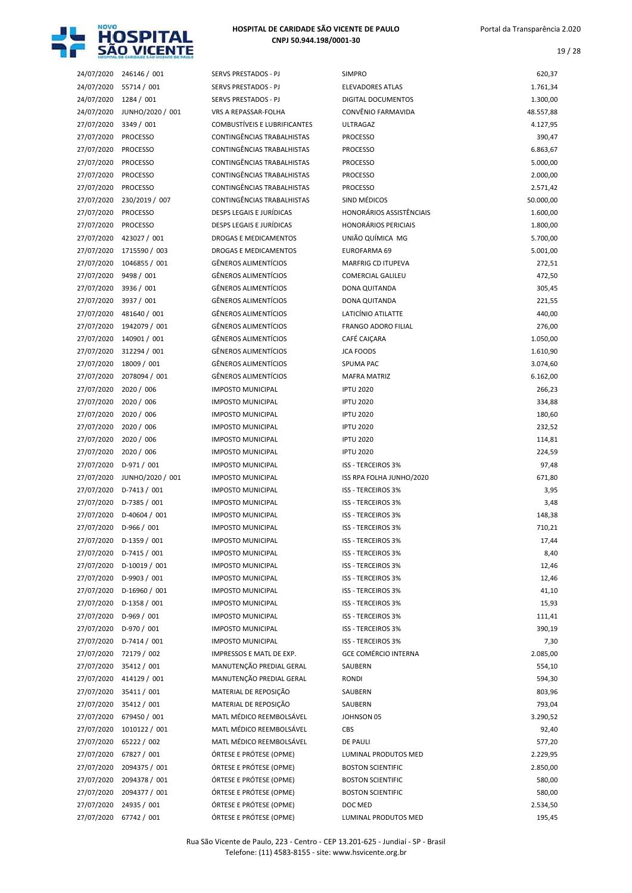

19 / 28

| 24/07/2020               | 246146 / 001         |
|--------------------------|----------------------|
| 24/07/2020               | 55714 / 001          |
| 24/07/2020               | 1284 / 001           |
| 24/07/2020               | JUNHO/2020 / 001     |
| 27/07/2020               | 3349 / 001           |
| 27/07/2020               | <b>PROCESSO</b>      |
| 27/07/2020               | <b>PROCESSO</b>      |
| 27/07/2020               | <b>PROCESSO</b>      |
| 27/07/2020               | <b>PROCESSO</b>      |
| 27/07/2020               | <b>PROCESSO</b>      |
| 27/07/2020               | 230/2019 / 007       |
| 27/07/2020               | <b>PROCESSO</b>      |
| 27/07/2020               | <b>PROCESSO</b>      |
| 27/07/2020               | 423027 / 001         |
| 27/07/2020               | 1715590 / 003        |
| 27/07/2020               | 1046855 / 001        |
| 27/07/2020               | 9498 / 001           |
| 27/07/2020               | 3936 / 001           |
| 27/07/2020               | 3937 / 001           |
| 27/07/2020               | 481640 / 001         |
| 27/07/2020               | 1942079 / 001        |
| 27/07/2020               |                      |
|                          | 140901 / 001         |
| 27/07/2020               | 312294 / 001         |
| 27/07/2020               | 18009 / 001          |
| 27/07/2020               | 2078094 / 001        |
| 27/07/2020               | 2020 / 006           |
| 27/07/2020               | 2020 / 006           |
| 27/07/2020               | 2020 / 006           |
| 27/07/2020               | 2020 / 006           |
| 27/07/2020               | 2020 / 006           |
| 27/07/2020               | 2020 / 006           |
| 27/07/2020               | D-971 / 001          |
|                          |                      |
| 27/07/2020               | JUNHO/2020 / 001     |
| 27/07/2020               | D-7413 / 001         |
| 27/07/2020               | D-7385 / 001         |
| 27/07/2020               | D-40604 / 001        |
| 27/07/2020               | D-966 / 001          |
| 27/07/2020               | D-1359 / 001         |
| 27/07/2020               | D-7415 / 001         |
| 27/07/2020               | D-10019 / 001        |
| 27/07/2020               | D-9903 / 001         |
| 27/07/2020               | D-16960 / 001        |
| 27/07/2020               | D-1358 / 001         |
| 27/07/2020               | D-969 / 001          |
| 27/07/2020               | D-970 / 001          |
|                          | D-7414 / 001         |
| 27/07/2020               |                      |
| 27/07/2020               | 72179 / 002          |
| 27/07/2020               | 35412 / 001          |
| 27/07/2020               | 414129 / 001         |
| 27/07/2020               | 35411 / 001          |
| 27/07/2020               | 35412 / 001          |
| 27/07/2020               | 679450 / 001         |
| 27/07/2020               | 1010122 / 001        |
| 27/07/2020               | 65222 / 002          |
| 27/07/2020               | 67827 / 001          |
| 27/07/2020               | 2094375 / 001        |
| 27/07/2020               | 2094378 / 001        |
| 27/07/2020               | 2094377 / 001        |
| 27/07/2020<br>27/27/2020 | 24935 / 001<br>77121 |

| 24/07/2020 | 246146 / 001     | SERVS PRESTADOS - PJ                | <b>SIMPRO</b>                   | 620,37    |
|------------|------------------|-------------------------------------|---------------------------------|-----------|
| 24/07/2020 | 55714 / 001      | SERVS PRESTADOS - PJ                | <b>ELEVADORES ATLAS</b>         | 1.761,34  |
| 24/07/2020 | 1284 / 001       | <b>SERVS PRESTADOS - PJ</b>         | <b>DIGITAL DOCUMENTOS</b>       | 1.300,00  |
| 24/07/2020 | JUNHO/2020 / 001 | VRS A REPASSAR-FOLHA                | CONVÊNIO FARMAVIDA              | 48.557,88 |
| 27/07/2020 | 3349 / 001       | <b>COMBUSTIVEIS E LUBRIFICANTES</b> | <b>ULTRAGAZ</b>                 | 4.127,95  |
| 27/07/2020 | <b>PROCESSO</b>  | CONTINGÊNCIAS TRABALHISTAS          | <b>PROCESSO</b>                 | 390,47    |
| 27/07/2020 | <b>PROCESSO</b>  | CONTINGÊNCIAS TRABALHISTAS          | <b>PROCESSO</b>                 | 6.863,67  |
| 27/07/2020 | <b>PROCESSO</b>  | CONTINGÊNCIAS TRABALHISTAS          | <b>PROCESSO</b>                 | 5.000,00  |
| 27/07/2020 | <b>PROCESSO</b>  | <b>CONTINGÊNCIAS TRABALHISTAS</b>   | <b>PROCESSO</b>                 | 2.000,00  |
| 27/07/2020 | <b>PROCESSO</b>  | CONTINGÊNCIAS TRABALHISTAS          | <b>PROCESSO</b>                 | 2.571,42  |
| 27/07/2020 | 230/2019 / 007   | CONTINGÊNCIAS TRABALHISTAS          | SIND MÉDICOS                    | 50.000,00 |
| 27/07/2020 | <b>PROCESSO</b>  | <b>DESPS LEGAIS E JURÍDICAS</b>     | <b>HONORÁRIOS ASSISTÊNCIAIS</b> | 1.600,00  |
| 27/07/2020 | <b>PROCESSO</b>  | DESPS LEGAIS E JURÍDICAS            | <b>HONORÁRIOS PERICIAIS</b>     | 1.800,00  |
| 27/07/2020 | 423027 / 001     | DROGAS E MEDICAMENTOS               | UNIÃO QUÍMICA MG                | 5.700,00  |
| 27/07/2020 | 1715590 / 003    | <b>DROGAS E MEDICAMENTOS</b>        | EUROFARMA 69                    | 5.001,00  |
| 27/07/2020 | 1046855 / 001    | <b>GÊNEROS ALIMENTÍCIOS</b>         | <b>MARFRIG CD ITUPEVA</b>       | 272,51    |
| 27/07/2020 | 9498 / 001       | <b>GÊNEROS ALIMENTÍCIOS</b>         | <b>COMERCIAL GALILEU</b>        | 472,50    |
| 27/07/2020 | 3936 / 001       | <b>GÊNEROS ALIMENTÍCIOS</b>         | DONA QUITANDA                   | 305,45    |
| 27/07/2020 | 3937 / 001       | <b>GÊNEROS ALIMENTÍCIOS</b>         | DONA QUITANDA                   | 221,55    |
| 27/07/2020 | 481640 / 001     | <b>GÊNEROS ALIMENTÍCIOS</b>         | LATICÍNIO ATILATTE              | 440,00    |
| 27/07/2020 | 1942079 / 001    | <b>GÊNEROS ALIMENTÍCIOS</b>         | <b>FRANGO ADORO FILIAL</b>      | 276,00    |
| 27/07/2020 | 140901 / 001     | <b>GÊNEROS ALIMENTÍCIOS</b>         | CAFÉ CAIÇARA                    | 1.050,00  |
| 27/07/2020 | 312294 / 001     | <b>GÊNEROS ALIMENTÍCIOS</b>         | <b>JCA FOODS</b>                | 1.610,90  |
| 27/07/2020 | 18009 / 001      | <b>GÊNEROS ALIMENTÍCIOS</b>         | <b>SPUMA PAC</b>                | 3.074,60  |
| 27/07/2020 | 2078094 / 001    | <b>GÊNEROS ALIMENTÍCIOS</b>         | <b>MAFRA MATRIZ</b>             | 6.162,00  |
| 27/07/2020 | 2020 / 006       | <b>IMPOSTO MUNICIPAL</b>            | <b>IPTU 2020</b>                | 266,23    |
| 27/07/2020 | 2020 / 006       | <b>IMPOSTO MUNICIPAL</b>            | <b>IPTU 2020</b>                | 334,88    |
| 27/07/2020 | 2020 / 006       | <b>IMPOSTO MUNICIPAL</b>            | <b>IPTU 2020</b>                | 180,60    |
| 27/07/2020 | 2020 / 006       | <b>IMPOSTO MUNICIPAL</b>            | <b>IPTU 2020</b>                | 232,52    |
| 27/07/2020 | 2020 / 006       | <b>IMPOSTO MUNICIPAL</b>            | <b>IPTU 2020</b>                | 114,81    |
| 27/07/2020 | 2020 / 006       | <b>IMPOSTO MUNICIPAL</b>            | <b>IPTU 2020</b>                | 224,59    |
| 27/07/2020 | $D-971/001$      | <b>IMPOSTO MUNICIPAL</b>            | <b>ISS - TERCEIROS 3%</b>       | 97,48     |
| 27/07/2020 | JUNHO/2020 / 001 | <b>IMPOSTO MUNICIPAL</b>            | ISS RPA FOLHA JUNHO/2020        | 671,80    |
| 27/07/2020 | $D-7413 / 001$   | <b>IMPOSTO MUNICIPAL</b>            | <b>ISS - TERCEIROS 3%</b>       | 3,95      |
| 27/07/2020 | D-7385 / 001     | <b>IMPOSTO MUNICIPAL</b>            | ISS - TERCEIROS 3%              | 3,48      |
| 27/07/2020 | D-40604 / 001    | <b>IMPOSTO MUNICIPAL</b>            | <b>ISS - TERCEIROS 3%</b>       | 148,38    |
| 27/07/2020 | $D-966/001$      | <b>IMPOSTO MUNICIPAL</b>            | ISS - TERCEIROS 3%              | 710,21    |
| 27/07/2020 | $D-1359/001$     | <b>IMPOSTO MUNICIPAL</b>            | ISS - TERCEIROS 3%              | 17,44     |
| 27/07/2020 | $D-7415 / 001$   | <b>IMPOSTO MUNICIPAL</b>            | ISS - TERCEIROS 3%              | 8,40      |
| 27/07/2020 | D-10019 / 001    | <b>IMPOSTO MUNICIPAL</b>            | ISS - TERCEIROS 3%              | 12,46     |
| 27/07/2020 | D-9903 / 001     | <b>IMPOSTO MUNICIPAL</b>            | ISS - TERCEIROS 3%              | 12,46     |
| 27/07/2020 | D-16960 / 001    | <b>IMPOSTO MUNICIPAL</b>            | ISS - TERCEIROS 3%              | 41,10     |
| 27/07/2020 | $D-1358 / 001$   | <b>IMPOSTO MUNICIPAL</b>            | ISS - TERCEIROS 3%              | 15,93     |
| 27/07/2020 | $D-969/001$      | <b>IMPOSTO MUNICIPAL</b>            | ISS - TERCEIROS 3%              | 111,41    |
| 27/07/2020 | $D-970/001$      | <b>IMPOSTO MUNICIPAL</b>            | ISS - TERCEIROS 3%              | 390,19    |
| 27/07/2020 | D-7414 / 001     | <b>IMPOSTO MUNICIPAL</b>            | ISS - TERCEIROS 3%              | 7,30      |
| 27/07/2020 | 72179 / 002      | IMPRESSOS E MATL DE EXP.            | <b>GCE COMÉRCIO INTERNA</b>     | 2.085,00  |
| 27/07/2020 | 35412 / 001      | MANUTENÇÃO PREDIAL GERAL            | SAUBERN                         | 554,10    |
| 27/07/2020 | 414129 / 001     | MANUTENÇÃO PREDIAL GERAL            | RONDI                           | 594,30    |
| 27/07/2020 | 35411 / 001      | MATERIAL DE REPOSIÇÃO               | SAUBERN                         | 803,96    |
| 27/07/2020 | 35412 / 001      | MATERIAL DE REPOSIÇÃO               | SAUBERN                         | 793,04    |
|            | 679450 / 001     | MATL MÉDICO REEMBOLSÁVEL            | JOHNSON 05                      |           |
| 27/07/2020 |                  | MATL MÉDICO REEMBOLSÁVEL            |                                 | 3.290,52  |
| 27/07/2020 | 1010122 / 001    |                                     | CBS                             | 92,40     |
| 27/07/2020 | 65222 / 002      | MATL MÉDICO REEMBOLSÁVEL            | DE PAULI                        | 577,20    |
| 27/07/2020 | 67827 / 001      | ÓRTESE E PRÓTESE (OPME)             | LUMINAL PRODUTOS MED            | 2.229,95  |
| 27/07/2020 | 2094375 / 001    | ÓRTESE E PRÓTESE (OPME)             | <b>BOSTON SCIENTIFIC</b>        | 2.850,00  |
| 27/07/2020 | 2094378 / 001    | ÓRTESE E PRÓTESE (OPME)             | <b>BOSTON SCIENTIFIC</b>        | 580,00    |
| 27/07/2020 | 2094377 / 001    | ÓRTESE E PRÓTESE (OPME)             | <b>BOSTON SCIENTIFIC</b>        | 580,00    |
| 27/07/2020 | 24935 / 001      | ÓRTESE E PRÓTESE (OPME)             | DOC MED                         | 2.534,50  |
| 27/07/2020 | 67742 / 001      | ÓRTESE E PRÓTESE (OPME)             | LUMINAL PRODUTOS MED            | 195,45    |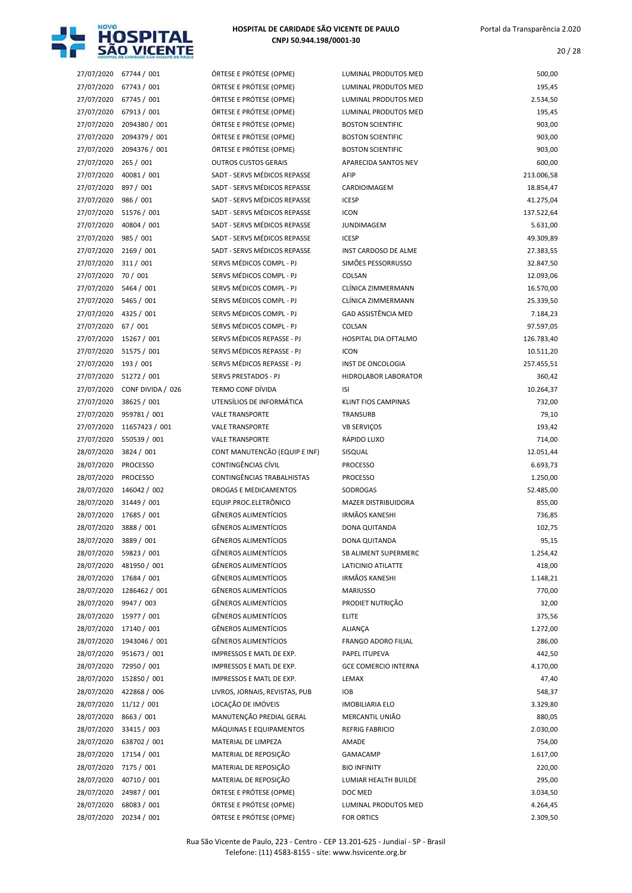

| 27/07/2020               | 67744 / 001                 | ÓRTESE E PRÓTESE (O       |
|--------------------------|-----------------------------|---------------------------|
| 27/07/2020               | 67743 / 001                 | ÓRTESE E PRÓTESE (O       |
| 27/07/2020               | 67745 / 001                 | ÓRTESE E PRÓTESE (O       |
| 27/07/2020               | 67913 / 001                 | ÓRTESE E PRÓTESE (O       |
| 27/07/2020               | 2094380 / 001               | ÓRTESE E PRÓTESE (O       |
| 27/07/2020               | 2094379 / 001               | ÓRTESE E PRÓTESE (O       |
| 27/07/2020               | 2094376 / 001               | ÓRTESE E PRÓTESE (O       |
| 27/07/2020               | 265 / 001                   | <b>OUTROS CUSTOS GER</b>  |
| 27/07/2020               | 40081 / 001                 | SADT - SERVS MÉDICO       |
| 27/07/2020               | 897 / 001                   | SADT - SERVS MÉDICO       |
| 27/07/2020               | 986 / 001                   | SADT - SERVS MÉDICO       |
| 27/07/2020               | 51576 / 001                 | SADT - SERVS MÉDICO       |
| 27/07/2020               | 40804 / 001                 | SADT - SERVS MÉDICO       |
| 27/07/2020               | 985 / 001                   | SADT - SERVS MÉDICO       |
| 27/07/2020               | 2169 / 001                  | SADT - SERVS MÉDICO       |
| 27/07/2020               | 311 / 001                   | SERVS MÉDICOS COM         |
| 27/07/2020               | 70 / 001                    | SERVS MÉDICOS COM         |
| 27/07/2020               | 5464 / 001                  | SERVS MÉDICOS COM         |
| 27/07/2020               | 5465 / 001                  | SERVS MÉDICOS COM         |
| 27/07/2020               | 4325 / 001                  | SERVS MÉDICOS COM         |
| 27/07/2020               | 67 / 001                    | SERVS MÉDICOS COM         |
| 27/07/2020               | 15267 / 001                 | <b>SERVS MÉDICOS REPA</b> |
| 27/07/2020               | 51575 / 001                 | <b>SERVS MÉDICOS REPA</b> |
| 27/07/2020               | 193 / 001                   | SERVS MÉDICOS REPA        |
| 27/07/2020               | 51272 / 001                 | SERVS PRESTADOS - P.      |
| 27/07/2020               | CONF DIVIDA / 026           | TERMO CONF DÍVIDA         |
| 27/07/2020               | 38625 / 001                 | UTENSÍLIOS DE INFOR       |
| 27/07/2020               | 959781 / 001                | <b>VALE TRANSPORTE</b>    |
| 27/07/2020               | 11657423 / 001              | <b>VALE TRANSPORTE</b>    |
| 27/07/2020               | 550539 / 001                | <b>VALE TRANSPORTE</b>    |
| 28/07/2020               | 3824 / 001                  | CONT MANUTENCÃO           |
| 28/07/2020               | <b>PROCESSO</b>             | CONTINGÊNCIAS CÍVIL       |
| 28/07/2020               | <b>PROCESSO</b>             | <b>CONTINGÊNCIAS TRAI</b> |
| 28/07/2020               | 146042 / 002                | <b>DROGAS E MEDICAME</b>  |
| 28/07/2020               | 31449 / 001                 | EQUIP.PROC.ELETRÔN        |
| 28/07/2020               | 17685 / 001                 | <b>GÊNEROS ALIMENTÍCI</b> |
| 28/07/2020               | 3888 / 001                  | <b>GÊNEROS ALIMENTÍCI</b> |
| 28/07/2020 3889 / 001    |                             | <b>GÊNEROS ALIMENTÍCI</b> |
| 28/07/2020               | 59823 / 001                 | <b>GÊNEROS ALIMENTÍCI</b> |
| 28/07/2020               | 481950 / 001                | <b>GÊNEROS ALIMENTÍCI</b> |
| 28/07/2020               | 17684 / 001                 | <b>GÊNEROS ALIMENTÍCI</b> |
| 28/07/2020               | 1286462 / 001               | <b>GÊNEROS ALIMENTÍCI</b> |
| 28/07/2020               | 9947 / 003                  | <b>GÊNEROS ALIMENTÍCI</b> |
| 28/07/2020               | 15977 / 001                 | <b>GÊNEROS ALIMENTÍCI</b> |
| 28/07/2020               | 17140 / 001                 | <b>GÊNEROS ALIMENTÍCI</b> |
| 28/07/2020               | 1943046 / 001               | <b>GÊNEROS ALIMENTÍCI</b> |
| 28/07/2020               | 951673 / 001                | <b>IMPRESSOS E MATL D</b> |
| 28/07/2020               | 72950 / 001                 | <b>IMPRESSOS E MATL D</b> |
| 28/07/2020               | 152850 / 001                | <b>IMPRESSOS E MATL D</b> |
| 28/07/2020               | 422868 / 006                | LIVROS, JORNAIS, REV      |
| 28/07/2020               | 11/12 / 001                 | LOCAÇÃO DE IMÓVEIS        |
| 28/07/2020               | 8663 / 001                  | MANUTENÇÃO PREDI          |
| 28/07/2020               | 33415 / 003                 | MÁQUINAS E EQUIPA         |
|                          |                             | MATERIAL DE LIMPEZ        |
| 28/07/2020<br>28/07/2020 | 638702 / 001<br>17154 / 001 | MATERIAL DE REPOSIO       |
| 28/07/2020               | 7175 / 001                  | MATERIAL DE REPOSI        |
| 28/07/2020               | 40710 / 001                 | MATERIAL DE REPOSIO       |
| 28/07/2020               | 24987 / 001                 | ÓRTESE E PRÓTESE (O       |
|                          | 28/07/2020 68083 / 001      | ÓRTESE E PRÓTESE (O       |
|                          | 28/07/2020 20234 / 001      | ÓRTESE E PRÓTESE (O       |
|                          |                             |                           |

| 27/07/2020 | 67744 / 001       | ÓRTESE E PRÓTESE (OPME)        | LUMINAL PRODUTOS MED        | 500,00     |
|------------|-------------------|--------------------------------|-----------------------------|------------|
| 27/07/2020 | 67743 / 001       | ÓRTESE E PRÓTESE (OPME)        | LUMINAL PRODUTOS MED        | 195,45     |
| 27/07/2020 | 67745 / 001       | ÓRTESE E PRÓTESE (OPME)        | LUMINAL PRODUTOS MED        | 2.534,50   |
|            |                   |                                |                             |            |
| 27/07/2020 | 67913 / 001       | ÓRTESE E PRÓTESE (OPME)        | LUMINAL PRODUTOS MED        | 195,45     |
| 27/07/2020 | 2094380 / 001     | ÓRTESE E PRÓTESE (OPME)        | <b>BOSTON SCIENTIFIC</b>    | 903,00     |
| 27/07/2020 | 2094379 / 001     | ÓRTESE E PRÓTESE (OPME)        | <b>BOSTON SCIENTIFIC</b>    | 903,00     |
| 27/07/2020 | 2094376 / 001     | ÓRTESE E PRÓTESE (OPME)        | <b>BOSTON SCIENTIFIC</b>    | 903,00     |
| 27/07/2020 | 265 / 001         | <b>OUTROS CUSTOS GERAIS</b>    | APARECIDA SANTOS NEV        | 600,00     |
| 27/07/2020 | 40081 / 001       | SADT - SERVS MÉDICOS REPASSE   | AFIP                        | 213.006,58 |
| 27/07/2020 | 897 / 001         | SADT - SERVS MÉDICOS REPASSE   | CARDIOIMAGEM                | 18.854,47  |
| 27/07/2020 | 986 / 001         | SADT - SERVS MÉDICOS REPASSE   | <b>ICESP</b>                | 41.275,04  |
| 27/07/2020 | 51576 / 001       | SADT - SERVS MÉDICOS REPASSE   | <b>ICON</b>                 | 137.522,64 |
| 27/07/2020 | 40804 / 001       | SADT - SERVS MÉDICOS REPASSE   | <b>JUNDIMAGEM</b>           | 5.631,00   |
| 27/07/2020 | 985 / 001         | SADT - SERVS MÉDICOS REPASSE   | <b>ICESP</b>                | 49.309,89  |
| 27/07/2020 | 2169/001          | SADT - SERVS MÉDICOS REPASSE   | <b>INST CARDOSO DE ALME</b> | 27.383,55  |
| 27/07/2020 | 311/001           | SERVS MÉDICOS COMPL - PJ       | SIMÕES PESSORRUSSO          | 32.847,50  |
| 27/07/2020 | 70 / 001          | SERVS MÉDICOS COMPL - PJ       | COLSAN                      | 12.093,06  |
| 27/07/2020 | 5464 / 001        | SERVS MÉDICOS COMPL - PJ       | CLÍNICA ZIMMERMANN          | 16.570,00  |
| 27/07/2020 | 5465 / 001        | SERVS MÉDICOS COMPL - PJ       | CLÍNICA ZIMMERMANN          | 25.339,50  |
| 27/07/2020 | 4325 / 001        | SERVS MÉDICOS COMPL - PJ       | <b>GAD ASSISTÊNCIA MED</b>  | 7.184,23   |
|            |                   | SERVS MÉDICOS COMPL - PJ       |                             |            |
| 27/07/2020 | 67 / 001          |                                | COLSAN                      | 97.597,05  |
| 27/07/2020 | 15267 / 001       | SERVS MÉDICOS REPASSE - PJ     | HOSPITAL DIA OFTALMO        | 126.783,40 |
| 27/07/2020 | 51575 / 001       | SERVS MÉDICOS REPASSE - PJ     | <b>ICON</b>                 | 10.511,20  |
| 27/07/2020 | 193 / 001         | SERVS MÉDICOS REPASSE - PJ     | <b>INST DE ONCOLOGIA</b>    | 257.455,51 |
| 27/07/2020 | 51272 / 001       | <b>SERVS PRESTADOS - PJ</b>    | <b>HIDROLABOR LABORATOR</b> | 360,42     |
| 27/07/2020 | CONF DIVIDA / 026 | <b>TERMO CONF DÍVIDA</b>       | <b>ISI</b>                  | 10.264,37  |
| 27/07/2020 | 38625 / 001       | UTENSÍLIOS DE INFORMÁTICA      | KLINT FIOS CAMPINAS         | 732,00     |
| 27/07/2020 | 959781 / 001      | <b>VALE TRANSPORTE</b>         | TRANSURB                    | 79,10      |
| 27/07/2020 | 11657423 / 001    | <b>VALE TRANSPORTE</b>         | <b>VB SERVIÇOS</b>          | 193,42     |
| 27/07/2020 | 550539 / 001      | <b>VALE TRANSPORTE</b>         | RÁPIDO LUXO                 | 714,00     |
| 28/07/2020 | 3824 / 001        | CONT MANUTENCÃO (EQUIP E INF)  | SISQUAL                     | 12.051,44  |
| 28/07/2020 | <b>PROCESSO</b>   | CONTINGÊNCIAS CÍVIL            | <b>PROCESSO</b>             | 6.693,73   |
| 28/07/2020 | <b>PROCESSO</b>   | CONTINGÊNCIAS TRABALHISTAS     | <b>PROCESSO</b>             | 1.250,00   |
| 28/07/2020 | 146042 / 002      | <b>DROGAS E MEDICAMENTOS</b>   | <b>SODROGAS</b>             | 52.485,00  |
| 28/07/2020 | 31449 / 001       | EQUIP.PROC.ELETRÔNICO          | <b>MAZER DISTRIBUIDORA</b>  | 855,00     |
| 28/07/2020 | 17685 / 001       | <b>GÊNEROS ALIMENTÍCIOS</b>    | <b>IRMÃOS KANESHI</b>       | 736,85     |
| 28/07/2020 | 3888 / 001        | GÊNEROS ALIMENTÍCIOS           | DONA QUITANDA               | 102,75     |
|            |                   |                                |                             |            |
| 28/07/2020 | 3889 / 001        | GÊNEROS ALIMENTÍCIOS           | DONA QUITANDA               | 95,15      |
| 28/07/2020 | 59823 / 001       | GÊNEROS ALIMENTÍCIOS           | SB ALIMENT SUPERMERC        | 1.254,42   |
| 28/07/2020 | 481950 / 001      | GÊNEROS ALIMENTÍCIOS           | LATICINIO ATILATTE          | 418,00     |
| 28/07/2020 | 17684 / 001       | <b>GÊNEROS ALIMENTÍCIOS</b>    | <b>IRMÃOS KANESHI</b>       | 1.148,21   |
| 28/07/2020 | 1286462 / 001     | GÊNEROS ALIMENTÍCIOS           | <b>MARIUSSO</b>             | 770,00     |
| 28/07/2020 | 9947 / 003        | GÊNEROS ALIMENTÍCIOS           | PRODIET NUTRIÇÃO            | 32,00      |
| 28/07/2020 | 15977 / 001       | <b>GÊNEROS ALIMENTÍCIOS</b>    | <b>ELITE</b>                | 375,56     |
| 28/07/2020 | 17140 / 001       | GÊNEROS ALIMENTÍCIOS           | <b>ALIANÇA</b>              | 1.272,00   |
| 28/07/2020 | 1943046 / 001     | GÊNEROS ALIMENTÍCIOS           | <b>FRANGO ADORO FILIAL</b>  | 286,00     |
| 28/07/2020 | 951673 / 001      | IMPRESSOS E MATL DE EXP.       | PAPEL ITUPEVA               | 442,50     |
| 28/07/2020 | 72950 / 001       | IMPRESSOS E MATL DE EXP.       | <b>GCE COMERCIO INTERNA</b> | 4.170,00   |
| 28/07/2020 | 152850 / 001      | IMPRESSOS E MATL DE EXP.       | LEMAX                       | 47,40      |
| 28/07/2020 | 422868 / 006      | LIVROS, JORNAIS, REVISTAS, PUB | <b>IOB</b>                  | 548,37     |
| 28/07/2020 | 11/12 / 001       | LOCAÇÃO DE IMÓVEIS             | <b>IMOBILIARIA ELO</b>      | 3.329,80   |
| 28/07/2020 | 8663 / 001        | MANUTENÇÃO PREDIAL GERAL       | MERCANTIL UNIÃO             | 880,05     |
| 28/07/2020 | 33415 / 003       | MÁQUINAS E EQUIPAMENTOS        | <b>REFRIG FABRICIO</b>      | 2.030,00   |
|            |                   |                                |                             |            |
| 28/07/2020 | 638702 / 001      | MATERIAL DE LIMPEZA            | AMADE                       | 754,00     |
| 28/07/2020 | 17154 / 001       | MATERIAL DE REPOSIÇÃO          | <b>GAMACAMP</b>             | 1.617,00   |
| 28/07/2020 | 7175 / 001        | MATERIAL DE REPOSIÇÃO          | <b>BIO INFINITY</b>         | 220,00     |
| 28/07/2020 | 40710 / 001       | MATERIAL DE REPOSIÇÃO          | LUMIAR HEALTH BUILDE        | 295,00     |
| 28/07/2020 | 24987 / 001       | ÓRTESE E PRÓTESE (OPME)        | DOC MED                     | 3.034,50   |
| 28/07/2020 | 68083 / 001       | ÓRTESE E PRÓTESE (OPME)        | LUMINAL PRODUTOS MED        | 4.264,45   |
| 28/07/2020 | 20234 / 001       | ÓRTESE E PRÓTESE (OPME)        | <b>FOR ORTICS</b>           | 2.309,50   |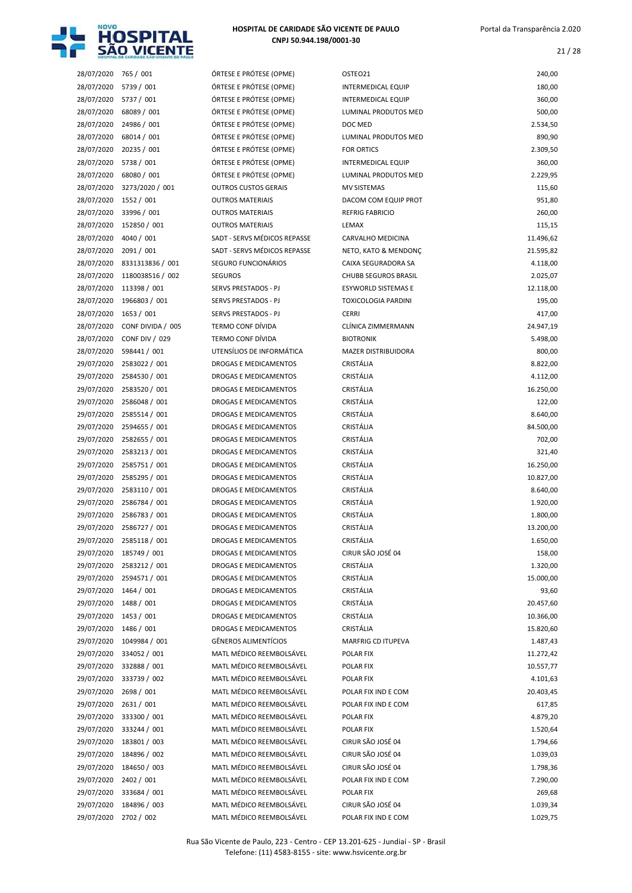

| 28/07/2020            | 765 / 001                | ÓRTESE E PRÓTESE (OPME)      | OSTEO21                     | 240,00    |
|-----------------------|--------------------------|------------------------------|-----------------------------|-----------|
| 28/07/2020            | 5739 / 001               | ÓRTESE E PRÓTESE (OPME)      | <b>INTERMEDICAL EQUIP</b>   | 180,00    |
| 28/07/2020            | 5737 / 001               | ÓRTESE E PRÓTESE (OPME)      | <b>INTERMEDICAL EQUIP</b>   | 360,00    |
| 28/07/2020            | 68089 / 001              | ÓRTESE E PRÓTESE (OPME)      | LUMINAL PRODUTOS MED        | 500,00    |
| 28/07/2020            | 24986 / 001              | ÓRTESE E PRÓTESE (OPME)      | DOC MED                     | 2.534,50  |
| 28/07/2020            | 68014 / 001              | ÓRTESE E PRÓTESE (OPME)      | LUMINAL PRODUTOS MED        | 890,90    |
| 28/07/2020            | 20235 / 001              | ÓRTESE E PRÓTESE (OPME)      | <b>FOR ORTICS</b>           | 2.309,50  |
| 28/07/2020            | 5738 / 001               | ÓRTESE E PRÓTESE (OPME)      | <b>INTERMEDICAL EQUIP</b>   | 360,00    |
| 28/07/2020            | 68080 / 001              | ÓRTESE E PRÓTESE (OPME)      | LUMINAL PRODUTOS MED        | 2.229,95  |
| 28/07/2020            | 3273/2020 / 001          | <b>OUTROS CUSTOS GERAIS</b>  | <b>MV SISTEMAS</b>          | 115,60    |
| 28/07/2020            | 1552 / 001               | <b>OUTROS MATERIAIS</b>      | DACOM COM EQUIP PROT        | 951,80    |
| 28/07/2020            | 33996 / 001              | <b>OUTROS MATERIAIS</b>      | <b>REFRIG FABRICIO</b>      | 260,00    |
| 28/07/2020            | 152850 / 001             | <b>OUTROS MATERIAIS</b>      | LEMAX                       | 115,15    |
| 28/07/2020            | 4040 / 001               | SADT - SERVS MÉDICOS REPASSE | CARVALHO MEDICINA           | 11.496,62 |
| 28/07/2020            | 2091/001                 | SADT - SERVS MÉDICOS REPASSE | NETO, KATO & MENDONÇ        | 21.595,82 |
| 28/07/2020            | 8331313836 / 001         | SEGURO FUNCIONÁRIOS          | CAIXA SEGURADORA SA         | 4.118,00  |
| 28/07/2020            | 1180038516 / 002         | <b>SEGUROS</b>               | <b>CHUBB SEGUROS BRASIL</b> | 2.025,07  |
| 28/07/2020            | 113398 / 001             | SERVS PRESTADOS - PJ         | <b>ESYWORLD SISTEMAS E</b>  | 12.118,00 |
| 28/07/2020            | 1966803 / 001            | SERVS PRESTADOS - PJ         | <b>TOXICOLOGIA PARDINI</b>  | 195,00    |
| 28/07/2020            | 1653 / 001               | SERVS PRESTADOS - PJ         | <b>CERRI</b>                | 417,00    |
| 28/07/2020            | CONF DIVIDA / 005        | <b>TERMO CONF DÍVIDA</b>     | CLÍNICA ZIMMERMANN          | 24.947,19 |
| 28/07/2020            | <b>CONF DIV / 029</b>    | <b>TERMO CONF DÍVIDA</b>     | <b>BIOTRONIK</b>            | 5.498,00  |
| 28/07/2020            | 598441 / 001             | UTENSÍLIOS DE INFORMÁTICA    | <b>MAZER DISTRIBUIDORA</b>  | 800,00    |
| 29/07/2020            | 2583022 / 001            | <b>DROGAS E MEDICAMENTOS</b> | CRISTÁLIA                   | 8.822,00  |
| 29/07/2020            | 2584530 / 001            | DROGAS E MEDICAMENTOS        | CRISTÁLIA                   | 4.112,00  |
| 29/07/2020            | 2583520 / 001            | DROGAS E MEDICAMENTOS        | CRISTÁLIA                   | 16.250,00 |
| 29/07/2020            | 2586048 / 001            | DROGAS E MEDICAMENTOS        | CRISTÁLIA                   | 122,00    |
| 29/07/2020            | 2585514 / 001            | DROGAS E MEDICAMENTOS        | CRISTÁLIA                   | 8.640,00  |
| 29/07/2020            | 2594655 / 001            | DROGAS E MEDICAMENTOS        | CRISTÁLIA                   | 84.500,00 |
| 29/07/2020            | 2582655 / 001            | DROGAS E MEDICAMENTOS        | CRISTÁLIA                   | 702,00    |
| 29/07/2020            | 2583213 / 001            | DROGAS E MEDICAMENTOS        | CRISTÁLIA                   | 321,40    |
| 29/07/2020            | 2585751 / 001            | DROGAS E MEDICAMENTOS        | CRISTÁLIA                   | 16.250,00 |
| 29/07/2020            | 2585295 / 001            | <b>DROGAS E MEDICAMENTOS</b> | CRISTÁLIA                   | 10.827,00 |
| 29/07/2020            | 2583110 / 001            | <b>DROGAS E MEDICAMENTOS</b> | CRISTÁLIA                   | 8.640,00  |
| 29/07/2020            | 2586784 / 001            | <b>DROGAS E MEDICAMENTOS</b> | CRISTÁLIA                   | 1.920,00  |
| 29/07/2020            | 2586783 / 001            | <b>DROGAS E MEDICAMENTOS</b> | CRISTÁLIA                   | 1.800,00  |
| 29/07/2020            | 2586727 / 001            | <b>DROGAS E MEDICAMENTOS</b> | CRISTÁLIA                   | 13.200,00 |
|                       | 29/07/2020 2585118 / 001 | DROGAS E MEDICAMENTOS        | CRISTÁLIA                   | 1.650,00  |
|                       | 29/07/2020 185749 / 001  | DROGAS E MEDICAMENTOS        | CIRUR SÃO JOSÉ 04           | 158,00    |
|                       | 29/07/2020 2583212 / 001 | DROGAS E MEDICAMENTOS        | CRISTÁLIA                   | 1.320,00  |
|                       | 29/07/2020 2594571 / 001 | DROGAS E MEDICAMENTOS        | CRISTÁLIA                   | 15.000,00 |
| 29/07/2020 1464 / 001 |                          | DROGAS E MEDICAMENTOS        | CRISTÁLIA                   | 93,60     |
| 29/07/2020 1488 / 001 |                          | DROGAS E MEDICAMENTOS        | CRISTÁLIA                   | 20.457,60 |
| 29/07/2020            | 1453 / 001               | DROGAS E MEDICAMENTOS        | CRISTÁLIA                   | 10.366,00 |
| 29/07/2020 1486 / 001 |                          | DROGAS E MEDICAMENTOS        | CRISTÁLIA                   | 15.820,60 |
| 29/07/2020            | 1049984 / 001            | <b>GÊNEROS ALIMENTÍCIOS</b>  | MARFRIG CD ITUPEVA          | 1.487,43  |
|                       | 29/07/2020 334052 / 001  | MATL MÉDICO REEMBOLSÁVEL     | POLAR FIX                   | 11.272,42 |
| 29/07/2020            | 332888 / 001             | MATL MÉDICO REEMBOLSÁVEL     | POLAR FIX                   | 10.557,77 |
| 29/07/2020            | 333739 / 002             | MATL MÉDICO REEMBOLSÁVEL     | POLAR FIX                   | 4.101,63  |
| 29/07/2020            | 2698 / 001               | MATL MÉDICO REEMBOLSÁVEL     | POLAR FIX IND E COM         | 20.403,45 |
| 29/07/2020            | 2631/001                 | MATL MÉDICO REEMBOLSÁVEL     | POLAR FIX IND E COM         | 617,85    |
| 29/07/2020            | 333300 / 001             | MATL MÉDICO REEMBOLSÁVEL     | POLAR FIX                   | 4.879,20  |
| 29/07/2020            | 333244 / 001             | MATL MÉDICO REEMBOLSÁVEL     | POLAR FIX                   | 1.520,64  |
| 29/07/2020            | 183801 / 003             | MATL MÉDICO REEMBOLSÁVEL     | CIRUR SÃO JOSÉ 04           | 1.794,66  |
| 29/07/2020            | 184896 / 002             | MATL MÉDICO REEMBOLSÁVEL     | CIRUR SÃO JOSÉ 04           | 1.039,03  |
| 29/07/2020            | 184650 / 003             | MATL MÉDICO REEMBOLSÁVEL     | CIRUR SÃO JOSÉ 04           | 1.798,36  |
| 29/07/2020            | 2402 / 001               | MATL MÉDICO REEMBOLSÁVEL     | POLAR FIX IND E COM         | 7.290,00  |
| 29/07/2020            | 333684 / 001             | MATL MÉDICO REEMBOLSÁVEL     | POLAR FIX                   | 269,68    |
| 29/07/2020            | 184896 / 003             | MATL MÉDICO REEMBOLSÁVEL     | CIRUR SÃO JOSÉ 04           | 1.039,34  |
| 29/07/2020            | 2702 / 002               | MATL MÉDICO REEMBOLSÁVEL     | POLAR FIX IND E COM         | 1.029,75  |

| <b>PRTESE E PRÓTESE (OPME)</b> |
|--------------------------------|
| )RTESE E PRÓTESE (OPME)        |
| )RTESE E PRÓTESE (OPME)        |
| RTESE E PRÓTESE (OPME)         |
| PRTESE E PRÓTESE (OPME)        |
| PRTESE E PRÓTESE (OPME)        |
| PRTESE E PRÓTESE (OPME)        |
| PRTESE E PRÓTESE (OPME)        |
|                                |
| PRTESE E PRÓTESE (OPME)        |
| UTROS CUSTOS GERAIS            |
| UTROS MATERIAIS                |
| UTROS MATERIAIS                |
| UTROS MATERIAIS                |
| ADT - SERVS MÉDICOS REPASSE    |
| ADT - SERVS MÉDICOS REPASSE    |
| EGURO FUNCIONÁRIOS             |
| EGUROS                         |
| <b>ERVS PRESTADOS - PJ</b>     |
| ERVS PRESTADOS - PJ            |
|                                |
| ERVS PRESTADOS - PJ            |
| ERMO CONF DÍVIDA               |
| ERMO CONF DÍVIDA               |
| ITENSÍLIOS DE INFORMÁTICA      |
| ROGAS E MEDICAMENTOS           |
| ROGAS E MEDICAMENTOS           |
| ROGAS E MEDICAMENTOS           |
| ROGAS E MEDICAMENTOS           |
| ROGAS E MEDICAMENTOS           |
| ROGAS E MEDICAMENTOS           |
|                                |
| ROGAS E MEDICAMENTOS           |
| ROGAS E MEDICAMENTOS           |
| ROGAS E MEDICAMENTOS           |
| ROGAS E MEDICAMENTOS           |
| ROGAS E MEDICAMENTOS           |
| ROGAS E MEDICAMENTOS           |
| ROGAS E MEDICAMENTOS           |
| ROGAS E MEDICAMENTOS           |
| ROGAS E MEDICAMENTOS           |
| ROGAS E MEDICAMENTOS           |
| ROGAS E MEDICAMENTOS           |
| ROGAS E MEDICAMENTOS           |
|                                |
| ROGAS E MEDICAMENTOS           |
| ROGAS E MEDICAMENTOS           |
| ROGAS E MEDICAMENTOS           |
| ROGAS E MEDICAMENTOS           |
| ÊNEROS ALIMENTÍCIOS            |
| MATL MÉDICO REEMBOLSÁVEL       |
| MATL MÉDICO REEMBOLSÁVEL       |
| MATL MÉDICO REEMBOLSÁVEL       |
| MATL MÉDICO REEMBOLSÁVEL       |
| MATL MÉDICO REEMBOLSÁVEL       |
|                                |
| MATL MÉDICO REEMBOLSÁVEL       |
| MATL MÉDICO REEMBOLSÁVEL       |
| MATL MÉDICO REEMBOLSÁVEL       |
| MATL MÉDICO REEMBOLSÁVEL       |
| MATL MÉDICO REEMBOLSÁVEL       |
| 1ATL MÉDICO REEMBOLSÁVEL       |
| MATL MÉDICO REEMBOLSÁVEL       |
| MATL MÉDICO REEMBOLSÁVEL       |
|                                |

| 28/07/2020               | 765 / 001             | ÓRTESE E PRÓTESE (OPME)      | OSTEO21                     | 240,00    |
|--------------------------|-----------------------|------------------------------|-----------------------------|-----------|
| 28/07/2020               | 5739 / 001            | ÓRTESE E PRÓTESE (OPME)      | INTERMEDICAL EQUIP          | 180,00    |
| 28/07/2020               | 5737 / 001            | ÓRTESE E PRÓTESE (OPME)      | <b>INTERMEDICAL EQUIP</b>   | 360,00    |
| 28/07/2020               | 68089 / 001           | ÓRTESE E PRÓTESE (OPME)      | LUMINAL PRODUTOS MED        | 500,00    |
| 28/07/2020               | 24986 / 001           | ÓRTESE E PRÓTESE (OPME)      | DOC MED                     | 2.534,50  |
| 28/07/2020               | 68014 / 001           | ÓRTESE E PRÓTESE (OPME)      | LUMINAL PRODUTOS MED        | 890,90    |
| 28/07/2020               | 20235 / 001           | ÓRTESE E PRÓTESE (OPME)      | <b>FOR ORTICS</b>           | 2.309,50  |
| 28/07/2020               | 5738 / 001            | ÓRTESE E PRÓTESE (OPME)      | <b>INTERMEDICAL EQUIP</b>   | 360,00    |
| 28/07/2020               | 68080 / 001           | ÓRTESE E PRÓTESE (OPME)      | LUMINAL PRODUTOS MED        | 2.229,95  |
| 28/07/2020               | 3273/2020 / 001       | <b>OUTROS CUSTOS GERAIS</b>  | MV SISTEMAS                 | 115,60    |
| 28/07/2020               | 1552 / 001            | <b>OUTROS MATERIAIS</b>      | DACOM COM EQUIP PROT        | 951,80    |
| 28/07/2020               | 33996 / 001           | <b>OUTROS MATERIAIS</b>      | <b>REFRIG FABRICIO</b>      | 260,00    |
| 28/07/2020               | 152850 / 001          | <b>OUTROS MATERIAIS</b>      | LEMAX                       | 115,15    |
| 28/07/2020               | 4040 / 001            | SADT - SERVS MÉDICOS REPASSE | CARVALHO MEDICINA           | 11.496,62 |
| 28/07/2020               | 2091 / 001            | SADT - SERVS MÉDICOS REPASSE | NETO, KATO & MENDONÇ        | 21.595,82 |
| 28/07/2020               | 8331313836 / 001      | SEGURO FUNCIONÁRIOS          | CAIXA SEGURADORA SA         | 4.118,00  |
| 28/07/2020               | 1180038516 / 002      | <b>SEGUROS</b>               | <b>CHUBB SEGUROS BRASIL</b> | 2.025,07  |
| 28/07/2020               | 113398 / 001          | <b>SERVS PRESTADOS - PJ</b>  | <b>ESYWORLD SISTEMAS E</b>  | 12.118,00 |
| 28/07/2020               | 1966803 / 001         | SERVS PRESTADOS - PJ         | <b>TOXICOLOGIA PARDINI</b>  | 195,00    |
| 28/07/2020               | 1653 / 001            | SERVS PRESTADOS - PJ         | <b>CERRI</b>                | 417,00    |
| 28/07/2020               | CONF DIVIDA / 005     | <b>TERMO CONF DÍVIDA</b>     | CLÍNICA ZIMMERMANN          | 24.947,19 |
| 28/07/2020               | <b>CONF DIV / 029</b> | <b>TERMO CONF DÍVIDA</b>     | <b>BIOTRONIK</b>            | 5.498,00  |
| 28/07/2020               | 598441 / 001          | UTENSÍLIOS DE INFORMÁTICA    | <b>MAZER DISTRIBUIDORA</b>  | 800,00    |
| 29/07/2020               | 2583022 / 001         | DROGAS E MEDICAMENTOS        | CRISTÁLIA                   | 8.822,00  |
| 29/07/2020               | 2584530 / 001         | DROGAS E MEDICAMENTOS        | CRISTÁLIA                   | 4.112,00  |
| 29/07/2020               | 2583520 / 001         | DROGAS E MEDICAMENTOS        | CRISTÁLIA                   | 16.250,00 |
| 29/07/2020               | 2586048 / 001         | DROGAS E MEDICAMENTOS        | CRISTÁLIA                   | 122,00    |
| 29/07/2020               | 2585514 / 001         | DROGAS E MEDICAMENTOS        | CRISTÁLIA                   | 8.640,00  |
| 29/07/2020               | 2594655 / 001         | <b>DROGAS E MEDICAMENTOS</b> | CRISTÁLIA                   | 84.500,00 |
| 29/07/2020               | 2582655 / 001         | <b>DROGAS E MEDICAMENTOS</b> | CRISTÁLIA                   | 702,00    |
| 29/07/2020               | 2583213 / 001         | <b>DROGAS E MEDICAMENTOS</b> | CRISTÁLIA                   | 321,40    |
| 29/07/2020               | 2585751 / 001         | <b>DROGAS E MEDICAMENTOS</b> | CRISTÁLIA                   | 16.250,00 |
| 29/07/2020               | 2585295 / 001         | <b>DROGAS E MEDICAMENTOS</b> | CRISTÁLIA                   | 10.827,00 |
| 29/07/2020               | 2583110 / 001         | <b>DROGAS E MEDICAMENTOS</b> | CRISTÁLIA                   | 8.640,00  |
| 29/07/2020               | 2586784 / 001         | <b>DROGAS E MEDICAMENTOS</b> | CRISTÁLIA                   | 1.920,00  |
| 29/07/2020               | 2586783 / 001         | <b>DROGAS E MEDICAMENTOS</b> | CRISTÁLIA                   | 1.800,00  |
| 29/07/2020               | 2586727 / 001         | <b>DROGAS E MEDICAMENTOS</b> | CRISTÁLIA                   | 13.200,00 |
|                          | 2585118 / 001         | DROGAS E MEDICAMENTOS        | CRISTÁLIA                   | 1.650,00  |
| 29/07/2020<br>29/07/2020 | 185749 / 001          | DROGAS E MEDICAMENTOS        | CIRUR SÃO JOSÉ 04           | 158,00    |
| 29/07/2020               | 2583212 / 001         | DROGAS E MEDICAMENTOS        | CRISTÁLIA                   |           |
|                          | 2594571 / 001         |                              |                             | 1.320,00  |
| 29/07/2020               |                       | DROGAS E MEDICAMENTOS        | CRISTÁLIA                   | 15.000,00 |
| 29/07/2020               | 1464 / 001            | DROGAS E MEDICAMENTOS        | CRISTÁLIA                   | 93,60     |
| 29/07/2020               | 1488 / 001            | DROGAS E MEDICAMENTOS        | CRISTÁLIA                   | 20.457,60 |
| 29/07/2020               | 1453 / 001            | DROGAS E MEDICAMENTOS        | CRISTÁLIA                   | 10.366,00 |
| 29/07/2020               | 1486 / 001            | DROGAS E MEDICAMENTOS        | CRISTÁLIA                   | 15.820,60 |
| 29/07/2020               | 1049984 / 001         | GÊNEROS ALIMENTÍCIOS         | MARFRIG CD ITUPEVA          | 1.487,43  |
| 29/07/2020               | 334052 / 001          | MATL MÉDICO REEMBOLSÁVEL     | POLAR FIX                   | 11.272,42 |
| 29/07/2020               | 332888 / 001          | MATL MÉDICO REEMBOLSÁVEL     | POLAR FIX                   | 10.557,77 |
| 29/07/2020               | 333739 / 002          | MATL MÉDICO REEMBOLSÁVEL     | POLAR FIX                   | 4.101,63  |
| 29/07/2020               | 2698 / 001            | MATL MÉDICO REEMBOLSÁVEL     | POLAR FIX IND E COM         | 20.403,45 |
| 29/07/2020               | 2631 / 001            | MATL MÉDICO REEMBOLSÁVEL     | POLAR FIX IND E COM         | 617,85    |
| 29/07/2020               | 333300 / 001          | MATL MÉDICO REEMBOLSÁVEL     | POLAR FIX                   | 4.879,20  |
| 29/07/2020               | 333244 / 001          | MATL MÉDICO REEMBOLSÁVEL     | POLAR FIX                   | 1.520,64  |
| 29/07/2020               | 183801 / 003          | MATL MÉDICO REEMBOLSÁVEL     | CIRUR SÃO JOSÉ 04           | 1.794,66  |
| 29/07/2020               | 184896 / 002          | MATL MÉDICO REEMBOLSÁVEL     | CIRUR SÃO JOSÉ 04           | 1.039,03  |
| 29/07/2020               | 184650 / 003          | MATL MÉDICO REEMBOLSÁVEL     | CIRUR SÃO JOSÉ 04           | 1.798,36  |
| 29/07/2020               | 2402 / 001            | MATL MÉDICO REEMBOLSÁVEL     | POLAR FIX IND E COM         | 7.290,00  |
| 29/07/2020               | 333684 / 001          | MATL MÉDICO REEMBOLSÁVEL     | POLAR FIX                   | 269,68    |
| 29/07/2020               | 184896 / 003          | MATL MÉDICO REEMBOLSÁVEL     | CIRUR SÃO JOSÉ 04           | 1.039,34  |
|                          |                       |                              |                             |           |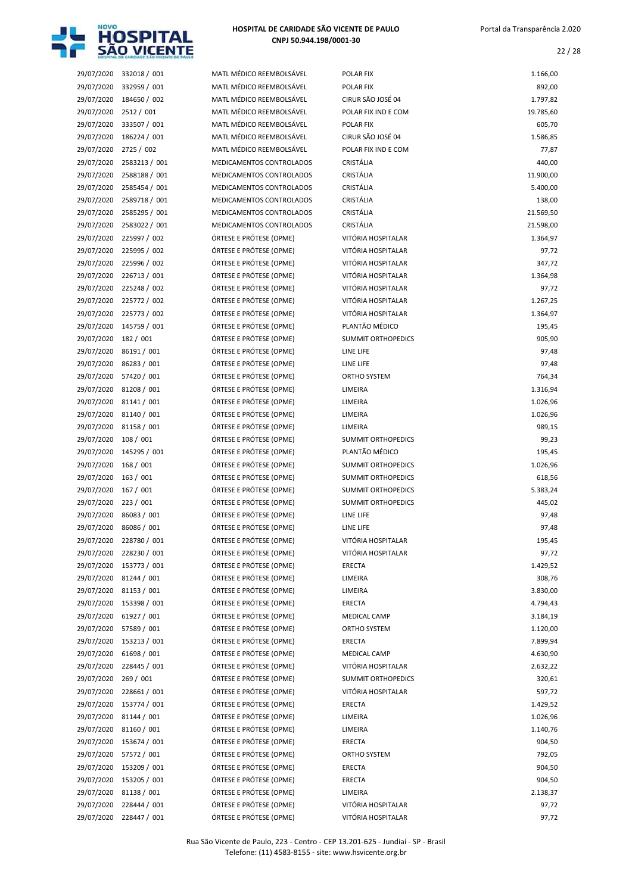

|            | 29/07/2020 332018 / 001 | MATL MÉDICO REEMBOLSÁVEL | POLAR FIX                 | 1.166,00  |
|------------|-------------------------|--------------------------|---------------------------|-----------|
| 29/07/2020 | 332959 / 001            | MATL MÉDICO REEMBOLSÁVEL | POLAR FIX                 | 892,00    |
| 29/07/2020 | 184650 / 002            | MATL MÉDICO REEMBOLSÁVEL | CIRUR SÃO JOSÉ 04         | 1.797,82  |
| 29/07/2020 | 2512 / 001              | MATL MÉDICO REEMBOLSÁVEL | POLAR FIX IND E COM       | 19.785,60 |
| 29/07/2020 | 333507 / 001            | MATL MÉDICO REEMBOLSÁVEL | <b>POLAR FIX</b>          | 605,70    |
| 29/07/2020 | 186224 / 001            | MATL MÉDICO REEMBOLSÁVEL | CIRUR SÃO JOSÉ 04         | 1.586,85  |
| 29/07/2020 | 2725 / 002              | MATL MÉDICO REEMBOLSÁVEL | POLAR FIX IND E COM       | 77,87     |
| 29/07/2020 | 2583213 / 001           | MEDICAMENTOS CONTROLADOS | CRISTÁLIA                 | 440,00    |
| 29/07/2020 | 2588188 / 001           | MEDICAMENTOS CONTROLADOS | CRISTÁLIA                 | 11.900,00 |
| 29/07/2020 | 2585454 / 001           | MEDICAMENTOS CONTROLADOS | CRISTÁLIA                 | 5.400,00  |
| 29/07/2020 | 2589718 / 001           | MEDICAMENTOS CONTROLADOS | CRISTÁLIA                 | 138,00    |
| 29/07/2020 | 2585295 / 001           | MEDICAMENTOS CONTROLADOS | CRISTÁLIA                 | 21.569,50 |
| 29/07/2020 | 2583022 / 001           | MEDICAMENTOS CONTROLADOS | CRISTÁLIA                 | 21.598,00 |
| 29/07/2020 | 225997 / 002            | ÓRTESE E PRÓTESE (OPME)  | VITÓRIA HOSPITALAR        | 1.364,97  |
| 29/07/2020 | 225995 / 002            | ÓRTESE E PRÓTESE (OPME)  | VITÓRIA HOSPITALAR        | 97,72     |
| 29/07/2020 | 225996 / 002            | ÓRTESE E PRÓTESE (OPME)  | VITÓRIA HOSPITALAR        | 347,72    |
| 29/07/2020 | 226713 / 001            | ÓRTESE E PRÓTESE (OPME)  | VITÓRIA HOSPITALAR        | 1.364,98  |
| 29/07/2020 | 225248 / 002            | ÓRTESE E PRÓTESE (OPME)  | VITÓRIA HOSPITALAR        | 97,72     |
| 29/07/2020 | 225772 / 002            | ÓRTESE E PRÓTESE (OPME)  | VITÓRIA HOSPITALAR        | 1.267,25  |
| 29/07/2020 | 225773 / 002            | ÓRTESE E PRÓTESE (OPME)  | VITÓRIA HOSPITALAR        | 1.364,97  |
| 29/07/2020 | 145759 / 001            | ÓRTESE E PRÓTESE (OPME)  | PLANTÃO MÉDICO            | 195,45    |
| 29/07/2020 | 182 / 001               | ÓRTESE E PRÓTESE (OPME)  | <b>SUMMIT ORTHOPEDICS</b> | 905,90    |
| 29/07/2020 | 86191 / 001             | ÓRTESE E PRÓTESE (OPME)  | LINE LIFE                 | 97,48     |
| 29/07/2020 | 86283 / 001             | ÓRTESE E PRÓTESE (OPME)  | LINE LIFE                 | 97,48     |
| 29/07/2020 | 57420 / 001             | ÓRTESE E PRÓTESE (OPME)  | ORTHO SYSTEM              | 764,34    |
| 29/07/2020 | 81208 / 001             | ÓRTESE E PRÓTESE (OPME)  | LIMEIRA                   | 1.316,94  |
| 29/07/2020 | 81141 / 001             | ÓRTESE E PRÓTESE (OPME)  | LIMEIRA                   | 1.026,96  |
| 29/07/2020 | 81140 / 001             | ÓRTESE E PRÓTESE (OPME)  | LIMEIRA                   | 1.026,96  |
| 29/07/2020 | 81158 / 001             | ÓRTESE E PRÓTESE (OPME)  | LIMEIRA                   | 989,15    |
| 29/07/2020 | 108 / 001               | ÓRTESE E PRÓTESE (OPME)  | <b>SUMMIT ORTHOPEDICS</b> | 99,23     |
| 29/07/2020 | 145295 / 001            | ÓRTESE E PRÓTESE (OPME)  | PLANTÃO MÉDICO            | 195,45    |
| 29/07/2020 | 168 / 001               | ÓRTESE E PRÓTESE (OPME)  | SUMMIT ORTHOPEDICS        | 1.026,96  |
| 29/07/2020 | 163 / 001               | ÓRTESE E PRÓTESE (OPME)  | SUMMIT ORTHOPEDICS        | 618,56    |
| 29/07/2020 | 167 / 001               | ÓRTESE E PRÓTESE (OPME)  | SUMMIT ORTHOPEDICS        | 5.383,24  |
| 29/07/2020 | 223 / 001               | ÓRTESE E PRÓTESE (OPME)  | <b>SUMMIT ORTHOPEDICS</b> | 445,02    |
| 29/07/2020 | 86083 / 001             | ÓRTESE E PRÓTESE (OPME)  | LINE LIFE                 | 97,48     |
| 29/07/2020 | 86086 / 001             | ÓRTESE E PRÓTESE (OPME)  | LINE LIFE                 | 97,48     |
| 29/07/2020 | 228780 / 001            | ÓRTESE E PRÓTESE (OPME)  | VITÓRIA HOSPITALAR        | 195,45    |
| 29/07/2020 | 228230 / 001            | ÓRTESE E PRÓTESE (OPME)  | VITÓRIA HOSPITALAR        | 97,72     |
| 29/07/2020 | 153773 / 001            | ÓRTESE E PRÓTESE (OPME)  | ERECTA                    | 1.429,52  |
| 29/07/2020 | 81244 / 001             | ÓRTESE E PRÓTESE (OPME)  | LIMEIRA                   | 308,76    |
| 29/07/2020 | 81153 / 001             | ÓRTESE E PRÓTESE (OPME)  | LIMEIRA                   | 3.830,00  |
| 29/07/2020 | 153398 / 001            | ÓRTESE E PRÓTESE (OPME)  | ERECTA                    | 4.794,43  |
| 29/07/2020 | 61927 / 001             | ÓRTESE E PRÓTESE (OPME)  | MEDICAL CAMP              | 3.184,19  |
| 29/07/2020 | 57589 / 001             | ÓRTESE E PRÓTESE (OPME)  | ORTHO SYSTEM              | 1.120,00  |
| 29/07/2020 | 153213 / 001            | ÓRTESE E PRÓTESE (OPME)  | ERECTA                    | 7.899,94  |
| 29/07/2020 | 61698 / 001             | ÓRTESE E PRÓTESE (OPME)  | MEDICAL CAMP              | 4.630,90  |
| 29/07/2020 | 228445 / 001            | ÓRTESE E PRÓTESE (OPME)  | VITÓRIA HOSPITALAR        | 2.632,22  |
| 29/07/2020 | 269/001                 | ÓRTESE E PRÓTESE (OPME)  | <b>SUMMIT ORTHOPEDICS</b> | 320,61    |
| 29/07/2020 | 228661 / 001            | ÓRTESE E PRÓTESE (OPME)  | VITÓRIA HOSPITALAR        | 597,72    |
| 29/07/2020 | 153774 / 001            | ÓRTESE E PRÓTESE (OPME)  | ERECTA                    | 1.429,52  |
| 29/07/2020 | 81144 / 001             | ÓRTESE E PRÓTESE (OPME)  | LIMEIRA                   | 1.026,96  |
| 29/07/2020 | 81160 / 001             | ÓRTESE E PRÓTESE (OPME)  | LIMEIRA                   | 1.140,76  |
| 29/07/2020 | 153674 / 001            | ÓRTESE E PRÓTESE (OPME)  | ERECTA                    | 904,50    |
| 29/07/2020 | 57572/001               | ÓRTESE E PRÓTESE (OPME)  | ORTHO SYSTEM              | 792,05    |
| 29/07/2020 | 153209 / 001            | ÓRTESE E PRÓTESE (OPME)  | ERECTA                    | 904,50    |
| 29/07/2020 | 153205 / 001            | ÓRTESE E PRÓTESE (OPME)  | <b>ERECTA</b>             | 904,50    |
| 29/07/2020 | 81138 / 001             | ÓRTESE E PRÓTESE (OPME)  | LIMEIRA                   | 2.138,37  |
| 29/07/2020 | 228444 / 001            | ÓRTESE E PRÓTESE (OPME)  | VITÓRIA HOSPITALAR        | 97,72     |
| 29/07/2020 | 228447 / 001            | ÓRTESE E PRÓTESE (OPME)  | VITÓRIA HOSPITALAR        | 97,72     |

| :MBOLSÁVEL         | <b>POLAR FIX</b>          |
|--------------------|---------------------------|
| :MBOLSÁVEL         | <b>POLAR FIX</b>          |
| :MBOLSÁVEL         | CIRUR SÃO JOSÉ 04         |
| :MBOLSÁVEL         | POLAR FIX IND E COM       |
| :MBOLSÁVEL         | POLAR FIX                 |
| :MBOLSÁVEL         | CIRUR SÃO JOSÉ 04         |
| :MBOLSÁVEL         | POLAR FIX IND E COM       |
| <b>CONTROLADOS</b> | CRISTÁLIA                 |
| <b>CONTROLADOS</b> | CRISTÁLIA                 |
| <b>CONTROLADOS</b> | <b>CRISTÁLIA</b>          |
| <b>CONTROLADOS</b> | <b>CRISTÁLIA</b>          |
| <b>CONTROLADOS</b> | CRISTÁLIA                 |
| <b>ONTROLADOS</b>  | <b>CRISTÁLIA</b>          |
| : (OPME)           | VITÓRIA HOSPITALAR        |
| : (OPME)           | VITÓRIA HOSPITALAR        |
| : (OPME)           | VITÓRIA HOSPITALAR        |
|                    | VITÓRIA HOSPITALAR        |
| : (OPME)           | VITÓRIA HOSPITALAR        |
| : (OPME)           |                           |
| : (OPME)           | VITÓRIA HOSPITALAR        |
| : (OPME)           | VITÓRIA HOSPITALAR        |
| (OPME)             | PLANTÃO MÉDICO            |
| (OPME)             | <b>SUMMIT ORTHOPEDICS</b> |
| : (OPME)           | LINE LIFE                 |
| : (OPME)           | LINE LIFE                 |
| : (OPME)           | <b>ORTHO SYSTEM</b>       |
| : (OPME)           | LIMEIRA                   |
| : (OPME)           | LIMEIRA                   |
| : (OPME)           | LIMEIRA                   |
| : (OPME)           | LIMEIRA                   |
| : (OPME)           | <b>SUMMIT ORTHOPEDICS</b> |
| : (OPME)           | PLANTÃO MÉDICO            |
| : (OPME)           | <b>SUMMIT ORTHOPEDICS</b> |
| : (OPME)           | <b>SUMMIT ORTHOPEDICS</b> |
| : (OPME)           | <b>SUMMIT ORTHOPEDICS</b> |
| : (OPME)           | <b>SUMMIT ORTHOPEDICS</b> |
| : (OPME)           | LINE LIFE                 |
| : (OPME)           | LINE LIFE                 |
| : (OPME)           | VITÓRIA HOSPITALAR        |
| : (OPME)           | VITÓRIA HOSPITALAR        |
| (OPME)             | <b>ERECTA</b>             |
| : (OPME)           | LIMEIRA                   |
| : (OPME)           | LIMEIRA                   |
| (OPME)             | <b>ERECTA</b>             |
| (OPME)             | <b>MEDICAL CAMP</b>       |
| : (OPME)           | <b>ORTHO SYSTEM</b>       |
| (OPME)             | <b>ERECTA</b>             |
| : (OPME)           | <b>MEDICAL CAMP</b>       |
| (OPME)             | VITÓRIA HOSPITALAR        |
| (OPME)             | <b>SUMMIT ORTHOPEDICS</b> |
| (OPME)             | VITÓRIA HOSPITALAR        |
| (OPME)             | <b>ERECTA</b>             |
| : (OPME)           | LIMEIRA                   |
| : (OPME)           | LIMEIRA                   |
| (OPME)             | <b>ERECTA</b>             |
| : (OPME)           | <b>ORTHO SYSTEM</b>       |
| (OPME)             | <b>ERECTA</b>             |
| (OPME)             | <b>ERECTA</b>             |
| : (OPME)           | <b>LIMEIRA</b>            |
| (OPME)             | VITÓRIA HOSPITALAR        |

| .400<br>υu           |  |
|----------------------|--|
| 138,00               |  |
| 21.569,50            |  |
| 21.598,00            |  |
| 1.364,97             |  |
| 97,72                |  |
| 347,72               |  |
| 1.364,98             |  |
| 97,72<br>1.267,25    |  |
| 1.364,97             |  |
|                      |  |
| 195,45<br>905,90     |  |
| 97,48                |  |
| 97,48                |  |
| 764,34               |  |
| 1.316,94             |  |
| 1.026,96             |  |
| 1.026,96             |  |
| 989,15               |  |
| 99,23                |  |
| 195,45               |  |
| 1.026,96             |  |
| 618,56               |  |
| 5.383,24             |  |
| 445,02               |  |
| 97,48                |  |
| 97,48                |  |
| 195,45               |  |
| 97,72                |  |
| 1.429,52             |  |
| 308,76               |  |
| 3.830,00             |  |
| 4.794,43             |  |
| 3.184,19             |  |
| 1.120,00             |  |
| 7.899,94<br>4.630,90 |  |
| 2.632,22             |  |
| 320,61               |  |
| 597,72               |  |
| 1.429,52             |  |
| 1.026,96             |  |
| 1.140,76             |  |
| 904,50               |  |
| 792,05               |  |
| 904,50               |  |
| 904,50               |  |
| 2.138,37             |  |
| 97,72                |  |
| 97,72                |  |
|                      |  |
|                      |  |
|                      |  |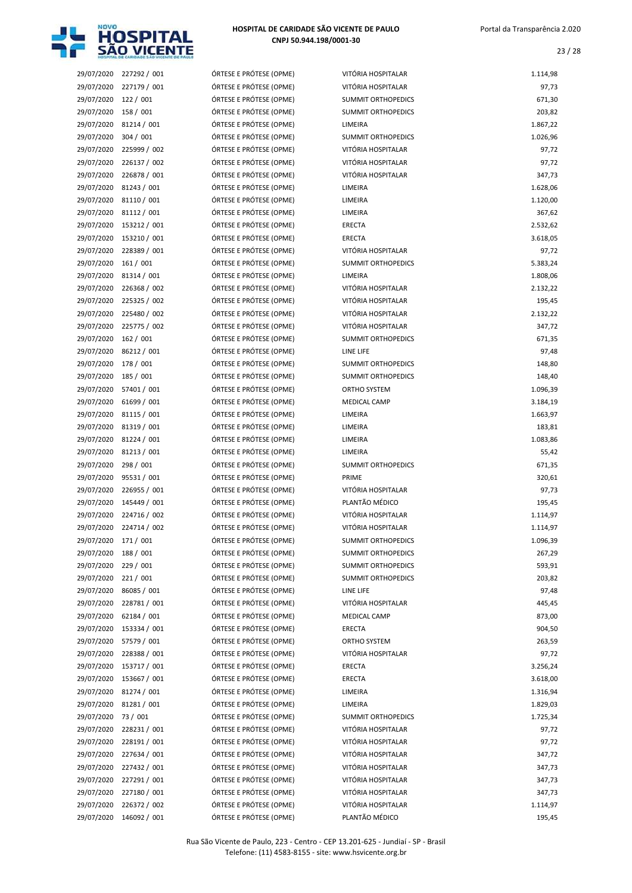

| 29/07/2020           | 227292/001              | ÓRTESE E PRÓTESE (OPME) | VITÓRIA HOSPITALAR        | 1.114,98 |
|----------------------|-------------------------|-------------------------|---------------------------|----------|
| 29/07/2020           | 227179 / 001            | ÓRTESE E PRÓTESE (OPME) | VITÓRIA HOSPITALAR        | 97,73    |
| 29/07/2020           | 122/001                 | ÓRTESE E PRÓTESE (OPME) | <b>SUMMIT ORTHOPEDICS</b> | 671,30   |
| 29/07/2020           | 158 / 001               | ÓRTESE E PRÓTESE (OPME) | <b>SUMMIT ORTHOPEDICS</b> | 203,82   |
| 29/07/2020           | 81214 / 001             | ÓRTESE E PRÓTESE (OPME) | LIMEIRA                   | 1.867,22 |
| 29/07/2020           | 304 / 001               | ÓRTESE E PRÓTESE (OPME) | <b>SUMMIT ORTHOPEDICS</b> | 1.026,96 |
| 29/07/2020           | 225999 / 002            | ÓRTESE E PRÓTESE (OPME) | VITÓRIA HOSPITALAR        | 97,72    |
| 29/07/2020           | 226137 / 002            | ÓRTESE E PRÓTESE (OPME) | VITÓRIA HOSPITALAR        | 97,72    |
| 29/07/2020           | 226878 / 001            | ÓRTESE E PRÓTESE (OPME) | VITÓRIA HOSPITALAR        | 347,73   |
| 29/07/2020           | 81243 / 001             | ÓRTESE E PRÓTESE (OPME) | LIMEIRA                   | 1.628,06 |
| 29/07/2020           | 81110 / 001             | ÓRTESE E PRÓTESE (OPME) | LIMEIRA                   | 1.120,00 |
| 29/07/2020           | 81112 / 001             | ÓRTESE E PRÓTESE (OPME) | LIMEIRA                   | 367,62   |
| 29/07/2020           | 153212 / 001            | ÓRTESE E PRÓTESE (OPME) | ERECTA                    | 2.532,62 |
| 29/07/2020           | 153210 / 001            | ÓRTESE E PRÓTESE (OPME) | <b>ERECTA</b>             | 3.618,05 |
|                      | 228389 / 001            | ÓRTESE E PRÓTESE (OPME) | VITÓRIA HOSPITALAR        |          |
| 29/07/2020           |                         |                         | <b>SUMMIT ORTHOPEDICS</b> | 97,72    |
| 29/07/2020           | 161/001                 | ÓRTESE E PRÓTESE (OPME) |                           | 5.383,24 |
| 29/07/2020           | 81314 / 001             | ÓRTESE E PRÓTESE (OPME) | LIMEIRA                   | 1.808,06 |
| 29/07/2020           | 226368 / 002            | ÓRTESE E PRÓTESE (OPME) | VITÓRIA HOSPITALAR        | 2.132,22 |
| 29/07/2020           | 225325 / 002            | ÓRTESE E PRÓTESE (OPME) | VITÓRIA HOSPITALAR        | 195,45   |
| 29/07/2020           | 225480 / 002            | ÓRTESE E PRÓTESE (OPME) | VITÓRIA HOSPITALAR        | 2.132,22 |
| 29/07/2020           | 225775 / 002            | ÓRTESE E PRÓTESE (OPME) | VITÓRIA HOSPITALAR        | 347,72   |
| 29/07/2020           | 162 / 001               | ÓRTESE E PRÓTESE (OPME) | SUMMIT ORTHOPEDICS        | 671,35   |
| 29/07/2020           | 86212 / 001             | ÓRTESE E PRÓTESE (OPME) | LINE LIFE                 | 97,48    |
| 29/07/2020           | 178 / 001               | ÓRTESE E PRÓTESE (OPME) | SUMMIT ORTHOPEDICS        | 148,80   |
| 29/07/2020           | 185 / 001               | ÓRTESE E PRÓTESE (OPME) | SUMMIT ORTHOPEDICS        | 148,40   |
| 29/07/2020           | 57401 / 001             | ÓRTESE E PRÓTESE (OPME) | ORTHO SYSTEM              | 1.096,39 |
| 29/07/2020           | 61699 / 001             | ÓRTESE E PRÓTESE (OPME) | <b>MEDICAL CAMP</b>       | 3.184,19 |
| 29/07/2020           | 81115 / 001             | ÓRTESE E PRÓTESE (OPME) | LIMEIRA                   | 1.663,97 |
| 29/07/2020           | 81319 / 001             | ÓRTESE E PRÓTESE (OPME) | LIMEIRA                   | 183,81   |
| 29/07/2020           | 81224 / 001             | ÓRTESE E PRÓTESE (OPME) | LIMEIRA                   | 1.083,86 |
| 29/07/2020           | 81213 / 001             | ÓRTESE E PRÓTESE (OPME) | LIMEIRA                   | 55,42    |
| 29/07/2020           | 298 / 001               | ÓRTESE E PRÓTESE (OPME) | SUMMIT ORTHOPEDICS        | 671,35   |
| 29/07/2020           | 95531 / 001             | ÓRTESE E PRÓTESE (OPME) | PRIME                     | 320,61   |
| 29/07/2020           | 226955 / 001            | ÓRTESE E PRÓTESE (OPME) | VITÓRIA HOSPITALAR        | 97,73    |
| 29/07/2020           | 145449 / 001            | ÓRTESE E PRÓTESE (OPME) | PLANTÃO MÉDICO            | 195,45   |
| 29/07/2020           | 224716 / 002            | ÓRTESE E PRÓTESE (OPME) | VITÓRIA HOSPITALAR        | 1.114,97 |
|                      | 29/07/2020 224714 / 002 | ÓRTESE E PRÓTESE (OPME) | VITÓRIA HOSPITALAR        | 1.114,97 |
| 29/07/2020 171 / 001 |                         | ÓRTESE E PRÓTESE (OPME) | SUMMIT ORTHOPEDICS        | 1.096,39 |
| 29/07/2020           | 188 / 001               | ÓRTESE E PRÓTESE (OPME) | <b>SUMMIT ORTHOPEDICS</b> | 267,29   |
| 29/07/2020           | 229 / 001               | ÓRTESE E PRÓTESE (OPME) | <b>SUMMIT ORTHOPEDICS</b> | 593,91   |
| 29/07/2020           | 221/001                 | ÓRTESE E PRÓTESE (OPME) | <b>SUMMIT ORTHOPEDICS</b> | 203,82   |
| 29/07/2020           | 86085 / 001             | ÓRTESE E PRÓTESE (OPME) | LINE LIFE                 | 97,48    |
| 29/07/2020           | 228781 / 001            | ÓRTESE E PRÓTESE (OPME) | VITÓRIA HOSPITALAR        | 445,45   |
| 29/07/2020           | 62184 / 001             | ÓRTESE E PRÓTESE (OPME) | MEDICAL CAMP              | 873,00   |
| 29/07/2020           | 153334 / 001            | ÓRTESE E PRÓTESE (OPME) | ERECTA                    | 904,50   |
| 29/07/2020           | 57579 / 001             | ÓRTESE E PRÓTESE (OPME) | ORTHO SYSTEM              |          |
|                      |                         |                         |                           | 263,59   |
| 29/07/2020           | 228388 / 001            | ÓRTESE E PRÓTESE (OPME) | VITÓRIA HOSPITALAR        | 97,72    |
| 29/07/2020           | 153717 / 001            | ÓRTESE E PRÓTESE (OPME) | ERECTA                    | 3.256,24 |
| 29/07/2020           | 153667 / 001            | ÓRTESE E PRÓTESE (OPME) | ERECTA                    | 3.618,00 |
| 29/07/2020           | 81274 / 001             | ÓRTESE E PRÓTESE (OPME) | LIMEIRA                   | 1.316,94 |
| 29/07/2020           | 81281 / 001             | ÓRTESE E PRÓTESE (OPME) | LIMEIRA                   | 1.829,03 |
| 29/07/2020           | 73 / 001                | ÓRTESE E PRÓTESE (OPME) | SUMMIT ORTHOPEDICS        | 1.725,34 |
| 29/07/2020           | 228231 / 001            | ÓRTESE E PRÓTESE (OPME) | VITÓRIA HOSPITALAR        | 97,72    |
| 29/07/2020           | 228191 / 001            | ÓRTESE E PRÓTESE (OPME) | VITÓRIA HOSPITALAR        | 97,72    |
| 29/07/2020           | 227634 / 001            | ÓRTESE E PRÓTESE (OPME) | VITÓRIA HOSPITALAR        | 347,72   |
| 29/07/2020           | 227432 / 001            | ÓRTESE E PRÓTESE (OPME) | VITÓRIA HOSPITALAR        | 347,73   |
| 29/07/2020           | 227291 / 001            | ÓRTESE E PRÓTESE (OPME) | VITÓRIA HOSPITALAR        | 347,73   |
| 29/07/2020           | 227180 / 001            | ÓRTESE E PRÓTESE (OPME) | VITÓRIA HOSPITALAR        | 347,73   |
| 29/07/2020           | 226372 / 002            | ÓRTESE E PRÓTESE (OPME) | VITÓRIA HOSPITALAR        | 1.114,97 |
| 29/07/2020           | 146092 / 001            | ÓRTESE E PRÓTESE (OPME) | PLANTÃO MÉDICO            | 195,45   |

| RTESE E PRÓTESE (OPME)                           |  |
|--------------------------------------------------|--|
| <b>TESE E PRÓTESE (OPME)</b>                     |  |
| RTESE E PRÓTESE (OPME)                           |  |
| RTESE E PRÓTESE (OPME)                           |  |
| <b>ITESE E PRÓTESE (OPME)</b>                    |  |
| RTESE E PRÓTESE (OPME)                           |  |
| RTESE E PRÓTESE (OPME)                           |  |
| <b>ITESE E PRÓTESE (OPME)</b>                    |  |
| <b>ITESE E PRÓTESE (OPME)</b>                    |  |
| RTESE E PRÓTESE (OPME)                           |  |
| RTESE E PRÓTESE (OPME)                           |  |
| <b>ITESE E PRÓTESE (OPME)</b>                    |  |
| RTESE E PRÓTESE (OPME)                           |  |
| RTESE E PRÓTESE (OPME)                           |  |
| <b>ITESE E PRÓTESE (OPME)</b>                    |  |
| RTESE E PRÓTESE (OPME)                           |  |
| RTESE E PRÓTESE (OPME)                           |  |
| <b>ITESE E PRÓTESE (OPME)</b>                    |  |
| RTESE E PRÓTESE (OPME)                           |  |
| RTESE E PRÓTESE (OPME)                           |  |
| RTESE E PRÓTESE (OPME)                           |  |
| <b>ITESE E PRÓTESE (OPME)</b>                    |  |
| RTESE E PRÓTESE (OPME)                           |  |
| RTESE E PRÓTESE (OPME)                           |  |
| <b>TESE E PRÓTESE (OPME)</b>                     |  |
| RTESE E PRÓTESE (OPME)                           |  |
| <b>TESE E PRÓTESE (OPME)</b>                     |  |
| <b>TESE E PRÓTESE (OPME)</b>                     |  |
| <b>ITESE E PRÓTESE (OPME)</b>                    |  |
| <b>ITESE E PRÓTESE (OPME)</b>                    |  |
| <b>ITESE E PRÓTESE (OPME)</b>                    |  |
| <b>ITESE E PRÓTESE (OPME)</b>                    |  |
| RTESE E PRÓTESE (OPME)                           |  |
| RTESE E PRÓTESE (OPME)                           |  |
| <b>ITESE E PRÓTESE (OPME)</b>                    |  |
| RTESE E PRÓTESE (OPME)                           |  |
| RTESE E PRÓTESE (OPME)                           |  |
| <b>TESE E PRÓTESE (OPME)</b>                     |  |
| RTESE E PRÓTESE (OPME)                           |  |
| RTESE E PRÓTESE (OPME)                           |  |
| RTESE E PRÓTESE (OPME)                           |  |
| RTESE E PRÓTESE (OPME)                           |  |
| RTESE E PRÓTESE (OPME)                           |  |
| RTESE E PRÓTESE (OPME)                           |  |
| RTESE E PRÓTESE (OPME)                           |  |
| RTESE E PRÓTESE (OPME)                           |  |
| RTESE E PRÓTESE (OPME)                           |  |
| RTESE E PRÓTESE (OPME)                           |  |
| RTESE E PRÓTESE (OPME)                           |  |
| RTESE E PRÓTESE (OPME)<br>RTESE E PRÓTESE (OPME) |  |
| RTESE E PRÓTESE (OPME)                           |  |
| RTESE E PRÓTESE (OPME)                           |  |
| RTESE E PRÓTESE (OPME)                           |  |
| RTESE E PRÓTESE (OPME)                           |  |
| RTESE E PRÓTESE (OPME)                           |  |
| <b>ITESE E PRÓTESE (OPME)</b>                    |  |
| RTESE E PRÓTESE (OPME)                           |  |
| RTESE E PRÓTESE (OPME)                           |  |
|                                                  |  |

| 29/07/2020 | 227292 / 001 | ÓRTESE E PRÓTESE (OPME) | VITÓRIA HOSPITALAR        | 1.114,98 |
|------------|--------------|-------------------------|---------------------------|----------|
| 29/07/2020 | 227179 / 001 | ÓRTESE E PRÓTESE (OPME) | VITÓRIA HOSPITALAR        | 97,73    |
| 29/07/2020 | 122 / 001    | ÓRTESE E PRÓTESE (OPME) | <b>SUMMIT ORTHOPEDICS</b> | 671,30   |
| 29/07/2020 | 158 / 001    | ÓRTESE E PRÓTESE (OPME) | <b>SUMMIT ORTHOPEDICS</b> | 203,82   |
| 29/07/2020 | 81214 / 001  | ÓRTESE E PRÓTESE (OPME) | LIMEIRA                   | 1.867,22 |
| 29/07/2020 | 304 / 001    | ÓRTESE E PRÓTESE (OPME) | <b>SUMMIT ORTHOPEDICS</b> | 1.026,96 |
| 29/07/2020 | 225999 / 002 | ÓRTESE E PRÓTESE (OPME) | VITÓRIA HOSPITALAR        | 97,72    |
| 29/07/2020 | 226137 / 002 | ÓRTESE E PRÓTESE (OPME) | VITÓRIA HOSPITALAR        | 97,72    |
| 29/07/2020 | 226878 / 001 | ÓRTESE E PRÓTESE (OPME) | VITÓRIA HOSPITALAR        | 347,73   |
| 29/07/2020 | 81243 / 001  | ÓRTESE E PRÓTESE (OPME) | LIMEIRA                   | 1.628,06 |
| 29/07/2020 | 81110 / 001  | ÓRTESE E PRÓTESE (OPME) | LIMEIRA                   | 1.120,00 |
| 29/07/2020 | 81112 / 001  | ÓRTESE E PRÓTESE (OPME) | LIMEIRA                   | 367,62   |
| 29/07/2020 | 153212 / 001 | ÓRTESE E PRÓTESE (OPME) | <b>ERECTA</b>             | 2.532,62 |
| 29/07/2020 | 153210 / 001 | ÓRTESE E PRÓTESE (OPME) | <b>ERECTA</b>             | 3.618,05 |
| 29/07/2020 | 228389 / 001 | ÓRTESE E PRÓTESE (OPME) | VITÓRIA HOSPITALAR        | 97,72    |
| 29/07/2020 | 161 / 001    | ÓRTESE E PRÓTESE (OPME) | <b>SUMMIT ORTHOPEDICS</b> | 5.383,24 |
| 29/07/2020 | 81314 / 001  | ÓRTESE E PRÓTESE (OPME) | LIMEIRA                   | 1.808,06 |
| 29/07/2020 | 226368 / 002 | ÓRTESE E PRÓTESE (OPME) | VITÓRIA HOSPITALAR        | 2.132,22 |
| 29/07/2020 | 225325 / 002 | ÓRTESE E PRÓTESE (OPME) | VITÓRIA HOSPITALAR        | 195,45   |
| 29/07/2020 | 225480 / 002 | ÓRTESE E PRÓTESE (OPME) | VITÓRIA HOSPITALAR        | 2.132,22 |
| 29/07/2020 | 225775 / 002 | ÓRTESE E PRÓTESE (OPME) | VITÓRIA HOSPITALAR        | 347,72   |
| 29/07/2020 | 162/001      | ÓRTESE E PRÓTESE (OPME) | <b>SUMMIT ORTHOPEDICS</b> | 671,35   |
| 29/07/2020 | 86212 / 001  | ÓRTESE E PRÓTESE (OPME) | LINE LIFE                 | 97,48    |
| 29/07/2020 | 178 / 001    | ÓRTESE E PRÓTESE (OPME) | SUMMIT ORTHOPEDICS        | 148,80   |
| 29/07/2020 | 185 / 001    | ÓRTESE E PRÓTESE (OPME) | <b>SUMMIT ORTHOPEDICS</b> | 148,40   |
| 29/07/2020 | 57401 / 001  | ÓRTESE E PRÓTESE (OPME) | ORTHO SYSTEM              | 1.096,39 |
| 29/07/2020 | 61699 / 001  | ÓRTESE E PRÓTESE (OPME) | <b>MEDICAL CAMP</b>       | 3.184,19 |
| 29/07/2020 | 81115 / 001  | ÓRTESE E PRÓTESE (OPME) | LIMEIRA                   | 1.663,97 |
| 29/07/2020 | 81319 / 001  | ÓRTESE E PRÓTESE (OPME) | LIMEIRA                   | 183,81   |
| 29/07/2020 | 81224 / 001  | ÓRTESE E PRÓTESE (OPME) | LIMEIRA                   | 1.083,86 |
| 29/07/2020 | 81213 / 001  | ÓRTESE E PRÓTESE (OPME) | LIMEIRA                   | 55,42    |
| 29/07/2020 | 298 / 001    | ÓRTESE E PRÓTESE (OPME) | <b>SUMMIT ORTHOPEDICS</b> | 671,35   |
| 29/07/2020 | 95531 / 001  | ÓRTESE E PRÓTESE (OPME) | PRIME                     | 320,61   |
| 29/07/2020 | 226955 / 001 | ÓRTESE E PRÓTESE (OPME) | VITÓRIA HOSPITALAR        | 97,73    |
| 29/07/2020 | 145449 / 001 | ÓRTESE E PRÓTESE (OPME) | PLANTÃO MÉDICO            | 195,45   |
| 29/07/2020 | 224716 / 002 | ÓRTESE E PRÓTESE (OPME) | VITÓRIA HOSPITALAR        | 1.114,97 |
| 29/07/2020 | 224714 / 002 | ÓRTESE E PRÓTESE (OPME) | VITÓRIA HOSPITALAR        | 1.114,97 |
| 29/07/2020 | 171 / 001    | ÓRTESE E PRÓTESE (OPME) | SUMMIT ORTHOPEDICS        | 1.096,39 |
| 29/07/2020 | 188 / 001    | ÓRTESE E PRÓTESE (OPME) | SUMMIT ORTHOPEDICS        | 267,29   |
| 29/07/2020 | 229/001      | ÓRTESE E PRÓTESE (OPME) | <b>SUMMIT ORTHOPEDICS</b> | 593,91   |
| 29/07/2020 | 221/001      | ÓRTESE E PRÓTESE (OPME) | SUMMIT ORTHOPEDICS        | 203,82   |
| 29/07/2020 | 86085 / 001  | ÓRTESE E PRÓTESE (OPME) | LINE LIFE                 | 97,48    |
| 29/07/2020 | 228781 / 001 | ÓRTESE E PRÓTESE (OPME) | VITÓRIA HOSPITALAR        | 445,45   |
| 29/07/2020 | 62184 / 001  | ÓRTESE E PRÓTESE (OPME) | MEDICAL CAMP              | 873,00   |
| 29/07/2020 | 153334 / 001 | ÓRTESE E PRÓTESE (OPME) | ERECTA                    | 904,50   |
| 29/07/2020 | 57579 / 001  | ÓRTESE E PRÓTESE (OPME) | ORTHO SYSTEM              | 263,59   |
| 29/07/2020 | 228388 / 001 | ÓRTESE E PRÓTESE (OPME) | VITÓRIA HOSPITALAR        | 97,72    |
| 29/07/2020 | 153717 / 001 | ÓRTESE E PRÓTESE (OPME) | ERECTA                    | 3.256,24 |
| 29/07/2020 | 153667 / 001 | ÓRTESE E PRÓTESE (OPME) | ERECTA                    | 3.618,00 |
| 29/07/2020 | 81274 / 001  | ÓRTESE E PRÓTESE (OPME) | LIMEIRA                   | 1.316,94 |
| 29/07/2020 | 81281 / 001  | ÓRTESE E PRÓTESE (OPME) | LIMEIRA                   | 1.829,03 |
| 29/07/2020 | 73 / 001     | ÓRTESE E PRÓTESE (OPME) | <b>SUMMIT ORTHOPEDICS</b> | 1.725,34 |
| 29/07/2020 | 228231 / 001 | ÓRTESE E PRÓTESE (OPME) | VITÓRIA HOSPITALAR        | 97,72    |
| 29/07/2020 | 228191 / 001 | ÓRTESE E PRÓTESE (OPME) | VITÓRIA HOSPITALAR        | 97,72    |
| 29/07/2020 | 227634 / 001 | ÓRTESE E PRÓTESE (OPME) | VITÓRIA HOSPITALAR        | 347,72   |
| 29/07/2020 | 227432 / 001 | ÓRTESE E PRÓTESE (OPME) | VITÓRIA HOSPITALAR        | 347,73   |
| 29/07/2020 | 227291 / 001 | ÓRTESE E PRÓTESE (OPME) | VITÓRIA HOSPITALAR        | 347,73   |
| 29/07/2020 | 227180 / 001 | ÓRTESE E PRÓTESE (OPME) | VITÓRIA HOSPITALAR        | 347,73   |
| 29/07/2020 | 226372 / 002 | ÓRTESE E PRÓTESE (OPME) | VITÓRIA HOSPITALAR        | 1.114,97 |
|            |              |                         |                           |          |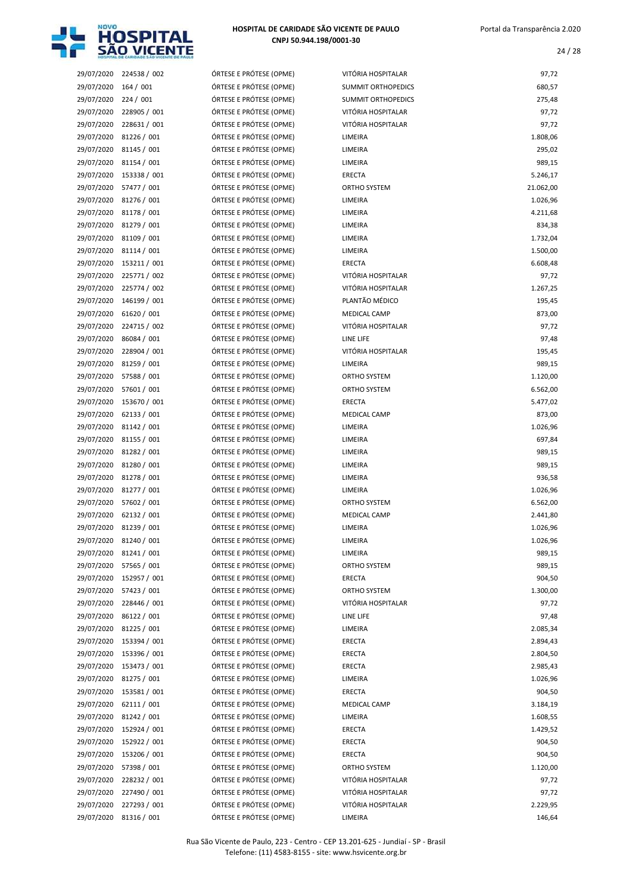

| 29/07/2020 | 224538 / 002           | ÓRTESE E PRÓTESE (OPME) | VITÓRIA HOSPITALAR        | 97,72     |
|------------|------------------------|-------------------------|---------------------------|-----------|
| 29/07/2020 | 164/001                | ÓRTESE E PRÓTESE (OPME) | <b>SUMMIT ORTHOPEDICS</b> | 680,57    |
| 29/07/2020 | 224/001                | ÓRTESE E PRÓTESE (OPME) | <b>SUMMIT ORTHOPEDICS</b> | 275,48    |
| 29/07/2020 | 228905 / 001           | ÓRTESE E PRÓTESE (OPME) | VITÓRIA HOSPITALAR        | 97,72     |
| 29/07/2020 | 228631 / 001           | ÓRTESE E PRÓTESE (OPME) | VITÓRIA HOSPITALAR        | 97,72     |
| 29/07/2020 | 81226 / 001            | ÓRTESE E PRÓTESE (OPME) | LIMEIRA                   | 1.808,06  |
| 29/07/2020 | 81145 / 001            | ÓRTESE E PRÓTESE (OPME) | LIMEIRA                   | 295,02    |
| 29/07/2020 | 81154 / 001            | ÓRTESE E PRÓTESE (OPME) | LIMEIRA                   | 989,15    |
| 29/07/2020 | 153338 / 001           | ÓRTESE E PRÓTESE (OPME) | ERECTA                    | 5.246,17  |
| 29/07/2020 | 57477 / 001            | ÓRTESE E PRÓTESE (OPME) | ORTHO SYSTEM              | 21.062,00 |
| 29/07/2020 | 81276 / 001            | ÓRTESE E PRÓTESE (OPME) | LIMEIRA                   | 1.026,96  |
| 29/07/2020 | 81178 / 001            | ÓRTESE E PRÓTESE (OPME) | LIMEIRA                   | 4.211,68  |
| 29/07/2020 | 81279 / 001            | ÓRTESE E PRÓTESE (OPME) | LIMEIRA                   | 834,38    |
| 29/07/2020 | 81109 / 001            | ÓRTESE E PRÓTESE (OPME) | LIMEIRA                   | 1.732,04  |
| 29/07/2020 | 81114 / 001            | ÓRTESE E PRÓTESE (OPME) | LIMEIRA                   | 1.500,00  |
| 29/07/2020 | 153211 / 001           | ÓRTESE E PRÓTESE (OPME) | ERECTA                    | 6.608,48  |
| 29/07/2020 | 225771 / 002           | ÓRTESE E PRÓTESE (OPME) | VITÓRIA HOSPITALAR        | 97,72     |
| 29/07/2020 | 225774 / 002           | ÓRTESE E PRÓTESE (OPME) | VITÓRIA HOSPITALAR        | 1.267,25  |
| 29/07/2020 | 146199 / 001           | ÓRTESE E PRÓTESE (OPME) | PLANTÃO MÉDICO            | 195,45    |
|            |                        |                         |                           |           |
| 29/07/2020 | 61620 / 001            | ÓRTESE E PRÓTESE (OPME) | <b>MEDICAL CAMP</b>       | 873,00    |
| 29/07/2020 | 224715 / 002           | ÓRTESE E PRÓTESE (OPME) | VITÓRIA HOSPITALAR        | 97,72     |
| 29/07/2020 | 86084 / 001            | ÓRTESE E PRÓTESE (OPME) | LINE LIFE                 | 97,48     |
| 29/07/2020 | 228904 / 001           | ÓRTESE E PRÓTESE (OPME) | VITÓRIA HOSPITALAR        | 195,45    |
| 29/07/2020 | 81259 / 001            | ÓRTESE E PRÓTESE (OPME) | LIMEIRA                   | 989,15    |
| 29/07/2020 | 57588 / 001            | ÓRTESE E PRÓTESE (OPME) | ORTHO SYSTEM              | 1.120,00  |
| 29/07/2020 | 57601 / 001            | ÓRTESE E PRÓTESE (OPME) | ORTHO SYSTEM              | 6.562,00  |
| 29/07/2020 | 153670 / 001           | ÓRTESE E PRÓTESE (OPME) | <b>ERECTA</b>             | 5.477,02  |
| 29/07/2020 | 62133 / 001            | ÓRTESE E PRÓTESE (OPME) | <b>MEDICAL CAMP</b>       | 873,00    |
| 29/07/2020 | 81142 / 001            | ÓRTESE E PRÓTESE (OPME) | LIMEIRA                   | 1.026,96  |
| 29/07/2020 | 81155 / 001            | ÓRTESE E PRÓTESE (OPME) | LIMEIRA                   | 697,84    |
| 29/07/2020 | 81282 / 001            | ÓRTESE E PRÓTESE (OPME) | LIMEIRA                   | 989,15    |
| 29/07/2020 | 81280 / 001            | ÓRTESE E PRÓTESE (OPME) | LIMEIRA                   | 989,15    |
| 29/07/2020 | 81278 / 001            | ÓRTESE E PRÓTESE (OPME) | LIMEIRA                   | 936,58    |
| 29/07/2020 | 81277 / 001            | ÓRTESE E PRÓTESE (OPME) | LIMEIRA                   | 1.026,96  |
| 29/07/2020 | 57602 / 001            | ÓRTESE E PRÓTESE (OPME) | <b>ORTHO SYSTEM</b>       | 6.562,00  |
| 29/07/2020 | 62132 / 001            | ÓRTESE E PRÓTESE (OPME) | <b>MEDICAL CAMP</b>       | 2.441,80  |
|            | 29/07/2020 81239 / 001 | ÓRTESE E PRÓTESE (OPME) | LIMEIRA                   | 1.026,96  |
|            | 29/07/2020 81240 / 001 | ÓRTESE E PRÓTESE (OPME) | LIMEIRA                   | 1.026,96  |
|            | 29/07/2020 81241 / 001 | ÓRTESE E PRÓTESE (OPME) | LIMEIRA                   | 989,15    |
| 29/07/2020 | 57565 / 001            | ÓRTESE E PRÓTESE (OPME) | ORTHO SYSTEM              | 989,15    |
| 29/07/2020 | 152957 / 001           | ÓRTESE E PRÓTESE (OPME) | ERECTA                    | 904,50    |
| 29/07/2020 | 57423 / 001            | ÓRTESE E PRÓTESE (OPME) | ORTHO SYSTEM              | 1.300,00  |
| 29/07/2020 | 228446 / 001           | ÓRTESE E PRÓTESE (OPME) | VITÓRIA HOSPITALAR        | 97,72     |
| 29/07/2020 | 86122 / 001            | ÓRTESE E PRÓTESE (OPME) | LINE LIFE                 | 97,48     |
| 29/07/2020 | 81225 / 001            | ÓRTESE E PRÓTESE (OPME) | LIMEIRA                   | 2.085,34  |
| 29/07/2020 | 153394 / 001           | ÓRTESE E PRÓTESE (OPME) | ERECTA                    | 2.894,43  |
| 29/07/2020 | 153396 / 001           | ÓRTESE E PRÓTESE (OPME) | ERECTA                    | 2.804,50  |
| 29/07/2020 | 153473 / 001           | ÓRTESE E PRÓTESE (OPME) | ERECTA                    | 2.985,43  |
| 29/07/2020 | 81275 / 001            | ÓRTESE E PRÓTESE (OPME) | LIMEIRA                   | 1.026,96  |
| 29/07/2020 | 153581 / 001           | ÓRTESE E PRÓTESE (OPME) | ERECTA                    | 904,50    |
| 29/07/2020 | 62111 / 001            | ÓRTESE E PRÓTESE (OPME) | <b>MEDICAL CAMP</b>       | 3.184,19  |
| 29/07/2020 | 81242 / 001            | ÓRTESE E PRÓTESE (OPME) | LIMEIRA                   | 1.608,55  |
| 29/07/2020 | 152924 / 001           | ÓRTESE E PRÓTESE (OPME) | ERECTA                    | 1.429,52  |
| 29/07/2020 | 152922 / 001           | ÓRTESE E PRÓTESE (OPME) | ERECTA                    | 904,50    |
| 29/07/2020 | 153206 / 001           | ÓRTESE E PRÓTESE (OPME) | ERECTA                    | 904,50    |
| 29/07/2020 | 57398 / 001            | ÓRTESE E PRÓTESE (OPME) | ORTHO SYSTEM              | 1.120,00  |
| 29/07/2020 | 228232 / 001           | ÓRTESE E PRÓTESE (OPME) | VITÓRIA HOSPITALAR        | 97,72     |
| 29/07/2020 | 227490 / 001           | ÓRTESE E PRÓTESE (OPME) | VITÓRIA HOSPITALAR        | 97,72     |
| 29/07/2020 | 227293 / 001           | ÓRTESE E PRÓTESE (OPME) | VITÓRIA HOSPITALAR        | 2.229,95  |
| 29/07/2020 | 81316 / 001            | ÓRTESE E PRÓTESE (OPME) | LIMEIRA                   | 146,64    |
|            |                        |                         |                           |           |

| VITÓRIA HOSPITALAR        | 97,72     |
|---------------------------|-----------|
| <b>SUMMIT ORTHOPEDICS</b> | 680,57    |
| <b>SUMMIT ORTHOPEDICS</b> | 275,48    |
| VITÓRIA HOSPITALAR        | 97,72     |
| VITÓRIA HOSPITALAR        | 97,72     |
| LIMEIRA                   | 1.808,06  |
| LIMEIRA                   | 295,02    |
| LIMEIRA                   | 989,15    |
| <b>ERECTA</b>             | 5.246,17  |
| <b>ORTHO SYSTEM</b>       | 21.062,00 |
| LIMEIRA                   | 1.026,96  |
| LIMEIRA                   | 4.211,68  |
| LIMEIRA                   | 834,38    |
| LIMEIRA                   | 1.732,04  |
| LIMEIRA                   | 1.500,00  |
| <b>ERECTA</b>             | 6.608,48  |
| VITÓRIA HOSPITALAR        | 97,72     |
| VITÓRIA HOSPITALAR        | 1.267,25  |
| PLANTÃO MÉDICO            | 195,45    |
| <b>MEDICAL CAMP</b>       | 873,00    |
| VITÓRIA HOSPITALAR        | 97,72     |
| LINE LIFE                 | 97,48     |
| VITÓRIA HOSPITALAR        | 195,45    |
| <b>LIMEIRA</b>            | 989,15    |
| <b>ORTHO SYSTEM</b>       | 1.120,00  |
| <b>ORTHO SYSTEM</b>       | 6.562,00  |
| ERECTA                    | 5.477,02  |
| <b>MEDICAL CAMP</b>       | 873,00    |
| LIMEIRA                   | 1.026,96  |
| LIMEIRA                   | 697,84    |
| LIMEIRA                   | 989,15    |
| LIMEIRA                   | 989,15    |
| LIMEIRA                   | 936,58    |
| LIMEIRA                   | 1.026,96  |
| <b>ORTHO SYSTEM</b>       | 6.562,00  |
| <b>MEDICAL CAMP</b>       | 2.441,80  |
| LIMEIRA                   | 1.026,96  |
| LIMEIRA                   | 1.026,96  |
| LIMEIRA                   | 989,15    |
| ORTHO SYSTEM              | 989,15    |
| <b>ERECTA</b>             | 904,50    |
| ORTHO SYSTEM              | 1.300,00  |
| VITÓRIA HOSPITALAR        | 97,72     |
| LINE LIFE                 | 97,48     |
| LIMEIRA                   | 2.085,34  |
| <b>ERECTA</b>             | 2.894,43  |
| ERECTA                    | 2.804,50  |
| ERECTA                    | 2.985,43  |
| LIMEIRA                   | 1.026,96  |
| ERECTA                    | 904,50    |
| <b>MEDICAL CAMP</b>       | 3.184,19  |
| LIMEIRA                   | 1.608,55  |
| <b>ERECTA</b>             | 1.429,52  |
| <b>ERECTA</b>             | 904,50    |
| ERECTA                    | 904,50    |
| ORTHO SYSTEM              | 1.120,00  |
| VITÓRIA HOSPITALAR        | 97,72     |
| VITÓRIA HOSPITALAR        | 97,72     |
| VITÓRIA HOSPITALAR        | 2.229,95  |
| <b>IIMFIRA</b>            | 146.64    |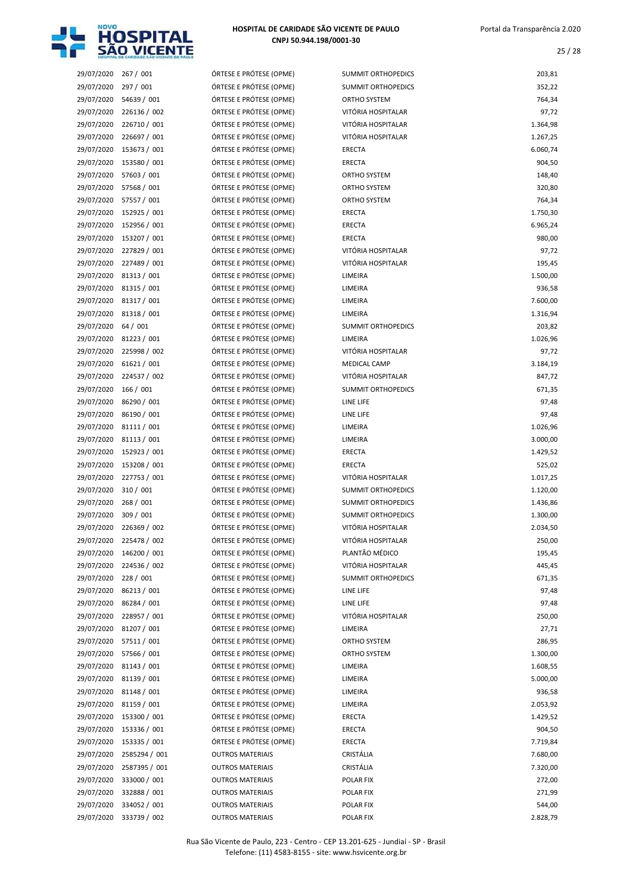

| 29/07/2020 | 267 / 001                | ÓRTESE E PRÓTESE        |
|------------|--------------------------|-------------------------|
| 29/07/2020 | 297 / 001                | ÓRTESE E PRÓTESE        |
| 29/07/2020 | 54639 / 001              | ÓRTESE E PRÓTESE        |
| 29/07/2020 | 226136 / 002             | ÓRTESE E PRÓTESE        |
| 29/07/2020 | 226710 / 001             | ÓRTESE E PRÓTESE        |
| 29/07/2020 | 226697 / 001             | ÓRTESE E PRÓTESE        |
| 29/07/2020 | 153673 / 001             | ÓRTESE E PRÓTESE        |
| 29/07/2020 | 153580 / 001             | ÓRTESE E PRÓTESE        |
| 29/07/2020 | 57603 / 001              | ÓRTESE E PRÓTESE        |
| 29/07/2020 | 57568 / 001              | ÓRTESE E PRÓTESE        |
| 29/07/2020 | 57557 / 001              | ÓRTESE E PRÓTESE        |
| 29/07/2020 | 152925 / 001             | ÓRTESE E PRÓTESE        |
| 29/07/2020 | 152956 / 001             | ÓRTESE E PRÓTESE        |
| 29/07/2020 | 153207 / 001             | ÓRTESE E PRÓTESE        |
| 29/07/2020 | 227829 / 001             | ÓRTESE E PRÓTESE        |
| 29/07/2020 | 227489 / 001             | ÓRTESE E PRÓTESE        |
|            |                          | ÓRTESE E PRÓTESE        |
| 29/07/2020 | 81313 / 001              | ÓRTESE E PRÓTESE        |
| 29/07/2020 | 81315 / 001              |                         |
| 29/07/2020 | 81317 / 001              | ÓRTESE E PRÓTESE        |
| 29/07/2020 | 81318 / 001              | ÓRTESE E PRÓTESE        |
| 29/07/2020 | 64 / 001                 | ÓRTESE E PRÓTESE        |
| 29/07/2020 | 81223 / 001              | ÓRTESE E PRÓTESE        |
| 29/07/2020 | 225998 / 002             | ÓRTESE E PRÓTESE        |
| 29/07/2020 | 61621 / 001              | ÓRTESE E PRÓTESE        |
| 29/07/2020 | 224537 / 002             | ÓRTESE E PRÓTESE        |
| 29/07/2020 | 166 / 001                | ÓRTESE E PRÓTESE        |
| 29/07/2020 | 86290 / 001              | ÓRTESE E PRÓTESE        |
| 29/07/2020 | 86190 / 001              | ÓRTESE E PRÓTESE        |
| 29/07/2020 | 81111 / 001              | ÓRTESE E PRÓTESE        |
| 29/07/2020 | 81113 / 001              | ÓRTESE E PRÓTESE        |
| 29/07/2020 | 152923 / 001             | ÓRTESE E PRÓTESE        |
| 29/07/2020 | 153208 / 001             | ÓRTESE E PRÓTESE        |
| 29/07/2020 | 227753 / 001             | ÓRTESE E PRÓTESE        |
| 29/07/2020 | 310 / 001                | ÓRTESE E PRÓTESE        |
| 29/07/2020 | 268 / 001                | ÓRTESE E PRÓTESE        |
| 29/07/2020 | 309 / 001                | ÓRTESE E PRÓTESE        |
| 29/07/2020 | 226369 / 002             | ÓRTESE E PRÓTESE        |
| 29/07/2020 | 225478 / 002             | ÓRTESE E PRÓTESE        |
| 29/07/2020 | 146200 / 001             | ÓRTESE E PRÓTESE        |
| 29/07/2020 | 224536 / 002             | ÓRTESE E PRÓTESE        |
| 29/07/2020 | 228 / 001                | ÓRTESE E PRÓTESE        |
| 29/07/2020 | 86213 / 001              | ÓRTESE E PRÓTESE        |
| 29/07/2020 | 86284 / 001              | ÓRTESE E PRÓTESE        |
| 29/07/2020 | 228957 / 001             | ÓRTESE E PRÓTESE        |
| 29/07/2020 | 81207 / 001              | ÓRTESE E PRÓTESE        |
| 29/07/2020 | 57511 / 001              | ÓRTESE E PRÓTESE        |
| 29/07/2020 | 57566 / 001              | ÓRTESE E PRÓTESE        |
| 29/07/2020 | 81143 / 001              | ÓRTESE E PRÓTESE        |
| 29/07/2020 | 81139 / 001              | ÓRTESE E PRÓTESE        |
| 29/07/2020 | 81148 / 001              | ÓRTESE E PRÓTESE        |
| 29/07/2020 | 81159 / 001              | ÓRTESE E PRÓTESE        |
| 29/07/2020 | 153300 / 001             | ÓRTESE E PRÓTESE        |
| 29/07/2020 | 153336 / 001             | ÓRTESE E PRÓTESE        |
| 29/07/2020 | 153335 / 001             | ÓRTESE E PRÓTESE        |
| 29/07/2020 | 2585294 / 001            | <b>OUTROS MATERIAIS</b> |
|            | 29/07/2020 2587395 / 001 | <b>OUTROS MATERIAIS</b> |
|            | 29/07/2020 333000 / 001  | <b>OUTROS MATERIAIS</b> |
| 29/07/2020 | 332888 / 001             | <b>OUTROS MATERIAIS</b> |
|            | 29/07/2020 334052 / 001  | <b>OUTROS MATERIAIS</b> |
|            |                          |                         |

| 29/07/2020 | 267 / 001     | ÓRTESE E PRÓTESE (OPME) | SUMMIT ORTHOPEDICS        | 203,81   |
|------------|---------------|-------------------------|---------------------------|----------|
| 29/07/2020 | 297 / 001     | ÓRTESE E PRÓTESE (OPME) | <b>SUMMIT ORTHOPEDICS</b> | 352,22   |
| 29/07/2020 | 54639 / 001   | ÓRTESE E PRÓTESE (OPME) | ORTHO SYSTEM              | 764,34   |
| 29/07/2020 | 226136 / 002  | ÓRTESE E PRÓTESE (OPME) | VITÓRIA HOSPITALAR        | 97,72    |
| 29/07/2020 | 226710 / 001  | ÓRTESE E PRÓTESE (OPME) | VITÓRIA HOSPITALAR        | 1.364,98 |
| 29/07/2020 | 226697 / 001  | ÓRTESE E PRÓTESE (OPME) | VITÓRIA HOSPITALAR        | 1.267,25 |
| 29/07/2020 | 153673 / 001  | ÓRTESE E PRÓTESE (OPME) | <b>ERECTA</b>             | 6.060,74 |
| 29/07/2020 | 153580 / 001  | ÓRTESE E PRÓTESE (OPME) | <b>ERECTA</b>             | 904,50   |
| 29/07/2020 | 57603 / 001   | ÓRTESE E PRÓTESE (OPME) | ORTHO SYSTEM              | 148,40   |
| 29/07/2020 | 57568 / 001   | ÓRTESE E PRÓTESE (OPME) | ORTHO SYSTEM              | 320,80   |
| 29/07/2020 | 57557 / 001   | ÓRTESE E PRÓTESE (OPME) | ORTHO SYSTEM              | 764,34   |
| 29/07/2020 | 152925 / 001  | ÓRTESE E PRÓTESE (OPME) | <b>ERECTA</b>             | 1.750,30 |
| 29/07/2020 | 152956 / 001  | ÓRTESE E PRÓTESE (OPME) | <b>ERECTA</b>             | 6.965,24 |
| 29/07/2020 | 153207 / 001  | ÓRTESE E PRÓTESE (OPME) | <b>ERECTA</b>             | 980,00   |
| 29/07/2020 | 227829 / 001  | ÓRTESE E PRÓTESE (OPME) | VITÓRIA HOSPITALAR        | 97,72    |
| 29/07/2020 | 227489 / 001  | ÓRTESE E PRÓTESE (OPME) | VITÓRIA HOSPITALAR        | 195,45   |
| 29/07/2020 | 81313 / 001   | ÓRTESE E PRÓTESE (OPME) | LIMEIRA                   | 1.500,00 |
| 29/07/2020 | 81315 / 001   | ÓRTESE E PRÓTESE (OPME) | LIMEIRA                   | 936,58   |
| 29/07/2020 | 81317 / 001   | ÓRTESE E PRÓTESE (OPME) | LIMEIRA                   | 7.600,00 |
| 29/07/2020 | 81318 / 001   | ÓRTESE E PRÓTESE (OPME) | LIMEIRA                   | 1.316,94 |
| 29/07/2020 | 64 / 001      | ÓRTESE E PRÓTESE (OPME) | <b>SUMMIT ORTHOPEDICS</b> | 203,82   |
| 29/07/2020 | 81223 / 001   | ÓRTESE E PRÓTESE (OPME) | LIMEIRA                   | 1.026,96 |
| 29/07/2020 | 225998 / 002  | ÓRTESE E PRÓTESE (OPME) | VITÓRIA HOSPITALAR        | 97,72    |
| 29/07/2020 | 61621 / 001   | ÓRTESE E PRÓTESE (OPME) | MEDICAL CAMP              | 3.184,19 |
| 29/07/2020 | 224537 / 002  | ÓRTESE E PRÓTESE (OPME) | VITÓRIA HOSPITALAR        | 847,72   |
| 29/07/2020 | 166 / 001     | ÓRTESE E PRÓTESE (OPME) | <b>SUMMIT ORTHOPEDICS</b> | 671,35   |
| 29/07/2020 | 86290 / 001   | ÓRTESE E PRÓTESE (OPME) | LINE LIFE                 | 97,48    |
| 29/07/2020 | 86190 / 001   | ÓRTESE E PRÓTESE (OPME) | LINE LIFE                 | 97,48    |
| 29/07/2020 | 81111 / 001   | ÓRTESE E PRÓTESE (OPME) | LIMEIRA                   | 1.026,96 |
| 29/07/2020 | 81113 / 001   | ÓRTESE E PRÓTESE (OPME) | LIMEIRA                   | 3.000,00 |
| 29/07/2020 | 152923 / 001  | ÓRTESE E PRÓTESE (OPME) | <b>ERECTA</b>             | 1.429,52 |
| 29/07/2020 | 153208 / 001  | ÓRTESE E PRÓTESE (OPME) | <b>ERECTA</b>             | 525,02   |
| 29/07/2020 | 227753 / 001  | ÓRTESE E PRÓTESE (OPME) | VITÓRIA HOSPITALAR        | 1.017,25 |
| 29/07/2020 | 310 / 001     | ÓRTESE E PRÓTESE (OPME) | <b>SUMMIT ORTHOPEDICS</b> | 1.120,00 |
| 29/07/2020 | 268 / 001     | ÓRTESE E PRÓTESE (OPME) | <b>SUMMIT ORTHOPEDICS</b> | 1.436,86 |
| 29/07/2020 | 309 / 001     | ÓRTESE E PRÓTESE (OPME) | SUMMIT ORTHOPEDICS        | 1.300,00 |
| 29/07/2020 | 226369 / 002  | ÓRTESE E PRÓTESE (OPME) | VITÓRIA HOSPITALAR        | 2.034,50 |
| 29/07/2020 | 225478 / 002  | ÓRTESE E PRÓTESE (OPME) | VITÓRIA HOSPITALAR        | 250,00   |
| 29/07/2020 | 146200 / 001  | ÓRTESE E PRÓTESE (OPME) | PLANTÃO MÉDICO            | 195,45   |
| 29/07/2020 | 224536 / 002  | ÓRTESE E PRÓTESE (OPME) | VITÓRIA HOSPITALAR        | 445,45   |
| 29/07/2020 | 228 / 001     | ÓRTESE E PRÓTESE (OPME) | SUMMIT ORTHOPEDICS        | 671,35   |
| 29/07/2020 | 86213 / 001   | ÓRTESE E PRÓTESE (OPME) | LINE LIFE                 | 97,48    |
| 29/07/2020 | 86284 / 001   | ÓRTESE E PRÓTESE (OPME) | LINE LIFE                 | 97,48    |
| 29/07/2020 | 228957 / 001  | ÓRTESE E PRÓTESE (OPME) | VITÓRIA HOSPITALAR        | 250,00   |
| 29/07/2020 | 81207 / 001   | ÓRTESE E PRÓTESE (OPME) | LIMEIRA                   | 27,71    |
| 29/07/2020 | 57511 / 001   | ÓRTESE E PRÓTESE (OPME) | ORTHO SYSTEM              | 286,95   |
| 29/07/2020 | 57566 / 001   | ÓRTESE E PRÓTESE (OPME) | ORTHO SYSTEM              | 1.300,00 |
| 29/07/2020 | 81143 / 001   | ÓRTESE E PRÓTESE (OPME) | LIMEIRA                   | 1.608,55 |
| 29/07/2020 | 81139 / 001   | ÓRTESE E PRÓTESE (OPME) | LIMEIRA                   | 5.000,00 |
| 29/07/2020 | 81148 / 001   | ÓRTESE E PRÓTESE (OPME) | LIMEIRA                   | 936,58   |
| 29/07/2020 | 81159 / 001   | ÓRTESE E PRÓTESE (OPME) | LIMEIRA                   | 2.053,92 |
| 29/07/2020 | 153300 / 001  | ÓRTESE E PRÓTESE (OPME) | ERECTA                    | 1.429,52 |
| 29/07/2020 | 153336 / 001  | ÓRTESE E PRÓTESE (OPME) | ERECTA                    | 904,50   |
| 29/07/2020 | 153335 / 001  | ÓRTESE E PRÓTESE (OPME) | ERECTA                    | 7.719,84 |
| 29/07/2020 | 2585294 / 001 | <b>OUTROS MATERIAIS</b> | CRISTÁLIA                 | 7.680,00 |
| 29/07/2020 | 2587395 / 001 | <b>OUTROS MATERIAIS</b> | CRISTÁLIA                 | 7.320,00 |
| 29/07/2020 | 333000 / 001  | <b>OUTROS MATERIAIS</b> | POLAR FIX                 | 272,00   |
| 29/07/2020 | 332888 / 001  | <b>OUTROS MATERIAIS</b> | POLAR FIX                 | 271,99   |
| 29/07/2020 | 334052 / 001  | <b>OUTROS MATERIAIS</b> | POLAR FIX                 | 544,00   |
| 29/07/2020 | 333739 / 002  | <b>OUTROS MATERIAIS</b> | POLAR FIX                 | 2.828,79 |
|            |               |                         |                           |          |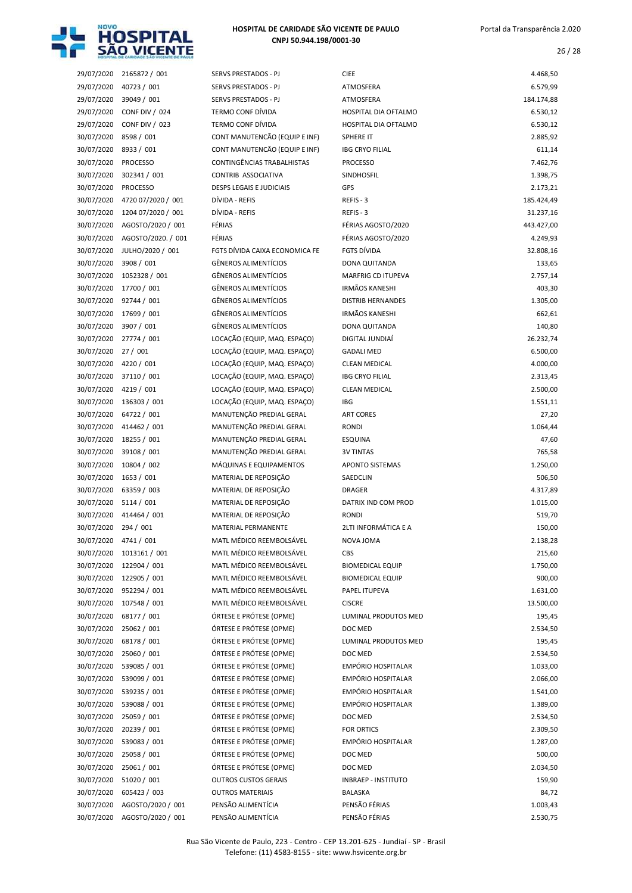

| 29/07/2020 | 2165872 / 001                | SERVS PRESTADOS - PJ            | <b>CIEE</b>                | 4.468,50   |
|------------|------------------------------|---------------------------------|----------------------------|------------|
| 29/07/2020 | 40723 / 001                  | SERVS PRESTADOS - PJ            | ATMOSFERA                  | 6.579,99   |
| 29/07/2020 | 39049 / 001                  | SERVS PRESTADOS - PJ            | <b>ATMOSFERA</b>           | 184.174,88 |
| 29/07/2020 | <b>CONF DIV / 024</b>        | <b>TERMO CONF DÍVIDA</b>        | HOSPITAL DIA OFTALMO       | 6.530,12   |
| 29/07/2020 | <b>CONF DIV / 023</b>        | <b>TERMO CONF DÍVIDA</b>        | HOSPITAL DIA OFTALMO       | 6.530,12   |
| 30/07/2020 | 8598 / 001                   | CONT MANUTENCÃO (EQUIP E INF)   | <b>SPHERE IT</b>           | 2.885,92   |
| 30/07/2020 | 8933 / 001                   | CONT MANUTENCÃO (EQUIP E INF)   | <b>IBG CRYO FILIAL</b>     | 611,14     |
| 30/07/2020 | <b>PROCESSO</b>              | CONTINGÊNCIAS TRABALHISTAS      | <b>PROCESSO</b>            | 7.462,76   |
| 30/07/2020 | 302341 / 001                 | CONTRIB ASSOCIATIVA             | SINDHOSFIL                 | 1.398,75   |
| 30/07/2020 | <b>PROCESSO</b>              | <b>DESPS LEGAIS E JUDICIAIS</b> | GPS                        | 2.173,21   |
| 30/07/2020 | 4720 07/2020 / 001           | DÍVIDA - REFIS                  | REFIS - 3                  | 185.424,49 |
| 30/07/2020 | 1204 07/2020 / 001           | DÍVIDA - REFIS                  | REFIS-3                    | 31.237,16  |
| 30/07/2020 | AGOSTO/2020 / 001            | FÉRIAS                          | FÉRIAS AGOSTO/2020         | 443.427,00 |
| 30/07/2020 | AGOSTO/2020. / 001           | FÉRIAS                          | FÉRIAS AGOSTO/2020         | 4.249,93   |
| 30/07/2020 | JULHO/2020 / 001             | FGTS DÍVIDA CAIXA ECONOMICA FE  | FGTS DÍVIDA                | 32.808,16  |
| 30/07/2020 | 3908 / 001                   | <b>GÊNEROS ALIMENTÍCIOS</b>     | DONA QUITANDA              | 133,65     |
| 30/07/2020 | 1052328 / 001                | <b>GÊNEROS ALIMENTÍCIOS</b>     | <b>MARFRIG CD ITUPEVA</b>  | 2.757,14   |
| 30/07/2020 | 17700 / 001                  | <b>GÊNEROS ALIMENTÍCIOS</b>     | <b>IRMÃOS KANESHI</b>      | 403,30     |
| 30/07/2020 | 92744 / 001                  | <b>GÊNEROS ALIMENTÍCIOS</b>     | <b>DISTRIB HERNANDES</b>   | 1.305,00   |
| 30/07/2020 | 17699 / 001                  | <b>GÊNEROS ALIMENTÍCIOS</b>     | <b>IRMÃOS KANESHI</b>      |            |
|            |                              | <b>GÊNEROS ALIMENTÍCIOS</b>     |                            | 662,61     |
| 30/07/2020 | 3907 / 001                   |                                 | DONA QUITANDA              | 140,80     |
| 30/07/2020 | 27774 / 001                  | LOCAÇÃO (EQUIP, MAQ. ESPAÇO)    | DIGITAL JUNDIAÍ            | 26.232,74  |
| 30/07/2020 | 27/001                       | LOCAÇÃO (EQUIP, MAQ. ESPAÇO)    | <b>GADALI MED</b>          | 6.500,00   |
| 30/07/2020 | 4220 / 001                   | LOCAÇÃO (EQUIP, MAQ. ESPAÇO)    | <b>CLEAN MEDICAL</b>       | 4.000,00   |
| 30/07/2020 | 37110 / 001                  | LOCAÇÃO (EQUIP, MAQ. ESPAÇO)    | <b>IBG CRYO FILIAL</b>     | 2.313,45   |
| 30/07/2020 | 4219 / 001                   | LOCAÇÃO (EQUIP, MAQ. ESPAÇO)    | <b>CLEAN MEDICAL</b>       | 2.500,00   |
| 30/07/2020 | 136303 / 001                 | LOCAÇÃO (EQUIP, MAQ. ESPAÇO)    | IBG                        | 1.551,11   |
| 30/07/2020 | 64722 / 001                  | MANUTENÇÃO PREDIAL GERAL        | <b>ART CORES</b>           | 27,20      |
| 30/07/2020 | 414462 / 001                 | MANUTENÇÃO PREDIAL GERAL        | <b>RONDI</b>               | 1.064,44   |
| 30/07/2020 | 18255 / 001                  | MANUTENÇÃO PREDIAL GERAL        | <b>ESQUINA</b>             | 47,60      |
| 30/07/2020 | 39108 / 001                  | MANUTENÇÃO PREDIAL GERAL        | <b>3V TINTAS</b>           | 765,58     |
| 30/07/2020 | 10804 / 002                  | MÁQUINAS E EQUIPAMENTOS         | <b>APONTO SISTEMAS</b>     | 1.250,00   |
| 30/07/2020 | 1653 / 001                   | MATERIAL DE REPOSIÇÃO           | SAEDCLIN                   | 506,50     |
| 30/07/2020 | 63359 / 003                  | MATERIAL DE REPOSIÇÃO           | <b>DRAGER</b>              | 4.317,89   |
| 30/07/2020 | 5114/001                     | MATERIAL DE REPOSIÇÃO           | DATRIX IND COM PROD        | 1.015,00   |
| 30/07/2020 | 414464 / 001                 | MATERIAL DE REPOSIÇÃO           | <b>RONDI</b>               | 519,70     |
| 30/07/2020 | 294 / 001                    | MATERIAL PERMANENTE             | 2LTI INFORMÁTICA E A       | 150,00     |
|            | 30/07/2020 4741 / 001        | MATL MÉDICO REEMBOLSÁVEL        | NOVA JOMA                  | 2.138,28   |
|            | 30/07/2020 1013161 / 001     | MATL MÉDICO REEMBOLSÁVEL        | <b>CBS</b>                 | 215,60     |
| 30/07/2020 | 122904 / 001                 | MATL MÉDICO REEMBOLSÁVEL        | <b>BIOMEDICAL EQUIP</b>    | 1.750,00   |
| 30/07/2020 | 122905 / 001                 | MATL MÉDICO REEMBOLSÁVEL        | <b>BIOMEDICAL EQUIP</b>    | 900,00     |
| 30/07/2020 | 952294 / 001                 | MATL MÉDICO REEMBOLSÁVEL        | PAPEL ITUPEVA              | 1.631,00   |
| 30/07/2020 | 107548 / 001                 | MATL MÉDICO REEMBOLSÁVEL        | <b>CISCRE</b>              | 13.500,00  |
| 30/07/2020 | 68177 / 001                  | ÓRTESE E PRÓTESE (OPME)         | LUMINAL PRODUTOS MED       | 195,45     |
| 30/07/2020 | 25062 / 001                  | ÓRTESE E PRÓTESE (OPME)         | DOC MED                    | 2.534,50   |
| 30/07/2020 | 68178 / 001                  | ÓRTESE E PRÓTESE (OPME)         | LUMINAL PRODUTOS MED       | 195,45     |
| 30/07/2020 | 25060 / 001                  | ÓRTESE E PRÓTESE (OPME)         | DOC MED                    | 2.534,50   |
| 30/07/2020 | 539085 / 001                 | ÓRTESE E PRÓTESE (OPME)         | <b>EMPÓRIO HOSPITALAR</b>  | 1.033,00   |
| 30/07/2020 | 539099 / 001                 | ÓRTESE E PRÓTESE (OPME)         | EMPÓRIO HOSPITALAR         | 2.066,00   |
| 30/07/2020 | 539235 / 001                 | ÓRTESE E PRÓTESE (OPME)         | EMPÓRIO HOSPITALAR         | 1.541,00   |
| 30/07/2020 | 539088 / 001                 | ÓRTESE E PRÓTESE (OPME)         | EMPÓRIO HOSPITALAR         | 1.389,00   |
| 30/07/2020 | 25059 / 001                  | ÓRTESE E PRÓTESE (OPME)         | DOC MED                    | 2.534,50   |
| 30/07/2020 | 20239 / 001                  | ÓRTESE E PRÓTESE (OPME)         | <b>FOR ORTICS</b>          | 2.309,50   |
| 30/07/2020 | 539083 / 001                 | ÓRTESE E PRÓTESE (OPME)         | EMPÓRIO HOSPITALAR         | 1.287,00   |
| 30/07/2020 | 25058 / 001                  | ÓRTESE E PRÓTESE (OPME)         | DOC MED                    | 500,00     |
| 30/07/2020 | 25061 / 001                  | ÓRTESE E PRÓTESE (OPME)         | DOC MED                    | 2.034,50   |
| 30/07/2020 | 51020 / 001                  | <b>OUTROS CUSTOS GERAIS</b>     | <b>INBRAEP - INSTITUTO</b> | 159,90     |
| 30/07/2020 | 605423 / 003                 | <b>OUTROS MATERIAIS</b>         | BALASKA                    | 84,72      |
| 30/07/2020 | AGOSTO/2020 / 001            | PENSÃO ALIMENTÍCIA              | PENSÃO FÉRIAS              | 1.003,43   |
|            | 30/07/2020 AGOSTO/2020 / 001 | PENSÃO ALIMENTÍCIA              | PENSÃO FÉRIAS              | 2.530,75   |
|            |                              |                                 |                            |            |

| 29/07/2020 | 40723 / 001           | SERVS PRESTADOS - PJ              | ATMOSFERA                  | 6.579,99   |
|------------|-----------------------|-----------------------------------|----------------------------|------------|
| 29/07/2020 | 39049 / 001           | <b>SERVS PRESTADOS - PJ</b>       | ATMOSFERA                  | 184.174,88 |
| 29/07/2020 | <b>CONF DIV / 024</b> | TERMO CONF DÍVIDA                 | HOSPITAL DIA OFTALMO       | 6.530,12   |
| 29/07/2020 | <b>CONF DIV / 023</b> | <b>TERMO CONF DÍVIDA</b>          | HOSPITAL DIA OFTALMO       | 6.530,12   |
| 30/07/2020 | 8598 / 001            | CONT MANUTENCÃO (EQUIP E INF)     | SPHERE IT                  | 2.885,92   |
| 30/07/2020 | 8933 / 001            | CONT MANUTENCÃO (EQUIP E INF)     | <b>IBG CRYO FILIAL</b>     | 611,14     |
| 30/07/2020 | <b>PROCESSO</b>       | <b>CONTINGÊNCIAS TRABALHISTAS</b> | <b>PROCESSO</b>            | 7.462,76   |
| 30/07/2020 | 302341 / 001          | CONTRIB ASSOCIATIVA               | SINDHOSFIL                 | 1.398,75   |
| 30/07/2020 | <b>PROCESSO</b>       | <b>DESPS LEGAIS E JUDICIAIS</b>   | GPS                        | 2.173,21   |
| 30/07/2020 | 4720 07/2020 / 001    | DÍVIDA - REFIS                    | REFIS-3                    | 185.424,49 |
| 30/07/2020 | 1204 07/2020 / 001    | DÍVIDA - REFIS                    | REFIS-3                    | 31.237,16  |
| 30/07/2020 | AGOSTO/2020 / 001     | FÉRIAS                            | FÉRIAS AGOSTO/2020         | 443.427,00 |
| 30/07/2020 | AGOSTO/2020. / 001    | FÉRIAS                            | FÉRIAS AGOSTO/2020         | 4.249,93   |
| 30/07/2020 | JULHO/2020 / 001      | FGTS DÍVIDA CAIXA ECONOMICA FE    | <b>FGTS DÍVIDA</b>         | 32.808,16  |
| 30/07/2020 | 3908 / 001            | GÊNEROS ALIMENTÍCIOS              | DONA QUITANDA              | 133,65     |
| 30/07/2020 | 1052328 / 001         | <b>GÊNEROS ALIMENTÍCIOS</b>       | <b>MARFRIG CD ITUPEVA</b>  | 2.757,14   |
| 30/07/2020 | 17700 / 001           | <b>GÊNEROS ALIMENTÍCIOS</b>       | <b>IRMÃOS KANESHI</b>      | 403,30     |
| 30/07/2020 | 92744 / 001           | <b>GÊNEROS ALIMENTÍCIOS</b>       | <b>DISTRIB HERNANDES</b>   | 1.305,00   |
| 30/07/2020 | 17699 / 001           | <b>GÊNEROS ALIMENTÍCIOS</b>       | <b>IRMÃOS KANESHI</b>      | 662,61     |
| 30/07/2020 | 3907 / 001            | <b>GÊNEROS ALIMENTÍCIOS</b>       | DONA QUITANDA              | 140,80     |
| 30/07/2020 | 27774 / 001           | LOCAÇÃO (EQUIP, MAQ. ESPAÇO)      | DIGITAL JUNDIAÍ            | 26.232,74  |
| 30/07/2020 |                       | LOCAÇÃO (EQUIP, MAQ. ESPAÇO)      | <b>GADALI MED</b>          | 6.500,00   |
|            | 27 / 001              | LOCAÇÃO (EQUIP, MAQ. ESPAÇO)      |                            |            |
| 30/07/2020 | 4220 / 001            |                                   | <b>CLEAN MEDICAL</b>       | 4.000,00   |
| 30/07/2020 | 37110 / 001           | LOCAÇÃO (EQUIP, MAQ. ESPAÇO)      | <b>IBG CRYO FILIAL</b>     | 2.313,45   |
| 30/07/2020 | 4219 / 001            | LOCAÇÃO (EQUIP, MAQ. ESPAÇO)      | <b>CLEAN MEDICAL</b>       | 2.500,00   |
| 30/07/2020 | 136303 / 001          | LOCAÇÃO (EQUIP, MAQ. ESPAÇO)      | IBG                        | 1.551,11   |
| 30/07/2020 | 64722 / 001           | MANUTENÇÃO PREDIAL GERAL          | <b>ART CORES</b>           | 27,20      |
| 30/07/2020 | 414462 / 001          | MANUTENÇÃO PREDIAL GERAL          | <b>RONDI</b>               | 1.064,44   |
| 30/07/2020 | 18255 / 001           | MANUTENÇÃO PREDIAL GERAL          | <b>ESQUINA</b>             | 47,60      |
| 30/07/2020 | 39108 / 001           | MANUTENÇÃO PREDIAL GERAL          | <b>3V TINTAS</b>           | 765,58     |
| 30/07/2020 | 10804 / 002           | MÁQUINAS E EQUIPAMENTOS           | <b>APONTO SISTEMAS</b>     | 1.250,00   |
| 30/07/2020 | 1653 / 001            | MATERIAL DE REPOSIÇÃO             | SAEDCLIN                   | 506,50     |
| 30/07/2020 | 63359 / 003           | MATERIAL DE REPOSIÇÃO             | <b>DRAGER</b>              | 4.317,89   |
| 30/07/2020 | 5114/001              | MATERIAL DE REPOSIÇÃO             | DATRIX IND COM PROD        | 1.015,00   |
| 30/07/2020 | 414464 / 001          | MATERIAL DE REPOSIÇÃO             | RONDI                      | 519,70     |
| 30/07/2020 | 294 / 001             | MATERIAL PERMANENTE               | 2LTI INFORMÁTICA E A       | 150,00     |
| 30/07/2020 | 4741 / 001            | MATL MÉDICO REEMBOLSÁVEL          | NOVA JOMA                  | 2.138,28   |
| 30/07/2020 | 1013161 / 001         | MATL MÉDICO REEMBOLSÁVEL          | CBS                        | 215,60     |
| 30/07/2020 | 122904 / 001          | MATL MÉDICO REEMBOLSÁVEL          | <b>BIOMEDICAL EQUIP</b>    | 1.750,00   |
| 30/07/2020 | 122905 / 001          | MATL MÉDICO REEMBOLSÁVEL          | <b>BIOMEDICAL EQUIP</b>    | 900,00     |
| 30/07/2020 | 952294 / 001          | MATL MÉDICO REEMBOLSÁVEL          | PAPEL ITUPEVA              | 1.631,00   |
| 30/07/2020 | 107548 / 001          | MATL MÉDICO REEMBOLSÁVEL          | <b>CISCRE</b>              | 13.500,00  |
| 30/07/2020 | 68177 / 001           | ÓRTESE E PRÓTESE (OPME)           | LUMINAL PRODUTOS MED       | 195,45     |
| 30/07/2020 | 25062 / 001           | ÓRTESE E PRÓTESE (OPME)           | DOC MED                    | 2.534,50   |
| 30/07/2020 | 68178 / 001           | ÓRTESE E PRÓTESE (OPME)           | LUMINAL PRODUTOS MED       | 195,45     |
| 30/07/2020 | 25060 / 001           | ÓRTESE E PRÓTESE (OPME)           | DOC MED                    | 2.534,50   |
| 30/07/2020 | 539085 / 001          | ÓRTESE E PRÓTESE (OPME)           | EMPÓRIO HOSPITALAR         | 1.033,00   |
| 30/07/2020 | 539099 / 001          | ÓRTESE E PRÓTESE (OPME)           | EMPÓRIO HOSPITALAR         | 2.066,00   |
| 30/07/2020 | 539235 / 001          | ÓRTESE E PRÓTESE (OPME)           | EMPÓRIO HOSPITALAR         | 1.541,00   |
| 30/07/2020 | 539088 / 001          | ÓRTESE E PRÓTESE (OPME)           | EMPÓRIO HOSPITALAR         | 1.389,00   |
| 30/07/2020 | 25059 / 001           | ÓRTESE E PRÓTESE (OPME)           | DOC MED                    | 2.534,50   |
| 30/07/2020 | 20239 / 001           | ÓRTESE E PRÓTESE (OPME)           | <b>FOR ORTICS</b>          | 2.309,50   |
| 30/07/2020 | 539083 / 001          | ÓRTESE E PRÓTESE (OPME)           | EMPÓRIO HOSPITALAR         | 1.287,00   |
| 30/07/2020 | 25058 / 001           | ÓRTESE E PRÓTESE (OPME)           | DOC MED                    | 500,00     |
| 30/07/2020 | 25061 / 001           | ÓRTESE E PRÓTESE (OPME)           | DOC MED                    | 2.034,50   |
| 30/07/2020 | 51020 / 001           | <b>OUTROS CUSTOS GERAIS</b>       | <b>INBRAEP - INSTITUTO</b> | 159,90     |
| 30/07/2020 | 605423 / 003          | <b>OUTROS MATERIAIS</b>           | <b>BALASKA</b>             | 84,72      |
| 30/07/2020 | AGOSTO/2020 / 001     | PENSÃO ALIMENTÍCIA                | PENSÃO FÉRIAS              | 1.003,43   |
|            |                       |                                   |                            |            |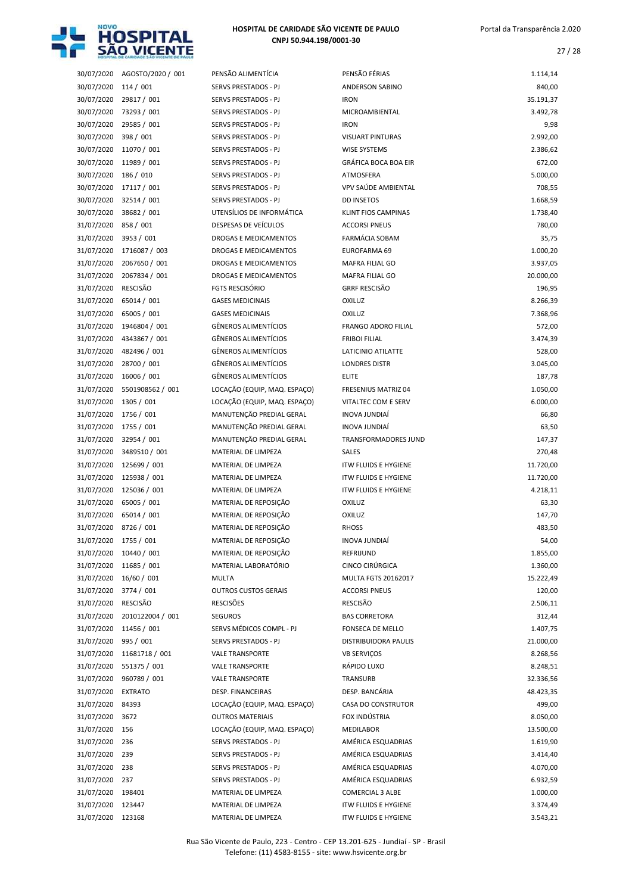

| 30/07/2020 | AGOSTO/2020 / 001 | PENSÃO ALIMENTÍCIA           | PENSÃO FÉRIAS               | 1.114,14  |
|------------|-------------------|------------------------------|-----------------------------|-----------|
|            |                   |                              |                             |           |
| 30/07/2020 | 114/001           | SERVS PRESTADOS - PJ         | ANDERSON SABINO             | 840,00    |
| 30/07/2020 | 29817 / 001       | SERVS PRESTADOS - PJ         | <b>IRON</b>                 | 35.191,37 |
| 30/07/2020 | 73293 / 001       | SERVS PRESTADOS - PJ         | MICROAMBIENTAL              | 3.492,78  |
| 30/07/2020 | 29585 / 001       | SERVS PRESTADOS - PJ         | <b>IRON</b>                 | 9,98      |
| 30/07/2020 | 398 / 001         | SERVS PRESTADOS - PJ         | <b>VISUART PINTURAS</b>     | 2.992,00  |
| 30/07/2020 | 11070 / 001       | SERVS PRESTADOS - PJ         | <b>WISE SYSTEMS</b>         | 2.386,62  |
| 30/07/2020 | 11989 / 001       | SERVS PRESTADOS - PJ         | <b>GRÁFICA BOCA BOA EIR</b> | 672,00    |
| 30/07/2020 | 186 / 010         | SERVS PRESTADOS - PJ         | ATMOSFERA                   | 5.000,00  |
| 30/07/2020 | 17117 / 001       | SERVS PRESTADOS - PJ         | VPV SAÚDE AMBIENTAL         | 708,55    |
| 30/07/2020 | 32514 / 001       | SERVS PRESTADOS - PJ         | <b>DD INSETOS</b>           | 1.668,59  |
| 30/07/2020 | 38682 / 001       | UTENSÍLIOS DE INFORMÁTICA    | <b>KLINT FIOS CAMPINAS</b>  | 1.738,40  |
| 31/07/2020 | 858 / 001         | DESPESAS DE VEÍCULOS         | <b>ACCORSI PNEUS</b>        | 780,00    |
|            |                   |                              | <b>FARMÁCIA SOBAM</b>       |           |
| 31/07/2020 | 3953 / 001        | DROGAS E MEDICAMENTOS        |                             | 35,75     |
| 31/07/2020 | 1716087 / 003     | DROGAS E MEDICAMENTOS        | EUROFARMA 69                | 1.000,20  |
| 31/07/2020 | 2067650 / 001     | DROGAS E MEDICAMENTOS        | MAFRA FILIAL GO             | 3.937,05  |
| 31/07/2020 | 2067834 / 001     | DROGAS E MEDICAMENTOS        | <b>MAFRA FILIAL GO</b>      | 20.000,00 |
| 31/07/2020 | <b>RESCISÃO</b>   | <b>FGTS RESCISÓRIO</b>       | <b>GRRF RESCISÃO</b>        | 196,95    |
| 31/07/2020 | 65014 / 001       | <b>GASES MEDICINAIS</b>      | <b>OXILUZ</b>               | 8.266,39  |
| 31/07/2020 | 65005 / 001       | <b>GASES MEDICINAIS</b>      | <b>OXILUZ</b>               | 7.368,96  |
| 31/07/2020 | 1946804 / 001     | <b>GÊNEROS ALIMENTÍCIOS</b>  | <b>FRANGO ADORO FILIAL</b>  | 572,00    |
| 31/07/2020 | 4343867 / 001     | <b>GÊNEROS ALIMENTÍCIOS</b>  | <b>FRIBOI FILIAL</b>        | 3.474,39  |
| 31/07/2020 | 482496 / 001      | GÊNEROS ALIMENTÍCIOS         | LATICINIO ATILATTE          | 528,00    |
| 31/07/2020 | 28700 / 001       | GÊNEROS ALIMENTÍCIOS         | <b>LONDRES DISTR</b>        | 3.045,00  |
| 31/07/2020 | 16006 / 001       | <b>GÊNEROS ALIMENTÍCIOS</b>  | <b>ELITE</b>                |           |
|            |                   |                              |                             | 187,78    |
| 31/07/2020 | 5501908562 / 001  | LOCAÇÃO (EQUIP, MAQ. ESPAÇO) | FRESENIUS MATRIZ 04         | 1.050,00  |
| 31/07/2020 | 1305 / 001        | LOCAÇÃO (EQUIP, MAQ. ESPAÇO) | VITALTEC COM E SERV         | 6.000,00  |
| 31/07/2020 | 1756 / 001        | MANUTENÇÃO PREDIAL GERAL     | INOVA JUNDIAÍ               | 66,80     |
| 31/07/2020 | 1755 / 001        | MANUTENÇÃO PREDIAL GERAL     | INOVA JUNDIAÍ               | 63,50     |
| 31/07/2020 | 32954 / 001       | MANUTENÇÃO PREDIAL GERAL     | TRANSFORMADORES JUND        | 147,37    |
| 31/07/2020 | 3489510 / 001     | MATERIAL DE LIMPEZA          | <b>SALES</b>                | 270,48    |
|            |                   |                              |                             |           |
| 31/07/2020 | 125699 / 001      | MATERIAL DE LIMPEZA          | <b>ITW FLUIDS E HYGIENE</b> | 11.720,00 |
| 31/07/2020 | 125938 / 001      | MATERIAL DE LIMPEZA          | <b>ITW FLUIDS E HYGIENE</b> | 11.720,00 |
| 31/07/2020 | 125036 / 001      | MATERIAL DE LIMPEZA          | <b>ITW FLUIDS E HYGIENE</b> | 4.218,11  |
|            | 65005 / 001       | MATERIAL DE REPOSIÇÃO        | <b>OXILUZ</b>               |           |
| 31/07/2020 |                   |                              |                             | 63,30     |
| 31/07/2020 | 65014 / 001       | MATERIAL DE REPOSIÇÃO        | <b>OXILUZ</b>               | 147,70    |
| 31/07/2020 | 8726 / 001        | MATERIAL DE REPOSIÇÃO        | <b>RHOSS</b>                | 483,50    |
| 31/07/2020 | 1755 / 001        | MATERIAL DE REPOSIÇÃO        | INOVA JUNDIAÍ               | 54,00     |
| 31/07/2020 | 10440 / 001       | MATERIAL DE REPOSIÇÃO        | REFRIJUND                   | 1.855,00  |
| 31/07/2020 | 11685 / 001       | MATERIAL LABORATÓRIO         | CINCO CIRÚRGICA             | 1.360,00  |
| 31/07/2020 | 16/60 / 001       | <b>MULTA</b>                 | MULTA FGTS 20162017         | 15.222,49 |
| 31/07/2020 | 3774 / 001        | <b>OUTROS CUSTOS GERAIS</b>  | <b>ACCORSI PNEUS</b>        | 120,00    |
| 31/07/2020 | <b>RESCISÃO</b>   | <b>RESCISÕES</b>             | RESCISÃO                    | 2.506,11  |
| 31/07/2020 | 2010122004 / 001  | <b>SEGUROS</b>               | <b>BAS CORRETORA</b>        | 312,44    |
| 31/07/2020 | 11456 / 001       | SERVS MÉDICOS COMPL - PJ     | FONSECA DE MELLO            | 1.407,75  |
| 31/07/2020 | 995 / 001         | SERVS PRESTADOS - PJ         | <b>DISTRIBUIDORA PAULIS</b> | 21.000,00 |
| 31/07/2020 | 11681718 / 001    | <b>VALE TRANSPORTE</b>       | <b>VB SERVIÇOS</b>          | 8.268,56  |
| 31/07/2020 | 551375 / 001      | <b>VALE TRANSPORTE</b>       | RÁPIDO LUXO                 | 8.248,51  |
| 31/07/2020 | 960789 / 001      | <b>VALE TRANSPORTE</b>       | TRANSURB                    | 32.336,56 |
|            |                   |                              |                             |           |
| 31/07/2020 | <b>EXTRATO</b>    | DESP. FINANCEIRAS            | DESP. BANCÁRIA              | 48.423,35 |
| 31/07/2020 | 84393             | LOCAÇÃO (EQUIP, MAQ. ESPAÇO) | CASA DO CONSTRUTOR          | 499,00    |
| 31/07/2020 | 3672              | <b>OUTROS MATERIAIS</b>      | FOX INDÚSTRIA               | 8.050,00  |
| 31/07/2020 | 156               | LOCAÇÃO (EQUIP, MAQ. ESPAÇO) | MEDILABOR                   | 13.500,00 |
| 31/07/2020 | 236               | SERVS PRESTADOS - PJ         | AMÉRICA ESQUADRIAS          | 1.619,90  |
| 31/07/2020 | 239               | SERVS PRESTADOS - PJ         | AMÉRICA ESQUADRIAS          | 3.414,40  |
| 31/07/2020 | 238               | SERVS PRESTADOS - PJ         | AMÉRICA ESQUADRIAS          | 4.070,00  |
| 31/07/2020 | 237               | SERVS PRESTADOS - PJ         | AMÉRICA ESQUADRIAS          | 6.932,59  |
| 31/07/2020 | 198401            | MATERIAL DE LIMPEZA          | <b>COMERCIAL 3 ALBE</b>     | 1.000,00  |
| 31/07/2020 | 123447            | MATERIAL DE LIMPEZA          | <b>ITW FLUIDS E HYGIENE</b> | 3.374,49  |

| PENSÃO FÉRIAS               | 1.114,14  |
|-----------------------------|-----------|
| <b>ANDERSON SABINO</b>      | 840,00    |
| <b>IRON</b>                 | 35.191,37 |
| MICROAMBIENTAL              | 3.492,78  |
| <b>IRON</b>                 | 9,98      |
| <b>VISUART PINTURAS</b>     | 2.992,00  |
| <b>WISE SYSTEMS</b>         | 2.386,62  |
| <b>GRÁFICA BOCA BOA EIR</b> | 672,00    |
| ATMOSFERA                   | 5.000,00  |
| VPV SAÚDE AMBIENTAL         | 708,55    |
| <b>DD INSETOS</b>           | 1.668,59  |
| <b>KLINT FIOS CAMPINAS</b>  | 1.738,40  |
| <b>ACCORSI PNEUS</b>        | 780,00    |
| <b>FARMÁCIA SOBAM</b>       | 35,75     |
| EUROFARMA 69                | 1.000,20  |
| <b>MAFRA FILIAL GO</b>      | 3.937,05  |
| <b>MAFRA FILIAL GO</b>      | 20.000,00 |
| <b>GRRF RESCISÃO</b>        | 196,95    |
| OXILUZ                      | 8.266,39  |
| <b>OXILUZ</b>               | 7.368,96  |
| <b>FRANGO ADORO FILIAL</b>  | 572,00    |
| <b>FRIBOI FILIAL</b>        | 3.474,39  |
| LATICINIO ATILATTE          | 528,00    |
| <b>LONDRES DISTR</b>        | 3.045,00  |
| ELITE                       | 187,78    |
| <b>FRESENIUS MATRIZ 04</b>  | 1.050,00  |
| VITALTEC COM E SERV         | 6.000,00  |
| INOVA JUNDIAÍ               | 66,80     |
| <b>INOVA JUNDIAÍ</b>        | 63,50     |
| <b>TRANSFORMADORES JUND</b> | 147,37    |
| <b>SALES</b>                | 270,48    |
| <b>ITW FLUIDS E HYGIENE</b> | 11.720,00 |
| <b>ITW FLUIDS E HYGIENE</b> | 11.720,00 |
| <b>ITW FLUIDS E HYGIENE</b> | 4.218,11  |
| OXILUZ                      | 63,30     |
| <b>OXILUZ</b>               | 147,70    |
| <b>RHOSS</b>                | 483,50    |
| INOVA JUNDIAÍ               | 54,00     |
| REFRIJUND                   | 1.855,00  |
| CINCO CIRÚRGICA             | 1.360,00  |
| <b>MULTA FGTS 20162017</b>  | 15.222,49 |
| <b>ACCORSI PNEUS</b>        | 120,00    |
| <b>RESCISÃO</b>             | 2.506,11  |
| <b>BAS CORRETORA</b>        | 312,44    |
| <b>FONSECA DE MELLO</b>     | 1.407,75  |
| <b>DISTRIBUIDORA PAULIS</b> | 21.000,00 |
| <b>VB SERVIÇOS</b>          | 8.268,56  |
| RÁPIDO LUXO                 | 8.248,51  |
| <b>TRANSURB</b>             | 32.336,56 |
| DESP. BANCÁRIA              | 48.423,35 |
| <b>CASA DO CONSTRUTOR</b>   | 499,00    |
| FOX INDÚSTRIA               | 8.050,00  |
| <b>MEDILABOR</b>            | 13.500,00 |
| AMÉRICA ESQUADRIAS          | 1.619,90  |
| AMÉRICA ESQUADRIAS          | 3.414,40  |
| AMÉRICA ESQUADRIAS          | 4.070,00  |
| AMÉRICA ESQUADRIAS          | 6.932,59  |
| <b>COMERCIAL 3 ALBE</b>     | 1.000,00  |
| <b>ITW FLUIDS E HYGIENE</b> | 3.374,49  |
|                             |           |